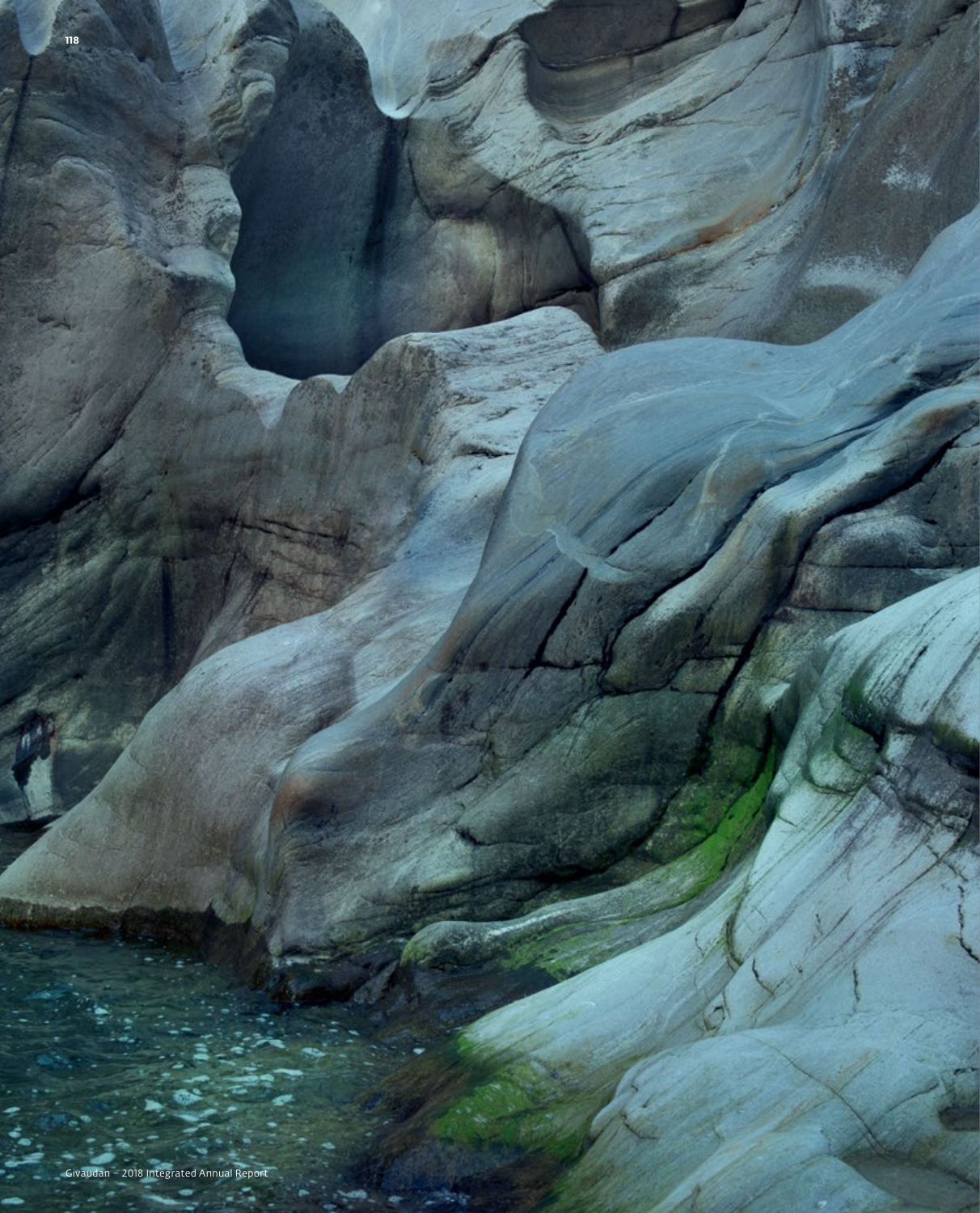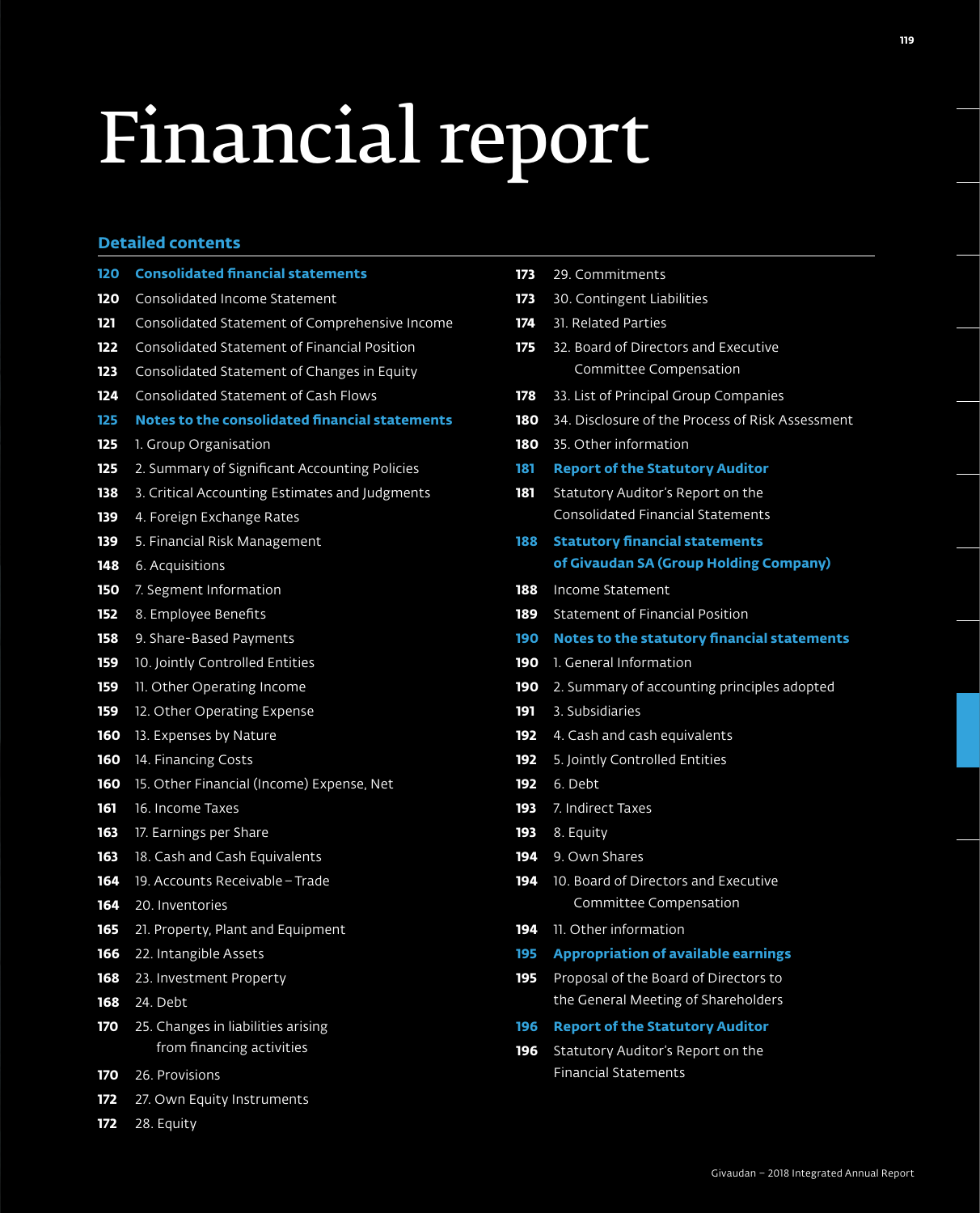# Financial report

# **Detailed contents**

# **[Consolidated financial statements](#page-2-0)**

- [Consolidated Income Statement](#page-2-0)
- [Consolidated Statement of Comprehensive Income](#page-3-0)
- [Consolidated Statement of Financial Position](#page-4-0)
- [Consolidated Statement of Changes in Equity](#page-5-0)
- [Consolidated Statement of Cash Flows](#page-6-0)
- **[Notes to the consolidated financial statements](#page-7-0)**
- [1. Group Organisation](#page-7-0)
- [2. Summary of Significant Accounting Policies](#page-7-0)
- [3. Critical Accounting Estimates and Judgments](#page-20-0)
- [4. Foreign Exchange Rates](#page-21-0)
- [5. Financial Risk Management](#page-21-0)
- [6. Acquisitions](#page-30-0)
- [7. Segment Information](#page-32-0)
- [8. Employee Benefits](#page-34-0)
- [9. Share-Based Payments](#page-40-0)
- [10. Jointly Controlled Entities](#page-41-0)
- [11. Other Operating Income](#page-41-0)
- [12. Other Operating Expense](#page-41-0)
- [13. Expenses by Nature](#page-42-0)
- [14. Financing Costs](#page-42-0)
- [15. Other Financial \(Income\) Expense, Net](#page-42-0)
- [16. Income Taxes](#page-43-0)
- [17. Earnings per Share](#page-45-0)
- [18. Cash and Cash Equivalents](#page-45-0)
- [19. Accounts Receivable–Trade](#page-46-0)
- [20. Inventories](#page-46-0)
- [21. Property, Plant and Equipment](#page-47-0)
- [22. Intangible Assets](#page-48-0)
- [23. Investment Property](#page-50-0)
- [24. Debt](#page-50-0)
- [25. Changes in liabilities arising](#page-52-0) from financing activities
- [26. Provisions](#page-52-0)
- [27. Own Equity Instruments](#page-54-0)
- [28. Equity](#page-54-0)
- [29. Commitments](#page-55-0)
- [30. Contingent Liabilities](#page-55-0)
- [31. Related Parties](#page-56-0)
- [32. Board of Directors and Executive](#page-57-0) Committee Compensation
- [33. List of Principal Group Companies](#page-60-0)
- [34. Disclosure of the Process of Risk Assessment](#page-62-0)
- [35. Other information](#page-62-0)
- **[Report of the Statutory Auditor](#page-63-0)**
- Statutory Auditor's Report on the [Consolidated Financial Statements](#page-63-0)
- **Statutory financial statements [of Givaudan SA \(Group Holding Company\)](#page-70-0)**
- [Income Statement](#page-70-0)
- [Statement of Financial Position](#page-71-0)
- **[Notes to the statutory financial statements](#page-72-0)**
- [1. General Information](#page-72-0)
- [2. Summary of accounting principles adopted](#page-72-0)
- [3. Subsidiaries](#page-73-0)
- [4. Cash and cash equivalents](#page-74-0)
- [5. Jointly Controlled Entities](#page-74-0)
- [6. Debt](#page-74-0)
- [7. Indirect Taxes](#page-75-0)
- [8. Equity](#page-75-0)
- [9. Own Shares](#page-76-0)
- [10. Board of Directors and Executive](#page-76-0)  Committee Compensation
- [11. Other information](#page-76-0)
- **[Appropriation of available earnings](#page-77-0)**
- [Proposal of the Board of Directors to](#page-77-0)  the General Meeting of Shareholders
- **[Report of the Statutory Auditor](#page-78-0)**
- [Statutory Auditor's Report on the](#page-78-0)  Financial Statements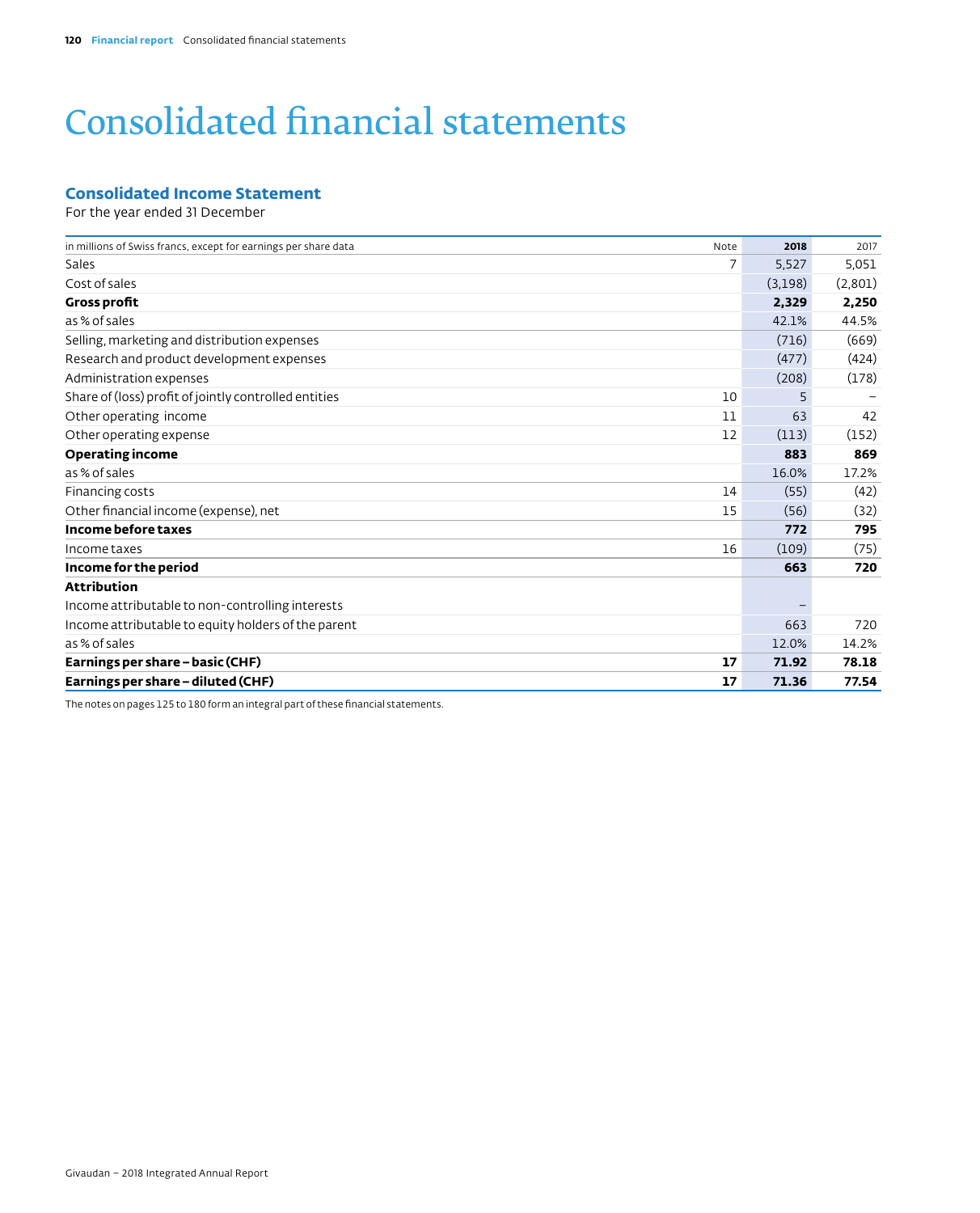# <span id="page-2-0"></span>Consolidated financial statements

# **Consolidated Income Statement**

For the year ended 31 December

| in millions of Swiss francs, except for earnings per share data<br>Note | 2018    | 2017    |
|-------------------------------------------------------------------------|---------|---------|
| 7<br>Sales                                                              | 5,527   | 5,051   |
| Cost of sales                                                           | (3,198) | (2,801) |
| <b>Gross profit</b>                                                     | 2,329   | 2,250   |
| as % of sales                                                           | 42.1%   | 44.5%   |
| Selling, marketing and distribution expenses                            | (716)   | (669)   |
| Research and product development expenses                               | (477)   | (424)   |
| Administration expenses                                                 | (208)   | (178)   |
| Share of (loss) profit of jointly controlled entities<br>10             | 5       |         |
| Other operating income<br>11                                            | 63      | 42      |
| Other operating expense<br>12                                           | (113)   | (152)   |
| <b>Operating income</b>                                                 | 883     | 869     |
| as % of sales                                                           | 16.0%   | 17.2%   |
| Financing costs<br>14                                                   | (55)    | (42)    |
| Other financial income (expense), net<br>15                             | (56)    | (32)    |
| Income before taxes                                                     | 772     | 795     |
| 16<br>Income taxes                                                      | (109)   | (75)    |
| Income for the period                                                   | 663     | 720     |
| <b>Attribution</b>                                                      |         |         |
| Income attributable to non-controlling interests                        |         |         |
| Income attributable to equity holders of the parent                     | 663     | 720     |
| as % of sales                                                           | 12.0%   | 14.2%   |
| Earnings per share - basic (CHF)<br>17                                  | 71.92   | 78.18   |
| Earnings per share - diluted (CHF)<br>17                                | 71.36   | 77.54   |

The notes on pages 125 to 180 form an integral part of these financial statements.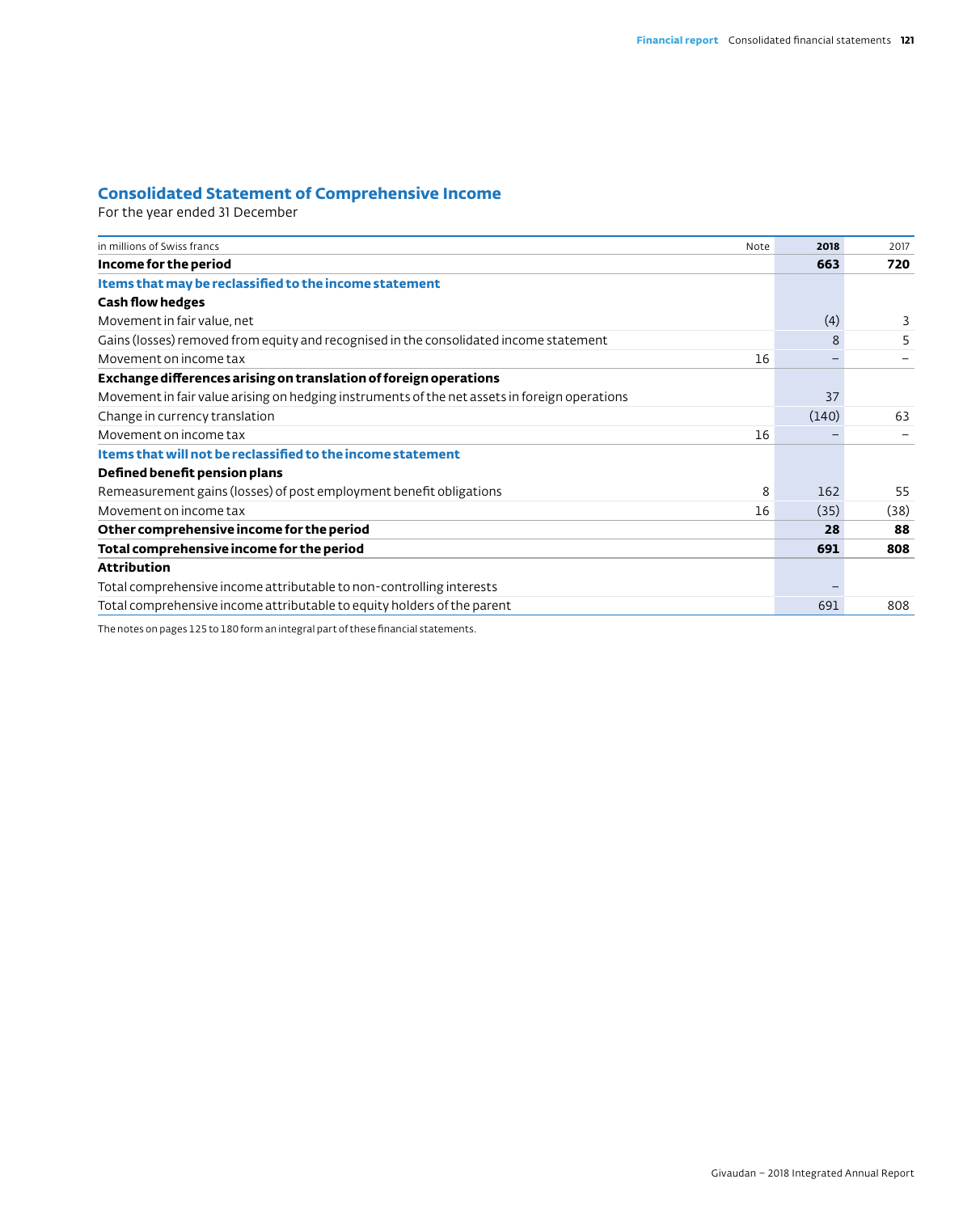# <span id="page-3-0"></span>**Consolidated Statement of Comprehensive Income**

For the year ended 31 December

| in millions of Swiss francs<br>Note                                                           | 2018     | 2017 |
|-----------------------------------------------------------------------------------------------|----------|------|
| Income for the period                                                                         | 663      | 720  |
| Items that may be reclassified to the income statement                                        |          |      |
| <b>Cash flow hedges</b>                                                                       |          |      |
| Movement in fair value, net                                                                   | (4)      | 3    |
| Gains (losses) removed from equity and recognised in the consolidated income statement        | 8        | 5    |
| Movement on income tax<br>16                                                                  |          |      |
| Exchange differences arising on translation of foreign operations                             |          |      |
| Movement in fair value arising on hedging instruments of the net assets in foreign operations | 37       |      |
| Change in currency translation                                                                | (140)    | 63   |
| Movement on income tax<br>16                                                                  |          |      |
| Items that will not be reclassified to the income statement                                   |          |      |
| Defined benefit pension plans                                                                 |          |      |
| Remeasurement gains (losses) of post employment benefit obligations                           | 8<br>162 | 55   |
| Movement on income tax<br>16                                                                  | (35)     | (38) |
| Other comprehensive income for the period                                                     | 28       | 88   |
| Total comprehensive income for the period                                                     | 691      | 808  |
| <b>Attribution</b>                                                                            |          |      |
| Total comprehensive income attributable to non-controlling interests                          |          |      |
| Total comprehensive income attributable to equity holders of the parent                       | 691      | 808  |

The notes on pages 125 to 180 form an integral part of these financial statements.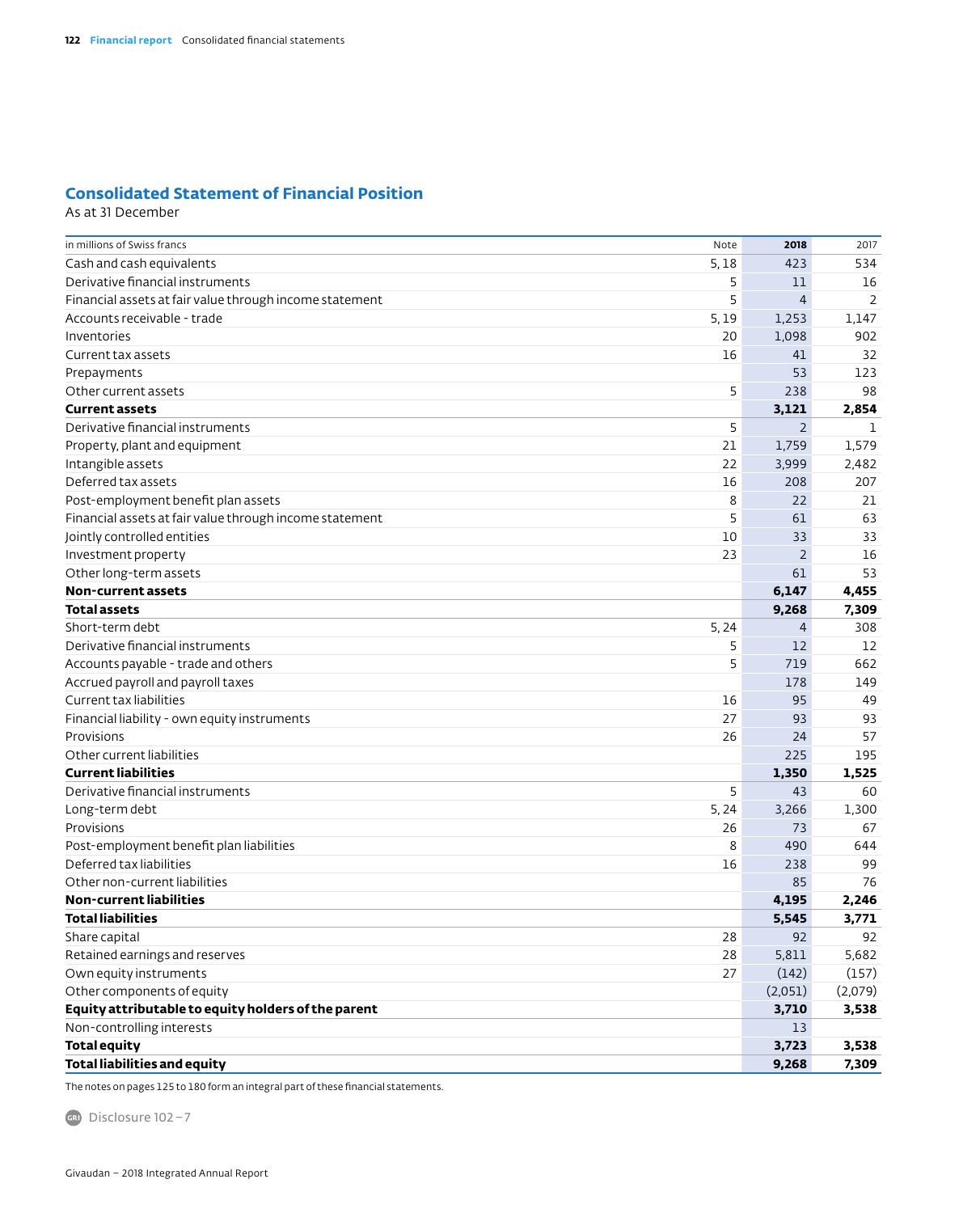# <span id="page-4-0"></span>**Consolidated Statement of Financial Position**

As at 31 December

| in millions of Swiss francs<br>Note                          | 2018           | 2017           |
|--------------------------------------------------------------|----------------|----------------|
| 5.18<br>Cash and cash equivalents                            | 423            | 534            |
| Derivative financial instruments<br>5                        | 11             | 16             |
| 5<br>Financial assets at fair value through income statement | $\overline{4}$ | $\overline{2}$ |
| 5,19<br>Accounts receivable - trade                          | 1,253          | 1.147          |
| Inventories<br>20                                            | 1,098          | 902            |
| 16<br>Current tax assets                                     | 41             | 32             |
| Prepayments                                                  | 53             | 123            |
| 5<br>Other current assets                                    | 238            | 98             |
| <b>Current assets</b>                                        | 3,121          | 2,854          |
| 5<br>Derivative financial instruments                        | $\overline{2}$ | 1              |
| Property, plant and equipment<br>21                          | 1,759          | 1,579          |
| Intangible assets<br>22                                      | 3,999          | 2,482          |
| 16<br>Deferred tax assets                                    | 208            | 207            |
| 8<br>Post-employment benefit plan assets                     | 22             | 21             |
| 5<br>Financial assets at fair value through income statement | 61             | 63             |
| Jointly controlled entities<br>10                            | 33             | 33             |
| 23<br>Investment property                                    | $\overline{2}$ | 16             |
| Other long-term assets                                       | 61             | 53             |
| <b>Non-current assets</b>                                    | 6,147          | 4.455          |
| <b>Total assets</b>                                          | 9,268          | 7,309          |
| 5,24<br>Short-term debt                                      | $\overline{4}$ | 308            |
| Derivative financial instruments<br>5                        | 12             | 12             |
| 5<br>Accounts payable - trade and others                     | 719            | 662            |
| Accrued payroll and payroll taxes                            | 178            | 149            |
| Current tax liabilities<br>16                                | 95             | 49             |
| 27<br>Financial liability - own equity instruments           | 93             | 93             |
| Provisions<br>26                                             | 24             | 57             |
| Other current liabilities                                    | 225            | 195            |
| <b>Current liabilities</b>                                   | 1,350          | 1,525          |
| 5<br>Derivative financial instruments                        | 43             | 60             |
| 5, 24<br>Long-term debt                                      | 3,266          | 1,300          |
| 26<br>Provisions                                             | 73             | 67             |
| 8<br>Post-employment benefit plan liabilities                | 490            | 644            |
| Deferred tax liabilities<br>16                               | 238            | 99             |
| Other non-current liabilities                                | 85             | 76             |
| <b>Non-current liabilities</b>                               | 4,195          | 2,246          |
| <b>Total liabilities</b>                                     | 5,545          | 3,771          |
| Share capital<br>28                                          | 92             | 92             |
| 28<br>Retained earnings and reserves                         | 5,811          | 5,682          |
| 27<br>Own equity instruments                                 | (142)          | (157)          |
| Other components of equity                                   | (2,051)        | (2,079)        |
| Equity attributable to equity holders of the parent          | 3,710          | 3,538          |
| Non-controlling interests                                    | 13             |                |
| <b>Total equity</b>                                          | 3,723          | 3,538          |
| <b>Total liabilities and equity</b>                          | 9,268          | 7,309          |

The notes on pages 125 to 180 form an integral part of these financial statements.

Disclosure 102–7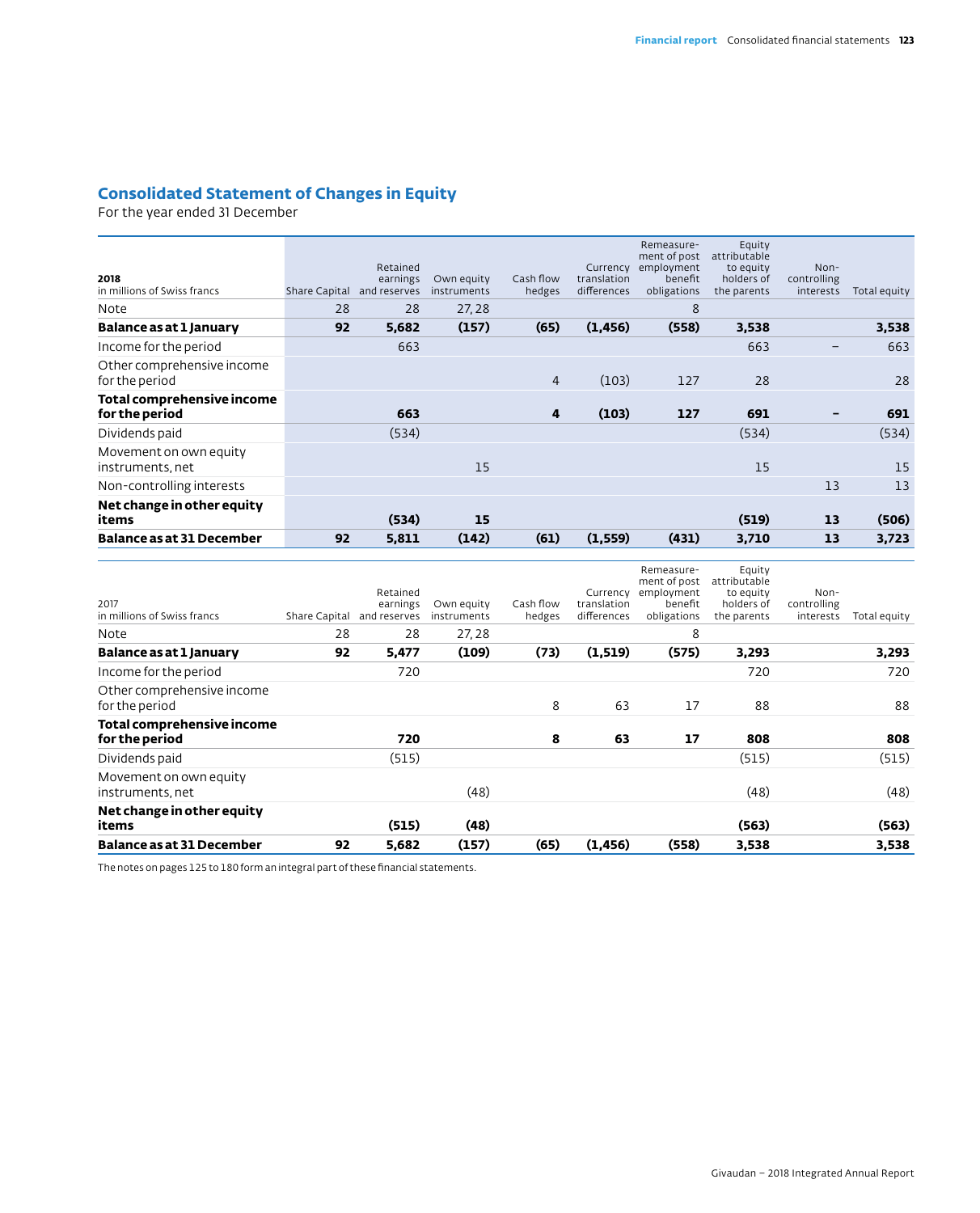# <span id="page-5-0"></span>**Consolidated Statement of Changes in Equity**

For the year ended 31 December

| 2018<br>in millions of Swiss francs          | Share Capital | Retained<br>earnings<br>and reserves | Own equity<br>instruments | Cash flow<br>hedges | Currency<br>translation<br>differences | Remeasure-<br>ment of post<br>employment<br>benefit<br>obligations | Equity<br>attributable<br>to equity<br>holders of<br>the parents | $Non-$<br>controlling<br>interests | Total equity |
|----------------------------------------------|---------------|--------------------------------------|---------------------------|---------------------|----------------------------------------|--------------------------------------------------------------------|------------------------------------------------------------------|------------------------------------|--------------|
| Note                                         | 28            | 28                                   | 27, 28                    |                     |                                        | 8                                                                  |                                                                  |                                    |              |
| Balance as at 1 January                      | 92            | 5,682                                | (157)                     | (65)                | (1, 456)                               | (558)                                                              | 3,538                                                            |                                    | 3,538        |
| Income for the period                        |               | 663                                  |                           |                     |                                        |                                                                    | 663                                                              | -                                  | 663          |
| Other comprehensive income<br>for the period |               |                                      |                           | $\overline{4}$      | (103)                                  | 127                                                                | 28                                                               |                                    | 28           |
| Total comprehensive income<br>for the period |               | 663                                  |                           | 4                   | (103)                                  | 127                                                                | 691                                                              | -                                  | 691          |
| Dividends paid                               |               | (534)                                |                           |                     |                                        |                                                                    | (534)                                                            |                                    | (534)        |
| Movement on own equity<br>instruments, net   |               |                                      | 15                        |                     |                                        |                                                                    | 15                                                               |                                    | 15           |
| Non-controlling interests                    |               |                                      |                           |                     |                                        |                                                                    |                                                                  | 13                                 | 13           |
| Net change in other equity<br>items          |               | (534)                                | 15                        |                     |                                        |                                                                    | (519)                                                            | 13                                 | (506)        |
| <b>Balance as at 31 December</b>             | 92            | 5,811                                | (142)                     | (61)                | (1,559)                                | (431)                                                              | 3,710                                                            | 13                                 | 3,723        |

|                                     |               |                          |                           |                     |                            | Remeasure-<br>ment of post | Equity<br>attributable    |                          |              |
|-------------------------------------|---------------|--------------------------|---------------------------|---------------------|----------------------------|----------------------------|---------------------------|--------------------------|--------------|
|                                     |               | Retained                 |                           |                     | Currency                   | employment                 | to equity                 | Non-                     |              |
| 2017<br>in millions of Swiss francs | Share Capital | earnings<br>and reserves | Own equity<br>instruments | Cash flow<br>hedges | translation<br>differences | benefit<br>obligations     | holders of<br>the parents | controlling<br>interests | Total equity |
|                                     |               |                          |                           |                     |                            |                            |                           |                          |              |
| Note                                | 28            | 28                       | 27, 28                    |                     |                            | 8                          |                           |                          |              |
| Balance as at 1 January             | 92            | 5,477                    | (109)                     | (73)                | (1,519)                    | (575)                      | 3.293                     |                          | 3,293        |
| Income for the period               |               | 720                      |                           |                     |                            |                            | 720                       |                          | 720          |
| Other comprehensive income          |               |                          |                           |                     |                            |                            |                           |                          |              |
| for the period                      |               |                          |                           | 8                   | 63                         | 17                         | 88                        |                          | 88           |
| Total comprehensive income          |               |                          |                           |                     |                            |                            |                           |                          |              |
| for the period                      |               | 720                      |                           | 8                   | 63                         | 17                         | 808                       |                          | 808          |
| Dividends paid                      |               | (515)                    |                           |                     |                            |                            | (515)                     |                          | (515)        |
| Movement on own equity              |               |                          |                           |                     |                            |                            |                           |                          |              |
| instruments, net                    |               |                          | (48)                      |                     |                            |                            | (48)                      |                          | (48)         |
| Net change in other equity          |               |                          |                           |                     |                            |                            |                           |                          |              |
| items                               |               | (515)                    | (48)                      |                     |                            |                            | (563)                     |                          | (563)        |
| <b>Balance as at 31 December</b>    | 92            | 5,682                    | (157)                     | (65)                | (1, 456)                   | (558)                      | 3,538                     |                          | 3,538        |

The notes on pages 125 to 180 form an integral part of these financial statements.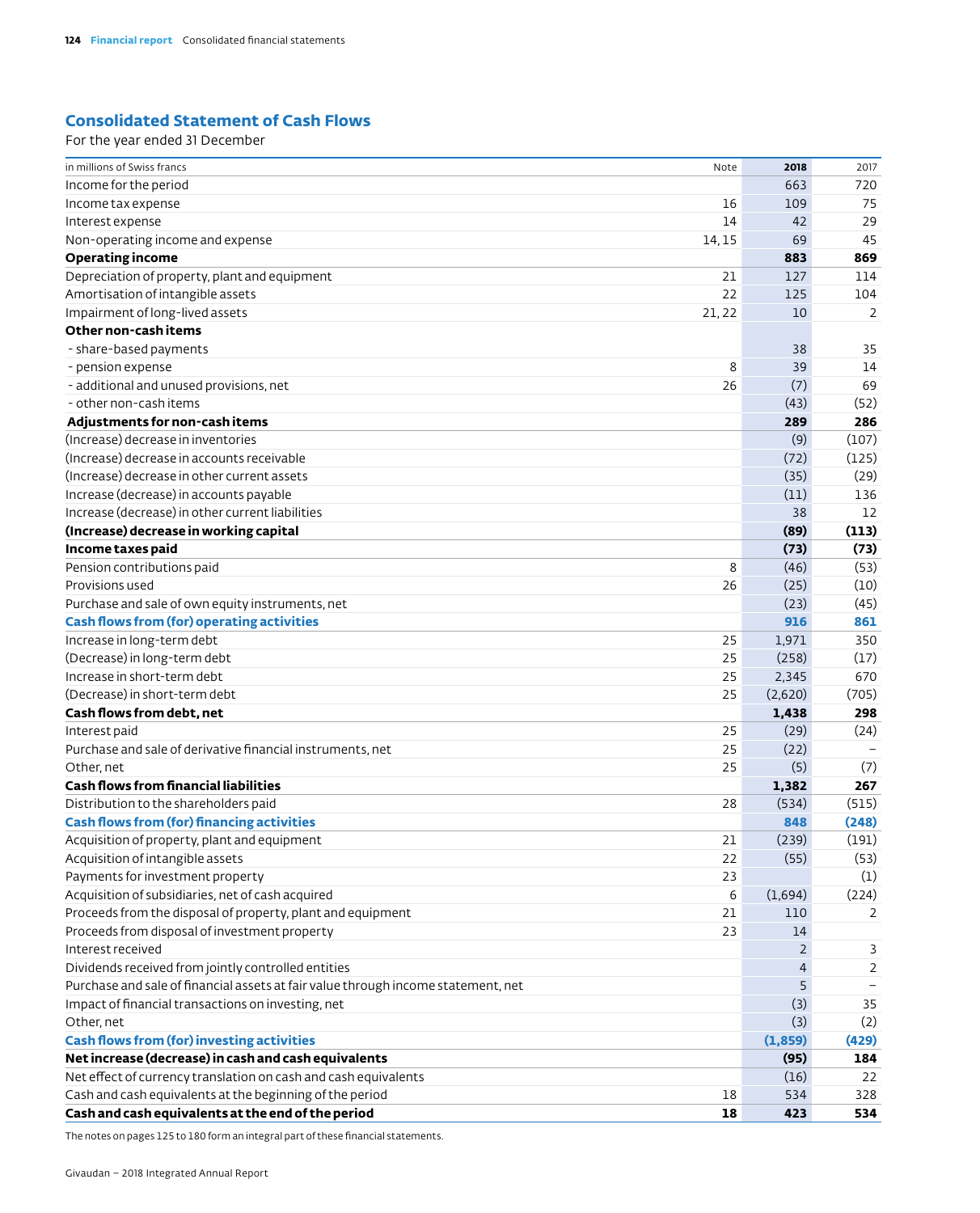# <span id="page-6-0"></span>**Consolidated Statement of Cash Flows**

For the year ended 31 December

| in millions of Swiss francs<br>Note                                               | 2018           | 2017  |
|-----------------------------------------------------------------------------------|----------------|-------|
| Income for the period                                                             | 663            | 720   |
| 16<br>Income tax expense                                                          | 109            | 75    |
| 14<br>Interest expense                                                            | 42             | 29    |
| 14, 15<br>Non-operating income and expense                                        | 69             | 45    |
| <b>Operating income</b>                                                           | 883            | 869   |
| Depreciation of property, plant and equipment<br>21                               | 127            | 114   |
| Amortisation of intangible assets<br>22                                           | 125            | 104   |
| Impairment of long-lived assets<br>21, 22                                         | 10             | 2     |
| Other non-cash items                                                              |                |       |
| - share-based payments                                                            | 38             | 35    |
| 8<br>- pension expense                                                            | 39             | 14    |
| - additional and unused provisions, net<br>26                                     | (7)            | 69    |
| - other non-cash items                                                            | (43)           | (52)  |
| Adjustments for non-cash items                                                    | 289            | 286   |
| (Increase) decrease in inventories                                                | (9)            | (107) |
| (Increase) decrease in accounts receivable                                        | (72)           | (125) |
| (Increase) decrease in other current assets                                       | (35)           | (29)  |
| Increase (decrease) in accounts payable                                           | (11)           | 136   |
| Increase (decrease) in other current liabilities                                  | 38             | 12    |
| (Increase) decrease in working capital                                            | (89)           | (113) |
| Income taxes paid                                                                 | (73)           | (73)  |
| Pension contributions paid<br>8                                                   | (46)           | (53)  |
| Provisions used<br>26                                                             | (25)           | (10)  |
| Purchase and sale of own equity instruments, net                                  | (23)           | (45)  |
| <b>Cash flows from (for) operating activities</b>                                 | 916            | 861   |
| Increase in long-term debt<br>25                                                  | 1,971          | 350   |
| (Decrease) in long-term debt<br>25                                                | (258)          | (17)  |
| Increase in short-term debt<br>25                                                 | 2,345          | 670   |
| (Decrease) in short-term debt<br>25                                               | (2,620)        | (705) |
| Cash flows from debt, net                                                         | 1,438          | 298   |
| Interest paid<br>25                                                               | (29)           | (24)  |
| Purchase and sale of derivative financial instruments, net<br>25                  | (22)           |       |
| 25<br>Other, net                                                                  | (5)            | (7)   |
| <b>Cash flows from financial liabilities</b>                                      | 1,382          | 267   |
| Distribution to the shareholders paid<br>28                                       | (534)          | (515) |
| <b>Cash flows from (for) financing activities</b>                                 | 848            | (248) |
| Acquisition of property, plant and equipment<br>21                                | (239)          | (191) |
| Acquisition of intangible assets<br>22                                            | (55)           | (53)  |
| Payments for investment property<br>23                                            |                | (1)   |
| Acquisition of subsidiaries, net of cash acquired<br>$\boldsymbol{6}$             | (1,694)        | (224) |
| Proceeds from the disposal of property, plant and equipment<br>21                 | 110            | 2     |
| Proceeds from disposal of investment property<br>23                               | 14             |       |
| Interest received                                                                 | $\overline{2}$ | 3     |
| Dividends received from jointly controlled entities                               | 4              | 2     |
| Purchase and sale of financial assets at fair value through income statement, net | 5              |       |
| Impact of financial transactions on investing, net                                | (3)            | 35    |
| Other, net                                                                        | (3)            | (2)   |
| <b>Cash flows from (for) investing activities</b>                                 | (1,859)        | (429) |
| Net increase (decrease) in cash and cash equivalents                              | (95)           | 184   |
| Net effect of currency translation on cash and cash equivalents                   | (16)           | 22    |
| Cash and cash equivalents at the beginning of the period<br>18                    | 534            | 328   |
| Cash and cash equivalents at the end of the period<br>18                          | 423            | 534   |

The notes on pages 125 to 180 form an integral part of these financial statements.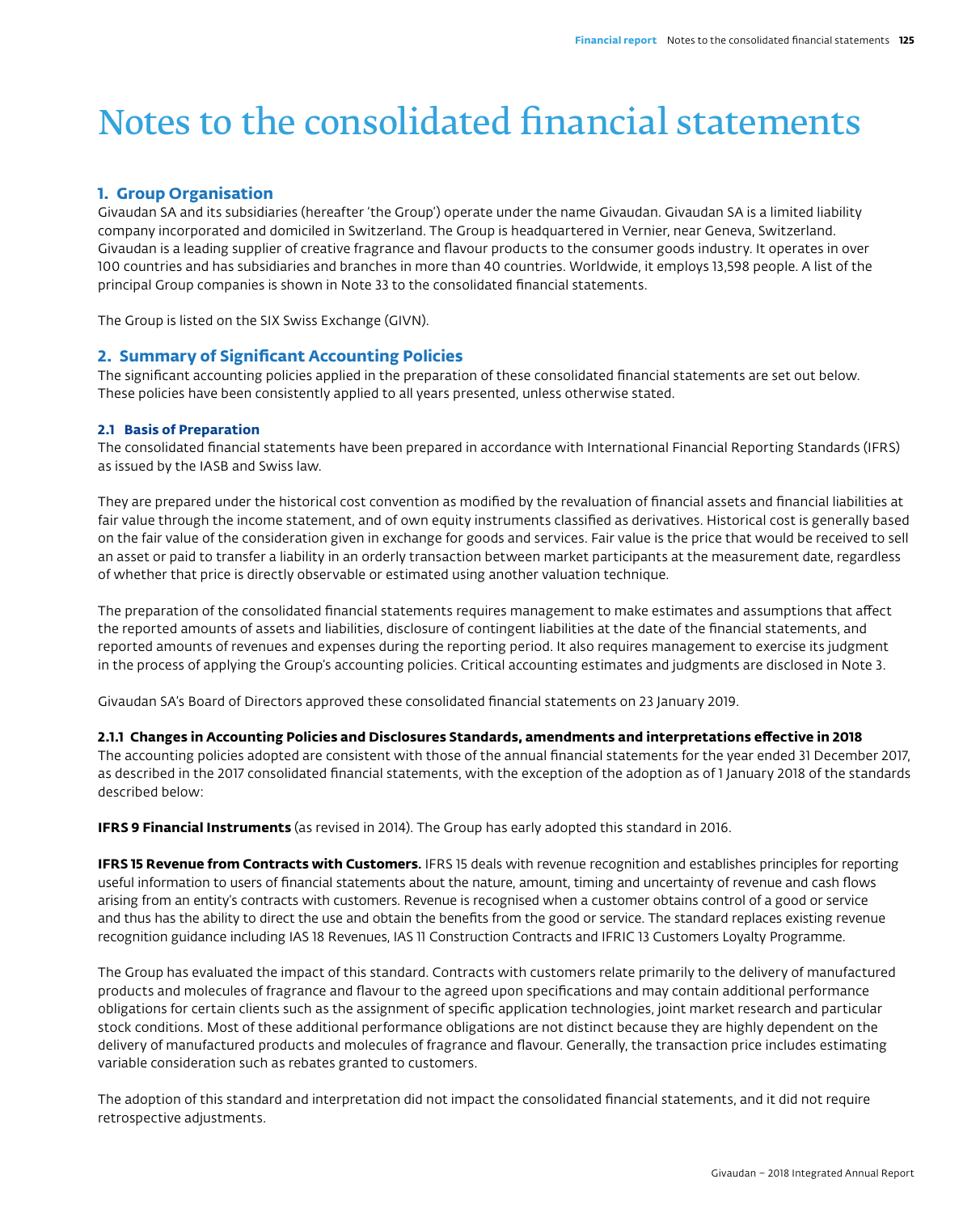# <span id="page-7-0"></span>Notes to the consolidated financial statements

# **1. Group Organisation**

Givaudan SA and its subsidiaries (hereafter 'the Group') operate under the name Givaudan. Givaudan SA is a limited liability company incorporated and domiciled in Switzerland. The Group is headquartered in Vernier, near Geneva, Switzerland. Givaudan is a leading supplier of creative fragrance and flavour products to the consumer goods industry. It operates in over 100 countries and has subsidiaries and branches in more than 40 countries. Worldwide, it employs 13,598 people. A list of the principal Group companies is shown in Note 33 to the consolidated financial statements.

The Group is listed on the SIX Swiss Exchange (GIVN).

# **2. Summary of Significant Accounting Policies**

The significant accounting policies applied in the preparation of these consolidated financial statements are set out below. These policies have been consistently applied to all years presented, unless otherwise stated.

#### **2.1 Basis of Preparation**

The consolidated financial statements have been prepared in accordance with International Financial Reporting Standards (IFRS) as issued by the IASB and Swiss law.

They are prepared under the historical cost convention as modified by the revaluation of financial assets and financial liabilities at fair value through the income statement, and of own equity instruments classified as derivatives. Historical cost is generally based on the fair value of the consideration given in exchange for goods and services. Fair value is the price that would be received to sell an asset or paid to transfer a liability in an orderly transaction between market participants at the measurement date, regardless of whether that price is directly observable or estimated using another valuation technique.

The preparation of the consolidated financial statements requires management to make estimates and assumptions that affect the reported amounts of assets and liabilities, disclosure of contingent liabilities at the date of the financial statements, and reported amounts of revenues and expenses during the reporting period. It also requires management to exercise its judgment in the process of applying the Group's accounting policies. Critical accounting estimates and judgments are disclosed in Note 3.

Givaudan SA's Board of Directors approved these consolidated financial statements on 23 January 2019.

#### **2.1.1 Changes in Accounting Policies and Disclosures Standards, amendments and interpretations effective in 2018**

The accounting policies adopted are consistent with those of the annual financial statements for the year ended 31 December 2017, as described in the 2017 consolidated financial statements, with the exception of the adoption as of 1 January 2018 of the standards described below:

**IFRS 9 Financial Instruments** (as revised in 2014). The Group has early adopted this standard in 2016.

**IFRS 15 Revenue from Contracts with Customers**. IFRS 15 deals with revenue recognition and establishes principles for reporting useful information to users of financial statements about the nature, amount, timing and uncertainty of revenue and cash flows arising from an entity's contracts with customers. Revenue is recognised when a customer obtains control of a good or service and thus has the ability to direct the use and obtain the benefits from the good or service. The standard replaces existing revenue recognition guidance including IAS 18 Revenues, IAS 11 Construction Contracts and IFRIC 13 Customers Loyalty Programme.

The Group has evaluated the impact of this standard. Contracts with customers relate primarily to the delivery of manufactured products and molecules of fragrance and flavour to the agreed upon specifications and may contain additional performance obligations for certain clients such as the assignment of specific application technologies, joint market research and particular stock conditions. Most of these additional performance obligations are not distinct because they are highly dependent on the delivery of manufactured products and molecules of fragrance and flavour. Generally, the transaction price includes estimating variable consideration such as rebates granted to customers.

The adoption of this standard and interpretation did not impact the consolidated financial statements, and it did not require retrospective adjustments.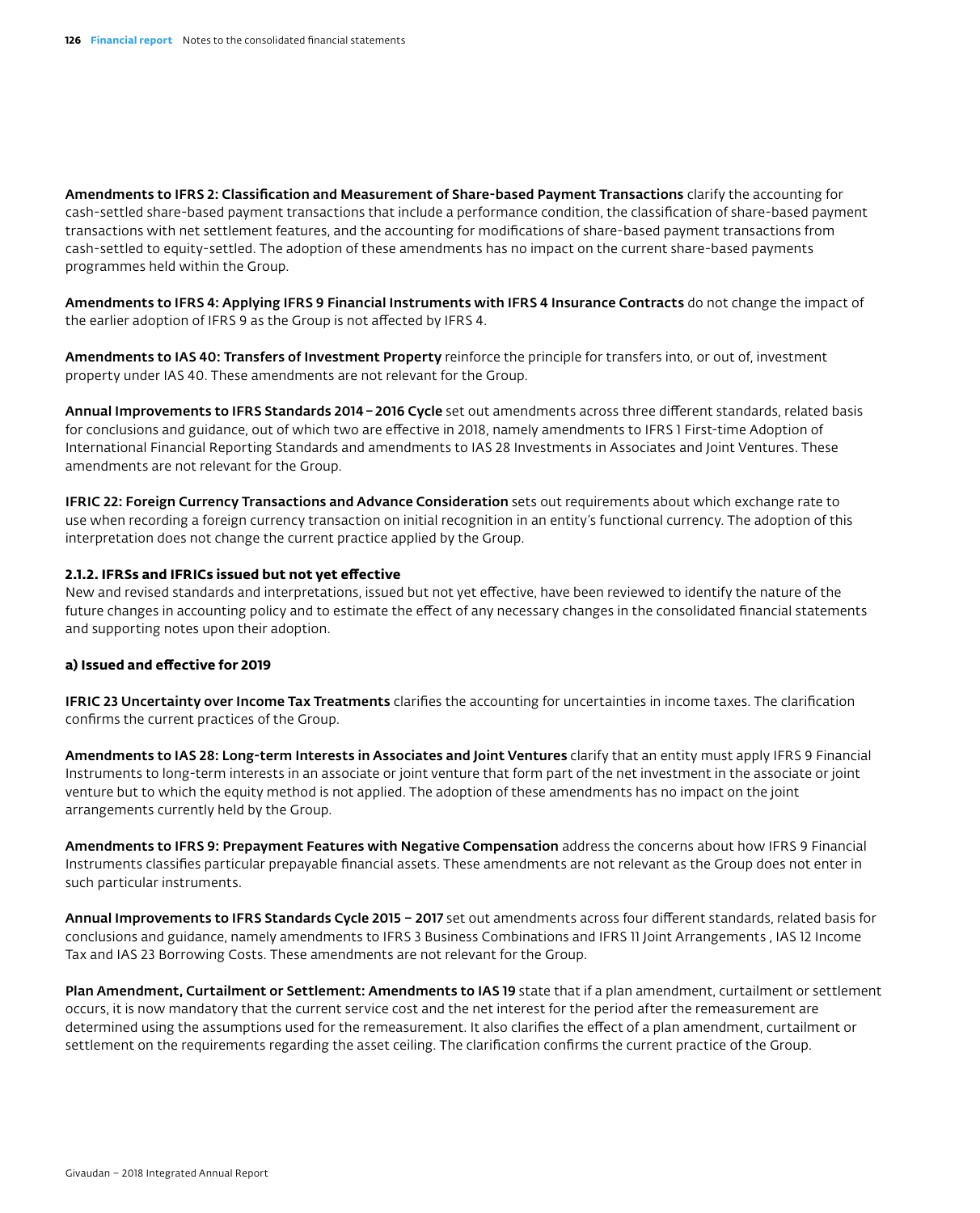Amendments to IFRS 2: Classification and Measurement of Share-based Payment Transactions clarify the accounting for cash-settled share-based payment transactions that include a performance condition, the classification of share-based payment transactions with net settlement features, and the accounting for modifications of share-based payment transactions from cash-settled to equity-settled. The adoption of these amendments has no impact on the current share-based payments programmes held within the Group.

Amendments to IFRS 4: Applying IFRS 9 Financial Instruments with IFRS 4 Insurance Contracts do not change the impact of the earlier adoption of IFRS 9 as the Group is not affected by IFRS 4.

Amendments to IAS 40: Transfers of Investment Property reinforce the principle for transfers into, or out of, investment property under IAS 40. These amendments are not relevant for the Group.

Annual Improvements to IFRS Standards 2014 - 2016 Cycle set out amendments across three different standards, related basis for conclusions and guidance, out of which two are effective in 2018, namely amendments to IFRS 1 First-time Adoption of International Financial Reporting Standards and amendments to IAS 28 Investments in Associates and Joint Ventures. These amendments are not relevant for the Group.

IFRIC 22: Foreign Currency Transactions and Advance Consideration sets out requirements about which exchange rate to use when recording a foreign currency transaction on initial recognition in an entity's functional currency. The adoption of this interpretation does not change the current practice applied by the Group.

#### **2.1.2. IFRSs and IFRICs issued but not yet effective**

New and revised standards and interpretations, issued but not yet effective, have been reviewed to identify the nature of the future changes in accounting policy and to estimate the effect of any necessary changes in the consolidated financial statements and supporting notes upon their adoption.

#### **a) Issued and effective for 2019**

IFRIC 23 Uncertainty over Income Tax Treatments clarifies the accounting for uncertainties in income taxes. The clarification confirms the current practices of the Group.

Amendments to IAS 28: Long-term Interests in Associates and Joint Ventures clarify that an entity must apply IFRS 9 Financial Instruments to long-term interests in an associate or joint venture that form part of the net investment in the associate or joint venture but to which the equity method is not applied. The adoption of these amendments has no impact on the joint arrangements currently held by the Group.

Amendments to IFRS 9: Prepayment Features with Negative Compensation address the concerns about how IFRS 9 Financial Instruments classifies particular prepayable financial assets. These amendments are not relevant as the Group does not enter in such particular instruments.

Annual Improvements to IFRS Standards Cycle 2015 - 2017 set out amendments across four different standards, related basis for conclusions and guidance, namely amendments to IFRS 3 Business Combinations and IFRS 11 Joint Arrangements , IAS 12 Income Tax and IAS 23 Borrowing Costs. These amendments are not relevant for the Group.

Plan Amendment, Curtailment or Settlement: Amendments to IAS 19 state that if a plan amendment, curtailment or settlement occurs, it is now mandatory that the current service cost and the net interest for the period after the remeasurement are determined using the assumptions used for the remeasurement. It also clarifies the effect of a plan amendment, curtailment or settlement on the requirements regarding the asset ceiling. The clarification confirms the current practice of the Group.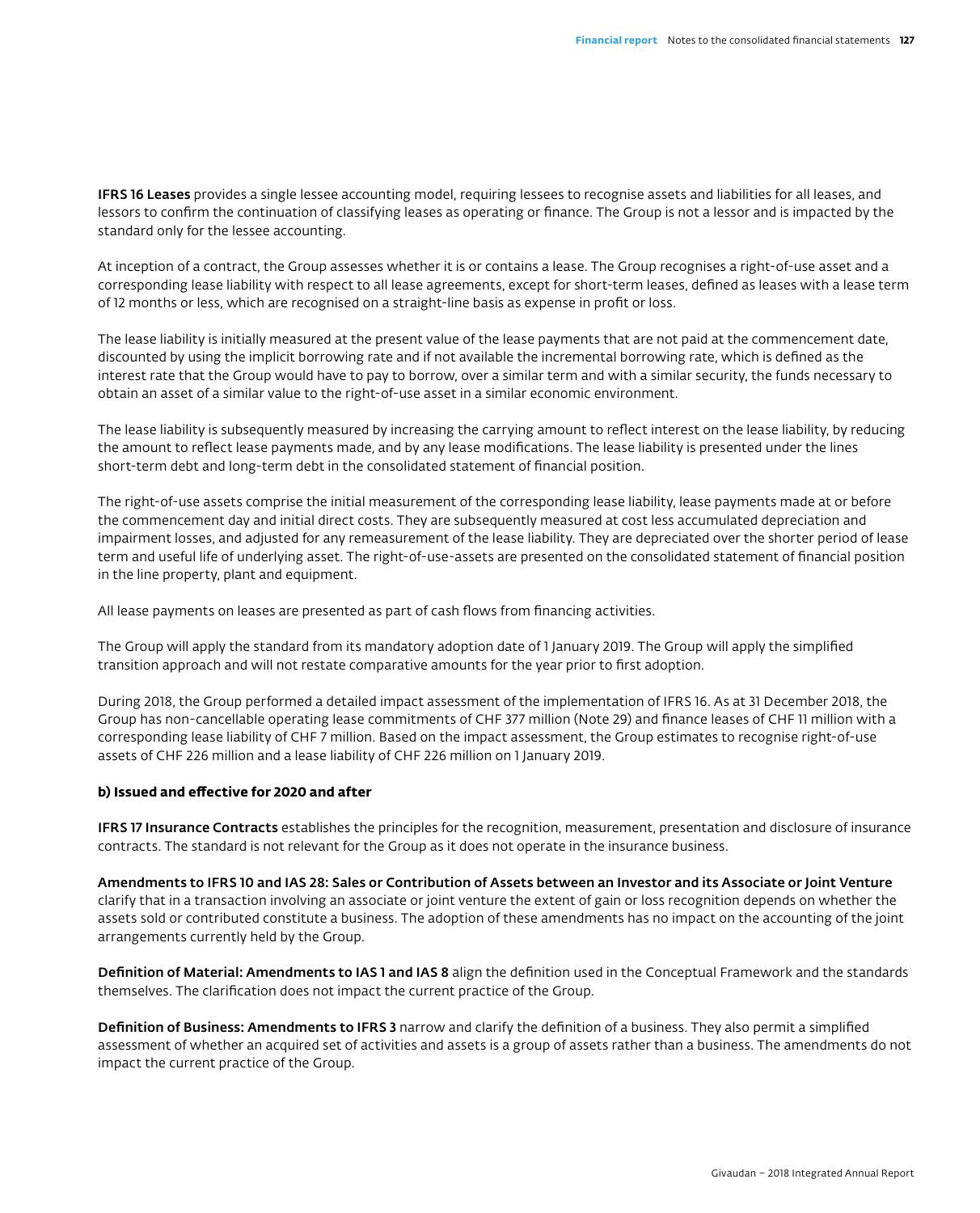IFRS 16 Leases provides a single lessee accounting model, requiring lessees to recognise assets and liabilities for all leases, and lessors to confirm the continuation of classifying leases as operating or finance. The Group is not a lessor and is impacted by the standard only for the lessee accounting.

At inception of a contract, the Group assesses whether it is or contains a lease. The Group recognises a right-of-use asset and a corresponding lease liability with respect to all lease agreements, except for short-term leases, defined as leases with a lease term of 12 months or less, which are recognised on a straight-line basis as expense in profit or loss.

The lease liability is initially measured at the present value of the lease payments that are not paid at the commencement date, discounted by using the implicit borrowing rate and if not available the incremental borrowing rate, which is defined as the interest rate that the Group would have to pay to borrow, over a similar term and with a similar security, the funds necessary to obtain an asset of a similar value to the right-of-use asset in a similar economic environment.

The lease liability is subsequently measured by increasing the carrying amount to reflect interest on the lease liability, by reducing the amount to reflect lease payments made, and by any lease modifications. The lease liability is presented under the lines short-term debt and long-term debt in the consolidated statement of financial position.

The right-of-use assets comprise the initial measurement of the corresponding lease liability, lease payments made at or before the commencement day and initial direct costs. They are subsequently measured at cost less accumulated depreciation and impairment losses, and adjusted for any remeasurement of the lease liability. They are depreciated over the shorter period of lease term and useful life of underlying asset. The right-of-use-assets are presented on the consolidated statement of financial position in the line property, plant and equipment.

All lease payments on leases are presented as part of cash flows from financing activities.

The Group will apply the standard from its mandatory adoption date of 1 January 2019. The Group will apply the simplified transition approach and will not restate comparative amounts for the year prior to first adoption.

During 2018, the Group performed a detailed impact assessment of the implementation of IFRS 16. As at 31 December 2018, the Group has non-cancellable operating lease commitments of CHF 377 million (Note 29) and finance leases of CHF 11 million with a corresponding lease liability of CHF 7 million. Based on the impact assessment, the Group estimates to recognise right-of-use assets of CHF 226 million and a lease liability of CHF 226 million on 1 January 2019.

#### **b) Issued and effective for 2020 and after**

IFRS 17 Insurance Contracts establishes the principles for the recognition, measurement, presentation and disclosure of insurance contracts. The standard is not relevant for the Group as it does not operate in the insurance business.

Amendments to IFRS 10 and IAS 28: Sales or Contribution of Assets between an Investor and its Associate or Joint Venture clarify that in a transaction involving an associate or joint venture the extent of gain or loss recognition depends on whether the assets sold or contributed constitute a business. The adoption of these amendments has no impact on the accounting of the joint arrangements currently held by the Group.

Definition of Material: Amendments to IAS 1 and IAS 8 align the definition used in the Conceptual Framework and the standards themselves. The clarification does not impact the current practice of the Group.

Definition of Business: Amendments to IFRS 3 narrow and clarify the definition of a business. They also permit a simplified assessment of whether an acquired set of activities and assets is a group of assets rather than a business. The amendments do not impact the current practice of the Group.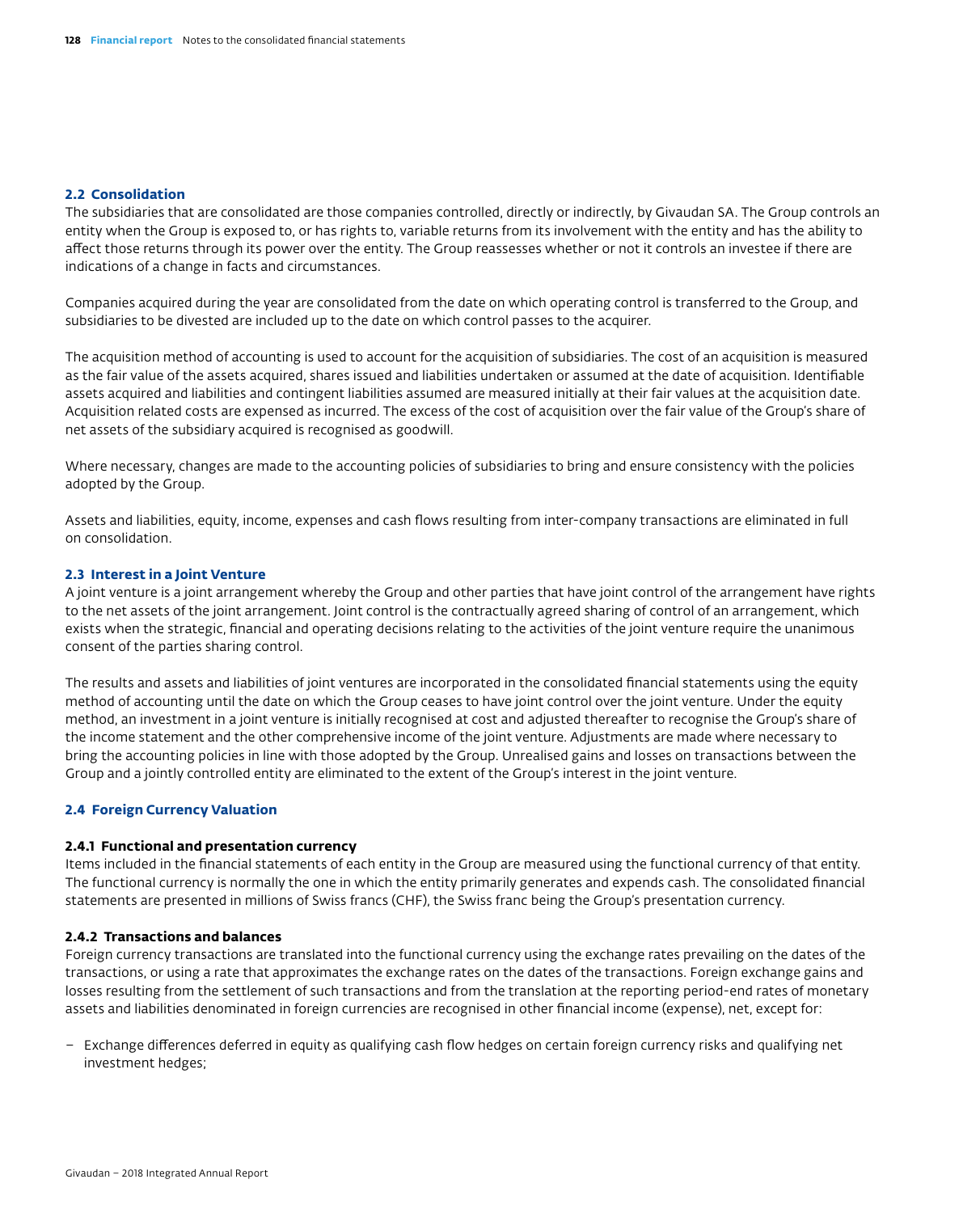#### **2.2 Consolidation**

The subsidiaries that are consolidated are those companies controlled, directly or indirectly, by Givaudan SA. The Group controls an entity when the Group is exposed to, or has rights to, variable returns from its involvement with the entity and has the ability to affect those returns through its power over the entity. The Group reassesses whether or not it controls an investee if there are indications of a change in facts and circumstances.

Companies acquired during the year are consolidated from the date on which operating control is transferred to the Group, and subsidiaries to be divested are included up to the date on which control passes to the acquirer.

The acquisition method of accounting is used to account for the acquisition of subsidiaries. The cost of an acquisition is measured as the fair value of the assets acquired, shares issued and liabilities undertaken or assumed at the date of acquisition. Identifiable assets acquired and liabilities and contingent liabilities assumed are measured initially at their fair values at the acquisition date. Acquisition related costs are expensed as incurred. The excess of the cost of acquisition over the fair value of the Group's share of net assets of the subsidiary acquired is recognised as goodwill.

Where necessary, changes are made to the accounting policies of subsidiaries to bring and ensure consistency with the policies adopted by the Group.

Assets and liabilities, equity, income, expenses and cash flows resulting from inter-company transactions are eliminated in full on consolidation.

#### **2.3 Interest in a Joint Venture**

A joint venture is a joint arrangement whereby the Group and other parties that have joint control of the arrangement have rights to the net assets of the joint arrangement. Joint control is the contractually agreed sharing of control of an arrangement, which exists when the strategic, financial and operating decisions relating to the activities of the joint venture require the unanimous consent of the parties sharing control.

The results and assets and liabilities of joint ventures are incorporated in the consolidated financial statements using the equity method of accounting until the date on which the Group ceases to have joint control over the joint venture. Under the equity method, an investment in a joint venture is initially recognised at cost and adjusted thereafter to recognise the Group's share of the income statement and the other comprehensive income of the joint venture. Adjustments are made where necessary to bring the accounting policies in line with those adopted by the Group. Unrealised gains and losses on transactions between the Group and a jointly controlled entity are eliminated to the extent of the Group's interest in the joint venture.

#### **2.4 Foreign Currency Valuation**

#### **2.4.1 Functional and presentation currency**

Items included in the financial statements of each entity in the Group are measured using the functional currency of that entity. The functional currency is normally the one in which the entity primarily generates and expends cash. The consolidated financial statements are presented in millions of Swiss francs (CHF), the Swiss franc being the Group's presentation currency.

#### **2.4.2 Transactions and balances**

Foreign currency transactions are translated into the functional currency using the exchange rates prevailing on the dates of the transactions, or using a rate that approximates the exchange rates on the dates of the transactions. Foreign exchange gains and losses resulting from the settlement of such transactions and from the translation at the reporting period-end rates of monetary assets and liabilities denominated in foreign currencies are recognised in other financial income (expense), net, except for:

– Exchange differences deferred in equity as qualifying cash flow hedges on certain foreign currency risks and qualifying net investment hedges;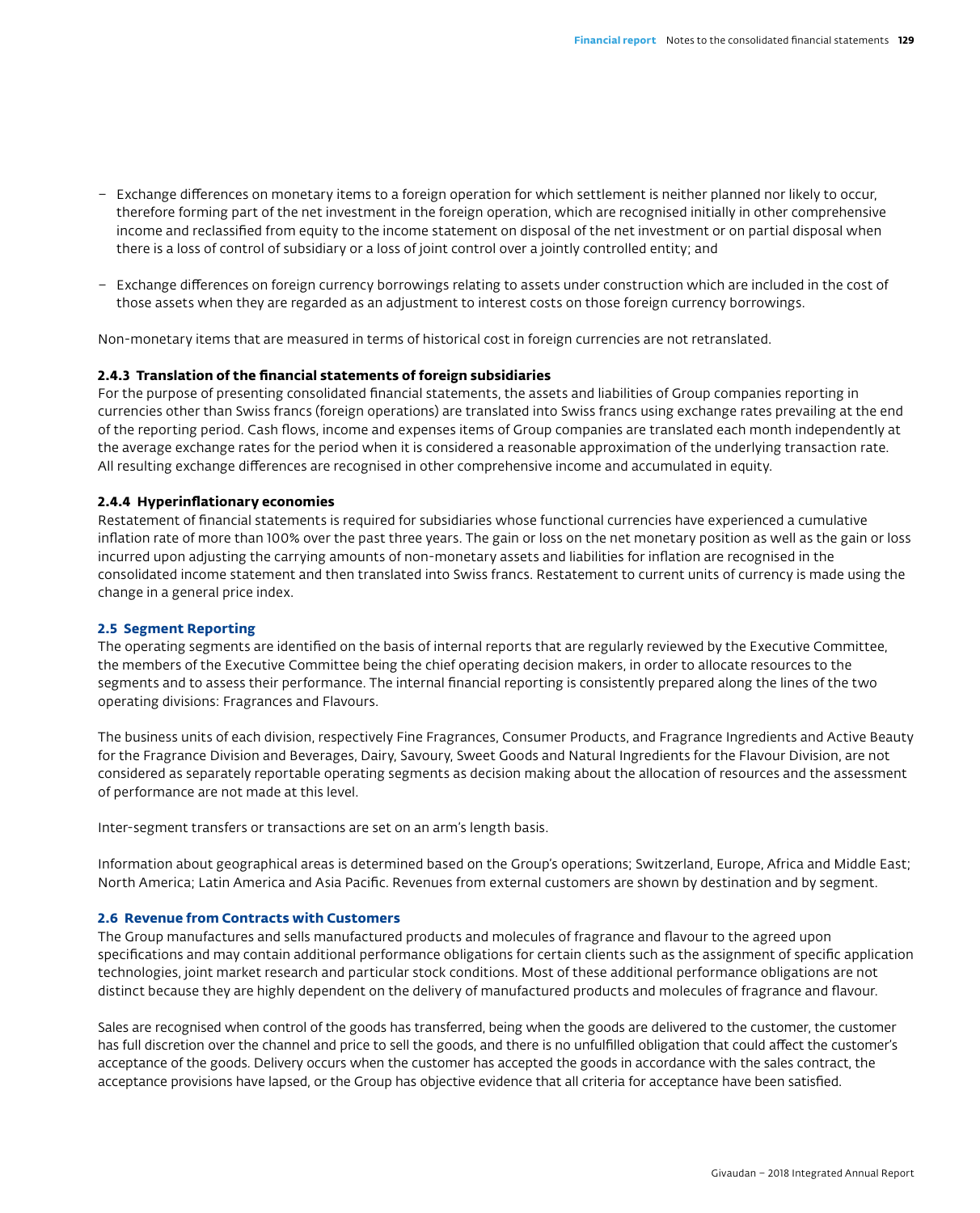- Exchange differences on monetary items to a foreign operation for which settlement is neither planned nor likely to occur, therefore forming part of the net investment in the foreign operation, which are recognised initially in other comprehensive income and reclassified from equity to the income statement on disposal of the net investment or on partial disposal when there is a loss of control of subsidiary or a loss of joint control over a jointly controlled entity; and
- Exchange differences on foreign currency borrowings relating to assets under construction which are included in the cost of those assets when they are regarded as an adjustment to interest costs on those foreign currency borrowings.

Non-monetary items that are measured in terms of historical cost in foreign currencies are not retranslated.

#### **2.4.3 Translation of the financial statements of foreign subsidiaries**

For the purpose of presenting consolidated financial statements, the assets and liabilities of Group companies reporting in currencies other than Swiss francs (foreign operations) are translated into Swiss francs using exchange rates prevailing at the end of the reporting period. Cash flows, income and expenses items of Group companies are translated each month independently at the average exchange rates for the period when it is considered a reasonable approximation of the underlying transaction rate. All resulting exchange differences are recognised in other comprehensive income and accumulated in equity.

#### **2.4.4 Hyperinflationary economies**

Restatement of financial statements is required for subsidiaries whose functional currencies have experienced a cumulative inflation rate of more than 100% over the past three years. The gain or loss on the net monetary position as well as the gain or loss incurred upon adjusting the carrying amounts of non-monetary assets and liabilities for inflation are recognised in the consolidated income statement and then translated into Swiss francs. Restatement to current units of currency is made using the change in a general price index.

#### **2.5 Segment Reporting**

The operating segments are identified on the basis of internal reports that are regularly reviewed by the Executive Committee, the members of the Executive Committee being the chief operating decision makers, in order to allocate resources to the segments and to assess their performance. The internal financial reporting is consistently prepared along the lines of the two operating divisions: Fragrances and Flavours.

The business units of each division, respectively Fine Fragrances, Consumer Products, and Fragrance Ingredients and Active Beauty for the Fragrance Division and Beverages, Dairy, Savoury, Sweet Goods and Natural Ingredients for the Flavour Division, are not considered as separately reportable operating segments as decision making about the allocation of resources and the assessment of performance are not made at this level.

Inter-segment transfers or transactions are set on an arm's length basis.

Information about geographical areas is determined based on the Group's operations; Switzerland, Europe, Africa and Middle East; North America; Latin America and Asia Pacific. Revenues from external customers are shown by destination and by segment.

#### **2.6 Revenue from Contracts with Customers**

The Group manufactures and sells manufactured products and molecules of fragrance and flavour to the agreed upon specifications and may contain additional performance obligations for certain clients such as the assignment of specific application technologies, joint market research and particular stock conditions. Most of these additional performance obligations are not distinct because they are highly dependent on the delivery of manufactured products and molecules of fragrance and flavour.

Sales are recognised when control of the goods has transferred, being when the goods are delivered to the customer, the customer has full discretion over the channel and price to sell the goods, and there is no unfulfilled obligation that could affect the customer's acceptance of the goods. Delivery occurs when the customer has accepted the goods in accordance with the sales contract, the acceptance provisions have lapsed, or the Group has objective evidence that all criteria for acceptance have been satisfied.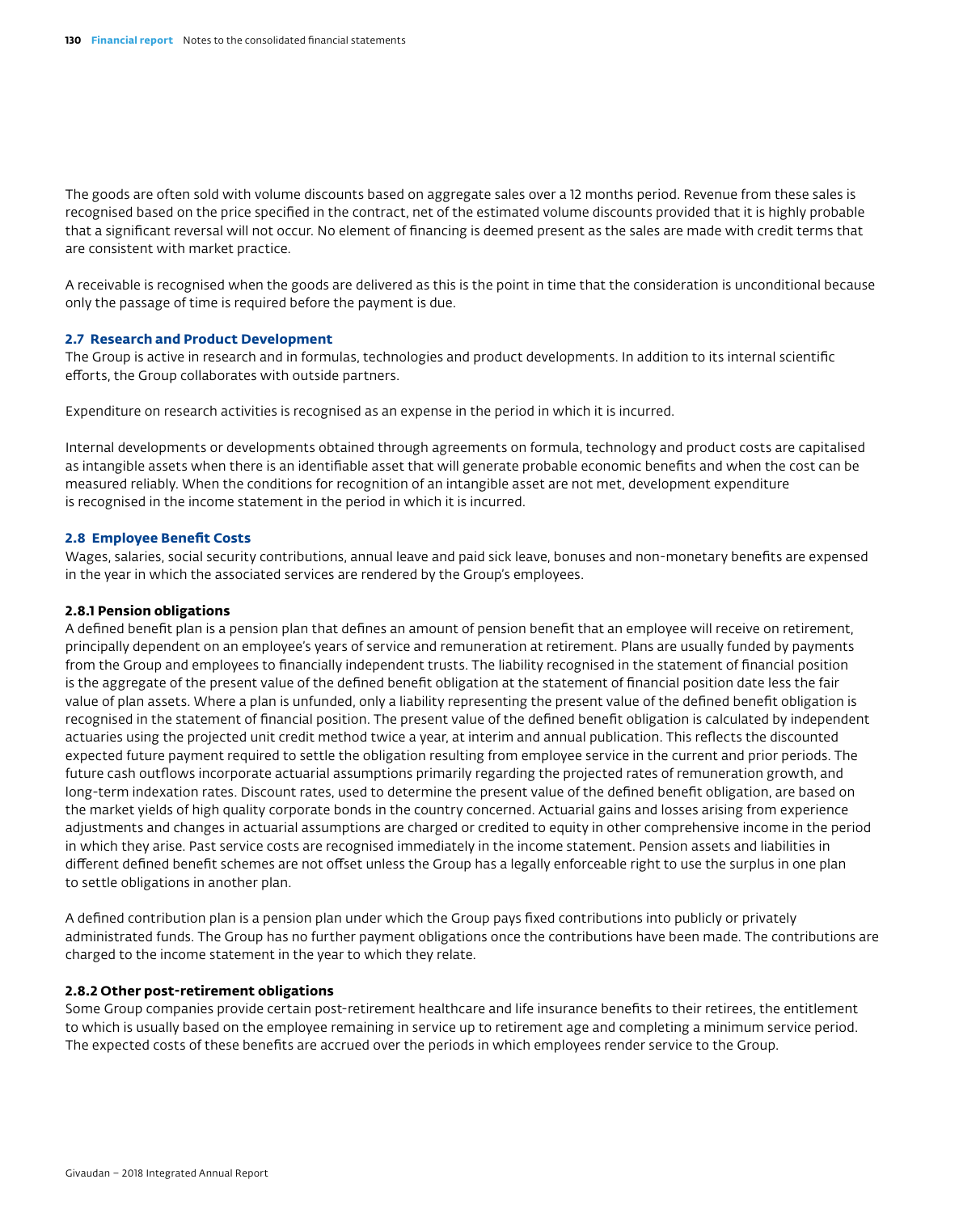The goods are often sold with volume discounts based on aggregate sales over a 12 months period. Revenue from these sales is recognised based on the price specified in the contract, net of the estimated volume discounts provided that it is highly probable that a significant reversal will not occur. No element of financing is deemed present as the sales are made with credit terms that are consistent with market practice.

A receivable is recognised when the goods are delivered as this is the point in time that the consideration is unconditional because only the passage of time is required before the payment is due.

#### **2.7 Research and Product Development**

The Group is active in research and in formulas, technologies and product developments. In addition to its internal scientific efforts, the Group collaborates with outside partners.

Expenditure on research activities is recognised as an expense in the period in which it is incurred.

Internal developments or developments obtained through agreements on formula, technology and product costs are capitalised as intangible assets when there is an identifiable asset that will generate probable economic benefits and when the cost can be measured reliably. When the conditions for recognition of an intangible asset are not met, development expenditure is recognised in the income statement in the period in which it is incurred.

#### **2.8 Employee Benefit Costs**

Wages, salaries, social security contributions, annual leave and paid sick leave, bonuses and non-monetary benefits are expensed in the year in which the associated services are rendered by the Group's employees.

#### **2.8.1 Pension obligations**

A defined benefit plan is a pension plan that defines an amount of pension benefit that an employee will receive on retirement, principally dependent on an employee's years of service and remuneration at retirement. Plans are usually funded by payments from the Group and employees to financially independent trusts. The liability recognised in the statement of financial position is the aggregate of the present value of the defined benefit obligation at the statement of financial position date less the fair value of plan assets. Where a plan is unfunded, only a liability representing the present value of the defined benefit obligation is recognised in the statement of financial position. The present value of the defined benefit obligation is calculated by independent actuaries using the projected unit credit method twice a year, at interim and annual publication. This reflects the discounted expected future payment required to settle the obligation resulting from employee service in the current and prior periods. The future cash outflows incorporate actuarial assumptions primarily regarding the projected rates of remuneration growth, and long-term indexation rates. Discount rates, used to determine the present value of the defined benefit obligation, are based on the market yields of high quality corporate bonds in the country concerned. Actuarial gains and losses arising from experience adjustments and changes in actuarial assumptions are charged or credited to equity in other comprehensive income in the period in which they arise. Past service costs are recognised immediately in the income statement. Pension assets and liabilities in different defined benefit schemes are not offset unless the Group has a legally enforceable right to use the surplus in one plan to settle obligations in another plan.

A defined contribution plan is a pension plan under which the Group pays fixed contributions into publicly or privately administrated funds. The Group has no further payment obligations once the contributions have been made. The contributions are charged to the income statement in the year to which they relate.

#### **2.8.2 Other post-retirement obligations**

Some Group companies provide certain post-retirement healthcare and life insurance benefits to their retirees, the entitlement to which is usually based on the employee remaining in service up to retirement age and completing a minimum service period. The expected costs of these benefits are accrued over the periods in which employees render service to the Group.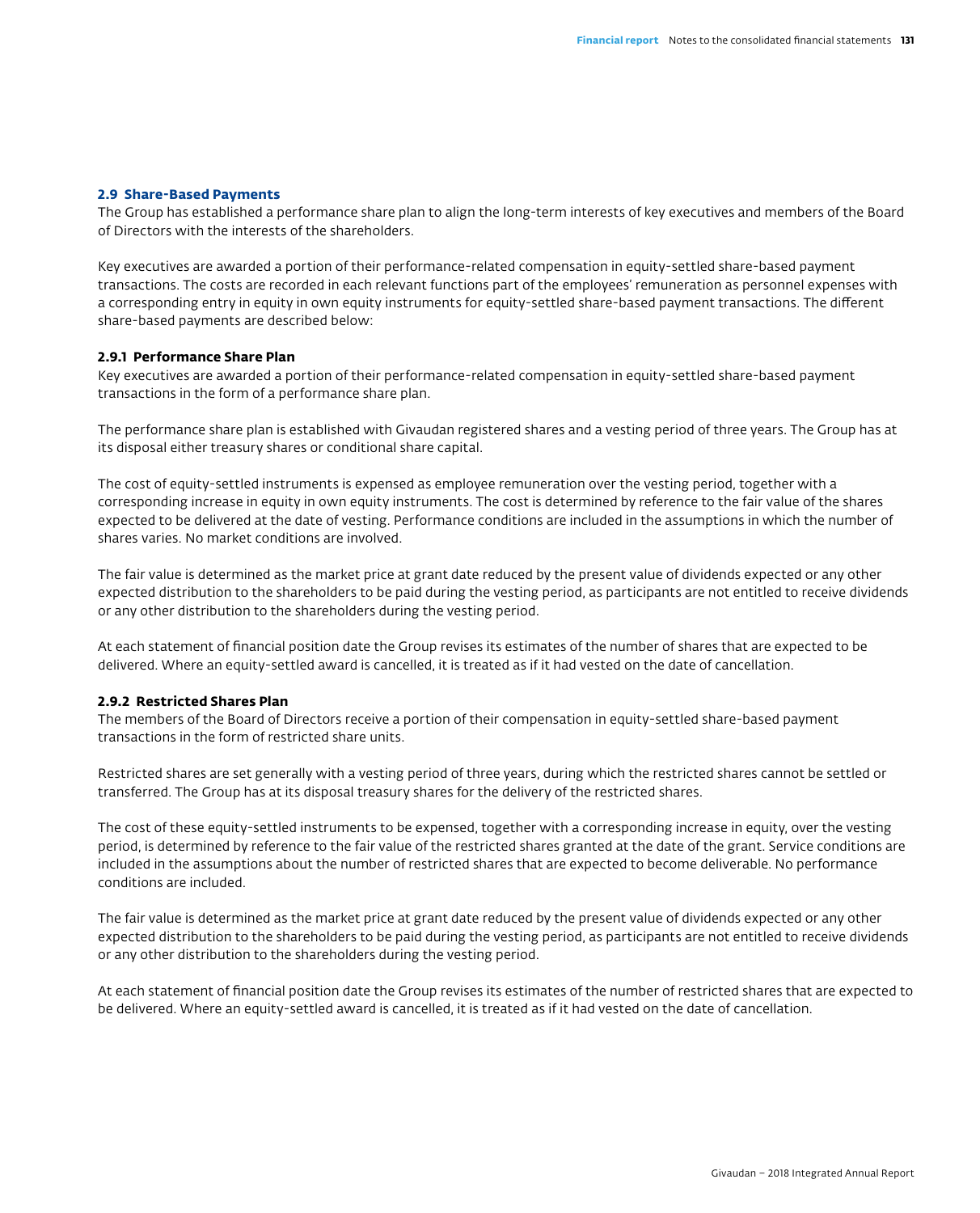#### **2.9 Share-Based Payments**

The Group has established a performance share plan to align the long-term interests of key executives and members of the Board of Directors with the interests of the shareholders.

Key executives are awarded a portion of their performance-related compensation in equity-settled share-based payment transactions. The costs are recorded in each relevant functions part of the employees' remuneration as personnel expenses with a corresponding entry in equity in own equity instruments for equity-settled share-based payment transactions. The different share-based payments are described below:

#### **2.9.1 Performance Share Plan**

Key executives are awarded a portion of their performance-related compensation in equity-settled share-based payment transactions in the form of a performance share plan.

The performance share plan is established with Givaudan registered shares and a vesting period of three years. The Group has at its disposal either treasury shares or conditional share capital.

The cost of equity-settled instruments is expensed as employee remuneration over the vesting period, together with a corresponding increase in equity in own equity instruments. The cost is determined by reference to the fair value of the shares expected to be delivered at the date of vesting. Performance conditions are included in the assumptions in which the number of shares varies. No market conditions are involved.

The fair value is determined as the market price at grant date reduced by the present value of dividends expected or any other expected distribution to the shareholders to be paid during the vesting period, as participants are not entitled to receive dividends or any other distribution to the shareholders during the vesting period.

At each statement of financial position date the Group revises its estimates of the number of shares that are expected to be delivered. Where an equity-settled award is cancelled, it is treated as if it had vested on the date of cancellation.

#### **2.9.2 Restricted Shares Plan**

The members of the Board of Directors receive a portion of their compensation in equity-settled share-based payment transactions in the form of restricted share units.

Restricted shares are set generally with a vesting period of three years, during which the restricted shares cannot be settled or transferred. The Group has at its disposal treasury shares for the delivery of the restricted shares.

The cost of these equity-settled instruments to be expensed, together with a corresponding increase in equity, over the vesting period, is determined by reference to the fair value of the restricted shares granted at the date of the grant. Service conditions are included in the assumptions about the number of restricted shares that are expected to become deliverable. No performance conditions are included.

The fair value is determined as the market price at grant date reduced by the present value of dividends expected or any other expected distribution to the shareholders to be paid during the vesting period, as participants are not entitled to receive dividends or any other distribution to the shareholders during the vesting period.

At each statement of financial position date the Group revises its estimates of the number of restricted shares that are expected to be delivered. Where an equity-settled award is cancelled, it is treated as if it had vested on the date of cancellation.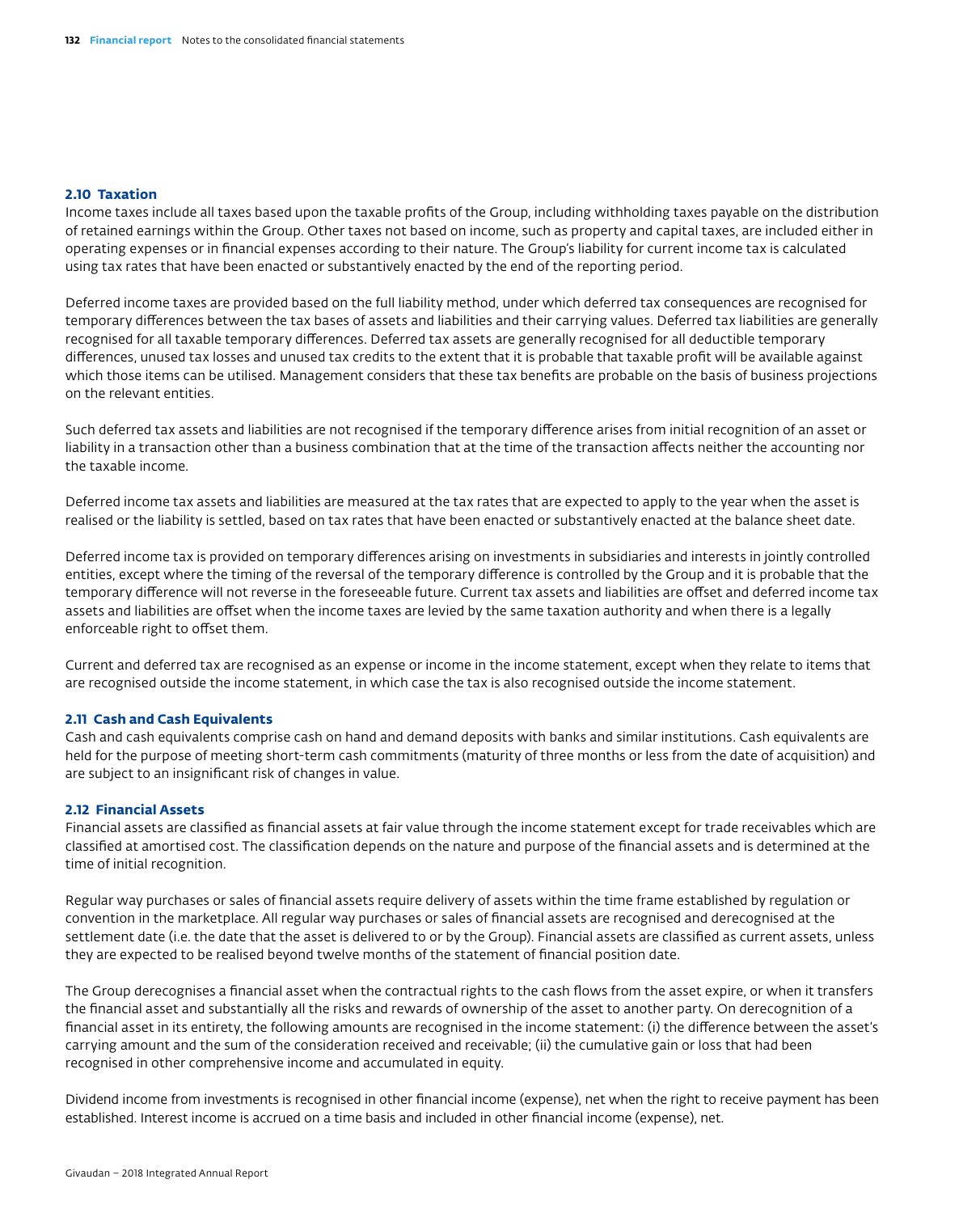#### **2.10 Taxation**

Income taxes include all taxes based upon the taxable profits of the Group, including withholding taxes payable on the distribution of retained earnings within the Group. Other taxes not based on income, such as property and capital taxes, are included either in operating expenses or in financial expenses according to their nature. The Group's liability for current income tax is calculated using tax rates that have been enacted or substantively enacted by the end of the reporting period.

Deferred income taxes are provided based on the full liability method, under which deferred tax consequences are recognised for temporary differences between the tax bases of assets and liabilities and their carrying values. Deferred tax liabilities are generally recognised for all taxable temporary differences. Deferred tax assets are generally recognised for all deductible temporary differences, unused tax losses and unused tax credits to the extent that it is probable that taxable profit will be available against which those items can be utilised. Management considers that these tax benefits are probable on the basis of business projections on the relevant entities.

Such deferred tax assets and liabilities are not recognised if the temporary difference arises from initial recognition of an asset or liability in a transaction other than a business combination that at the time of the transaction affects neither the accounting nor the taxable income.

Deferred income tax assets and liabilities are measured at the tax rates that are expected to apply to the year when the asset is realised or the liability is settled, based on tax rates that have been enacted or substantively enacted at the balance sheet date.

Deferred income tax is provided on temporary differences arising on investments in subsidiaries and interests in jointly controlled entities, except where the timing of the reversal of the temporary difference is controlled by the Group and it is probable that the temporary difference will not reverse in the foreseeable future. Current tax assets and liabilities are offset and deferred income tax assets and liabilities are offset when the income taxes are levied by the same taxation authority and when there is a legally enforceable right to offset them.

Current and deferred tax are recognised as an expense or income in the income statement, except when they relate to items that are recognised outside the income statement, in which case the tax is also recognised outside the income statement.

#### **2.11 Cash and Cash Equivalents**

Cash and cash equivalents comprise cash on hand and demand deposits with banks and similar institutions. Cash equivalents are held for the purpose of meeting short-term cash commitments (maturity of three months or less from the date of acquisition) and are subject to an insignificant risk of changes in value.

#### **2.12 Financial Assets**

Financial assets are classified as financial assets at fair value through the income statement except for trade receivables which are classified at amortised cost. The classification depends on the nature and purpose of the financial assets and is determined at the time of initial recognition.

Regular way purchases or sales of financial assets require delivery of assets within the time frame established by regulation or convention in the marketplace. All regular way purchases or sales of financial assets are recognised and derecognised at the settlement date (i.e. the date that the asset is delivered to or by the Group). Financial assets are classified as current assets, unless they are expected to be realised beyond twelve months of the statement of financial position date.

The Group derecognises a financial asset when the contractual rights to the cash flows from the asset expire, or when it transfers the financial asset and substantially all the risks and rewards of ownership of the asset to another party. On derecognition of a financial asset in its entirety, the following amounts are recognised in the income statement: (i) the difference between the asset's carrying amount and the sum of the consideration received and receivable; (ii) the cumulative gain or loss that had been recognised in other comprehensive income and accumulated in equity.

Dividend income from investments is recognised in other financial income (expense), net when the right to receive payment has been established. Interest income is accrued on a time basis and included in other financial income (expense), net.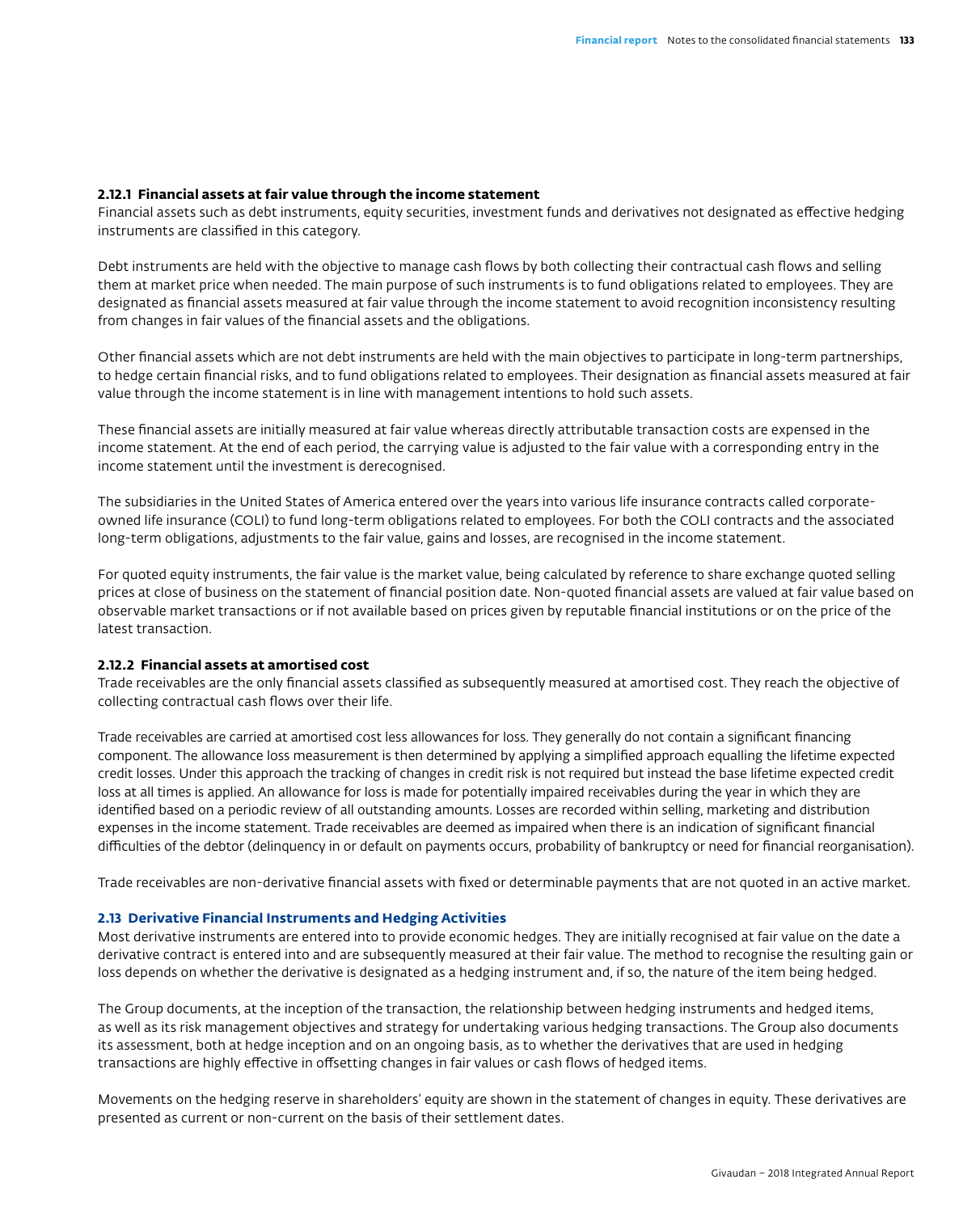#### **2.12.1 Financial assets at fair value through the income statement**

Financial assets such as debt instruments, equity securities, investment funds and derivatives not designated as effective hedging instruments are classified in this category.

Debt instruments are held with the objective to manage cash flows by both collecting their contractual cash flows and selling them at market price when needed. The main purpose of such instruments is to fund obligations related to employees. They are designated as financial assets measured at fair value through the income statement to avoid recognition inconsistency resulting from changes in fair values of the financial assets and the obligations.

Other financial assets which are not debt instruments are held with the main objectives to participate in long-term partnerships, to hedge certain financial risks, and to fund obligations related to employees. Their designation as financial assets measured at fair value through the income statement is in line with management intentions to hold such assets.

These financial assets are initially measured at fair value whereas directly attributable transaction costs are expensed in the income statement. At the end of each period, the carrying value is adjusted to the fair value with a corresponding entry in the income statement until the investment is derecognised.

The subsidiaries in the United States of America entered over the years into various life insurance contracts called corporateowned life insurance (COLI) to fund long-term obligations related to employees. For both the COLI contracts and the associated long-term obligations, adjustments to the fair value, gains and losses, are recognised in the income statement.

For quoted equity instruments, the fair value is the market value, being calculated by reference to share exchange quoted selling prices at close of business on the statement of financial position date. Non-quoted financial assets are valued at fair value based on observable market transactions or if not available based on prices given by reputable financial institutions or on the price of the latest transaction.

#### **2.12.2 Financial assets at amortised cost**

Trade receivables are the only financial assets classified as subsequently measured at amortised cost. They reach the objective of collecting contractual cash flows over their life.

Trade receivables are carried at amortised cost less allowances for loss. They generally do not contain a significant financing component. The allowance loss measurement is then determined by applying a simplified approach equalling the lifetime expected credit losses. Under this approach the tracking of changes in credit risk is not required but instead the base lifetime expected credit loss at all times is applied. An allowance for loss is made for potentially impaired receivables during the year in which they are identified based on a periodic review of all outstanding amounts. Losses are recorded within selling, marketing and distribution expenses in the income statement. Trade receivables are deemed as impaired when there is an indication of significant financial difficulties of the debtor (delinquency in or default on payments occurs, probability of bankruptcy or need for financial reorganisation).

Trade receivables are non-derivative financial assets with fixed or determinable payments that are not quoted in an active market.

#### **2.13 Derivative Financial Instruments and Hedging Activities**

Most derivative instruments are entered into to provide economic hedges. They are initially recognised at fair value on the date a derivative contract is entered into and are subsequently measured at their fair value. The method to recognise the resulting gain or loss depends on whether the derivative is designated as a hedging instrument and, if so, the nature of the item being hedged.

The Group documents, at the inception of the transaction, the relationship between hedging instruments and hedged items, as well as its risk management objectives and strategy for undertaking various hedging transactions. The Group also documents its assessment, both at hedge inception and on an ongoing basis, as to whether the derivatives that are used in hedging transactions are highly effective in offsetting changes in fair values or cash flows of hedged items.

Movements on the hedging reserve in shareholders' equity are shown in the statement of changes in equity. These derivatives are presented as current or non-current on the basis of their settlement dates.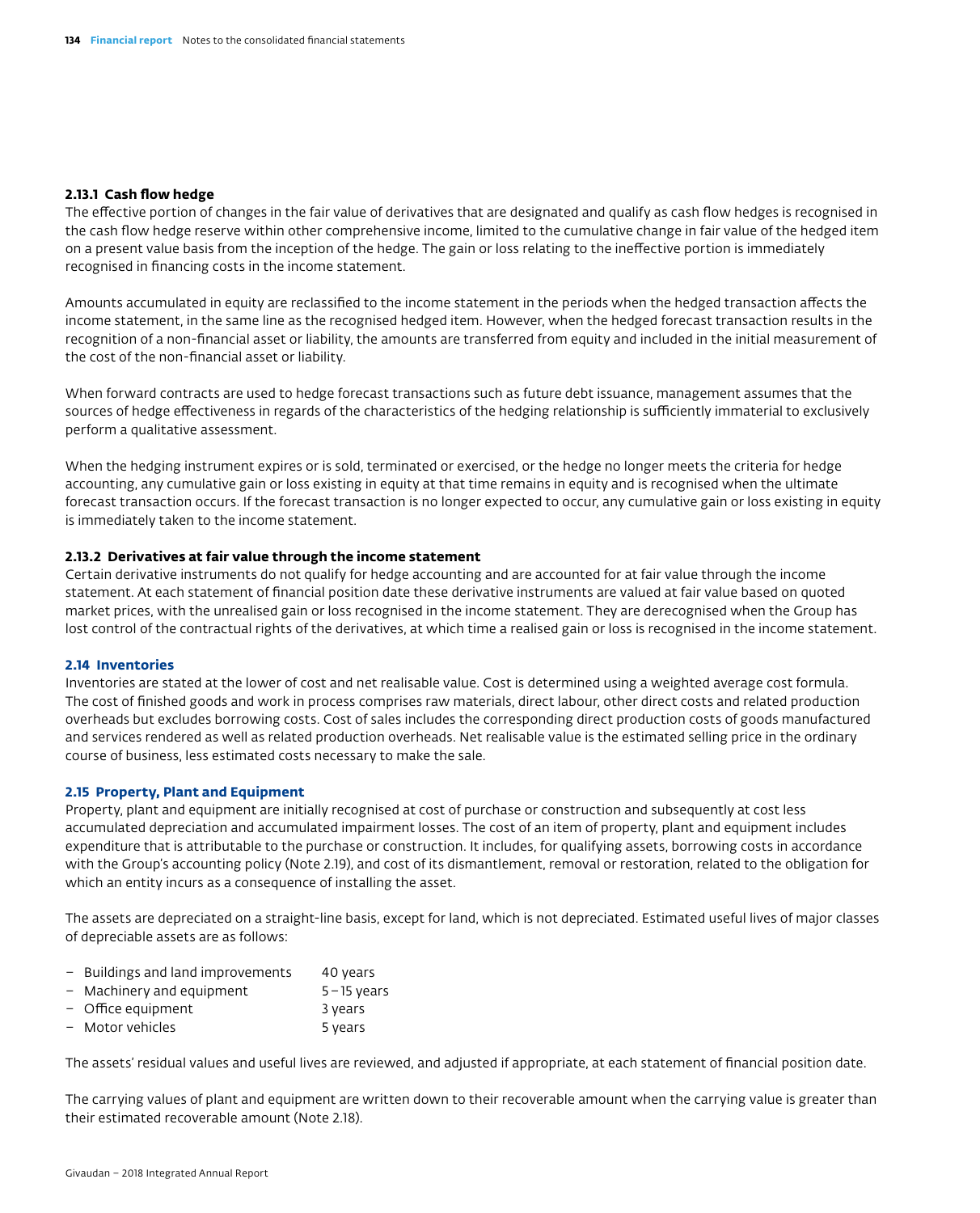#### **2.13.1 Cash flow hedge**

The effective portion of changes in the fair value of derivatives that are designated and qualify as cash flow hedges is recognised in the cash flow hedge reserve within other comprehensive income, limited to the cumulative change in fair value of the hedged item on a present value basis from the inception of the hedge. The gain or loss relating to the ineffective portion is immediately recognised in financing costs in the income statement.

Amounts accumulated in equity are reclassified to the income statement in the periods when the hedged transaction affects the income statement, in the same line as the recognised hedged item. However, when the hedged forecast transaction results in the recognition of a non-financial asset or liability, the amounts are transferred from equity and included in the initial measurement of the cost of the non-financial asset or liability.

When forward contracts are used to hedge forecast transactions such as future debt issuance, management assumes that the sources of hedge effectiveness in regards of the characteristics of the hedging relationship is sufficiently immaterial to exclusively perform a qualitative assessment.

When the hedging instrument expires or is sold, terminated or exercised, or the hedge no longer meets the criteria for hedge accounting, any cumulative gain or loss existing in equity at that time remains in equity and is recognised when the ultimate forecast transaction occurs. If the forecast transaction is no longer expected to occur, any cumulative gain or loss existing in equity is immediately taken to the income statement.

#### **2.13.2 Derivatives at fair value through the income statement**

Certain derivative instruments do not qualify for hedge accounting and are accounted for at fair value through the income statement. At each statement of financial position date these derivative instruments are valued at fair value based on quoted market prices, with the unrealised gain or loss recognised in the income statement. They are derecognised when the Group has lost control of the contractual rights of the derivatives, at which time a realised gain or loss is recognised in the income statement.

#### **2.14 Inventories**

Inventories are stated at the lower of cost and net realisable value. Cost is determined using a weighted average cost formula. The cost of finished goods and work in process comprises raw materials, direct labour, other direct costs and related production overheads but excludes borrowing costs. Cost of sales includes the corresponding direct production costs of goods manufactured and services rendered as well as related production overheads. Net realisable value is the estimated selling price in the ordinary course of business, less estimated costs necessary to make the sale.

#### **2.15 Property, Plant and Equipment**

Property, plant and equipment are initially recognised at cost of purchase or construction and subsequently at cost less accumulated depreciation and accumulated impairment losses. The cost of an item of property, plant and equipment includes expenditure that is attributable to the purchase or construction. It includes, for qualifying assets, borrowing costs in accordance with the Group's accounting policy (Note 2.19), and cost of its dismantlement, removal or restoration, related to the obligation for which an entity incurs as a consequence of installing the asset.

The assets are depreciated on a straight-line basis, except for land, which is not depreciated. Estimated useful lives of major classes of depreciable assets are as follows:

- Buildings and land improvements 40 years
- Machinery and equipment 5–15 years – Office equipment 3 years
- Motor vehicles 6 and 5 years

The assets' residual values and useful lives are reviewed, and adjusted if appropriate, at each statement of financial position date.

The carrying values of plant and equipment are written down to their recoverable amount when the carrying value is greater than their estimated recoverable amount (Note 2.18).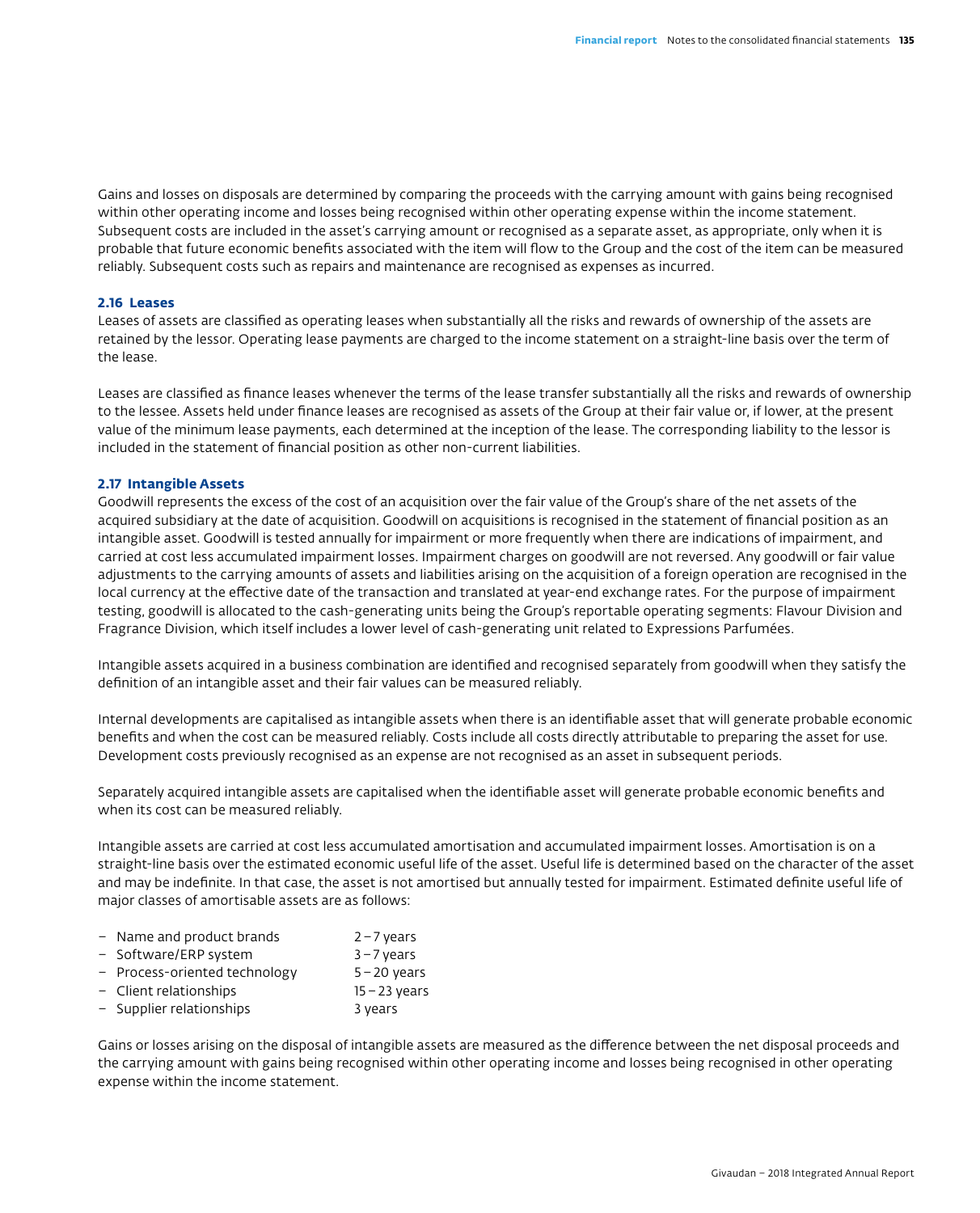Gains and losses on disposals are determined by comparing the proceeds with the carrying amount with gains being recognised within other operating income and losses being recognised within other operating expense within the income statement. Subsequent costs are included in the asset's carrying amount or recognised as a separate asset, as appropriate, only when it is probable that future economic benefits associated with the item will flow to the Group and the cost of the item can be measured reliably. Subsequent costs such as repairs and maintenance are recognised as expenses as incurred.

#### **2.16 Leases**

Leases of assets are classified as operating leases when substantially all the risks and rewards of ownership of the assets are retained by the lessor. Operating lease payments are charged to the income statement on a straight-line basis over the term of the lease.

Leases are classified as finance leases whenever the terms of the lease transfer substantially all the risks and rewards of ownership to the lessee. Assets held under finance leases are recognised as assets of the Group at their fair value or, if lower, at the present value of the minimum lease payments, each determined at the inception of the lease. The corresponding liability to the lessor is included in the statement of financial position as other non-current liabilities.

#### **2.17 Intangible Assets**

Goodwill represents the excess of the cost of an acquisition over the fair value of the Group's share of the net assets of the acquired subsidiary at the date of acquisition. Goodwill on acquisitions is recognised in the statement of financial position as an intangible asset. Goodwill is tested annually for impairment or more frequently when there are indications of impairment, and carried at cost less accumulated impairment losses. Impairment charges on goodwill are not reversed. Any goodwill or fair value adjustments to the carrying amounts of assets and liabilities arising on the acquisition of a foreign operation are recognised in the local currency at the effective date of the transaction and translated at year-end exchange rates. For the purpose of impairment testing, goodwill is allocated to the cash-generating units being the Group's reportable operating segments: Flavour Division and Fragrance Division, which itself includes a lower level of cash-generating unit related to Expressions Parfumées.

Intangible assets acquired in a business combination are identified and recognised separately from goodwill when they satisfy the definition of an intangible asset and their fair values can be measured reliably.

Internal developments are capitalised as intangible assets when there is an identifiable asset that will generate probable economic benefits and when the cost can be measured reliably. Costs include all costs directly attributable to preparing the asset for use. Development costs previously recognised as an expense are not recognised as an asset in subsequent periods.

Separately acquired intangible assets are capitalised when the identifiable asset will generate probable economic benefits and when its cost can be measured reliably.

Intangible assets are carried at cost less accumulated amortisation and accumulated impairment losses. Amortisation is on a straight-line basis over the estimated economic useful life of the asset. Useful life is determined based on the character of the asset and may be indefinite. In that case, the asset is not amortised but annually tested for impairment. Estimated definite useful life of major classes of amortisable assets are as follows:

| - Name and product brands     | $2 - 7$ years   |
|-------------------------------|-----------------|
| - Software/ERP system         | $3 - 7$ years   |
| - Process-oriented technology | $5 - 20$ years  |
| - Client relationships        | $15 - 23$ years |

– Supplier relationships 3 years

Gains or losses arising on the disposal of intangible assets are measured as the difference between the net disposal proceeds and the carrying amount with gains being recognised within other operating income and losses being recognised in other operating expense within the income statement.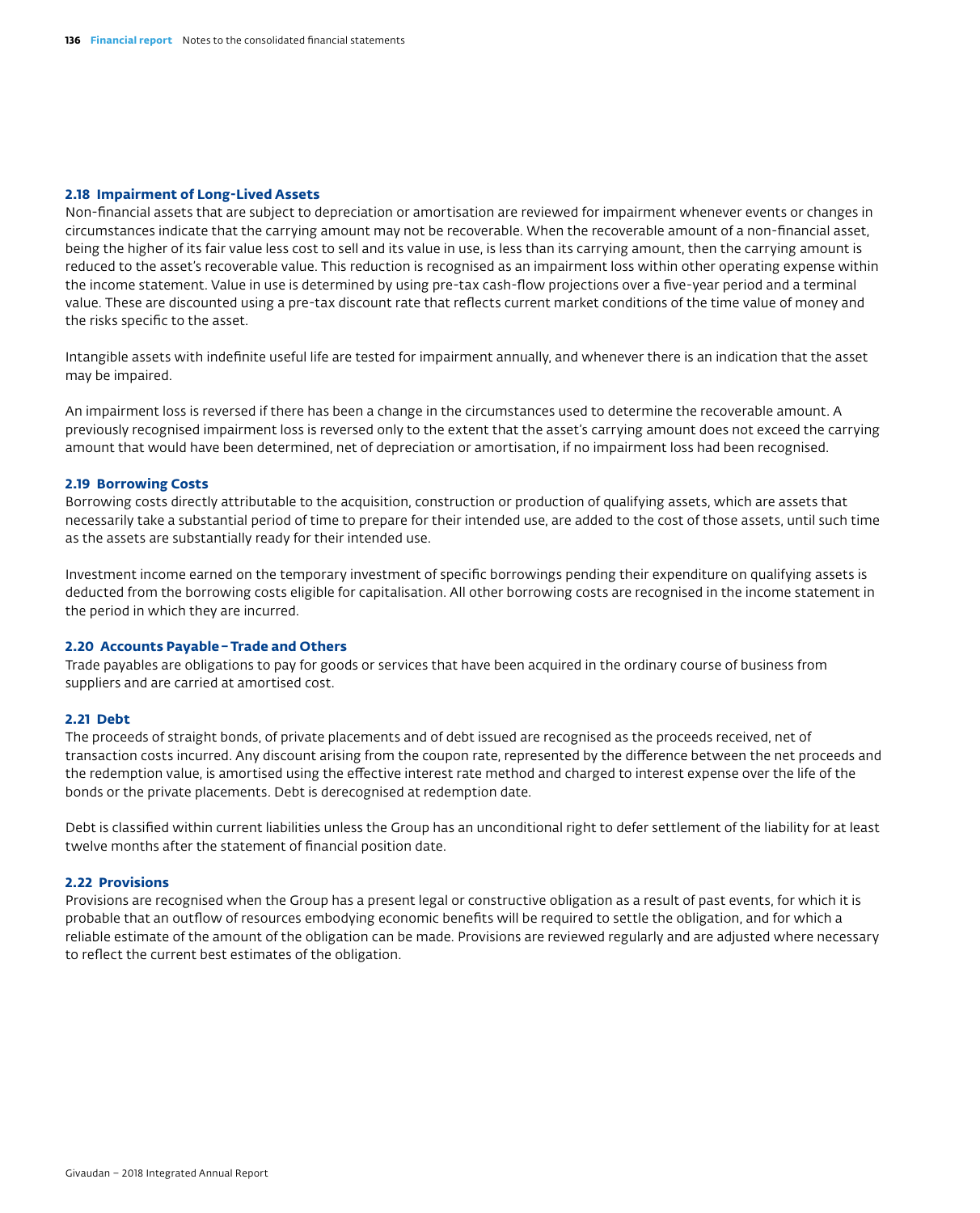#### **2.18 Impairment of Long-Lived Assets**

Non-financial assets that are subject to depreciation or amortisation are reviewed for impairment whenever events or changes in circumstances indicate that the carrying amount may not be recoverable. When the recoverable amount of a non-financial asset, being the higher of its fair value less cost to sell and its value in use, is less than its carrying amount, then the carrying amount is reduced to the asset's recoverable value. This reduction is recognised as an impairment loss within other operating expense within the income statement. Value in use is determined by using pre-tax cash-flow projections over a five-year period and a terminal value. These are discounted using a pre-tax discount rate that reflects current market conditions of the time value of money and the risks specific to the asset.

Intangible assets with indefinite useful life are tested for impairment annually, and whenever there is an indication that the asset may be impaired.

An impairment loss is reversed if there has been a change in the circumstances used to determine the recoverable amount. A previously recognised impairment loss is reversed only to the extent that the asset's carrying amount does not exceed the carrying amount that would have been determined, net of depreciation or amortisation, if no impairment loss had been recognised.

#### **2.19 Borrowing Costs**

Borrowing costs directly attributable to the acquisition, construction or production of qualifying assets, which are assets that necessarily take a substantial period of time to prepare for their intended use, are added to the cost of those assets, until such time as the assets are substantially ready for their intended use.

Investment income earned on the temporary investment of specific borrowings pending their expenditure on qualifying assets is deducted from the borrowing costs eligible for capitalisation. All other borrowing costs are recognised in the income statement in the period in which they are incurred.

#### **2.20 Accounts Payable–Trade and Others**

Trade payables are obligations to pay for goods or services that have been acquired in the ordinary course of business from suppliers and are carried at amortised cost.

#### **2.21 Debt**

The proceeds of straight bonds, of private placements and of debt issued are recognised as the proceeds received, net of transaction costs incurred. Any discount arising from the coupon rate, represented by the difference between the net proceeds and the redemption value, is amortised using the effective interest rate method and charged to interest expense over the life of the bonds or the private placements. Debt is derecognised at redemption date.

Debt is classified within current liabilities unless the Group has an unconditional right to defer settlement of the liability for at least twelve months after the statement of financial position date.

#### **2.22 Provisions**

Provisions are recognised when the Group has a present legal or constructive obligation as a result of past events, for which it is probable that an outflow of resources embodying economic benefits will be required to settle the obligation, and for which a reliable estimate of the amount of the obligation can be made. Provisions are reviewed regularly and are adjusted where necessary to reflect the current best estimates of the obligation.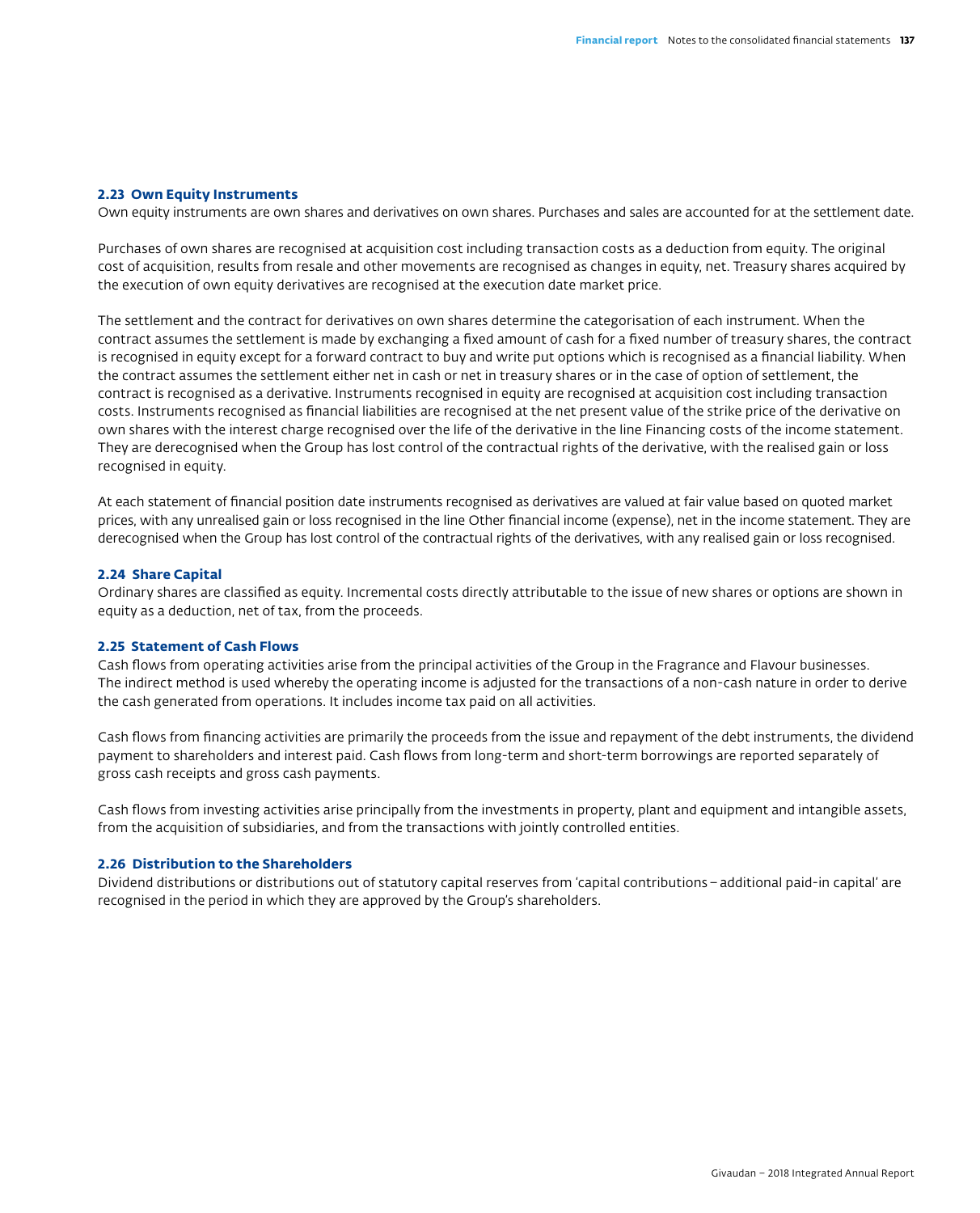#### **2.23 Own Equity Instruments**

Own equity instruments are own shares and derivatives on own shares. Purchases and sales are accounted for at the settlement date.

Purchases of own shares are recognised at acquisition cost including transaction costs as a deduction from equity. The original cost of acquisition, results from resale and other movements are recognised as changes in equity, net. Treasury shares acquired by the execution of own equity derivatives are recognised at the execution date market price.

The settlement and the contract for derivatives on own shares determine the categorisation of each instrument. When the contract assumes the settlement is made by exchanging a fixed amount of cash for a fixed number of treasury shares, the contract is recognised in equity except for a forward contract to buy and write put options which is recognised as a financial liability. When the contract assumes the settlement either net in cash or net in treasury shares or in the case of option of settlement, the contract is recognised as a derivative. Instruments recognised in equity are recognised at acquisition cost including transaction costs. Instruments recognised as financial liabilities are recognised at the net present value of the strike price of the derivative on own shares with the interest charge recognised over the life of the derivative in the line Financing costs of the income statement. They are derecognised when the Group has lost control of the contractual rights of the derivative, with the realised gain or loss recognised in equity.

At each statement of financial position date instruments recognised as derivatives are valued at fair value based on quoted market prices, with any unrealised gain or loss recognised in the line Other financial income (expense), net in the income statement. They are derecognised when the Group has lost control of the contractual rights of the derivatives, with any realised gain or loss recognised.

#### **2.24 Share Capital**

Ordinary shares are classified as equity. Incremental costs directly attributable to the issue of new shares or options are shown in equity as a deduction, net of tax, from the proceeds.

#### **2.25 Statement of Cash Flows**

Cash flows from operating activities arise from the principal activities of the Group in the Fragrance and Flavour businesses. The indirect method is used whereby the operating income is adjusted for the transactions of a non-cash nature in order to derive the cash generated from operations. It includes income tax paid on all activities.

Cash flows from financing activities are primarily the proceeds from the issue and repayment of the debt instruments, the dividend payment to shareholders and interest paid. Cash flows from long-term and short-term borrowings are reported separately of gross cash receipts and gross cash payments.

Cash flows from investing activities arise principally from the investments in property, plant and equipment and intangible assets, from the acquisition of subsidiaries, and from the transactions with jointly controlled entities.

#### **2.26 Distribution to the Shareholders**

Dividend distributions or distributions out of statutory capital reserves from 'capital contributions–additional paid-in capital' are recognised in the period in which they are approved by the Group's shareholders.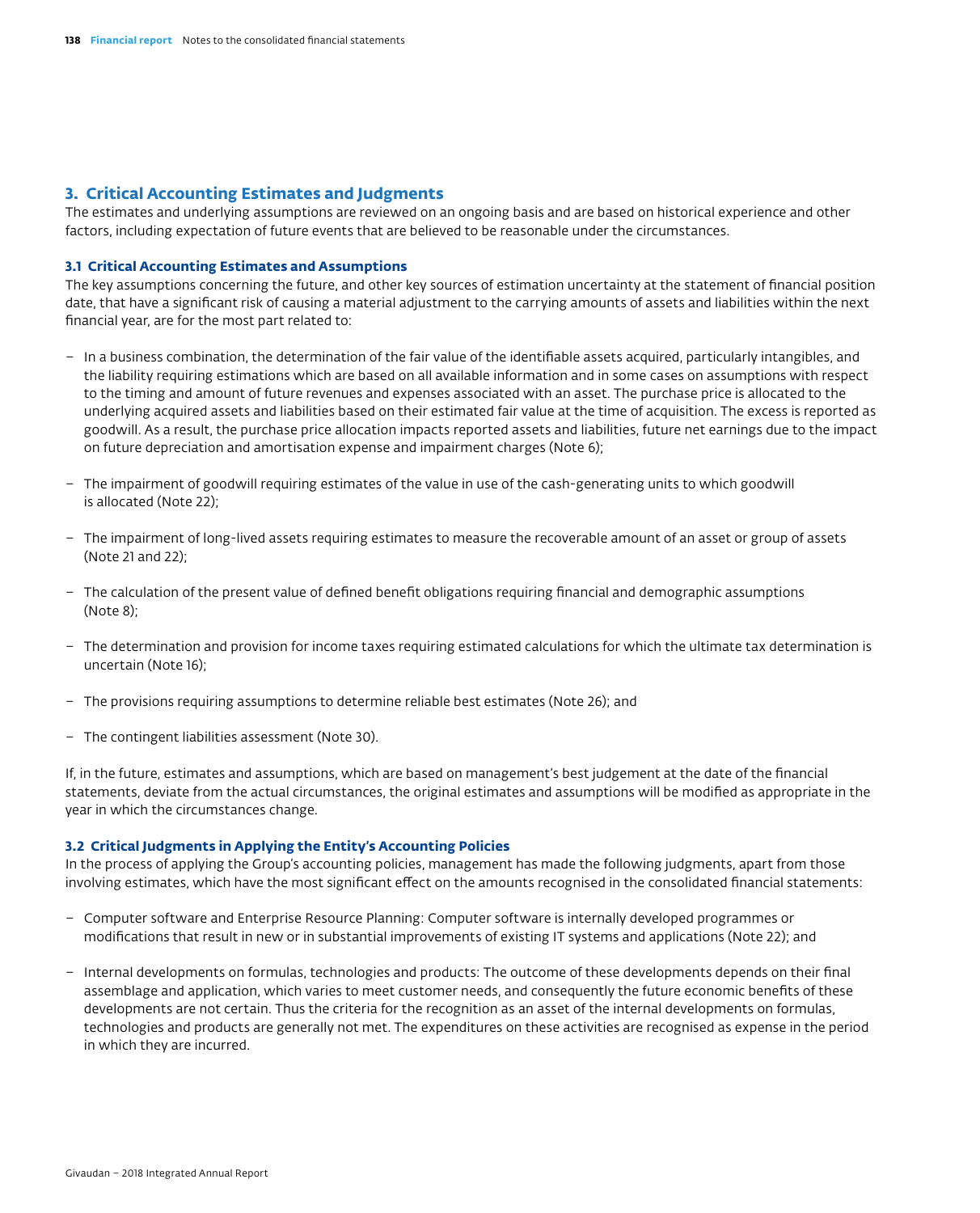#### <span id="page-20-0"></span>**3. Critical Accounting Estimates and Judgments**

The estimates and underlying assumptions are reviewed on an ongoing basis and are based on historical experience and other factors, including expectation of future events that are believed to be reasonable under the circumstances.

#### **3.1 Critical Accounting Estimates and Assumptions**

The key assumptions concerning the future, and other key sources of estimation uncertainty at the statement of financial position date, that have a significant risk of causing a material adjustment to the carrying amounts of assets and liabilities within the next financial year, are for the most part related to:

- In a business combination, the determination of the fair value of the identifiable assets acquired, particularly intangibles, and the liability requiring estimations which are based on all available information and in some cases on assumptions with respect to the timing and amount of future revenues and expenses associated with an asset. The purchase price is allocated to the underlying acquired assets and liabilities based on their estimated fair value at the time of acquisition. The excess is reported as goodwill. As a result, the purchase price allocation impacts reported assets and liabilities, future net earnings due to the impact on future depreciation and amortisation expense and impairment charges (Note 6);
- The impairment of goodwill requiring estimates of the value in use of the cash-generating units to which goodwill is allocated (Note 22);
- The impairment of long-lived assets requiring estimates to measure the recoverable amount of an asset or group of assets (Note 21 and 22);
- The calculation of the present value of defined benefit obligations requiring financial and demographic assumptions (Note 8);
- The determination and provision for income taxes requiring estimated calculations for which the ultimate tax determination is uncertain (Note 16);
- The provisions requiring assumptions to determine reliable best estimates (Note 26); and
- The contingent liabilities assessment (Note 30).

If, in the future, estimates and assumptions, which are based on management's best judgement at the date of the financial statements, deviate from the actual circumstances, the original estimates and assumptions will be modified as appropriate in the year in which the circumstances change.

#### **3.2 Critical Judgments in Applying the Entity's Accounting Policies**

In the process of applying the Group's accounting policies, management has made the following judgments, apart from those involving estimates, which have the most significant effect on the amounts recognised in the consolidated financial statements:

- Computer software and Enterprise Resource Planning: Computer software is internally developed programmes or modifications that result in new or in substantial improvements of existing IT systems and applications (Note 22); and
- Internal developments on formulas, technologies and products: The outcome of these developments depends on their final assemblage and application, which varies to meet customer needs, and consequently the future economic benefits of these developments are not certain. Thus the criteria for the recognition as an asset of the internal developments on formulas, technologies and products are generally not met. The expenditures on these activities are recognised as expense in the period in which they are incurred.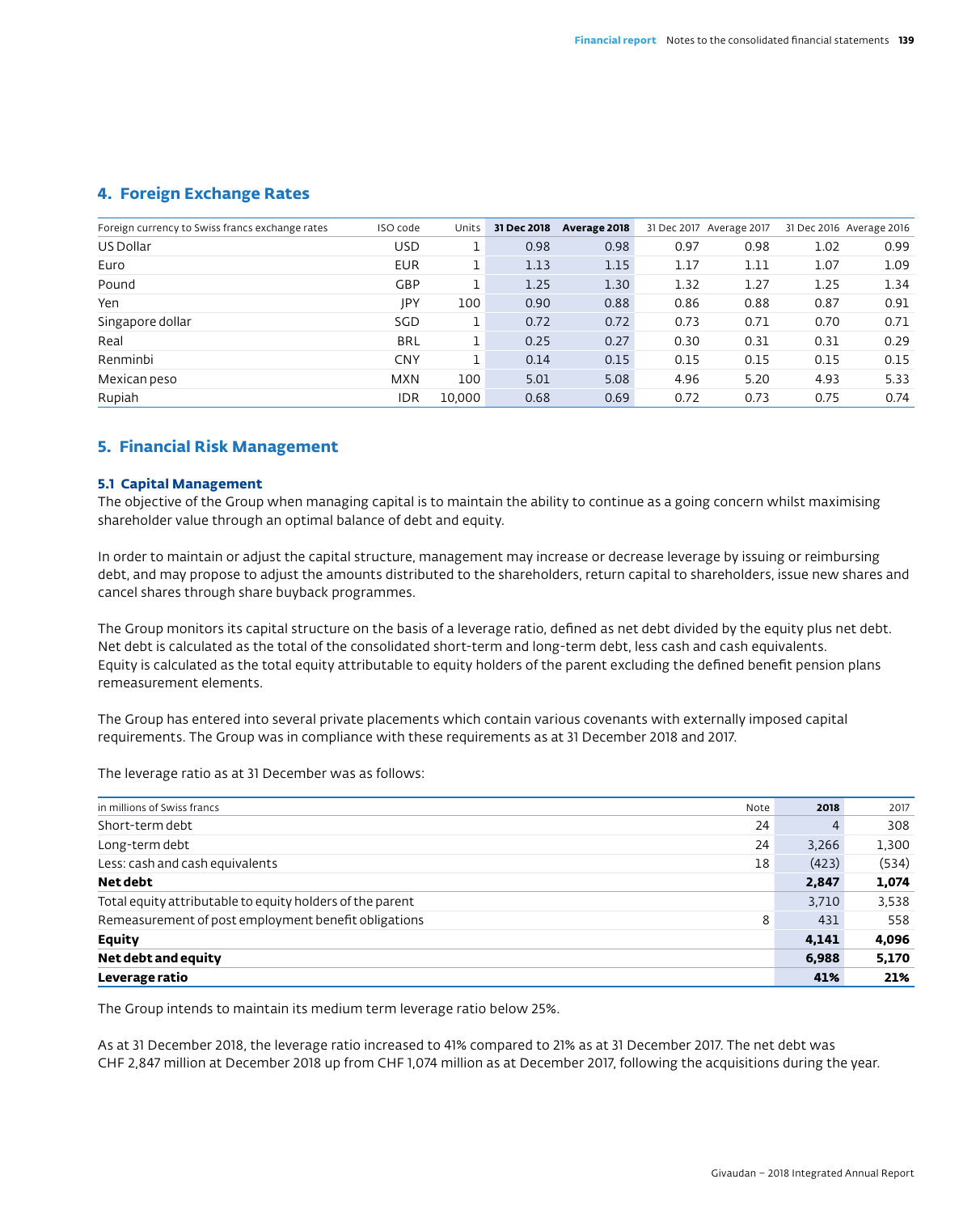| Foreign currency to Swiss francs exchange rates | ISO code   | Units  | 31 Dec 2018 | Average 2018 |      | 31 Dec 2017 Average 2017 |      | 31 Dec 2016 Average 2016 |
|-------------------------------------------------|------------|--------|-------------|--------------|------|--------------------------|------|--------------------------|
| US Dollar                                       | <b>USD</b> |        | 0.98        | 0.98         | 0.97 | 0.98                     | 1.02 | 0.99                     |
| Euro                                            | <b>EUR</b> |        | 1.13        | 1.15         | 1.17 | 1.11                     | 1.07 | 1.09                     |
| Pound                                           | GBP        |        | 1.25        | 1.30         | 1.32 | 1.27                     | 1.25 | 1.34                     |
| Yen                                             | <b>IPY</b> | 100    | 0.90        | 0.88         | 0.86 | 0.88                     | 0.87 | 0.91                     |
| Singapore dollar                                | SGD        |        | 0.72        | 0.72         | 0.73 | 0.71                     | 0.70 | 0.71                     |
| Real                                            | <b>BRL</b> |        | 0.25        | 0.27         | 0.30 | 0.31                     | 0.31 | 0.29                     |
| Renminbi                                        | <b>CNY</b> |        | 0.14        | 0.15         | 0.15 | 0.15                     | 0.15 | 0.15                     |
| Mexican peso                                    | <b>MXN</b> | 100    | 5.01        | 5.08         | 4.96 | 5.20                     | 4.93 | 5.33                     |
| Rupiah                                          | <b>IDR</b> | 10.000 | 0.68        | 0.69         | 0.72 | 0.73                     | 0.75 | 0.74                     |

# <span id="page-21-0"></span>**4. Foreign Exchange Rates**

# **5. Financial Risk Management**

#### **5.1 Capital Management**

The objective of the Group when managing capital is to maintain the ability to continue as a going concern whilst maximising shareholder value through an optimal balance of debt and equity.

In order to maintain or adjust the capital structure, management may increase or decrease leverage by issuing or reimbursing debt, and may propose to adjust the amounts distributed to the shareholders, return capital to shareholders, issue new shares and cancel shares through share buyback programmes.

The Group monitors its capital structure on the basis of a leverage ratio, defined as net debt divided by the equity plus net debt. Net debt is calculated as the total of the consolidated short-term and long-term debt, less cash and cash equivalents. Equity is calculated as the total equity attributable to equity holders of the parent excluding the defined benefit pension plans remeasurement elements.

The Group has entered into several private placements which contain various covenants with externally imposed capital requirements. The Group was in compliance with these requirements as at 31 December 2018 and 2017.

The leverage ratio as at 31 December was as follows:

| in millions of Swiss francs<br>Note                       | 2018  | 2017  |
|-----------------------------------------------------------|-------|-------|
| 24<br>Short-term debt                                     | 4     | 308   |
| 24<br>Long-term debt                                      | 3,266 | 1,300 |
| Less: cash and cash equivalents<br>18                     | (423) | (534) |
| Net debt                                                  | 2,847 | 1,074 |
| Total equity attributable to equity holders of the parent | 3,710 | 3,538 |
| Remeasurement of post employment benefit obligations<br>8 | 431   | 558   |
| Equity                                                    | 4,141 | 4,096 |
| Net debt and equity                                       | 6,988 | 5,170 |
| Leverage ratio                                            | 41%   | 21%   |

The Group intends to maintain its medium term leverage ratio below 25%.

As at 31 December 2018, the leverage ratio increased to 41% compared to 21% as at 31 December 2017. The net debt was CHF 2,847 million at December 2018 up from CHF 1,074 million as at December 2017, following the acquisitions during the year.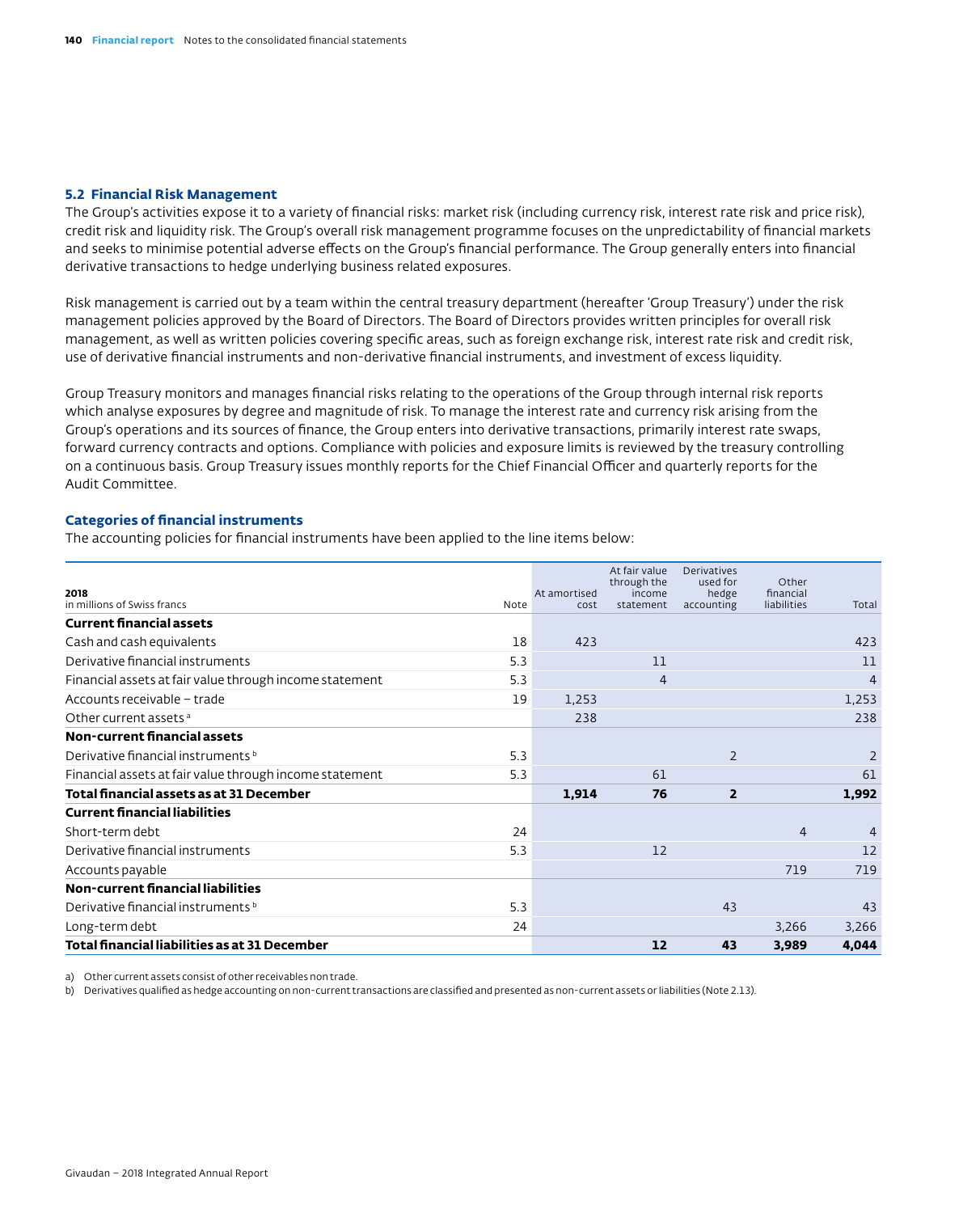#### **5.2 Financial Risk Management**

The Group's activities expose it to a variety of financial risks: market risk (including currency risk, interest rate risk and price risk), credit risk and liquidity risk. The Group's overall risk management programme focuses on the unpredictability of financial markets and seeks to minimise potential adverse effects on the Group's financial performance. The Group generally enters into financial derivative transactions to hedge underlying business related exposures.

Risk management is carried out by a team within the central treasury department (hereafter 'Group Treasury') under the risk management policies approved by the Board of Directors. The Board of Directors provides written principles for overall risk management, as well as written policies covering specific areas, such as foreign exchange risk, interest rate risk and credit risk, use of derivative financial instruments and non-derivative financial instruments, and investment of excess liquidity.

Group Treasury monitors and manages financial risks relating to the operations of the Group through internal risk reports which analyse exposures by degree and magnitude of risk. To manage the interest rate and currency risk arising from the Group's operations and its sources of finance, the Group enters into derivative transactions, primarily interest rate swaps, forward currency contracts and options. Compliance with policies and exposure limits is reviewed by the treasury controlling on a continuous basis. Group Treasury issues monthly reports for the Chief Financial Officer and quarterly reports for the Audit Committee.

#### **Categories of financial instruments**

The accounting policies for financial instruments have been applied to the line items below:

|                                                         |      |              | At fair value<br>through the | Derivatives<br>used for | Other          |                |
|---------------------------------------------------------|------|--------------|------------------------------|-------------------------|----------------|----------------|
| 2018                                                    |      | At amortised | income                       | hedge                   | financial      |                |
| in millions of Swiss francs                             | Note | cost         | statement                    | accounting              | liabilities    | Total          |
| <b>Current financial assets</b>                         |      |              |                              |                         |                |                |
| Cash and cash equivalents                               | 18   | 423          |                              |                         |                | 423            |
| Derivative financial instruments                        | 5.3  |              | 11                           |                         |                | 11             |
| Financial assets at fair value through income statement | 5.3  |              | $\overline{4}$               |                         |                | $\overline{4}$ |
| Accounts receivable - trade                             | 19   | 1,253        |                              |                         |                | 1,253          |
| Other current assets a                                  |      | 238          |                              |                         |                | 238            |
| <b>Non-current financial assets</b>                     |      |              |                              |                         |                |                |
| Derivative financial instruments b                      | 5.3  |              |                              | $\overline{2}$          |                | 2              |
| Financial assets at fair value through income statement | 5.3  |              | 61                           |                         |                | 61             |
| <b>Total financial assets as at 31 December</b>         |      | 1,914        | 76                           | $\overline{2}$          |                | 1,992          |
| <b>Current financial liabilities</b>                    |      |              |                              |                         |                |                |
| Short-term debt                                         | 24   |              |                              |                         | $\overline{4}$ | $\overline{4}$ |
| Derivative financial instruments                        | 5.3  |              | 12                           |                         |                | 12             |
| Accounts payable                                        |      |              |                              |                         | 719            | 719            |
| Non-current financial liabilities                       |      |              |                              |                         |                |                |
| Derivative financial instruments <sup>b</sup>           | 5.3  |              |                              | 43                      |                | 43             |
| Long-term debt                                          | 24   |              |                              |                         | 3,266          | 3,266          |
| Total financial liabilities as at 31 December           |      |              | 12                           | 43                      | 3,989          | 4,044          |

a) Other current assets consist of other receivables non trade.

b) Derivatives qualified as hedge accounting on non-current transactions are classified and presented as non-current assets or liabilities (Note 2.13).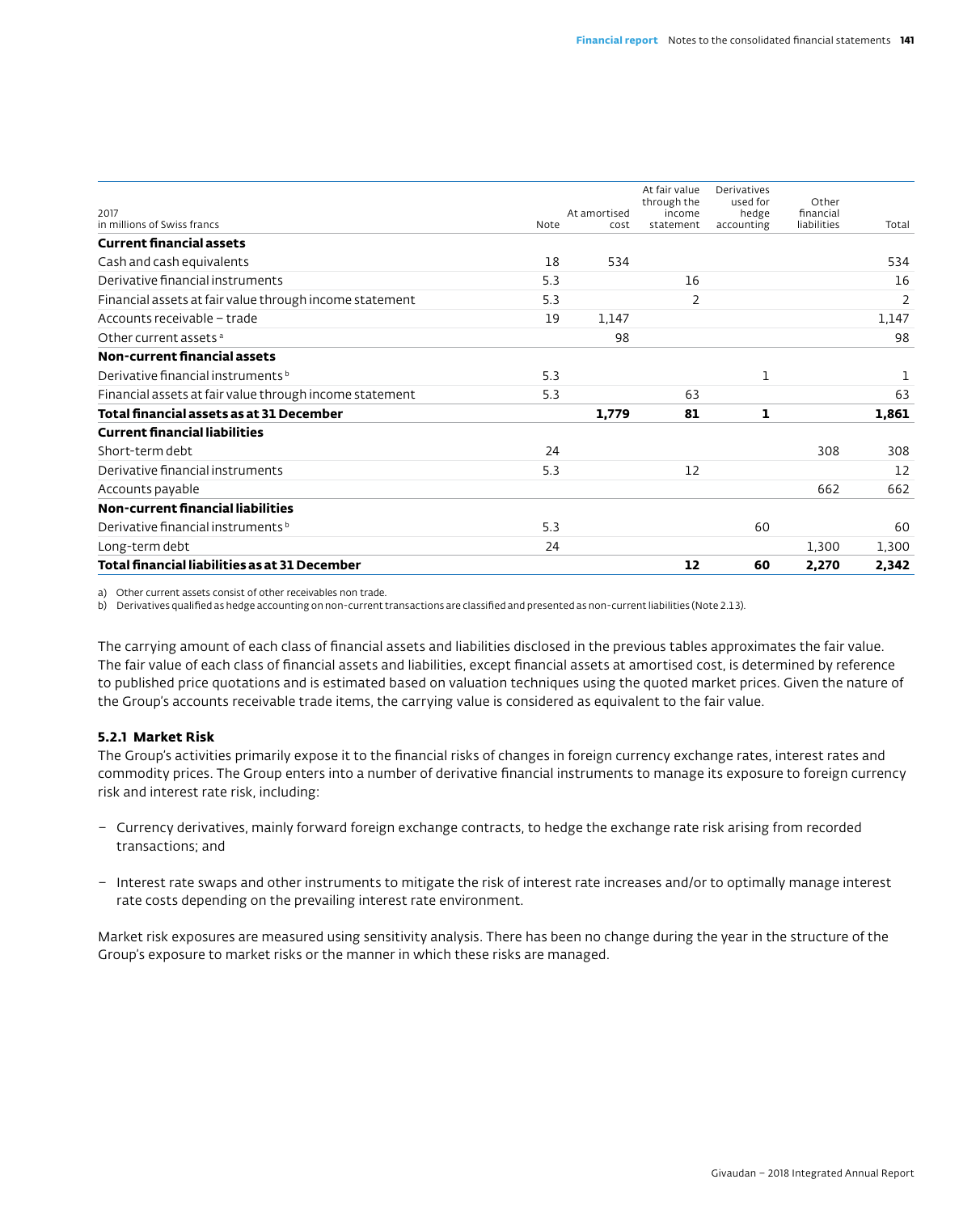|                                                         |      |              | At fair value<br>through the | Derivatives<br>used for | Other       |       |
|---------------------------------------------------------|------|--------------|------------------------------|-------------------------|-------------|-------|
| 2017                                                    |      | At amortised | income                       | hedge                   | financial   |       |
| in millions of Swiss francs                             | Note | cost         | statement                    | accounting              | liabilities | Total |
| <b>Current financial assets</b>                         |      |              |                              |                         |             |       |
| Cash and cash equivalents                               | 18   | 534          |                              |                         |             | 534   |
| Derivative financial instruments                        | 5.3  |              | 16                           |                         |             | 16    |
| Financial assets at fair value through income statement | 5.3  |              | $\overline{2}$               |                         |             | 2     |
| Accounts receivable - trade                             | 19   | 1,147        |                              |                         |             | 1,147 |
| Other current assets <sup>a</sup>                       |      | 98           |                              |                         |             | 98    |
| <b>Non-current financial assets</b>                     |      |              |                              |                         |             |       |
| Derivative financial instruments <sup>b</sup>           | 5.3  |              |                              |                         |             | 1     |
| Financial assets at fair value through income statement | 5.3  |              | 63                           |                         |             | 63    |
| <b>Total financial assets as at 31 December</b>         |      | 1,779        | 81                           | ı                       |             | 1,861 |
| <b>Current financial liabilities</b>                    |      |              |                              |                         |             |       |
| Short-term debt                                         | 24   |              |                              |                         | 308         | 308   |
| Derivative financial instruments                        | 5.3  |              | 12                           |                         |             | 12    |
| Accounts payable                                        |      |              |                              |                         | 662         | 662   |
| Non-current financial liabilities                       |      |              |                              |                         |             |       |
| Derivative financial instruments b                      | 5.3  |              |                              | 60                      |             | 60    |
| Long-term debt                                          | 24   |              |                              |                         | 1,300       | 1,300 |
| Total financial liabilities as at 31 December           |      |              | 12                           | 60                      | 2,270       | 2,342 |

a) Other current assets consist of other receivables non trade.

b) Derivatives qualified as hedge accounting on non-current transactions are classified and presented as non-current liabilities (Note 2.13).

The carrying amount of each class of financial assets and liabilities disclosed in the previous tables approximates the fair value. The fair value of each class of financial assets and liabilities, except financial assets at amortised cost, is determined by reference to published price quotations and is estimated based on valuation techniques using the quoted market prices. Given the nature of the Group's accounts receivable trade items, the carrying value is considered as equivalent to the fair value.

#### **5.2.1 Market Risk**

The Group's activities primarily expose it to the financial risks of changes in foreign currency exchange rates, interest rates and commodity prices. The Group enters into a number of derivative financial instruments to manage its exposure to foreign currency risk and interest rate risk, including:

- Currency derivatives, mainly forward foreign exchange contracts, to hedge the exchange rate risk arising from recorded transactions; and
- Interest rate swaps and other instruments to mitigate the risk of interest rate increases and/or to optimally manage interest rate costs depending on the prevailing interest rate environment.

Market risk exposures are measured using sensitivity analysis. There has been no change during the year in the structure of the Group's exposure to market risks or the manner in which these risks are managed.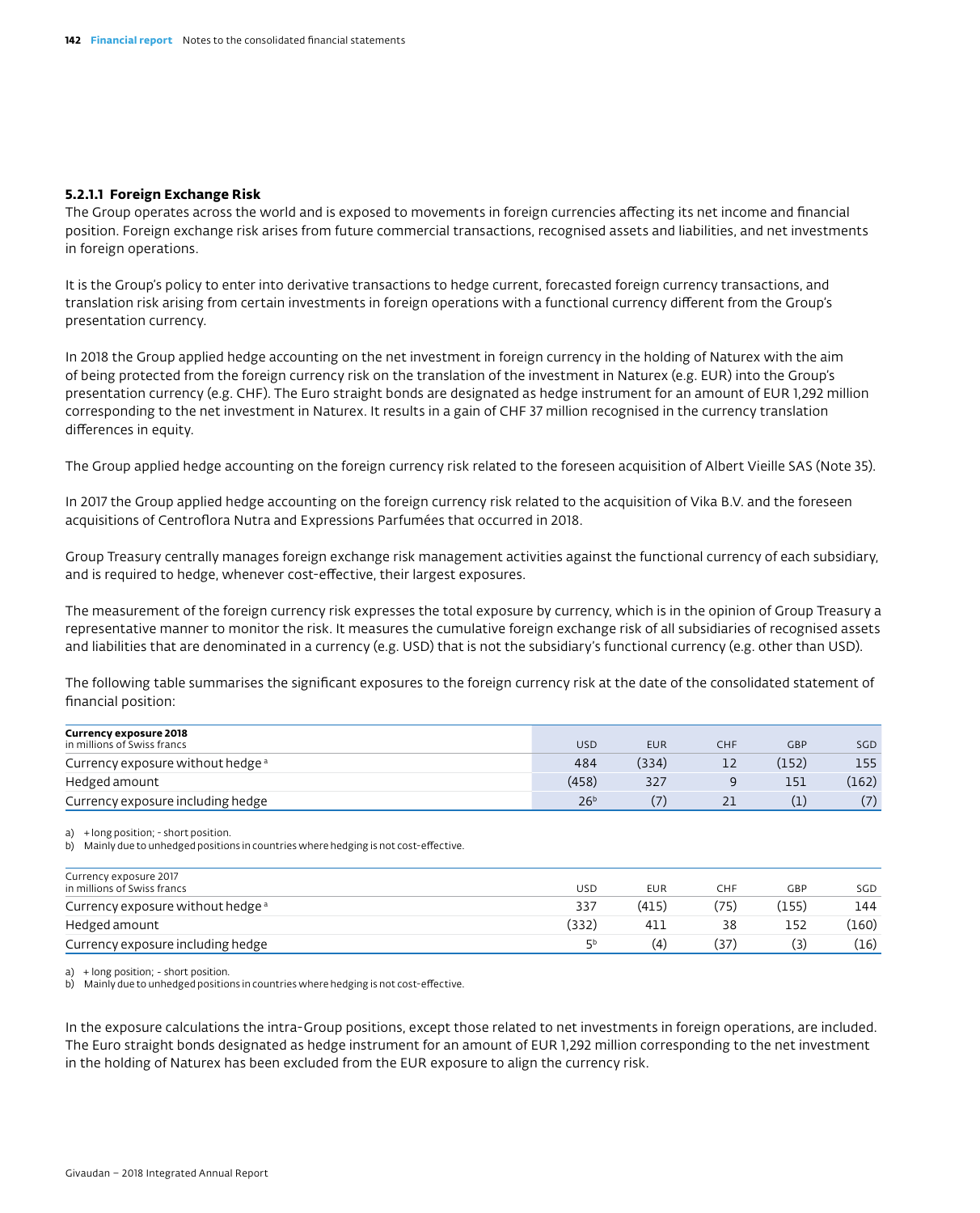#### **5.2.1.1 Foreign Exchange Risk**

The Group operates across the world and is exposed to movements in foreign currencies affecting its net income and financial position. Foreign exchange risk arises from future commercial transactions, recognised assets and liabilities, and net investments in foreign operations.

It is the Group's policy to enter into derivative transactions to hedge current, forecasted foreign currency transactions, and translation risk arising from certain investments in foreign operations with a functional currency different from the Group's presentation currency.

In 2018 the Group applied hedge accounting on the net investment in foreign currency in the holding of Naturex with the aim of being protected from the foreign currency risk on the translation of the investment in Naturex (e.g. EUR) into the Group's presentation currency (e.g. CHF). The Euro straight bonds are designated as hedge instrument for an amount of EUR 1,292 million corresponding to the net investment in Naturex. It results in a gain of CHF 37 million recognised in the currency translation differences in equity.

The Group applied hedge accounting on the foreign currency risk related to the foreseen acquisition of Albert Vieille SAS (Note 35).

In 2017 the Group applied hedge accounting on the foreign currency risk related to the acquisition of Vika B.V. and the foreseen acquisitions of Centroflora Nutra and Expressions Parfumées that occurred in 2018.

Group Treasury centrally manages foreign exchange risk management activities against the functional currency of each subsidiary, and is required to hedge, whenever cost-effective, their largest exposures.

The measurement of the foreign currency risk expresses the total exposure by currency, which is in the opinion of Group Treasury a representative manner to monitor the risk. It measures the cumulative foreign exchange risk of all subsidiaries of recognised assets and liabilities that are denominated in a currency (e.g. USD) that is not the subsidiary's functional currency (e.g. other than USD).

The following table summarises the significant exposures to the foreign currency risk at the date of the consolidated statement of financial position:

| Currency exposure 2018<br>in millions of Swiss francs | <b>USD</b>      | <b>EUR</b> | CHF | <b>GBP</b> | SGD   |
|-------------------------------------------------------|-----------------|------------|-----|------------|-------|
| Currency exposure without hedge <sup>a</sup>          | 484             | (334)      |     |            | 155   |
| Hedged amount                                         | (458)           |            |     |            | (162) |
| Currency exposure including hedge                     | 26 <sup>b</sup> | (7         |     |            | (7)   |

a) + long position; - short position.

b) Mainly due to unhedged positions in countries where hedging is not cost-effective.

| Currency exposure 2017<br>in millions of Swiss francs | <b>USD</b> | EUR   | CHF  | GBP   | SGD             |
|-------------------------------------------------------|------------|-------|------|-------|-----------------|
| Currency exposure without hedge <sup>a</sup>          | 337        | (415) | '75) | 〔155〕 | 144             |
| Hedged amount                                         | (332)      | 411   |      | 152   | $^{\prime}160)$ |
| Currency exposure including hedge                     | цb         | (4    | 37   | ´3)   | (16)            |

a) + long position; - short position.

b) Mainly due to unhedged positions in countries where hedging is not cost-effective.

In the exposure calculations the intra-Group positions, except those related to net investments in foreign operations, are included. The Euro straight bonds designated as hedge instrument for an amount of EUR 1,292 million corresponding to the net investment in the holding of Naturex has been excluded from the EUR exposure to align the currency risk.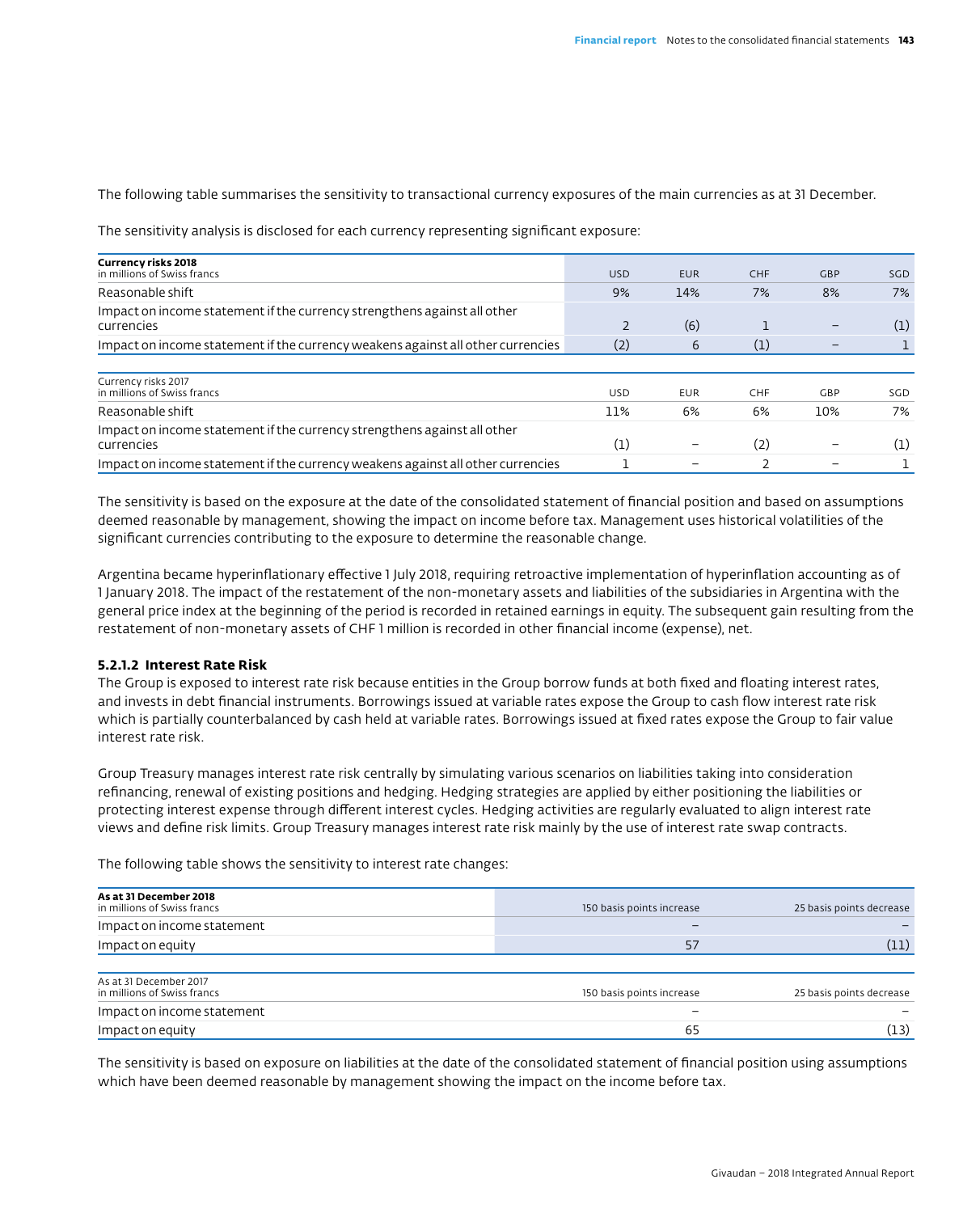The following table summarises the sensitivity to transactional currency exposures of the main currencies as at 31 December.

The sensitivity analysis is disclosed for each currency representing significant exposure:

| Currency risks 2018<br>in millions of Swiss francs                                     | <b>USD</b>     | <b>EUR</b> | CHF | GBP | SGD |
|----------------------------------------------------------------------------------------|----------------|------------|-----|-----|-----|
| Reasonable shift                                                                       | 9%             | 14%        | 7%  | 8%  | 7%  |
| Impact on income statement if the currency strengthens against all other<br>currencies | $\overline{2}$ | (6)        |     |     | (1) |
| Impact on income statement if the currency weakens against all other currencies        | (2)            | 6          | (1) |     |     |
|                                                                                        |                |            |     |     |     |
| Currency risks 2017<br>in millions of Swiss francs                                     | <b>USD</b>     | <b>EUR</b> | CHF | GBP | SGD |
| Reasonable shift                                                                       | 11%            | 6%         | 6%  | 10% | 7%  |
| Impact on income statement if the currency strengthens against all other<br>currencies | (1)            |            | (2) | -   | (1) |
| Impact on income statement if the currency weakens against all other currencies        |                |            |     |     |     |

The sensitivity is based on the exposure at the date of the consolidated statement of financial position and based on assumptions deemed reasonable by management, showing the impact on income before tax. Management uses historical volatilities of the significant currencies contributing to the exposure to determine the reasonable change.

Argentina became hyperinflationary effective 1 July 2018, requiring retroactive implementation of hyperinflation accounting as of 1 January 2018. The impact of the restatement of the non-monetary assets and liabilities of the subsidiaries in Argentina with the general price index at the beginning of the period is recorded in retained earnings in equity. The subsequent gain resulting from the restatement of non-monetary assets of CHF 1 million is recorded in other financial income (expense), net.

#### **5.2.1.2 Interest Rate Risk**

The Group is exposed to interest rate risk because entities in the Group borrow funds at both fixed and floating interest rates, and invests in debt financial instruments. Borrowings issued at variable rates expose the Group to cash flow interest rate risk which is partially counterbalanced by cash held at variable rates. Borrowings issued at fixed rates expose the Group to fair value interest rate risk.

Group Treasury manages interest rate risk centrally by simulating various scenarios on liabilities taking into consideration refinancing, renewal of existing positions and hedging. Hedging strategies are applied by either positioning the liabilities or protecting interest expense through different interest cycles. Hedging activities are regularly evaluated to align interest rate views and define risk limits. Group Treasury manages interest rate risk mainly by the use of interest rate swap contracts.

The following table shows the sensitivity to interest rate changes:

| As at 31 December 2018<br>in millions of Swiss francs | 150 basis points increase | 25 basis points decrease |
|-------------------------------------------------------|---------------------------|--------------------------|
| Impact on income statement                            |                           |                          |
| Impact on equity                                      | 57                        | (11)                     |
|                                                       |                           |                          |
| As at 31 December 2017<br>in millions of Swiss francs | 150 basis points increase | 25 basis points decrease |
| Impact on income statement                            |                           |                          |
| Impact on equity                                      | 65                        | (13)                     |

The sensitivity is based on exposure on liabilities at the date of the consolidated statement of financial position using assumptions which have been deemed reasonable by management showing the impact on the income before tax.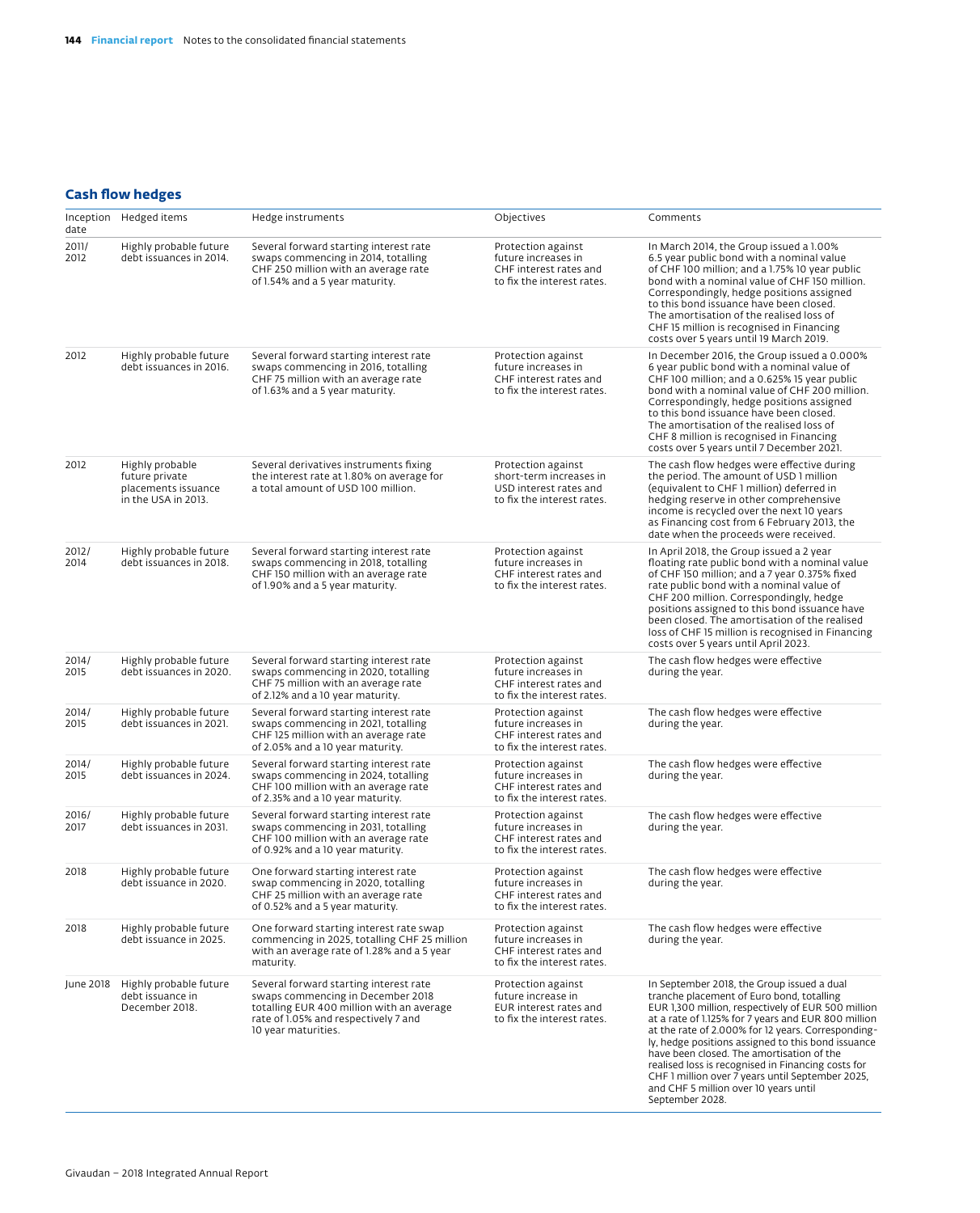# **Cash flow hedges**

| date          | Inception Hedged items                                                          | Hedge instruments                                                                                                                                                                       | Objectives                                                                                            | Comments                                                                                                                                                                                                                                                                                                                                                                                                                                                                                                                            |
|---------------|---------------------------------------------------------------------------------|-----------------------------------------------------------------------------------------------------------------------------------------------------------------------------------------|-------------------------------------------------------------------------------------------------------|-------------------------------------------------------------------------------------------------------------------------------------------------------------------------------------------------------------------------------------------------------------------------------------------------------------------------------------------------------------------------------------------------------------------------------------------------------------------------------------------------------------------------------------|
| 2011/<br>2012 | Highly probable future<br>debt issuances in 2014.                               | Several forward starting interest rate<br>swaps commencing in 2014, totalling<br>CHF 250 million with an average rate<br>of 1.54% and a 5 year maturity.                                | Protection against<br>future increases in<br>CHF interest rates and<br>to fix the interest rates.     | In March 2014, the Group issued a 1.00%<br>6.5 year public bond with a nominal value<br>of CHF 100 million; and a 1.75% 10 year public<br>bond with a nominal value of CHF 150 million.<br>Correspondingly, hedge positions assigned<br>to this bond issuance have been closed.<br>The amortisation of the realised loss of<br>CHF 15 million is recognised in Financing<br>costs over 5 years until 19 March 2019.                                                                                                                 |
| 2012          | Highly probable future<br>debt issuances in 2016.                               | Several forward starting interest rate<br>swaps commencing in 2016, totalling<br>CHF 75 million with an average rate<br>of 1.63% and a 5 year maturity.                                 | Protection against<br>future increases in<br>CHF interest rates and<br>to fix the interest rates.     | In December 2016, the Group issued a 0.000%<br>6 year public bond with a nominal value of<br>CHF 100 million; and a 0.625% 15 year public<br>bond with a nominal value of CHF 200 million.<br>Correspondingly, hedge positions assigned<br>to this bond issuance have been closed.<br>The amortisation of the realised loss of<br>CHF 8 million is recognised in Financing<br>costs over 5 years until 7 December 2021.                                                                                                             |
| 2012          | Highly probable<br>future private<br>placements issuance<br>in the USA in 2013. | Several derivatives instruments fixing<br>the interest rate at 1.80% on average for<br>a total amount of USD 100 million.                                                               | Protection against<br>short-term increases in<br>USD interest rates and<br>to fix the interest rates. | The cash flow hedges were effective during<br>the period. The amount of USD 1 million<br>(equivalent to CHF 1 million) deferred in<br>hedging reserve in other comprehensive<br>income is recycled over the next 10 years<br>as Financing cost from 6 February 2013, the<br>date when the proceeds were received.                                                                                                                                                                                                                   |
| 2012/<br>2014 | Highly probable future<br>debt issuances in 2018.                               | Several forward starting interest rate<br>swaps commencing in 2018, totalling<br>CHF 150 million with an average rate<br>of 1.90% and a 5 year maturity.                                | Protection against<br>future increases in<br>CHF interest rates and<br>to fix the interest rates.     | In April 2018, the Group issued a 2 year<br>floating rate public bond with a nominal value<br>of CHF 150 million; and a 7 year 0.375% fixed<br>rate public bond with a nominal value of<br>CHF 200 million. Correspondingly, hedge<br>positions assigned to this bond issuance have<br>been closed. The amortisation of the realised<br>loss of CHF 15 million is recognised in Financing<br>costs over 5 years until April 2023.                                                                                                   |
| 2014/<br>2015 | Highly probable future<br>debt issuances in 2020.                               | Several forward starting interest rate<br>swaps commencing in 2020, totalling<br>CHF 75 million with an average rate<br>of 2.12% and a 10 year maturity.                                | Protection against<br>future increases in<br>CHF interest rates and<br>to fix the interest rates.     | The cash flow hedges were effective<br>during the year.                                                                                                                                                                                                                                                                                                                                                                                                                                                                             |
| 2014/<br>2015 | Highly probable future<br>debt issuances in 2021.                               | Several forward starting interest rate<br>swaps commencing in 2021, totalling<br>CHF 125 million with an average rate<br>of 2.05% and a 10 year maturity.                               | Protection against<br>future increases in<br>CHF interest rates and<br>to fix the interest rates.     | The cash flow hedges were effective<br>during the year.                                                                                                                                                                                                                                                                                                                                                                                                                                                                             |
| 2014/<br>2015 | Highly probable future<br>debt issuances in 2024.                               | Several forward starting interest rate<br>swaps commencing in 2024, totalling<br>CHF 100 million with an average rate<br>of 2.35% and a 10 year maturity.                               | Protection against<br>future increases in<br>CHF interest rates and<br>to fix the interest rates.     | The cash flow hedges were effective<br>during the year.                                                                                                                                                                                                                                                                                                                                                                                                                                                                             |
| 2016/<br>2017 | Highly probable future<br>debt issuances in 2031.                               | Several forward starting interest rate<br>swaps commencing in 2031, totalling<br>CHF 100 million with an average rate<br>of 0.92% and a 10 year maturity.                               | Protection against<br>future increases in<br>CHF interest rates and<br>to fix the interest rates.     | The cash flow hedges were effective<br>during the year.                                                                                                                                                                                                                                                                                                                                                                                                                                                                             |
| 2018          | Highly probable future<br>debt issuance in 2020.                                | One forward starting interest rate<br>swap commencing in 2020, totalling<br>CHF 25 million with an average rate<br>of 0.52% and a 5 year maturity.                                      | Protection against<br>future increases in<br>CHF interest rates and<br>to fix the interest rates.     | The cash flow hedges were effective<br>during the year.                                                                                                                                                                                                                                                                                                                                                                                                                                                                             |
| 2018          | Highly probable future<br>debt issuance in 2025.                                | One forward starting interest rate swap<br>commencing in 2025, totalling CHF 25 million<br>with an average rate of 1.28% and a 5 year<br>maturity.                                      | Protection against<br>future increases in<br>CHF interest rates and<br>to fix the interest rates.     | The cash flow hedges were effective<br>during the year.                                                                                                                                                                                                                                                                                                                                                                                                                                                                             |
| June 2018     | Highly probable future<br>debt issuance in<br>December 2018.                    | Several forward starting interest rate<br>swaps commencing in December 2018<br>totalling EUR 400 million with an average<br>rate of 1.05% and respectively 7 and<br>10 year maturities. | Protection against<br>future increase in<br>EUR interest rates and<br>to fix the interest rates.      | In September 2018, the Group issued a dual<br>tranche placement of Euro bond, totalling<br>EUR 1.300 million, respectively of EUR 500 million<br>at a rate of 1.125% for 7 years and EUR 800 million<br>at the rate of 2.000% for 12 years. Corresponding-<br>ly, hedge positions assigned to this bond issuance<br>have been closed. The amortisation of the<br>realised loss is recognised in Financing costs for<br>CHF 1 million over 7 years until September 2025,<br>and CHF 5 million over 10 years until<br>September 2028. |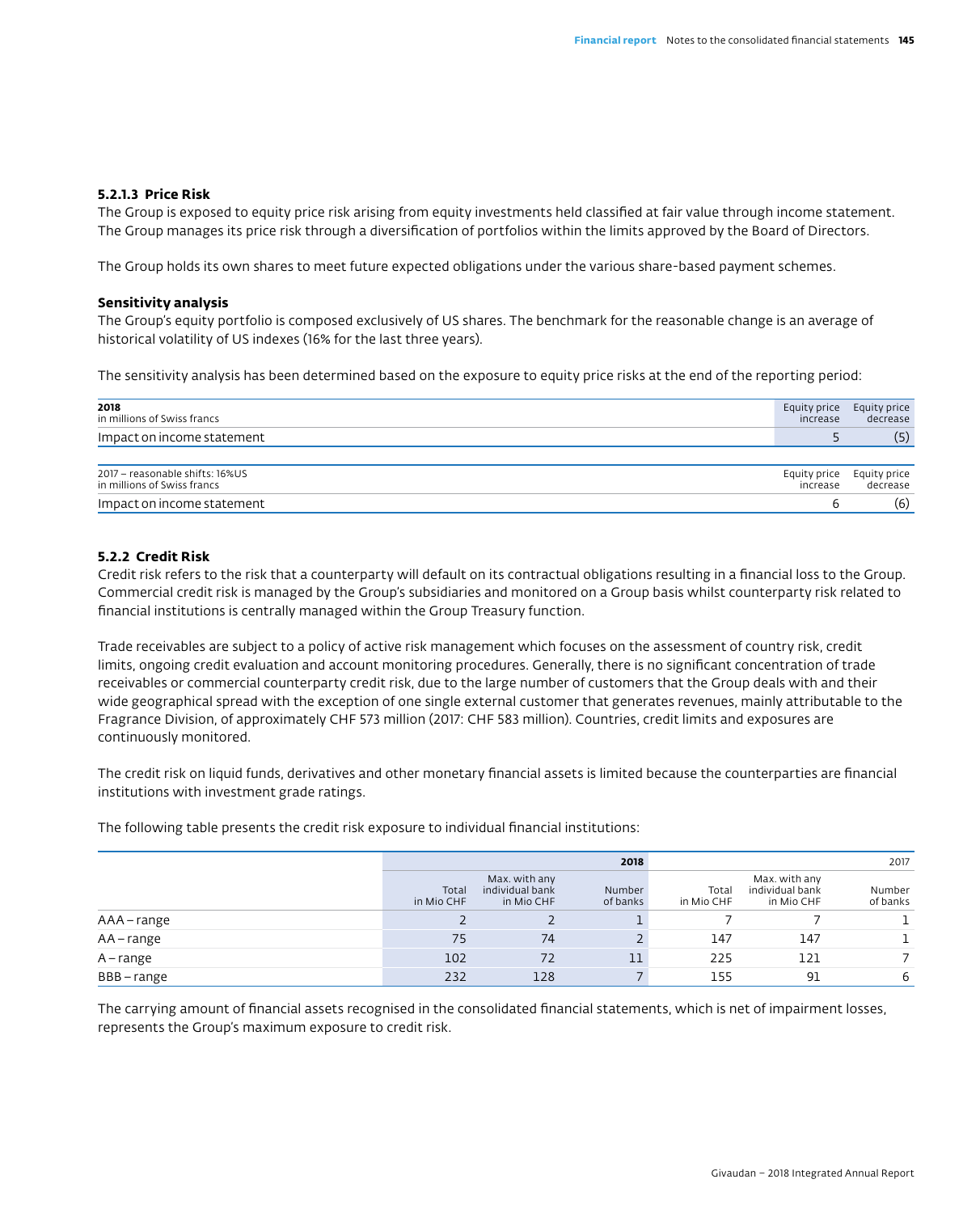#### **5.2.1.3 Price Risk**

The Group is exposed to equity price risk arising from equity investments held classified at fair value through income statement. The Group manages its price risk through a diversification of portfolios within the limits approved by the Board of Directors.

The Group holds its own shares to meet future expected obligations under the various share-based payment schemes.

#### **Sensitivity analysis**

The Group's equity portfolio is composed exclusively of US shares. The benchmark for the reasonable change is an average of historical volatility of US indexes (16% for the last three years).

The sensitivity analysis has been determined based on the exposure to equity price risks at the end of the reporting period:

| 2018<br>in millions of Swiss francs                            | Equity price<br>increase | Equity price<br>decrease |
|----------------------------------------------------------------|--------------------------|--------------------------|
| Impact on income statement                                     |                          | (5)                      |
|                                                                |                          |                          |
| 2017 - reasonable shifts: 16%US<br>in millions of Swiss francs | Equity price<br>increase | Equity price<br>decrease |
| Impact on income statement                                     | h                        | (6)                      |

#### **5.2.2 Credit Risk**

Credit risk refers to the risk that a counterparty will default on its contractual obligations resulting in a financial loss to the Group. Commercial credit risk is managed by the Group's subsidiaries and monitored on a Group basis whilst counterparty risk related to financial institutions is centrally managed within the Group Treasury function.

Trade receivables are subject to a policy of active risk management which focuses on the assessment of country risk, credit limits, ongoing credit evaluation and account monitoring procedures. Generally, there is no significant concentration of trade receivables or commercial counterparty credit risk, due to the large number of customers that the Group deals with and their wide geographical spread with the exception of one single external customer that generates revenues, mainly attributable to the Fragrance Division, of approximately CHF 573 million (2017: CHF 583 million). Countries, credit limits and exposures are continuously monitored.

The credit risk on liquid funds, derivatives and other monetary financial assets is limited because the counterparties are financial institutions with investment grade ratings.

The following table presents the credit risk exposure to individual financial institutions:

|             |                     |                                                | 2018               |                     |                                                | 2017               |
|-------------|---------------------|------------------------------------------------|--------------------|---------------------|------------------------------------------------|--------------------|
|             | Total<br>in Mio CHF | Max. with any<br>individual bank<br>in Mio CHF | Number<br>of banks | Total<br>in Mio CHF | Max. with any<br>individual bank<br>in Mio CHF | Number<br>of banks |
| AAA – range |                     |                                                |                    |                     |                                                |                    |
| AA – range  | 75                  | 74                                             |                    | 147                 | 147                                            |                    |
| A-range     | 102                 | 72                                             | 11                 | 225                 | 121                                            |                    |
| BBB-range   | 232                 | 128                                            |                    | 155                 | 91                                             | 6                  |

The carrying amount of financial assets recognised in the consolidated financial statements, which is net of impairment losses, represents the Group's maximum exposure to credit risk.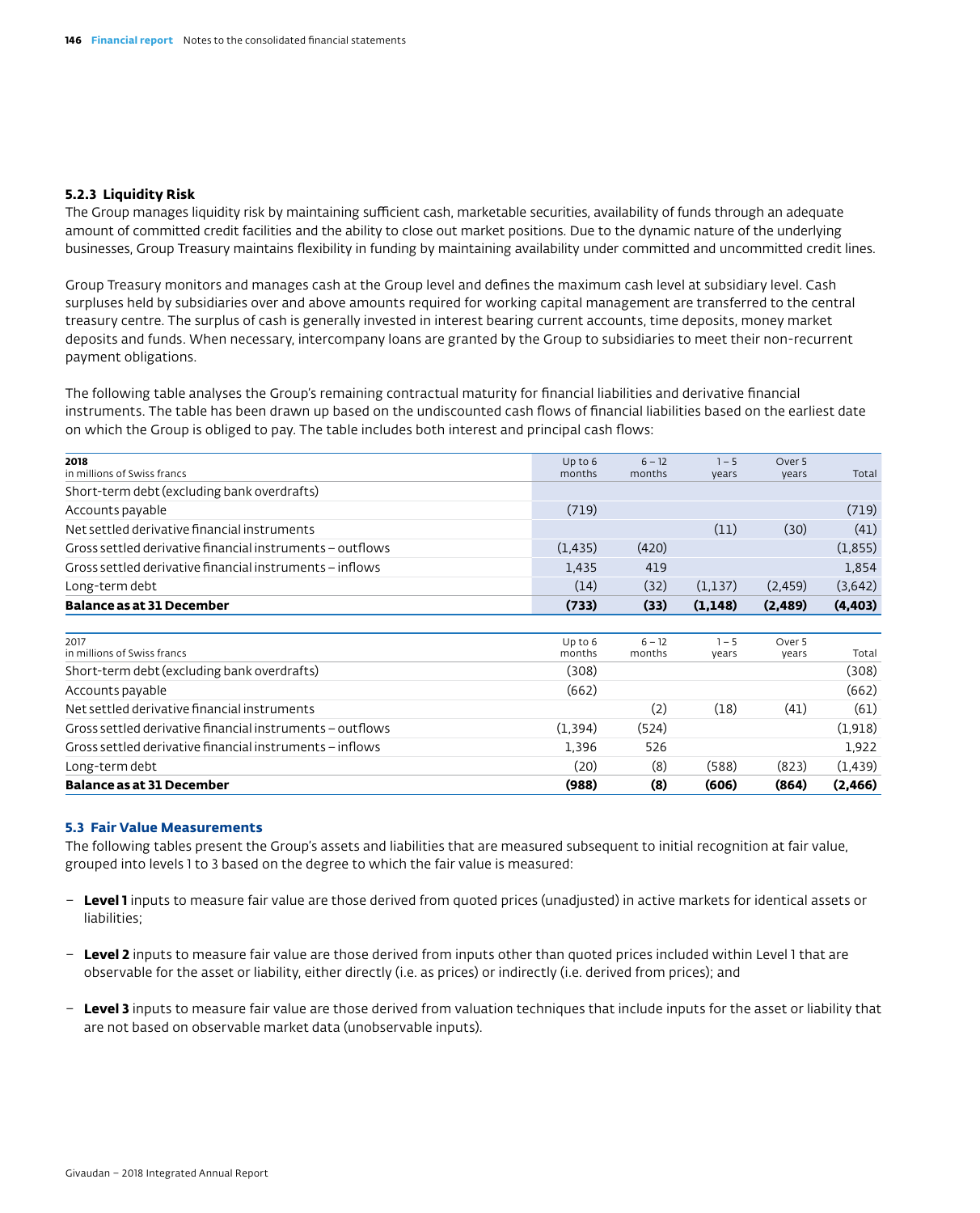#### **5.2.3 Liquidity Risk**

The Group manages liquidity risk by maintaining sufficient cash, marketable securities, availability of funds through an adequate amount of committed credit facilities and the ability to close out market positions. Due to the dynamic nature of the underlying businesses, Group Treasury maintains flexibility in funding by maintaining availability under committed and uncommitted credit lines.

Group Treasury monitors and manages cash at the Group level and defines the maximum cash level at subsidiary level. Cash surpluses held by subsidiaries over and above amounts required for working capital management are transferred to the central treasury centre. The surplus of cash is generally invested in interest bearing current accounts, time deposits, money market deposits and funds. When necessary, intercompany loans are granted by the Group to subsidiaries to meet their non-recurrent payment obligations.

The following table analyses the Group's remaining contractual maturity for financial liabilities and derivative financial instruments. The table has been drawn up based on the undiscounted cash flows of financial liabilities based on the earliest date on which the Group is obliged to pay. The table includes both interest and principal cash flows:

| 2018<br>in millions of Swiss francs                       | $Up$ to $6$<br>months | $6 - 12$<br>months | $1 - 5$<br>vears | Over 5<br>vears | Total    |
|-----------------------------------------------------------|-----------------------|--------------------|------------------|-----------------|----------|
| Short-term debt (excluding bank overdrafts)               |                       |                    |                  |                 |          |
| Accounts payable                                          | (719)                 |                    |                  |                 | (719)    |
| Net settled derivative financial instruments              |                       |                    | (11)             | (30)            | (41)     |
| Gross settled derivative financial instruments - outflows | (1, 435)              | (420)              |                  |                 | (1, 855) |
| Gross settled derivative financial instruments - inflows  | 1,435                 | 419                |                  |                 | 1,854    |
| Long-term debt                                            | (14)                  | (32)               | (1, 137)         | (2, 459)        | (3,642)  |
| <b>Balance as at 31 December</b>                          | (733)                 | (33)               | (1, 148)         | (2, 489)        | (4, 403) |
|                                                           |                       |                    |                  |                 |          |
| 2017<br>in millions of Swiss francs                       | Up to 6<br>months     | $6 - 12$<br>months | $1 - 5$<br>vears | Over 5<br>years | Total    |
| Short-term debt (excluding bank overdrafts)               | (308)                 |                    |                  |                 | (308)    |
| Accounts payable                                          | (662)                 |                    |                  |                 | (662)    |
| Net settled derivative financial instruments              |                       | (2)                | (18)             | (41)            | (61)     |
| Gross settled derivative financial instruments - outflows | (1, 394)              | (524)              |                  |                 | (1,918)  |
| Gross settled derivative financial instruments – inflows  | 1,396                 | 526                |                  |                 | 1,922    |
| Long-term debt                                            | (20)                  | (8)                | (588)            | (823)           | (1, 439) |
| <b>Balance as at 31 December</b>                          | (988)                 | (8)                | (606)            | (864)           | (2, 466) |

#### **5.3 Fair Value Measurements**

The following tables present the Group's assets and liabilities that are measured subsequent to initial recognition at fair value, grouped into levels 1 to 3 based on the degree to which the fair value is measured:

- **Level 1** inputs to measure fair value are those derived from quoted prices (unadjusted) in active markets for identical assets or liabilities;
- **Level 2** inputs to measure fair value are those derived from inputs other than quoted prices included within Level 1 that are observable for the asset or liability, either directly (i.e. as prices) or indirectly (i.e. derived from prices); and
- **Level 3** inputs to measure fair value are those derived from valuation techniques that include inputs for the asset or liability that are not based on observable market data (unobservable inputs).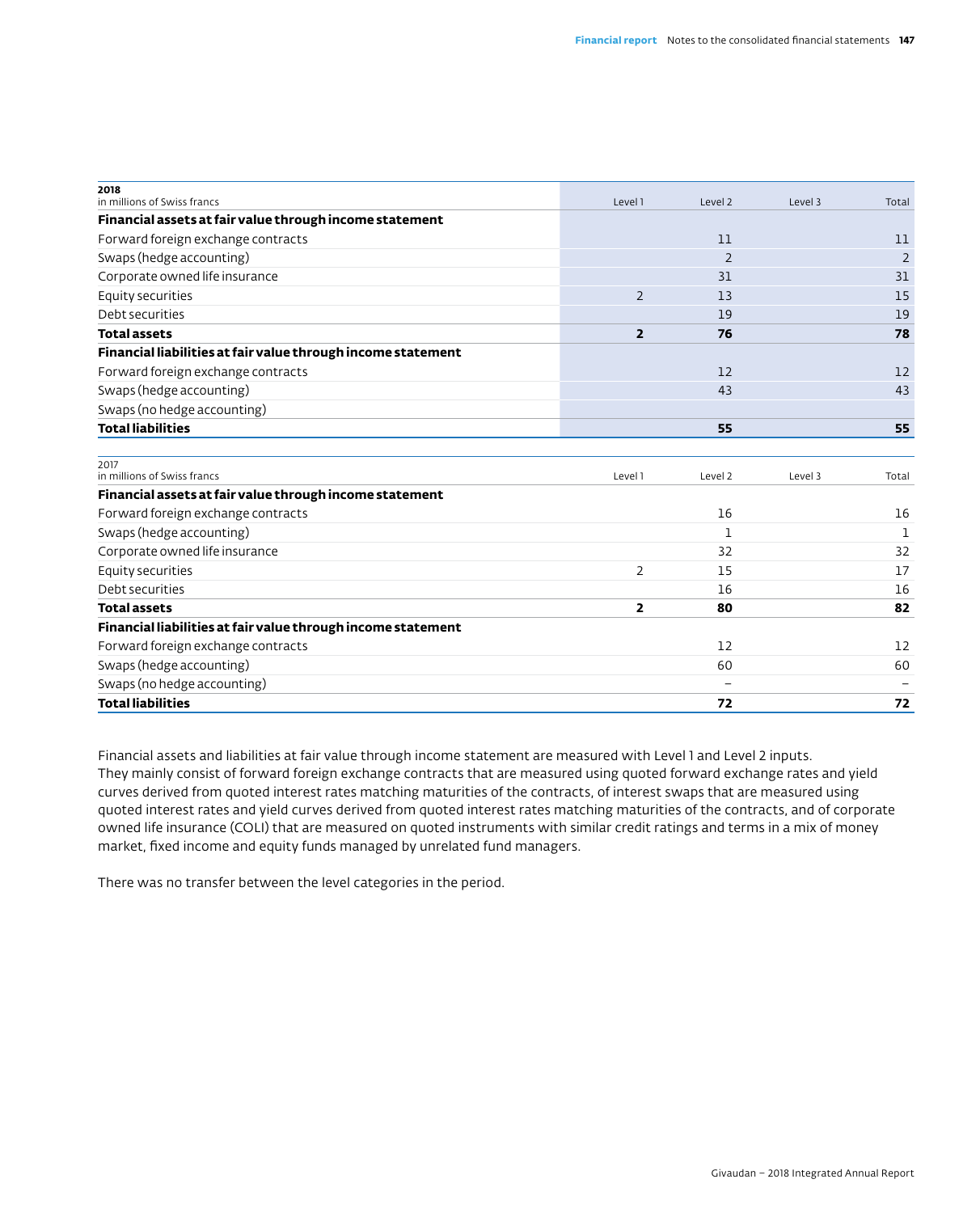| Level 1        | Level 2        | Level 3 | Total          |
|----------------|----------------|---------|----------------|
|                |                |         |                |
|                | 11             |         | 11             |
|                | $\overline{2}$ |         | $\overline{2}$ |
|                | 31             |         | 31             |
| $\overline{2}$ | 13             |         | 15             |
|                | 19             |         | 19             |
| $\overline{2}$ | 76             |         | 78             |
|                |                |         |                |
|                | 12             |         | 12             |
|                | 43             |         | 43             |
|                |                |         |                |
|                | 55             |         | 55             |
| Level 1        | Level 2        | Level 3 | Total          |
|                |                |         |                |
|                | 16             |         | 16             |
|                | <sub>1</sub>   |         | 1              |
|                | 32             |         | 32             |
| 2              | 15             |         | 17             |
|                | 16             |         | 16             |
| $\overline{2}$ | 80             |         | 82             |
|                |                |         |                |
|                | 12             |         | 12             |
|                | 60             |         | 60             |
|                |                |         |                |
|                | 72             |         | 72             |
|                |                |         |                |

Financial assets and liabilities at fair value through income statement are measured with Level 1 and Level 2 inputs. They mainly consist of forward foreign exchange contracts that are measured using quoted forward exchange rates and yield curves derived from quoted interest rates matching maturities of the contracts, of interest swaps that are measured using quoted interest rates and yield curves derived from quoted interest rates matching maturities of the contracts, and of corporate owned life insurance (COLI) that are measured on quoted instruments with similar credit ratings and terms in a mix of money market, fixed income and equity funds managed by unrelated fund managers.

There was no transfer between the level categories in the period.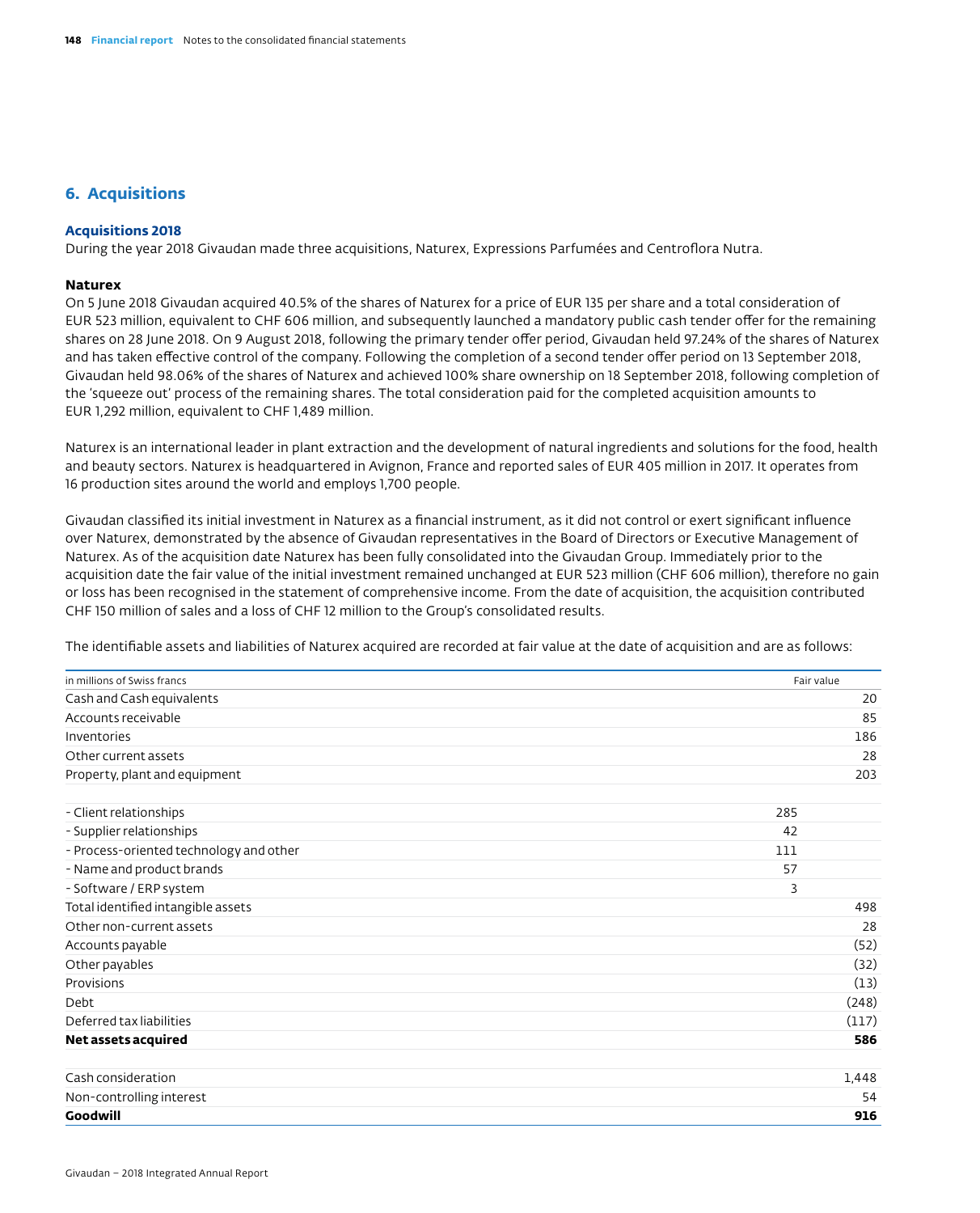## <span id="page-30-0"></span>**6. Acquisitions**

#### **Acquisitions 2018**

During the year 2018 Givaudan made three acquisitions, Naturex, Expressions Parfumées and Centroflora Nutra.

#### **Naturex**

On 5 June 2018 Givaudan acquired 40.5% of the shares of Naturex for a price of EUR 135 per share and a total consideration of EUR 523 million, equivalent to CHF 606 million, and subsequently launched a mandatory public cash tender offer for the remaining shares on 28 June 2018. On 9 August 2018, following the primary tender offer period, Givaudan held 97.24% of the shares of Naturex and has taken effective control of the company. Following the completion of a second tender offer period on 13 September 2018, Givaudan held 98.06% of the shares of Naturex and achieved 100% share ownership on 18 September 2018, following completion of the 'squeeze out' process of the remaining shares. The total consideration paid for the completed acquisition amounts to EUR 1,292 million, equivalent to CHF 1,489 million.

Naturex is an international leader in plant extraction and the development of natural ingredients and solutions for the food, health and beauty sectors. Naturex is headquartered in Avignon, France and reported sales of EUR 405 million in 2017. It operates from 16 production sites around the world and employs 1,700 people.

Givaudan classified its initial investment in Naturex as a financial instrument, as it did not control or exert significant influence over Naturex, demonstrated by the absence of Givaudan representatives in the Board of Directors or Executive Management of Naturex. As of the acquisition date Naturex has been fully consolidated into the Givaudan Group. Immediately prior to the acquisition date the fair value of the initial investment remained unchanged at EUR 523 million (CHF 606 million), therefore no gain or loss has been recognised in the statement of comprehensive income. From the date of acquisition, the acquisition contributed CHF 150 million of sales and a loss of CHF 12 million to the Group's consolidated results.

The identifiable assets and liabilities of Naturex acquired are recorded at fair value at the date of acquisition and are as follows:

| in millions of Swiss francs             | Fair value |
|-----------------------------------------|------------|
| Cash and Cash equivalents               | 20         |
| Accounts receivable                     | 85         |
| Inventories                             | 186        |
| Other current assets                    | 28         |
| Property, plant and equipment           | 203        |
| - Client relationships                  | 285        |
| - Supplier relationships                | 42         |
| - Process-oriented technology and other | 111        |
| - Name and product brands               | 57         |
| - Software / ERP system                 | 3          |
| Total identified intangible assets      | 498        |
| Other non-current assets                | 28         |
| Accounts payable                        | (52)       |
| Other payables                          | (32)       |
| Provisions                              | (13)       |
| Debt                                    | (248)      |
| Deferred tax liabilities                | (117)      |
| Net assets acquired                     | 586        |
| Cash consideration                      | 1,448      |
| Non-controlling interest                | 54         |
| Goodwill                                | 916        |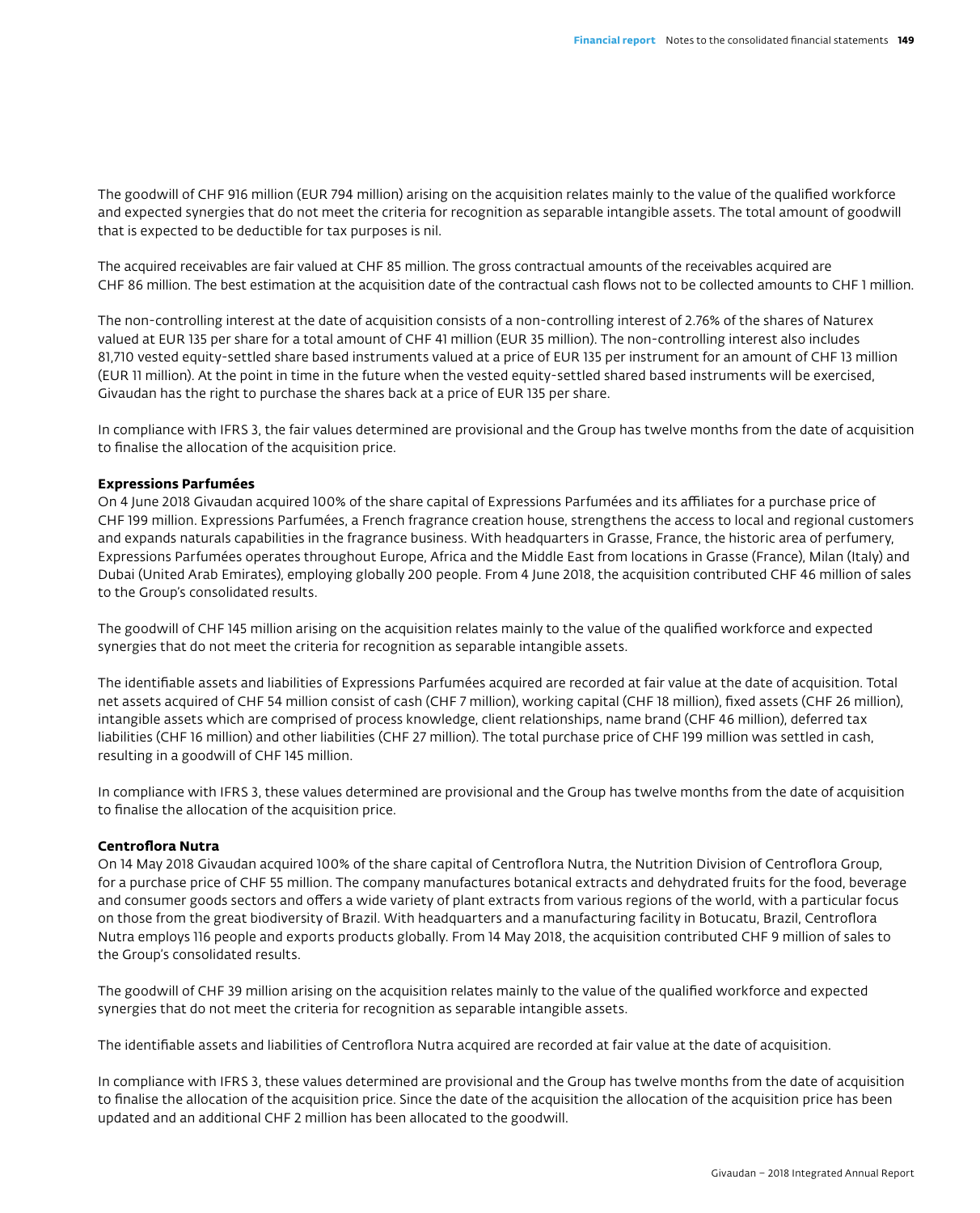The goodwill of CHF 916 million (EUR 794 million) arising on the acquisition relates mainly to the value of the qualified workforce and expected synergies that do not meet the criteria for recognition as separable intangible assets. The total amount of goodwill that is expected to be deductible for tax purposes is nil.

The acquired receivables are fair valued at CHF 85 million. The gross contractual amounts of the receivables acquired are CHF 86 million. The best estimation at the acquisition date of the contractual cash flows not to be collected amounts to CHF 1 million.

The non-controlling interest at the date of acquisition consists of a non-controlling interest of 2.76% of the shares of Naturex valued at EUR 135 per share for a total amount of CHF 41 million (EUR 35 million). The non-controlling interest also includes 81,710 vested equity-settled share based instruments valued at a price of EUR 135 per instrument for an amount of CHF 13 million (EUR 11 million). At the point in time in the future when the vested equity-settled shared based instruments will be exercised, Givaudan has the right to purchase the shares back at a price of EUR 135 per share.

In compliance with IFRS 3, the fair values determined are provisional and the Group has twelve months from the date of acquisition to finalise the allocation of the acquisition price.

#### **Expressions Parfumées**

On 4 June 2018 Givaudan acquired 100% of the share capital of Expressions Parfumées and its affiliates for a purchase price of CHF 199 million. Expressions Parfumées, a French fragrance creation house, strengthens the access to local and regional customers and expands naturals capabilities in the fragrance business. With headquarters in Grasse, France, the historic area of perfumery, Expressions Parfumées operates throughout Europe, Africa and the Middle East from locations in Grasse (France), Milan (Italy) and Dubai (United Arab Emirates), employing globally 200 people. From 4 June 2018, the acquisition contributed CHF 46 million of sales to the Group's consolidated results.

The goodwill of CHF 145 million arising on the acquisition relates mainly to the value of the qualified workforce and expected synergies that do not meet the criteria for recognition as separable intangible assets.

The identifiable assets and liabilities of Expressions Parfumées acquired are recorded at fair value at the date of acquisition. Total net assets acquired of CHF 54 million consist of cash (CHF 7 million), working capital (CHF 18 million), fixed assets (CHF 26 million), intangible assets which are comprised of process knowledge, client relationships, name brand (CHF 46 million), deferred tax liabilities (CHF 16 million) and other liabilities (CHF 27 million). The total purchase price of CHF 199 million was settled in cash, resulting in a goodwill of CHF 145 million.

In compliance with IFRS 3, these values determined are provisional and the Group has twelve months from the date of acquisition to finalise the allocation of the acquisition price.

#### **Centroflora Nutra**

On 14 May 2018 Givaudan acquired 100% of the share capital of Centroflora Nutra, the Nutrition Division of Centroflora Group, for a purchase price of CHF 55 million. The company manufactures botanical extracts and dehydrated fruits for the food, beverage and consumer goods sectors and offers a wide variety of plant extracts from various regions of the world, with a particular focus on those from the great biodiversity of Brazil. With headquarters and a manufacturing facility in Botucatu, Brazil, Centroflora Nutra employs 116 people and exports products globally. From 14 May 2018, the acquisition contributed CHF 9 million of sales to the Group's consolidated results.

The goodwill of CHF 39 million arising on the acquisition relates mainly to the value of the qualified workforce and expected synergies that do not meet the criteria for recognition as separable intangible assets.

The identifiable assets and liabilities of Centroflora Nutra acquired are recorded at fair value at the date of acquisition.

In compliance with IFRS 3, these values determined are provisional and the Group has twelve months from the date of acquisition to finalise the allocation of the acquisition price. Since the date of the acquisition the allocation of the acquisition price has been updated and an additional CHF 2 million has been allocated to the goodwill.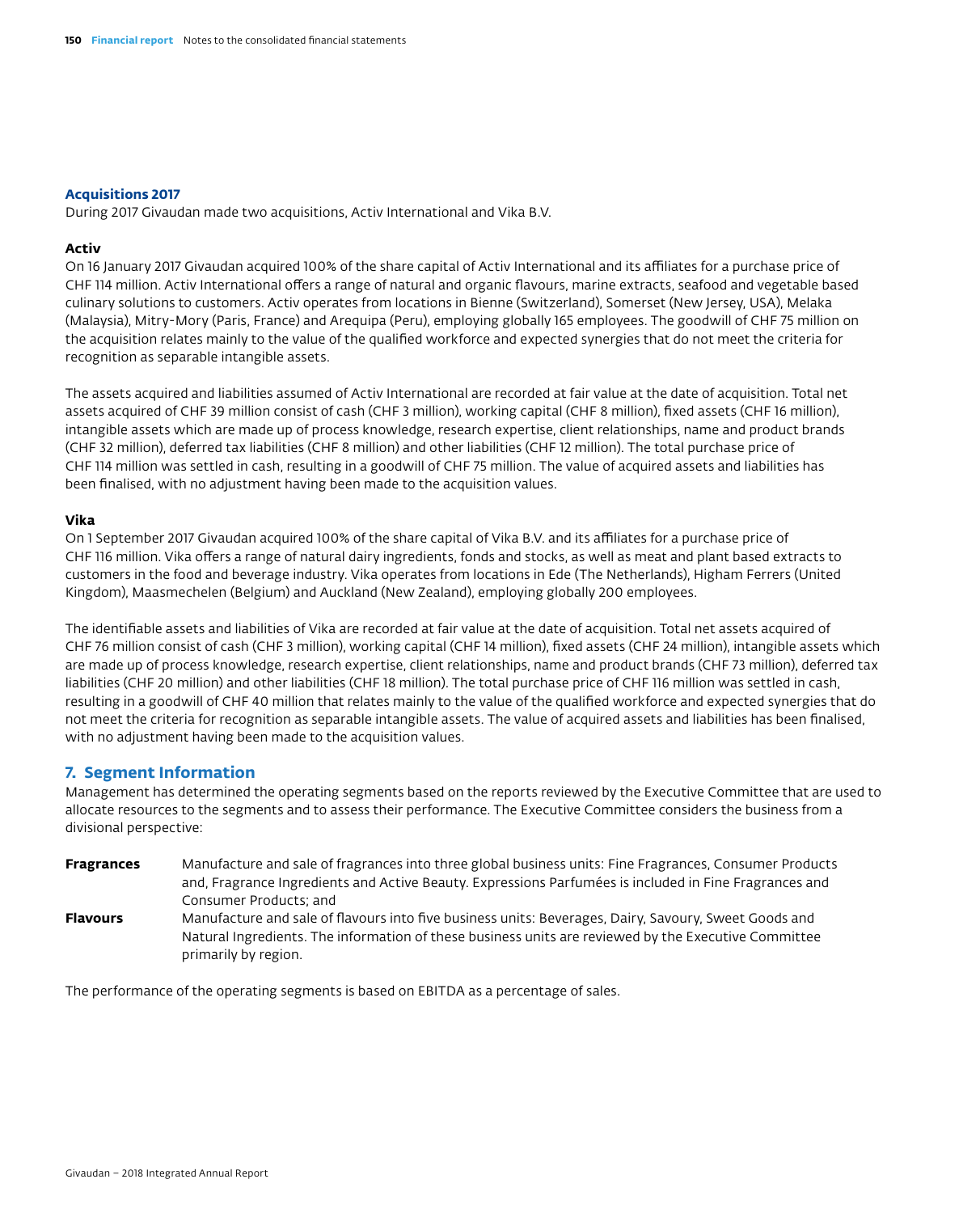#### <span id="page-32-0"></span>**Acquisitions 2017**

During 2017 Givaudan made two acquisitions, Activ International and Vika B.V.

#### **Activ**

On 16 January 2017 Givaudan acquired 100% of the share capital of Activ International and its affiliates for a purchase price of CHF 114 million. Activ International offers a range of natural and organic flavours, marine extracts, seafood and vegetable based culinary solutions to customers. Activ operates from locations in Bienne (Switzerland), Somerset (New Jersey, USA), Melaka (Malaysia), Mitry-Mory (Paris, France) and Arequipa (Peru), employing globally 165 employees. The goodwill of CHF 75 million on the acquisition relates mainly to the value of the qualified workforce and expected synergies that do not meet the criteria for recognition as separable intangible assets.

The assets acquired and liabilities assumed of Activ International are recorded at fair value at the date of acquisition. Total net assets acquired of CHF 39 million consist of cash (CHF 3 million), working capital (CHF 8 million), fixed assets (CHF 16 million), intangible assets which are made up of process knowledge, research expertise, client relationships, name and product brands (CHF 32 million), deferred tax liabilities (CHF 8 million) and other liabilities (CHF 12 million). The total purchase price of CHF 114 million was settled in cash, resulting in a goodwill of CHF 75 million. The value of acquired assets and liabilities has been finalised, with no adjustment having been made to the acquisition values.

#### **Vika**

On 1 September 2017 Givaudan acquired 100% of the share capital of Vika B.V. and its affiliates for a purchase price of CHF 116 million. Vika offers a range of natural dairy ingredients, fonds and stocks, as well as meat and plant based extracts to customers in the food and beverage industry. Vika operates from locations in Ede (The Netherlands), Higham Ferrers (United Kingdom), Maasmechelen (Belgium) and Auckland (New Zealand), employing globally 200 employees.

The identifiable assets and liabilities of Vika are recorded at fair value at the date of acquisition. Total net assets acquired of CHF 76 million consist of cash (CHF 3 million), working capital (CHF 14 million), fixed assets (CHF 24 million), intangible assets which are made up of process knowledge, research expertise, client relationships, name and product brands (CHF 73 million), deferred tax liabilities (CHF 20 million) and other liabilities (CHF 18 million). The total purchase price of CHF 116 million was settled in cash, resulting in a goodwill of CHF 40 million that relates mainly to the value of the qualified workforce and expected synergies that do not meet the criteria for recognition as separable intangible assets. The value of acquired assets and liabilities has been finalised, with no adjustment having been made to the acquisition values.

## **7. Segment Information**

Management has determined the operating segments based on the reports reviewed by the Executive Committee that are used to allocate resources to the segments and to assess their performance. The Executive Committee considers the business from a divisional perspective:

| <b>Fragrances</b> | Manufacture and sale of fragrances into three global business units: Fine Fragrances, Consumer Products                      |
|-------------------|------------------------------------------------------------------------------------------------------------------------------|
|                   | and, Fragrance Ingredients and Active Beauty. Expressions Parfumées is included in Fine Fragrances and                       |
|                   | Consumer Products; and                                                                                                       |
| <b>Flavours</b>   | Manufacture and sale of flavours into five business units: Beverages, Dairy, Savoury, Sweet Goods and                        |
|                   | Natural Ingredients. The information of these business units are reviewed by the Executive Committee<br>primarily by region. |

The performance of the operating segments is based on EBITDA as a percentage of sales.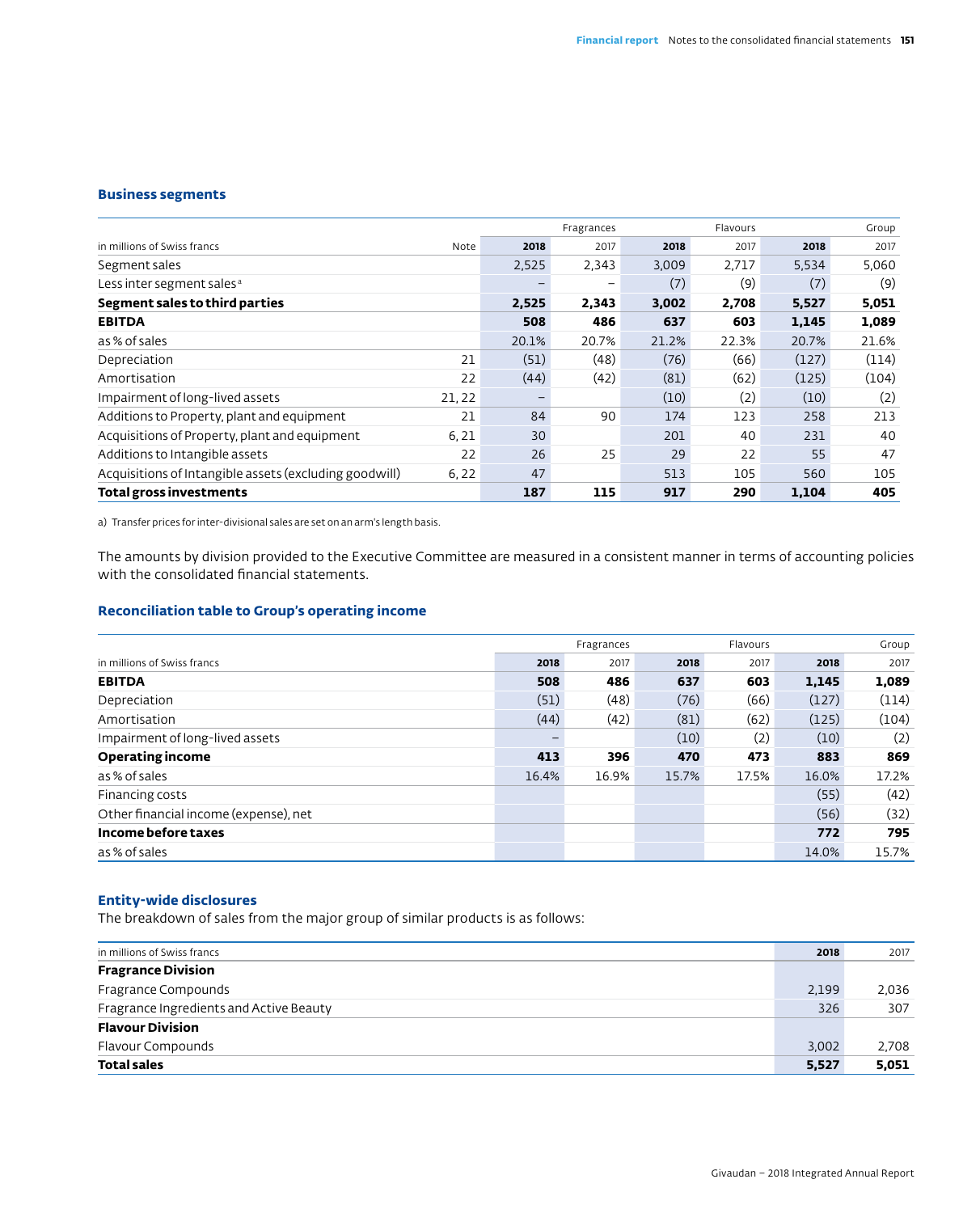#### **Business segments**

|                                                        |        |       | Fragrances |       | Flavours |       | Group |
|--------------------------------------------------------|--------|-------|------------|-------|----------|-------|-------|
| in millions of Swiss francs                            | Note   | 2018  | 2017       | 2018  | 2017     | 2018  | 2017  |
| Segment sales                                          |        | 2,525 | 2,343      | 3,009 | 2,717    | 5,534 | 5,060 |
| Less inter segment sales <sup>a</sup>                  |        |       |            | (7)   | (9)      | (7)   | (9)   |
| Segment sales to third parties                         |        | 2,525 | 2,343      | 3,002 | 2,708    | 5,527 | 5,051 |
| <b>EBITDA</b>                                          |        | 508   | 486        | 637   | 603      | 1,145 | 1,089 |
| as % of sales                                          |        | 20.1% | 20.7%      | 21.2% | 22.3%    | 20.7% | 21.6% |
| Depreciation                                           | 21     | (51)  | (48)       | (76)  | (66)     | (127) | (114) |
| Amortisation                                           | 22     | (44)  | (42)       | (81)  | (62)     | (125) | (104) |
| Impairment of long-lived assets                        | 21, 22 |       |            | (10)  | (2)      | (10)  | (2)   |
| Additions to Property, plant and equipment             | 21     | 84    | 90         | 174   | 123      | 258   | 213   |
| Acquisitions of Property, plant and equipment          | 6, 21  | 30    |            | 201   | 40       | 231   | 40    |
| Additions to Intangible assets                         | 22     | 26    | 25         | 29    | 22       | 55    | 47    |
| Acquisitions of Intangible assets (excluding goodwill) | 6, 22  | 47    |            | 513   | 105      | 560   | 105   |
| <b>Total gross investments</b>                         |        | 187   | 115        | 917   | 290      | 1,104 | 405   |

a) Transfer prices for inter-divisional sales are set on an arm's length basis.

The amounts by division provided to the Executive Committee are measured in a consistent manner in terms of accounting policies with the consolidated financial statements.

#### **Reconciliation table to Group's operating income**

|                                       |       | Fragrances |       | Flavours |       | Group |
|---------------------------------------|-------|------------|-------|----------|-------|-------|
| in millions of Swiss francs           | 2018  | 2017       | 2018  | 2017     | 2018  | 2017  |
| <b>EBITDA</b>                         | 508   | 486        | 637   | 603      | 1,145 | 1,089 |
| Depreciation                          | (51)  | (48)       | (76)  | (66)     | (127) | (114) |
| Amortisation                          | (44)  | (42)       | (81)  | (62)     | (125) | (104) |
| Impairment of long-lived assets       |       |            | (10)  | (2)      | (10)  | (2)   |
| <b>Operating income</b>               | 413   | 396        | 470   | 473      | 883   | 869   |
| as % of sales                         | 16.4% | 16.9%      | 15.7% | 17.5%    | 16.0% | 17.2% |
| Financing costs                       |       |            |       |          | (55)  | (42)  |
| Other financial income (expense), net |       |            |       |          | (56)  | (32)  |
| Income before taxes                   |       |            |       |          | 772   | 795   |
| as % of sales                         |       |            |       |          | 14.0% | 15.7% |

#### **Entity-wide disclosures**

The breakdown of sales from the major group of similar products is as follows:

| in millions of Swiss francs             | 2018  | 2017  |
|-----------------------------------------|-------|-------|
| <b>Fragrance Division</b>               |       |       |
| Fragrance Compounds                     | 2,199 | 2,036 |
| Fragrance Ingredients and Active Beauty | 326   | 307   |
| <b>Flavour Division</b>                 |       |       |
| Flavour Compounds                       | 3,002 | 2.708 |
| <b>Total sales</b>                      | 5,527 | 5,051 |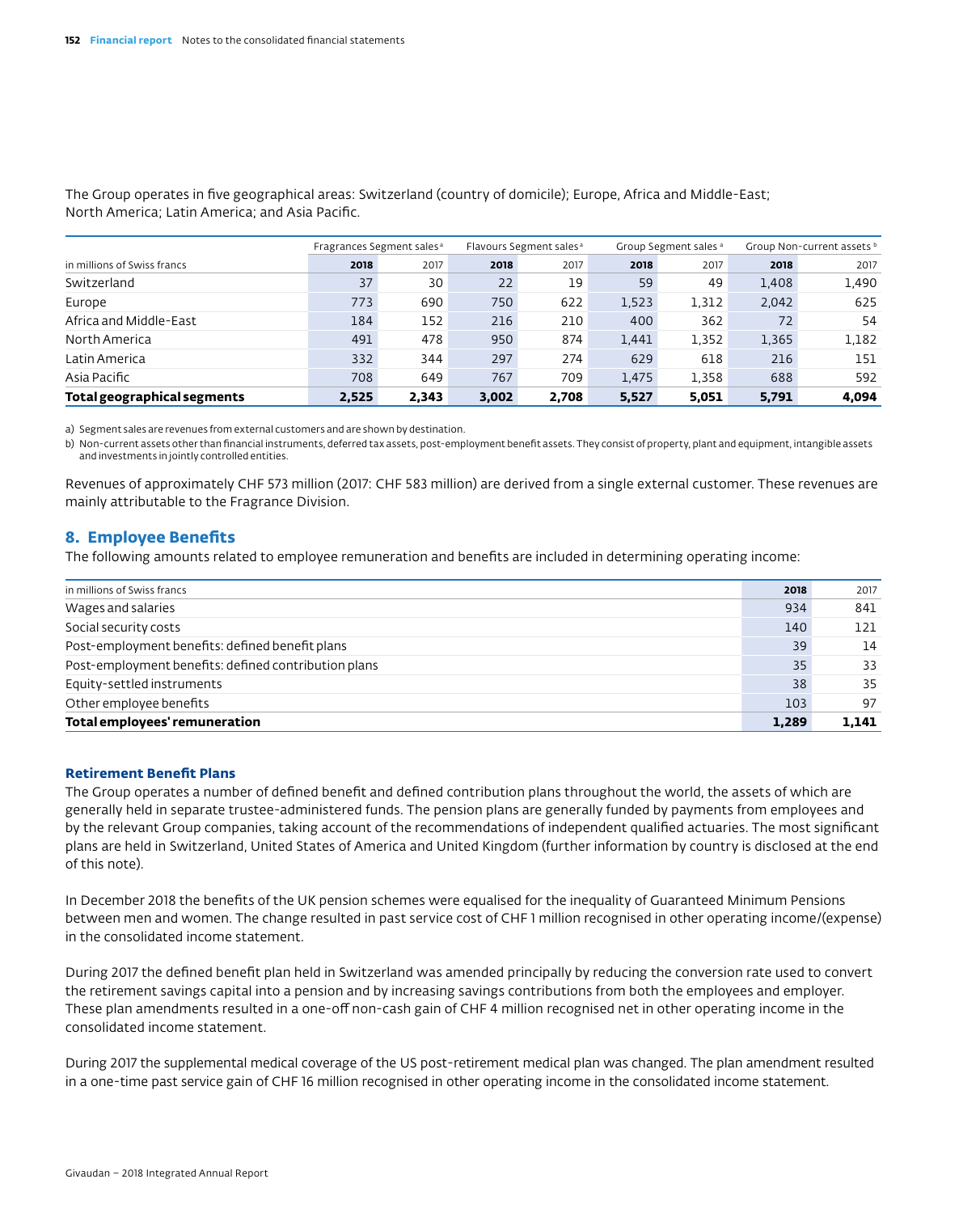|                             | Fragrances Segment sales <sup>a</sup> |       |       | Flavours Segment sales <sup>a</sup> | Group Segment sales a |       | Group Non-current assets b |       |
|-----------------------------|---------------------------------------|-------|-------|-------------------------------------|-----------------------|-------|----------------------------|-------|
| in millions of Swiss francs | 2018                                  | 2017  | 2018  | 2017                                | 2018                  | 2017  | 2018                       | 2017  |
| Switzerland                 | 37                                    | 30    | 22    | 19                                  | 59                    | 49    | 1,408                      | 1,490 |
| Europe                      | 773                                   | 690   | 750   | 622                                 | 1,523                 | 1,312 | 2,042                      | 625   |
| Africa and Middle-East      | 184                                   | 152   | 216   | 210                                 | 400                   | 362   | 72                         | 54    |
| North America               | 491                                   | 478   | 950   | 874                                 | 1.441                 | 1,352 | 1,365                      | 1,182 |
| Latin America               | 332                                   | 344   | 297   | 274                                 | 629                   | 618   | 216                        | 151   |
| Asia Pacific                | 708                                   | 649   | 767   | 709                                 | 1.475                 | 1,358 | 688                        | 592   |
| Total geographical segments | 2.525                                 | 2.343 | 3.002 | 2.708                               | 5,527                 | 5.051 | 5,791                      | 4.094 |

<span id="page-34-0"></span>The Group operates in five geographical areas: Switzerland (country of domicile); Europe, Africa and Middle-East; North America; Latin America; and Asia Pacific.

a) Segment sales are revenues from external customers and are shown by destination.

b) Non-current assets other than financial instruments, deferred tax assets, post-employment benefit assets. They consist of property, plant and equipment, intangible assets and investments in jointly controlled entities.

Revenues of approximately CHF 573 million (2017: CHF 583 million) are derived from a single external customer. These revenues are mainly attributable to the Fragrance Division.

## **8. Employee Benefits**

The following amounts related to employee remuneration and benefits are included in determining operating income:

| <b>Total employees' remuneration</b>                 | 1.289 | 1.141 |
|------------------------------------------------------|-------|-------|
| Other employee benefits                              | 103   | 97    |
| Equity-settled instruments                           | 38    | 35    |
| Post-employment benefits: defined contribution plans | 35    | 33    |
| Post-employment benefits: defined benefit plans      | 39    | 14    |
| Social security costs                                | 140   | 121   |
| Wages and salaries                                   | 934   | 841   |
| in millions of Swiss francs                          | 2018  | 2017  |

#### **Retirement Benefit Plans**

The Group operates a number of defined benefit and defined contribution plans throughout the world, the assets of which are generally held in separate trustee-administered funds. The pension plans are generally funded by payments from employees and by the relevant Group companies, taking account of the recommendations of independent qualified actuaries. The most significant plans are held in Switzerland, United States of America and United Kingdom (further information by country is disclosed at the end of this note).

In December 2018 the benefits of the UK pension schemes were equalised for the inequality of Guaranteed Minimum Pensions between men and women. The change resulted in past service cost of CHF 1 million recognised in other operating income/(expense) in the consolidated income statement.

During 2017 the defined benefit plan held in Switzerland was amended principally by reducing the conversion rate used to convert the retirement savings capital into a pension and by increasing savings contributions from both the employees and employer. These plan amendments resulted in a one-off non-cash gain of CHF 4 million recognised net in other operating income in the consolidated income statement.

During 2017 the supplemental medical coverage of the US post-retirement medical plan was changed. The plan amendment resulted in a one-time past service gain of CHF 16 million recognised in other operating income in the consolidated income statement.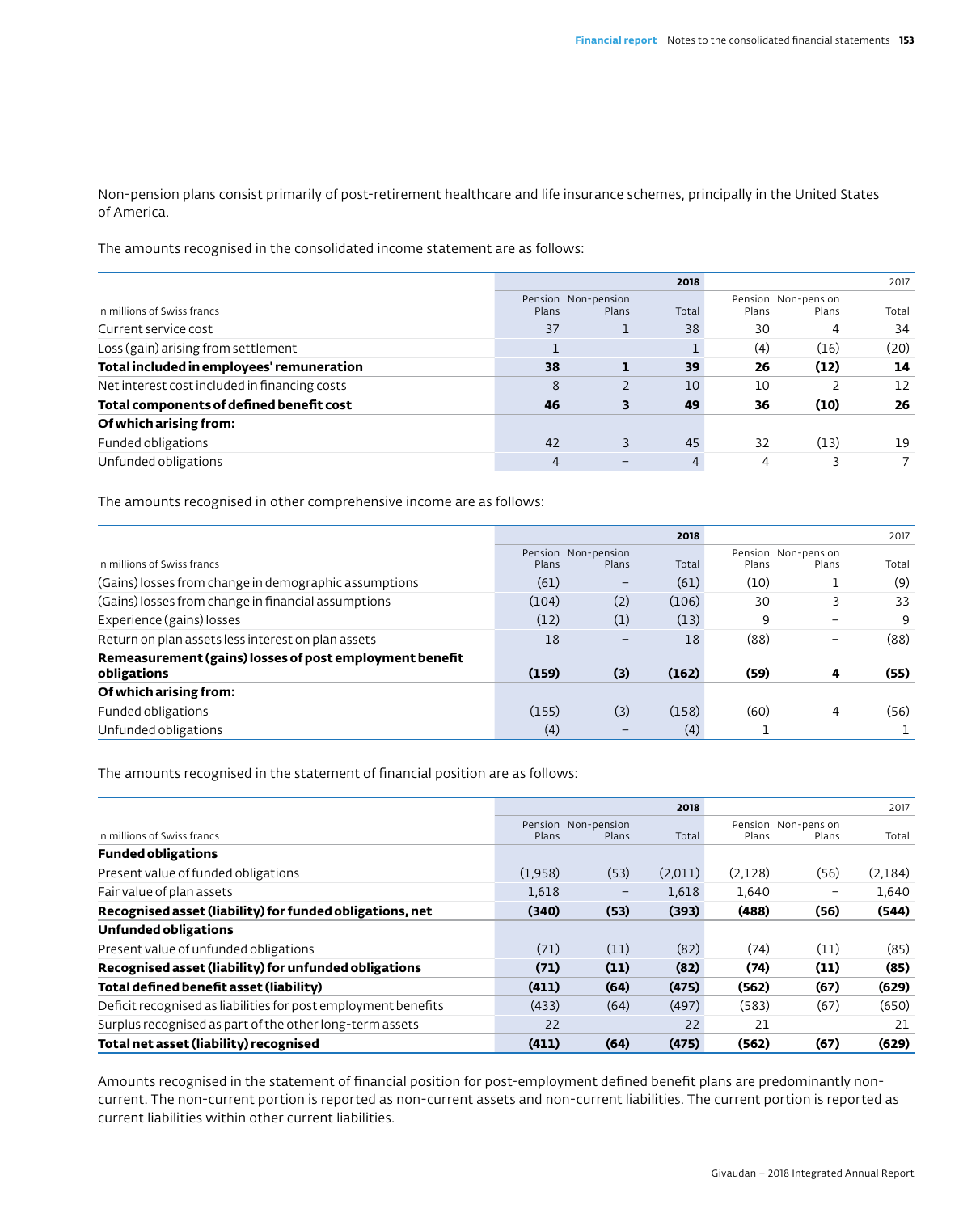Non-pension plans consist primarily of post-retirement healthcare and life insurance schemes, principally in the United States of America.

The amounts recognised in the consolidated income statement are as follows:

| 2018                |       |       |                     |       |       |  |
|---------------------|-------|-------|---------------------|-------|-------|--|
| Pension Non-pension |       |       | Pension Non-pension |       |       |  |
| <b>Plans</b>        | Plans | Total | Plans               | Plans | Total |  |
| 37                  | ᆠ     | 38    | 30                  | 4     | 34    |  |
|                     |       |       | (4)                 | (16)  | (20)  |  |
| 38                  | ı     | 39    | 26                  | (12)  | 14    |  |
| 8                   |       | 10    | 10                  |       | 12    |  |
| 46                  | 3     | 49    | 36                  | (10)  | 26    |  |
|                     |       |       |                     |       |       |  |
| 42                  | 3     | 45    | 32                  | (13)  | 19    |  |
| 4                   |       | 4     | 4                   |       |       |  |
|                     |       |       |                     |       |       |  |

The amounts recognised in other comprehensive income are as follows:

|                                                         |                     |                   | 2018  | 2017                |                          |       |  |
|---------------------------------------------------------|---------------------|-------------------|-------|---------------------|--------------------------|-------|--|
|                                                         | Pension Non-pension |                   |       | Pension Non-pension |                          |       |  |
| in millions of Swiss francs                             | Plans               | Plans             | Total | Plans               | Plans                    | Total |  |
| (Gains) losses from change in demographic assumptions   | (61)                | $\qquad \qquad -$ | (61)  | (10)                |                          | (9)   |  |
| (Gains) losses from change in financial assumptions     | (104)               | (2)               | (106) | 30                  | 3                        | 33    |  |
| Experience (gains) losses                               | (12)                | (1)               | (13)  | 9                   | $\overline{\phantom{0}}$ | 9     |  |
| Return on plan assets less interest on plan assets      | 18                  |                   | 18    | (88)                | -                        | (88)  |  |
| Remeasurement (gains) losses of post employment benefit |                     |                   |       |                     |                          |       |  |
| obligations                                             | (159)               | (3)               | (162) | (59)                | 4                        | (55)  |  |
| Of which arising from:                                  |                     |                   |       |                     |                          |       |  |
| Funded obligations                                      | (155)               | (3)               | (158) | (60)                | 4                        | (56)  |  |
| Unfunded obligations                                    | (4)                 |                   | (4)   |                     |                          |       |  |

The amounts recognised in the statement of financial position are as follows:

|                                                                | 2018                         |                   |         |         |                              | 2017    |  |  |  |
|----------------------------------------------------------------|------------------------------|-------------------|---------|---------|------------------------------|---------|--|--|--|
| in millions of Swiss francs                                    | Pension Non-pension<br>Plans | Plans             | Total   | Plans   | Pension Non-pension<br>Plans | Total   |  |  |  |
| <b>Funded obligations</b>                                      |                              |                   |         |         |                              |         |  |  |  |
| Present value of funded obligations                            | (1,958)                      | (53)              | (2,011) | (2,128) | (56)                         | (2,184) |  |  |  |
| Fair value of plan assets                                      | 1,618                        | $\qquad \qquad -$ | 1,618   | 1,640   | -                            | 1,640   |  |  |  |
| Recognised asset (liability) for funded obligations, net       | (340)                        | (53)              | (393)   | (488)   | (56)                         | (544)   |  |  |  |
| Unfunded obligations                                           |                              |                   |         |         |                              |         |  |  |  |
| Present value of unfunded obligations                          | (71)                         | (11)              | (82)    | (74)    | (11)                         | (85)    |  |  |  |
| Recognised asset (liability) for unfunded obligations          | (71)                         | (11)              | (82)    | (74)    | (11)                         | (85)    |  |  |  |
| Total defined benefit asset (liability)                        | (411)                        | (64)              | (475)   | (562)   | (67)                         | (629)   |  |  |  |
| Deficit recognised as liabilities for post employment benefits | (433)                        | (64)              | (497)   | (583)   | (67)                         | (650)   |  |  |  |
| Surplus recognised as part of the other long-term assets       | 22                           |                   | 22      | 21      |                              | 21      |  |  |  |
| Total net asset (liability) recognised                         | (411)                        | (64)              | (475)   | (562)   | (67)                         | (629)   |  |  |  |

Amounts recognised in the statement of financial position for post-employment defined benefit plans are predominantly noncurrent. The non-current portion is reported as non-current assets and non-current liabilities. The current portion is reported as current liabilities within other current liabilities.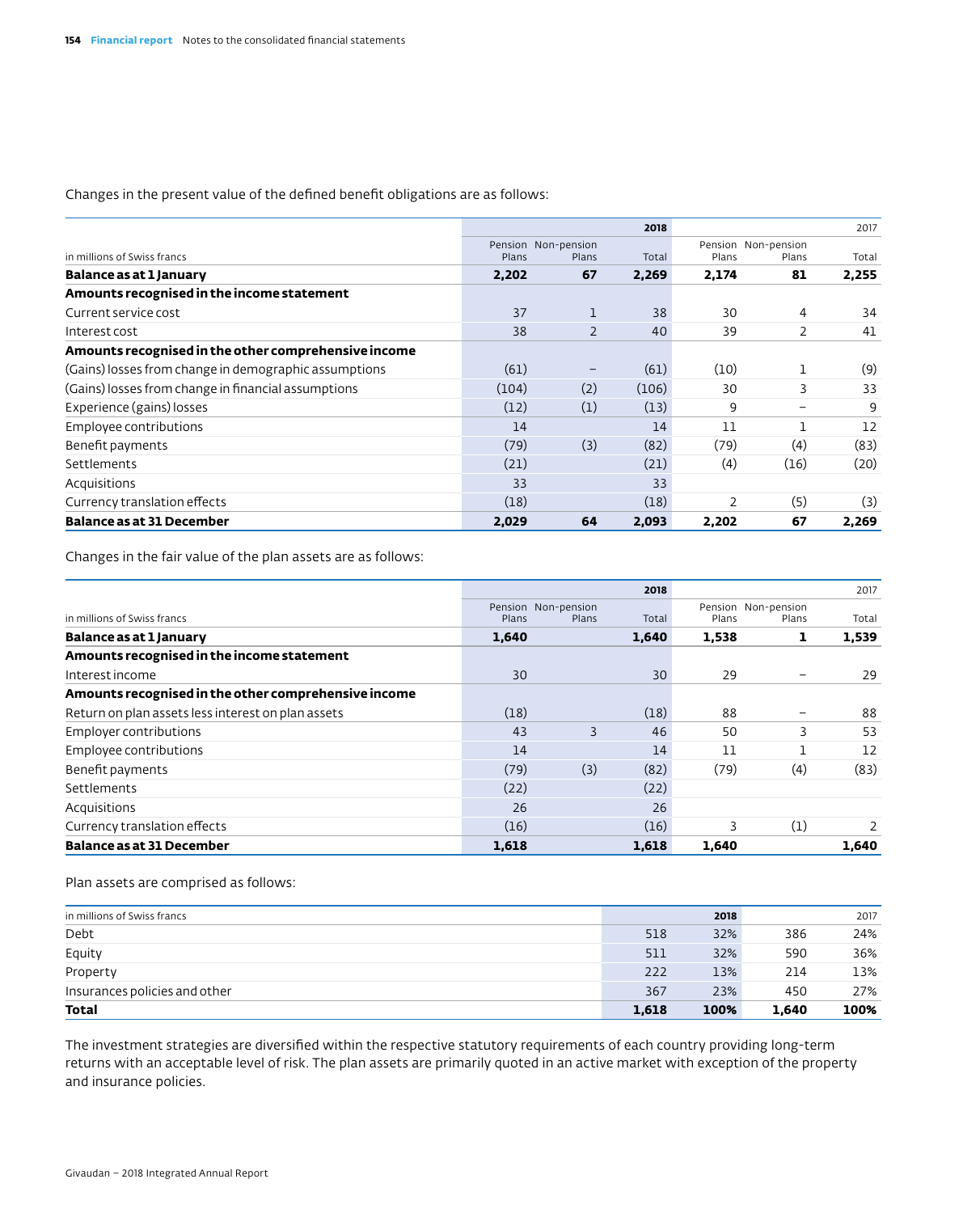Changes in the present value of the defined benefit obligations are as follows:

|                                                       |                              |                   | 2018  |                              |                          | 2017  |
|-------------------------------------------------------|------------------------------|-------------------|-------|------------------------------|--------------------------|-------|
| in millions of Swiss francs                           | Pension Non-pension<br>Plans | Plans             | Total | Pension Non-pension<br>Plans | Plans                    | Total |
| Balance as at 1 January                               | 2,202                        | 67                | 2,269 | 2,174                        | 81                       | 2,255 |
| Amounts recognised in the income statement            |                              |                   |       |                              |                          |       |
| Current service cost                                  | 37                           | 1                 | 38    | 30                           | 4                        | 34    |
| Interest cost                                         | 38                           | $\overline{2}$    | 40    | 39                           | 2                        | 41    |
| Amounts recognised in the other comprehensive income  |                              |                   |       |                              |                          |       |
| (Gains) losses from change in demographic assumptions | (61)                         | $\qquad \qquad -$ | (61)  | (10)                         | 1                        | (9)   |
| (Gains) losses from change in financial assumptions   | (104)                        | (2)               | (106) | 30                           | 3                        | 33    |
| Experience (gains) losses                             | (12)                         | (1)               | (13)  | 9                            | $\overline{\phantom{0}}$ | 9     |
| Employee contributions                                | 14                           |                   | 14    | 11                           |                          | 12    |
| Benefit payments                                      | (79)                         | (3)               | (82)  | (79)                         | (4)                      | (83)  |
| Settlements                                           | (21)                         |                   | (21)  | (4)                          | (16)                     | (20)  |
| Acquisitions                                          | 33                           |                   | 33    |                              |                          |       |
| Currency translation effects                          | (18)                         |                   | (18)  | $\overline{2}$               | (5)                      | (3)   |
| <b>Balance as at 31 December</b>                      | 2,029                        | 64                | 2,093 | 2,202                        | 67                       | 2,269 |

Changes in the fair value of the plan assets are as follows:

|                                                      |       |                              | 2018  |       |                              | 2017  |
|------------------------------------------------------|-------|------------------------------|-------|-------|------------------------------|-------|
| in millions of Swiss francs                          | Plans | Pension Non-pension<br>Plans | Total | Plans | Pension Non-pension<br>Plans | Total |
|                                                      |       |                              |       |       |                              |       |
| Balance as at 1 January                              | 1,640 |                              | 1,640 | 1,538 | ı                            | 1,539 |
| Amounts recognised in the income statement           |       |                              |       |       |                              |       |
| Interest income                                      | 30    |                              | 30    | 29    |                              | 29    |
| Amounts recognised in the other comprehensive income |       |                              |       |       |                              |       |
| Return on plan assets less interest on plan assets   | (18)  |                              | (18)  | 88    | -                            | 88    |
| <b>Employer contributions</b>                        | 43    | 3                            | 46    | 50    | 3                            | 53    |
| Employee contributions                               | 14    |                              | 14    | 11    |                              | 12    |
| Benefit payments                                     | (79)  | (3)                          | (82)  | (79)  | (4)                          | (83)  |
| Settlements                                          | (22)  |                              | (22)  |       |                              |       |
| Acquisitions                                         | 26    |                              | 26    |       |                              |       |
| Currency translation effects                         | (16)  |                              | (16)  | 3     | (1)                          |       |
| <b>Balance as at 31 December</b>                     | 1,618 |                              | 1,618 | 1.640 |                              | 1.640 |

#### Plan assets are comprised as follows:

| in millions of Swiss francs   |       | 2018 |       | 2017 |
|-------------------------------|-------|------|-------|------|
|                               |       |      |       |      |
| Debt                          | 518   | 32%  | 386   | 24%  |
| Equity                        | 511   | 32%  | 590   | 36%  |
| Property                      | 222   | 13%  | 214   | 13%  |
| Insurances policies and other | 367   | 23%  | 450   | 27%  |
| Total                         | 1,618 | 100% | 1.640 | 100% |

The investment strategies are diversified within the respective statutory requirements of each country providing long-term returns with an acceptable level of risk. The plan assets are primarily quoted in an active market with exception of the property and insurance policies.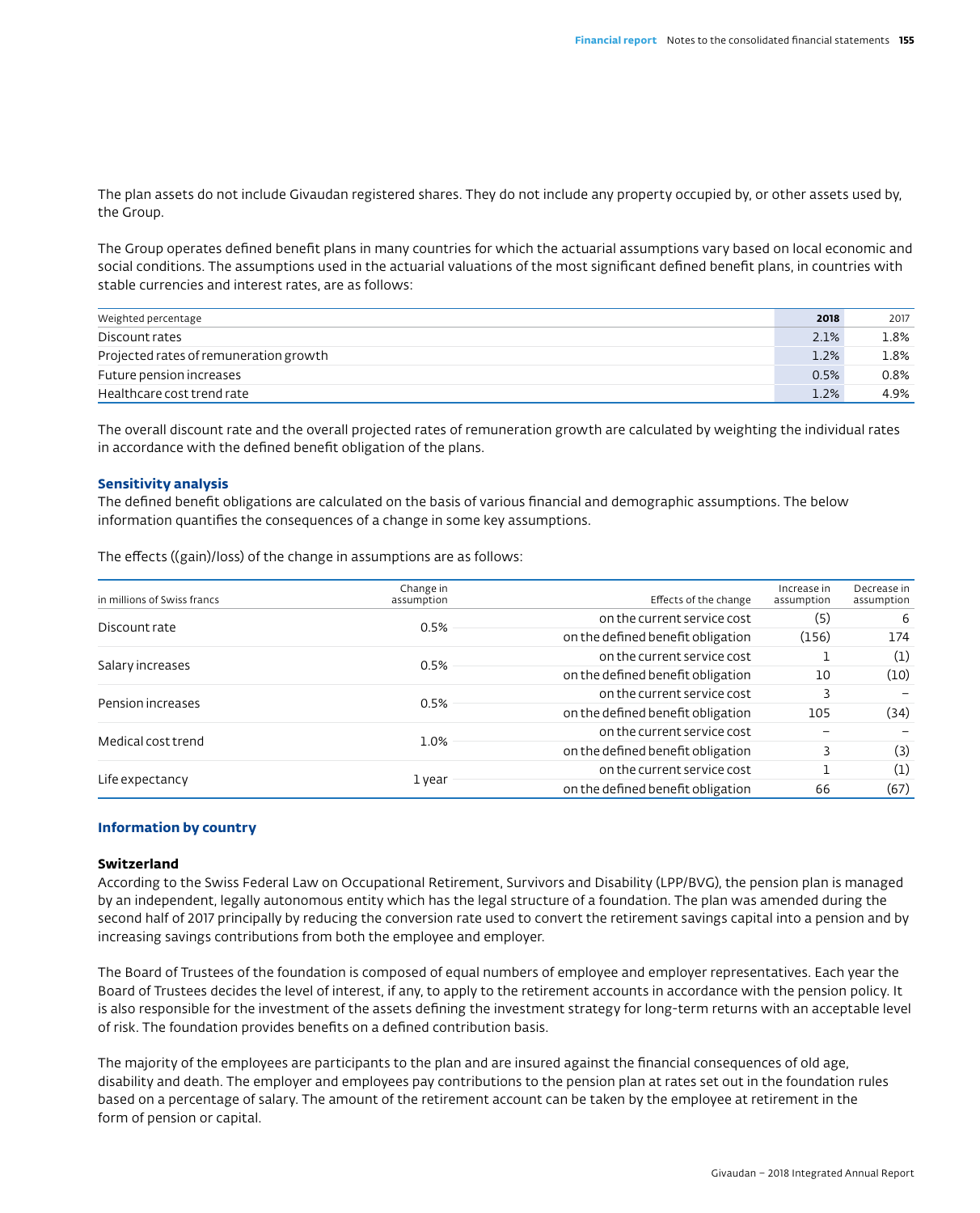The plan assets do not include Givaudan registered shares. They do not include any property occupied by, or other assets used by, the Group.

The Group operates defined benefit plans in many countries for which the actuarial assumptions vary based on local economic and social conditions. The assumptions used in the actuarial valuations of the most significant defined benefit plans, in countries with stable currencies and interest rates, are as follows:

| Weighted percentage                    | 2018 | 2017 |
|----------------------------------------|------|------|
| Discount rates                         | 2.1% | 1.8% |
| Projected rates of remuneration growth | 1.2% | 1.8% |
| Future pension increases               | 0.5% | 0.8% |
| Healthcare cost trend rate             | 1.2% | 4.9% |

The overall discount rate and the overall projected rates of remuneration growth are calculated by weighting the individual rates in accordance with the defined benefit obligation of the plans.

#### **Sensitivity analysis**

The defined benefit obligations are calculated on the basis of various financial and demographic assumptions. The below information quantifies the consequences of a change in some key assumptions.

The effects ((gain)/loss) of the change in assumptions are as follows:

| in millions of Swiss francs | Change in<br>assumption | Effects of the change             | Increase in<br>assumption | Decrease in<br>assumption |
|-----------------------------|-------------------------|-----------------------------------|---------------------------|---------------------------|
|                             |                         | on the current service cost       | (5)                       | 6                         |
| Discount rate               | 0.5%                    | on the defined benefit obligation | (156)                     | 174                       |
|                             | 0.5%                    | on the current service cost       |                           | (1)                       |
| Salary increases            |                         | on the defined benefit obligation | 10                        | (10)                      |
| Pension increases           | 0.5%                    | on the current service cost       |                           |                           |
|                             |                         | on the defined benefit obligation | 105                       | (34)                      |
| Medical cost trend          | 1.0%                    | on the current service cost       |                           |                           |
|                             |                         | on the defined benefit obligation |                           | (3)                       |
|                             |                         | on the current service cost       |                           | (1)                       |
| Life expectancy             | 1 year                  | on the defined benefit obligation | 66                        | (67)                      |

#### **Information by country**

#### **Switzerland**

According to the Swiss Federal Law on Occupational Retirement, Survivors and Disability (LPP/BVG), the pension plan is managed by an independent, legally autonomous entity which has the legal structure of a foundation. The plan was amended during the second half of 2017 principally by reducing the conversion rate used to convert the retirement savings capital into a pension and by increasing savings contributions from both the employee and employer.

The Board of Trustees of the foundation is composed of equal numbers of employee and employer representatives. Each year the Board of Trustees decides the level of interest, if any, to apply to the retirement accounts in accordance with the pension policy. It is also responsible for the investment of the assets defining the investment strategy for long-term returns with an acceptable level of risk. The foundation provides benefits on a defined contribution basis.

The majority of the employees are participants to the plan and are insured against the financial consequences of old age, disability and death. The employer and employees pay contributions to the pension plan at rates set out in the foundation rules based on a percentage of salary. The amount of the retirement account can be taken by the employee at retirement in the form of pension or capital.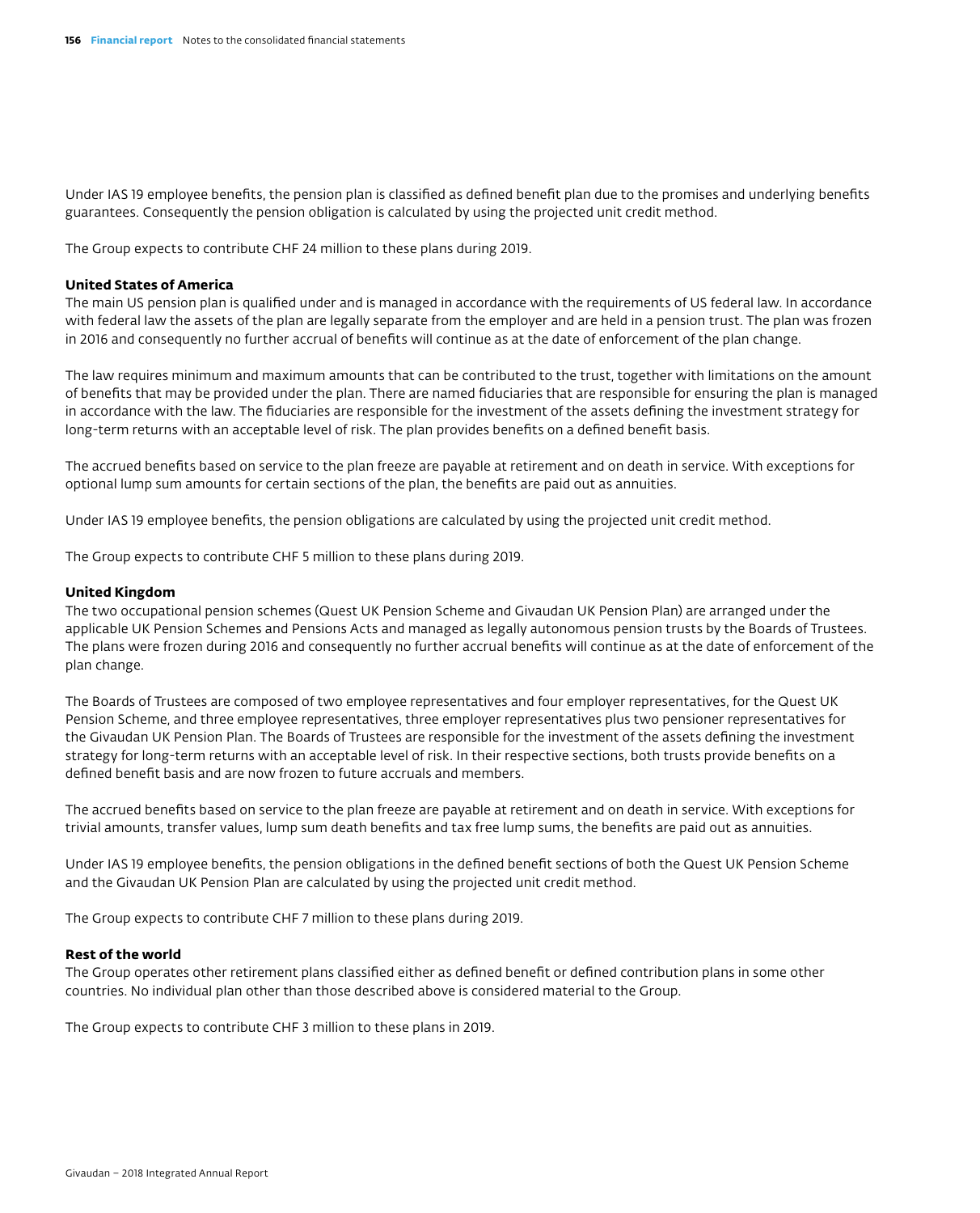Under IAS 19 employee benefits, the pension plan is classified as defined benefit plan due to the promises and underlying benefits guarantees. Consequently the pension obligation is calculated by using the projected unit credit method.

The Group expects to contribute CHF 24 million to these plans during 2019.

#### **United States of America**

The main US pension plan is qualified under and is managed in accordance with the requirements of US federal law. In accordance with federal law the assets of the plan are legally separate from the employer and are held in a pension trust. The plan was frozen in 2016 and consequently no further accrual of benefits will continue as at the date of enforcement of the plan change.

The law requires minimum and maximum amounts that can be contributed to the trust, together with limitations on the amount of benefits that may be provided under the plan. There are named fiduciaries that are responsible for ensuring the plan is managed in accordance with the law. The fiduciaries are responsible for the investment of the assets defining the investment strategy for long-term returns with an acceptable level of risk. The plan provides benefits on a defined benefit basis.

The accrued benefits based on service to the plan freeze are payable at retirement and on death in service. With exceptions for optional lump sum amounts for certain sections of the plan, the benefits are paid out as annuities.

Under IAS 19 employee benefits, the pension obligations are calculated by using the projected unit credit method.

The Group expects to contribute CHF 5 million to these plans during 2019.

#### **United Kingdom**

The two occupational pension schemes (Quest UK Pension Scheme and Givaudan UK Pension Plan) are arranged under the applicable UK Pension Schemes and Pensions Acts and managed as legally autonomous pension trusts by the Boards of Trustees. The plans were frozen during 2016 and consequently no further accrual benefits will continue as at the date of enforcement of the plan change.

The Boards of Trustees are composed of two employee representatives and four employer representatives, for the Quest UK Pension Scheme, and three employee representatives, three employer representatives plus two pensioner representatives for the Givaudan UK Pension Plan. The Boards of Trustees are responsible for the investment of the assets defining the investment strategy for long-term returns with an acceptable level of risk. In their respective sections, both trusts provide benefits on a defined benefit basis and are now frozen to future accruals and members.

The accrued benefits based on service to the plan freeze are payable at retirement and on death in service. With exceptions for trivial amounts, transfer values, lump sum death benefits and tax free lump sums, the benefits are paid out as annuities.

Under IAS 19 employee benefits, the pension obligations in the defined benefit sections of both the Quest UK Pension Scheme and the Givaudan UK Pension Plan are calculated by using the projected unit credit method.

The Group expects to contribute CHF 7 million to these plans during 2019.

#### **Rest of the world**

The Group operates other retirement plans classified either as defined benefit or defined contribution plans in some other countries. No individual plan other than those described above is considered material to the Group.

The Group expects to contribute CHF 3 million to these plans in 2019.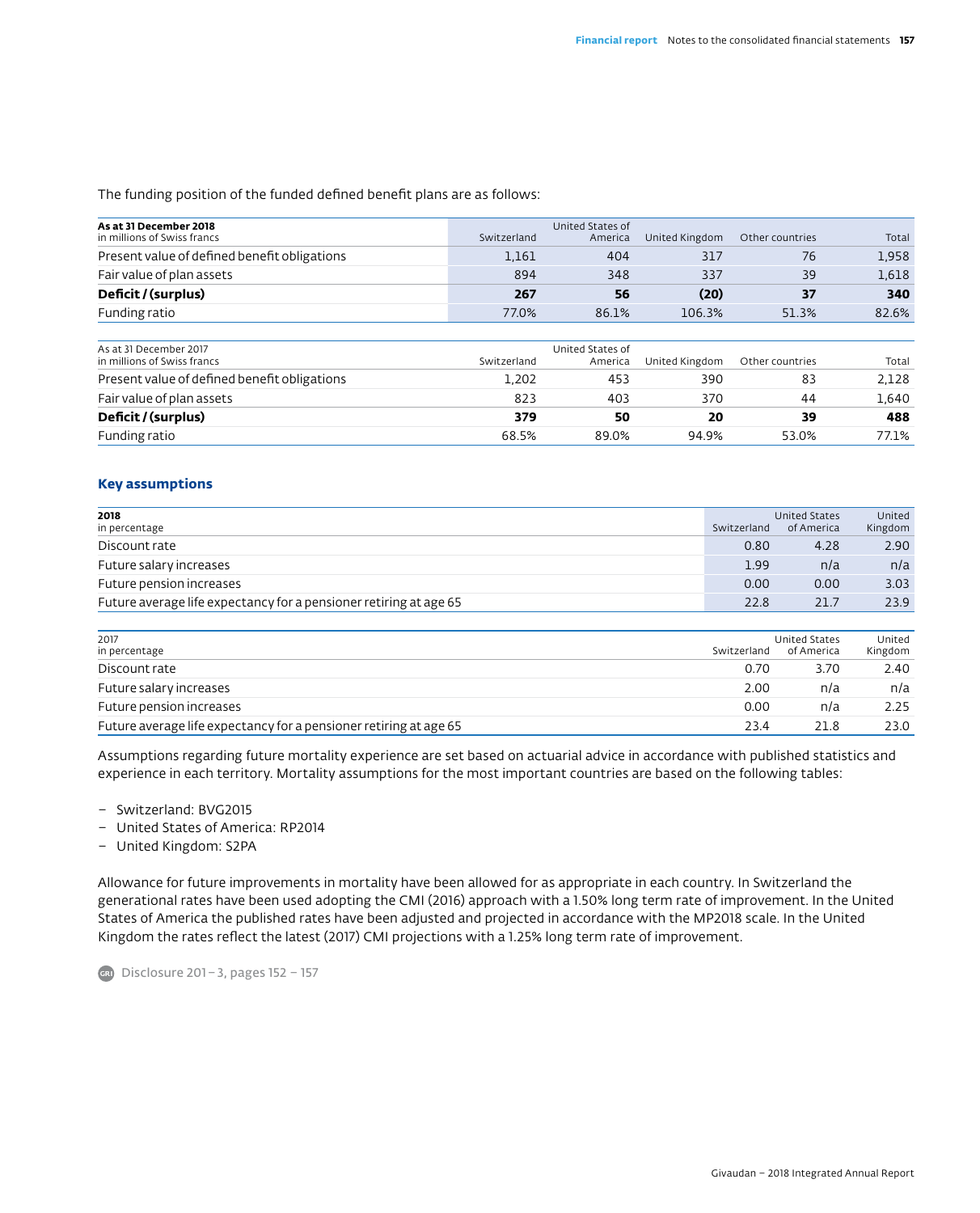The funding position of the funded defined benefit plans are as follows:

| As at 31 December 2018                                |             | United States of            |                |                 |       |
|-------------------------------------------------------|-------------|-----------------------------|----------------|-----------------|-------|
| in millions of Swiss francs                           | Switzerland | America                     | United Kingdom | Other countries | Total |
| Present value of defined benefit obligations          | 1,161       | 404                         | 317            | 76              | 1,958 |
| Fair value of plan assets                             | 894         | 348                         | 337            | 39              | 1,618 |
| Deficit / (surplus)                                   | 267         | 56                          | (20)           | 37              | 340   |
| Funding ratio                                         | 77.0%       | 86.1%                       | 106.3%         | 51.3%           | 82.6% |
|                                                       |             |                             |                |                 |       |
| As at 31 December 2017<br>in millions of Swiss francs | Switzerland | United States of<br>America | United Kingdom | Other countries | Total |
| Present value of defined benefit obligations          | 1,202       | 453                         | 390            | 83              | 2,128 |
| Fair value of plan assets                             | 823         | 403                         | 370            | 44              | 1.640 |
| Deficit / (surplus)                                   | 379         | 50                          | 20             | 39              | 488   |
| Funding ratio                                         | 68.5%       | 89.0%                       | 94.9%          | 53.0%           | 77.1% |
|                                                       |             |                             |                |                 |       |

#### **Key assumptions**

| 2018<br>in percentage                                             | Switzerland | United States<br>of America | United<br>Kingdom |
|-------------------------------------------------------------------|-------------|-----------------------------|-------------------|
| Discount rate                                                     | 0.80        | 4.28                        | 2.90              |
| Future salary increases                                           | 1.99        | n/a                         | n/a               |
| Future pension increases                                          | 0.00        | 0.00                        | 3.03              |
| Future average life expectancy for a pensioner retiring at age 65 | 22.8        | 21.7                        | 23.9              |
|                                                                   |             |                             |                   |
| 2017<br>in percentage                                             | Switzerland | United States<br>of America | United<br>Kingdom |
| Discount rate                                                     | 0.70        | 3.70                        | 2.40              |
| Future salary increases                                           | 2.00        | n/a                         | n/a               |
| Future pension increases                                          | 0.00        | n/a                         | 2.25              |
| Future average life expectancy for a pensioner retiring at age 65 | 23.4        | 21.8                        | 23.0              |

Assumptions regarding future mortality experience are set based on actuarial advice in accordance with published statistics and experience in each territory. Mortality assumptions for the most important countries are based on the following tables:

– Switzerland: BVG2015

– United States of America: RP2014

– United Kingdom: S2PA

Allowance for future improvements in mortality have been allowed for as appropriate in each country. In Switzerland the generational rates have been used adopting the CMI (2016) approach with a 1.50% long term rate of improvement. In the United States of America the published rates have been adjusted and projected in accordance with the MP2018 scale. In the United Kingdom the rates reflect the latest (2017) CMI projections with a 1.25% long term rate of improvement.

Disclosure 201–3, pages 152 – 157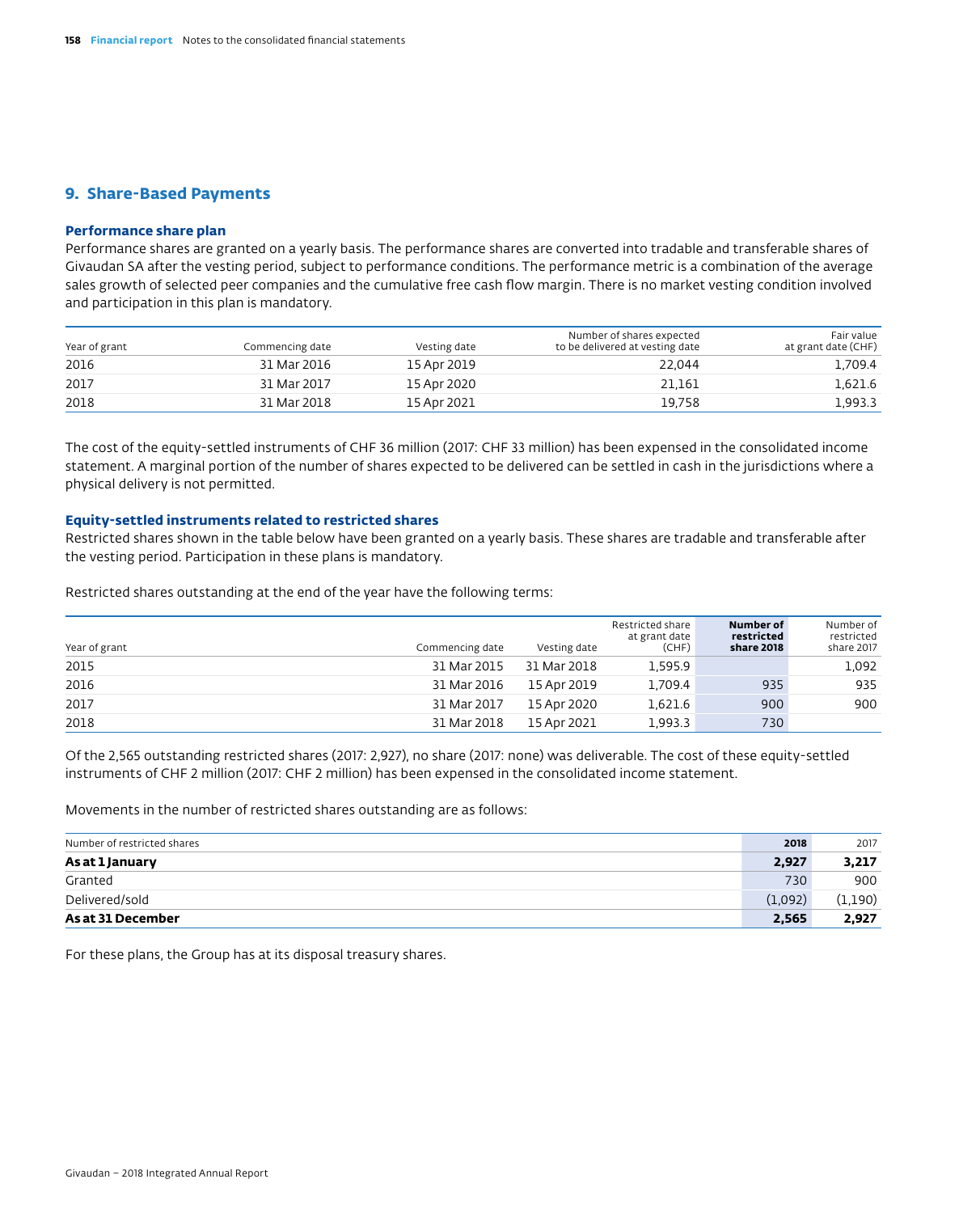#### **9. Share-Based Payments**

#### **Performance share plan**

Performance shares are granted on a yearly basis. The performance shares are converted into tradable and transferable shares of Givaudan SA after the vesting period, subject to performance conditions. The performance metric is a combination of the average sales growth of selected peer companies and the cumulative free cash flow margin. There is no market vesting condition involved and participation in this plan is mandatory.

| Year of grant | Commencing date | Vesting date | Number of shares expected<br>to be delivered at vesting date | Fair value<br>at grant date (CHF) |
|---------------|-----------------|--------------|--------------------------------------------------------------|-----------------------------------|
| 2016          | 31 Mar 2016     | 15 Apr 2019  | 22.044                                                       | 1,709.4                           |
| 2017          | 31 Mar 2017     | 15 Apr 2020  | 21.161                                                       | 1,621.6                           |
| 2018          | 31 Mar 2018     | 15 Apr 2021  | 19.758                                                       | 1.993.3                           |

The cost of the equity-settled instruments of CHF 36 million (2017: CHF 33 million) has been expensed in the consolidated income statement. A marginal portion of the number of shares expected to be delivered can be settled in cash in the jurisdictions where a physical delivery is not permitted.

#### **Equity-settled instruments related to restricted shares**

Restricted shares shown in the table below have been granted on a yearly basis. These shares are tradable and transferable after the vesting period. Participation in these plans is mandatory.

Restricted shares outstanding at the end of the year have the following terms:

| Year of grant | Commencing date | Vesting date | Restricted share<br>at grant date<br>(CHF) | Number of<br>restricted<br>share 2018 | Number of<br>restricted<br>share 2017 |
|---------------|-----------------|--------------|--------------------------------------------|---------------------------------------|---------------------------------------|
| 2015          | 31 Mar 2015     | 31 Mar 2018  | 1,595.9                                    |                                       | 1,092                                 |
| 2016          | 31 Mar 2016     | 15 Apr 2019  | 1,709.4                                    | 935                                   | 935                                   |
| 2017          | 31 Mar 2017     | 15 Apr 2020  | 1,621.6                                    | 900                                   | 900                                   |
| 2018          | 31 Mar 2018     | 15 Apr 2021  | 1.993.3                                    | 730                                   |                                       |

Of the 2,565 outstanding restricted shares (2017: 2,927), no share (2017: none) was deliverable. The cost of these equity-settled instruments of CHF 2 million (2017: CHF 2 million) has been expensed in the consolidated income statement.

Movements in the number of restricted shares outstanding are as follows:

| Number of restricted shares | 2018    | 2017    |
|-----------------------------|---------|---------|
| As at 1 January             | 2,927   | 3,217   |
| Granted                     | 730     | 900     |
| Delivered/sold              | (1,092) | (1,190) |
| As at 31 December           | 2,565   | 2,927   |

For these plans, the Group has at its disposal treasury shares.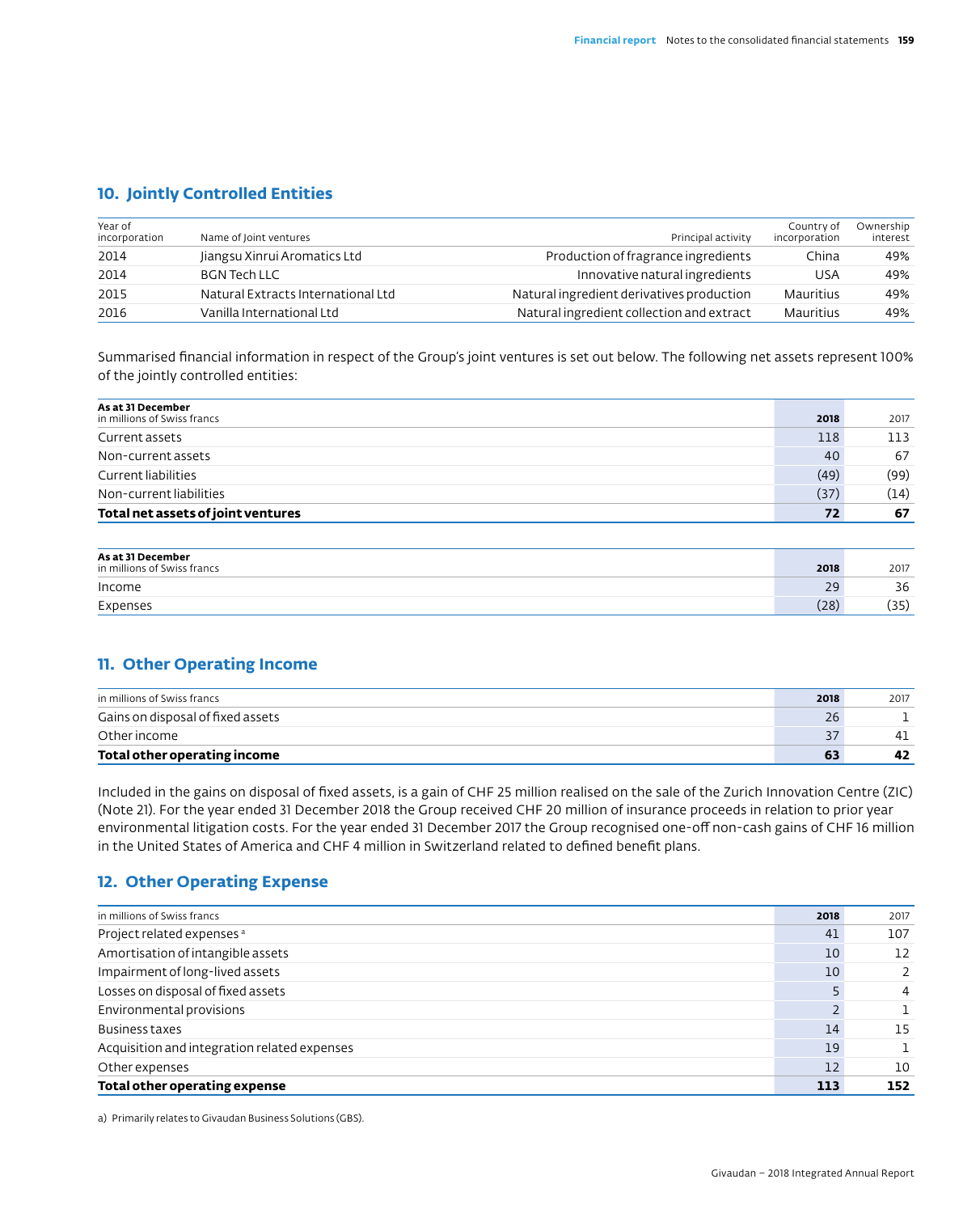## **10. Jointly Controlled Entities**

| Year of<br>incorporation | Name of Joint ventures             | Principal activity                        | Country of<br>incorporation | Ownership<br>interest |
|--------------------------|------------------------------------|-------------------------------------------|-----------------------------|-----------------------|
| 2014                     | Jiangsu Xinrui Aromatics Ltd       | Production of fragrance ingredients       | China                       | 49%                   |
| 2014                     | <b>BGN Tech LLC</b>                | Innovative natural ingredients            | <b>USA</b>                  | 49%                   |
| 2015                     | Natural Extracts International Ltd | Natural ingredient derivatives production | Mauritius                   | 49%                   |
| 2016                     | Vanilla International Ltd          | Natural ingredient collection and extract | Mauritius                   | 49%                   |

Summarised financial information in respect of the Group's joint ventures is set out below. The following net assets represent 100% of the jointly controlled entities:

| As at 31 December<br>in millions of Swiss francs | 2018 | 2017 |
|--------------------------------------------------|------|------|
| Current assets                                   | 118  | 113  |
| Non-current assets                               | 40   | 67   |
| Current liabilities                              | (49) | (99) |
| Non-current liabilities                          | (37) | (14) |
| Total net assets of joint ventures               | 72   | 67   |

| As at 31 December<br>in millions of Swiss francs | 2018 | 2017 |
|--------------------------------------------------|------|------|
| Income                                           | 29   | 36   |
| Expenses                                         | (28) | (35) |

## **11. Other Operating Income**

| in millions of Swiss francs       | 2018 | 2017 |
|-----------------------------------|------|------|
| Gains on disposal of fixed assets |      |      |
| Other income                      |      | 41   |
| Total other operating income      |      | 42   |

Included in the gains on disposal of fixed assets, is a gain of CHF 25 million realised on the sale of the Zurich Innovation Centre (ZIC) (Note 21). For the year ended 31 December 2018 the Group received CHF 20 million of insurance proceeds in relation to prior year environmental litigation costs. For the year ended 31 December 2017 the Group recognised one-off non-cash gains of CHF 16 million in the United States of America and CHF 4 million in Switzerland related to defined benefit plans.

## **12. Other Operating Expense**

| in millions of Swiss francs                  | 2018 | 2017 |
|----------------------------------------------|------|------|
| Project related expenses <sup>a</sup>        | 41   | 107  |
| Amortisation of intangible assets            | 10   | 12   |
| Impairment of long-lived assets              | 10   |      |
| Losses on disposal of fixed assets           |      | 4    |
| Environmental provisions                     |      |      |
| Business taxes                               | 14   | 15   |
| Acquisition and integration related expenses | 19   |      |
| Other expenses                               | 12   | 10   |
| Total other operating expense                | 113  | 152  |

a) Primarily relates to Givaudan Business Solutions (GBS).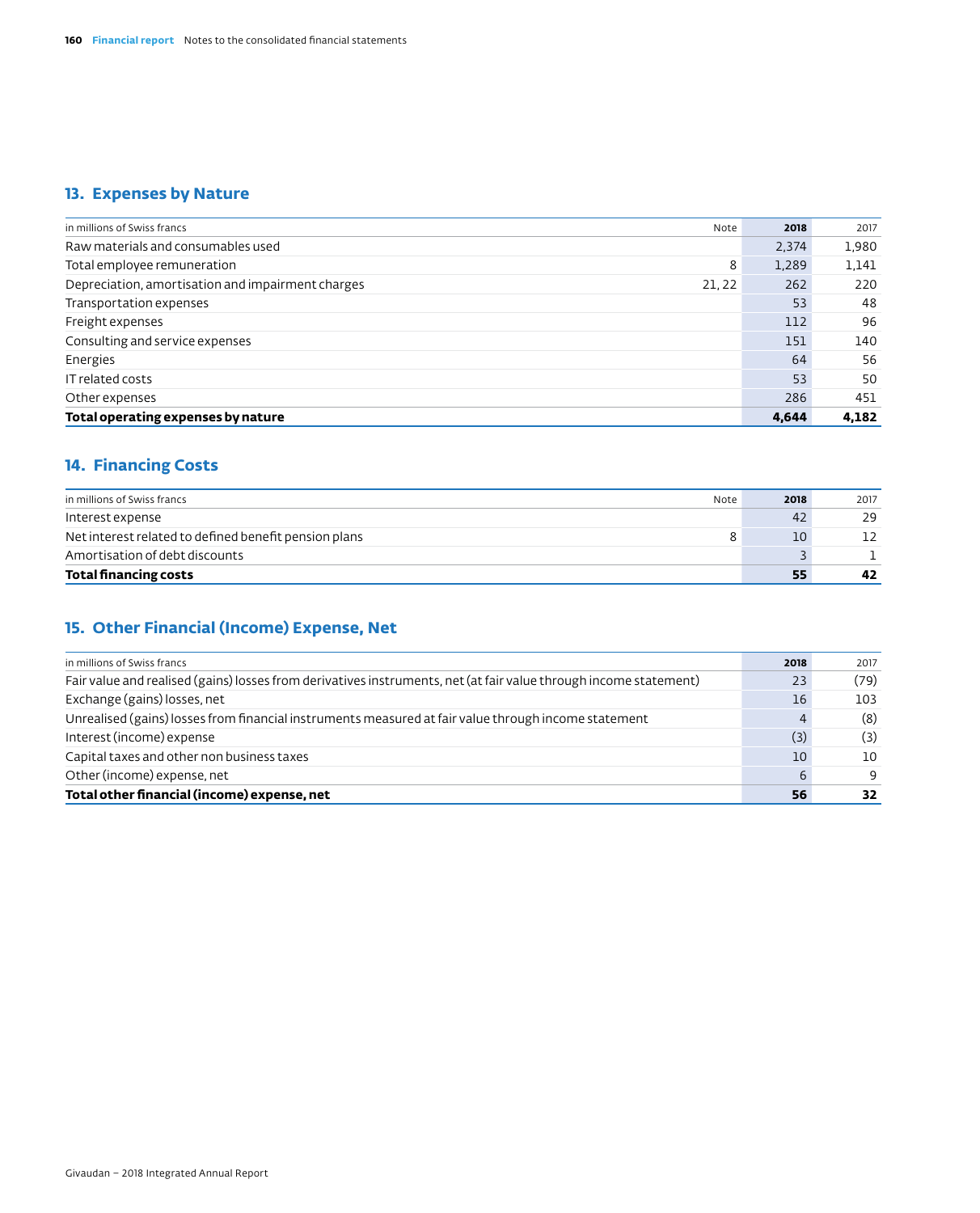## **13. Expenses by Nature**

| in millions of Swiss francs<br>Note                         | 2018  | 2017  |
|-------------------------------------------------------------|-------|-------|
| Raw materials and consumables used                          | 2,374 | 1,980 |
| Total employee remuneration<br>8                            | 1,289 | 1,141 |
| Depreciation, amortisation and impairment charges<br>21, 22 | 262   | 220   |
| Transportation expenses                                     | 53    | 48    |
| Freight expenses                                            | 112   | 96    |
| Consulting and service expenses                             | 151   | 140   |
| Energies                                                    | 64    | 56    |
| IT related costs                                            | 53    | 50    |
| Other expenses                                              | 286   | 451   |
| Total operating expenses by nature                          | 4.644 | 4,182 |

## **14. Financing Costs**

| in millions of Swiss francs<br>Note                   | 2018            | 2017 |
|-------------------------------------------------------|-----------------|------|
| Interest expense                                      | 42              | 29   |
| Net interest related to defined benefit pension plans | 10 <sup>°</sup> | ר ו  |
| Amortisation of debt discounts                        |                 |      |
| <b>Total financing costs</b>                          | 55              | 42   |

## **15. Other Financial (Income) Expense, Net**

| in millions of Swiss francs                                                                                       | 2018            | 2017         |
|-------------------------------------------------------------------------------------------------------------------|-----------------|--------------|
| Fair value and realised (gains) losses from derivatives instruments, net (at fair value through income statement) | 23              | (79)         |
| Exchange (gains) losses, net                                                                                      | 16              | 103          |
| Unrealised (gains) losses from financial instruments measured at fair value through income statement              | 4               | (8)          |
| Interest (income) expense                                                                                         | (3)             | (3)          |
| Capital taxes and other non business taxes                                                                        | 10 <sup>°</sup> | 10           |
| Other (income) expense, net                                                                                       | 6               | $\mathsf{Q}$ |
| Total other financial (income) expense, net                                                                       | 56              | 32           |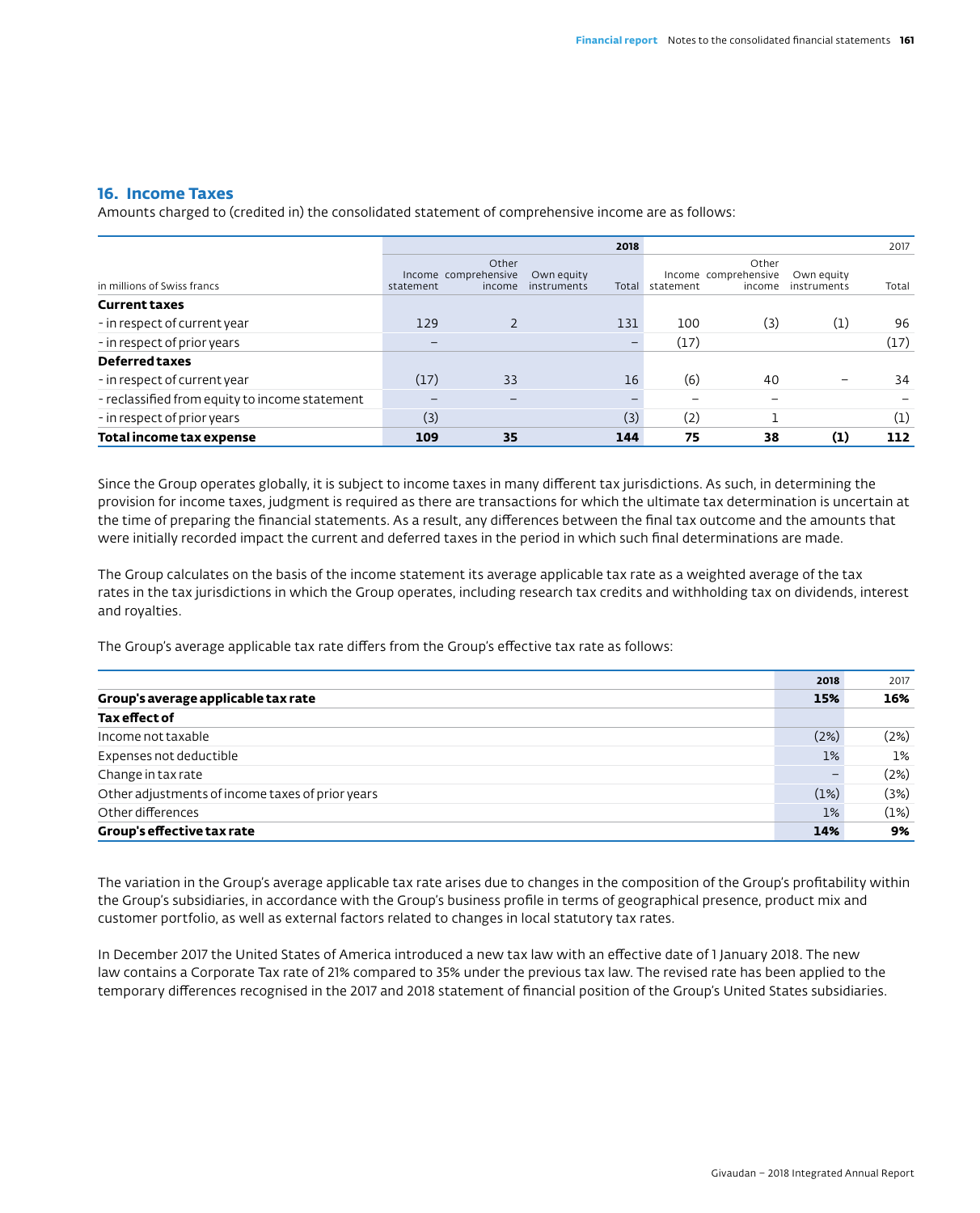## **16. Income Taxes**

Amounts charged to (credited in) the consolidated statement of comprehensive income are as follows:

|                                                |           |                                         |                           | 2018  |           |                                         |                           | 2017  |
|------------------------------------------------|-----------|-----------------------------------------|---------------------------|-------|-----------|-----------------------------------------|---------------------------|-------|
| in millions of Swiss francs                    | statement | Other<br>Income comprehensive<br>income | Own equity<br>instruments | Total | statement | Other<br>Income comprehensive<br>income | Own equity<br>instruments | Total |
| <b>Current taxes</b>                           |           |                                         |                           |       |           |                                         |                           |       |
| - in respect of current year                   | 129       |                                         |                           | 131   | 100       | (3)                                     | (1)                       | 96    |
| - in respect of prior years                    | -         |                                         |                           |       | (17)      |                                         |                           | (17)  |
| <b>Deferred taxes</b>                          |           |                                         |                           |       |           |                                         |                           |       |
| - in respect of current year                   | (17)      | 33                                      |                           | 16    | (6)       | 40                                      |                           | 34    |
| - reclassified from equity to income statement |           |                                         |                           | -     |           |                                         |                           |       |
| - in respect of prior years                    | (3)       |                                         |                           | (3)   | (2)       |                                         |                           | (1)   |
| Total income tax expense                       | 109       | 35                                      |                           | 144   | 75        | 38                                      | (1)                       | 112   |

Since the Group operates globally, it is subject to income taxes in many different tax jurisdictions. As such, in determining the provision for income taxes, judgment is required as there are transactions for which the ultimate tax determination is uncertain at the time of preparing the financial statements. As a result, any differences between the final tax outcome and the amounts that were initially recorded impact the current and deferred taxes in the period in which such final determinations are made.

The Group calculates on the basis of the income statement its average applicable tax rate as a weighted average of the tax rates in the tax jurisdictions in which the Group operates, including research tax credits and withholding tax on dividends, interest and royalties.

The Group's average applicable tax rate differs from the Group's effective tax rate as follows:

| 2018  | 2017  |
|-------|-------|
| 15%   | 16%   |
|       |       |
| (2%)  | (2%)  |
| 1%    | $1\%$ |
|       | (2%)  |
| (1%)  | (3%)  |
| $1\%$ | (1%)  |
| 14%   | 9%    |
|       |       |

The variation in the Group's average applicable tax rate arises due to changes in the composition of the Group's profitability within the Group's subsidiaries, in accordance with the Group's business profile in terms of geographical presence, product mix and customer portfolio, as well as external factors related to changes in local statutory tax rates.

In December 2017 the United States of America introduced a new tax law with an effective date of 1 January 2018. The new law contains a Corporate Tax rate of 21% compared to 35% under the previous tax law. The revised rate has been applied to the temporary differences recognised in the 2017 and 2018 statement of financial position of the Group's United States subsidiaries.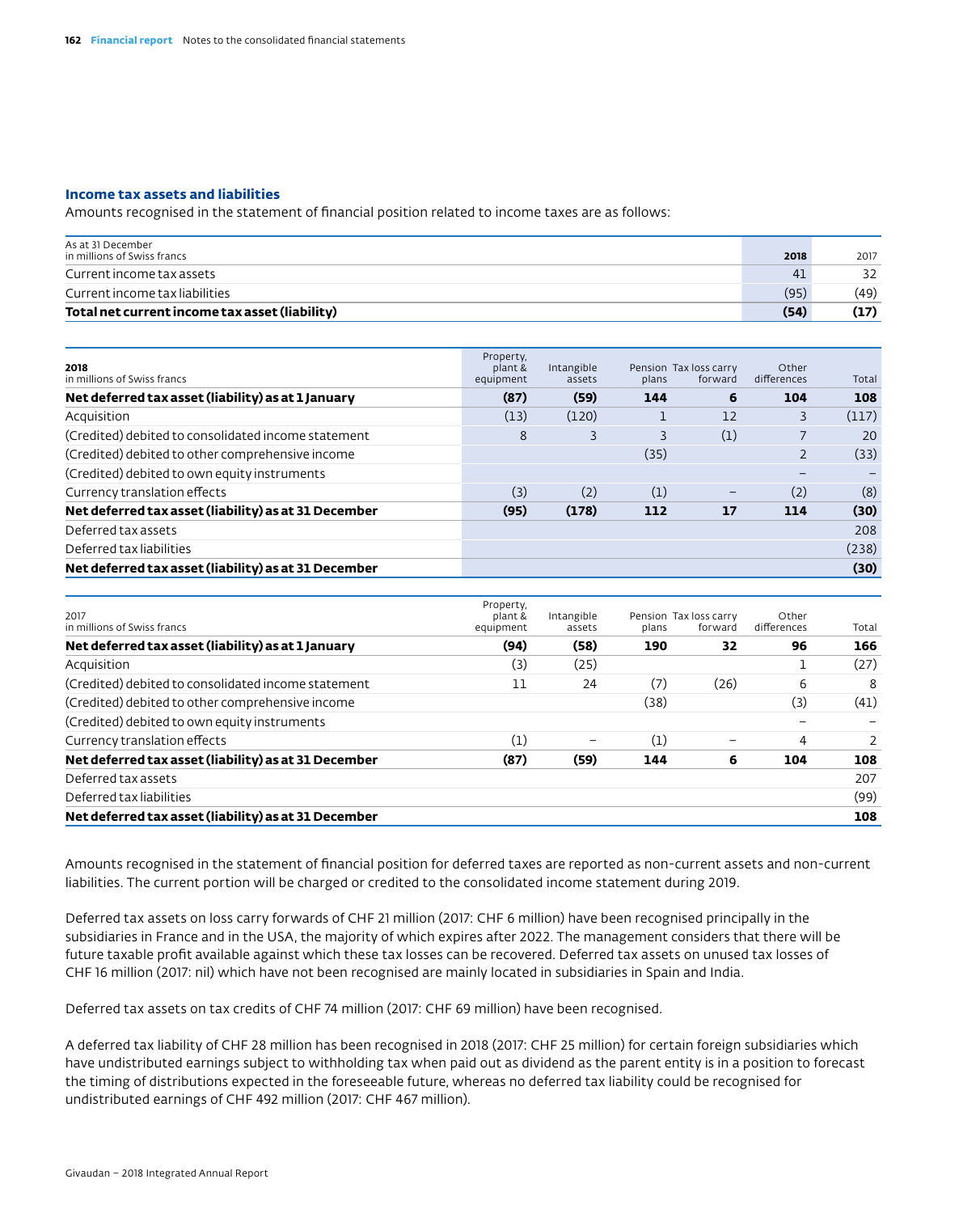#### **Income tax assets and liabilities**

Amounts recognised in the statement of financial position related to income taxes are as follows:

| As at 31 December<br>in millions of Swiss francs | 2018 | 2017 |
|--------------------------------------------------|------|------|
| Current income tax assets                        | 41   |      |
| Current income tax liabilities                   | (95) | (49) |
| Total net current income tax asset (liability)   | (54) |      |

| 2018<br>in millions of Swiss francs                  | Property,<br>plant &<br>equipment | Intangible<br>assets | plans | Pension Tax loss carry<br>forward | Other<br>differences | Total |
|------------------------------------------------------|-----------------------------------|----------------------|-------|-----------------------------------|----------------------|-------|
| Net deferred tax asset (liability) as at 1 January   | (87)                              | (59)                 | 144   | 6                                 | 104                  | 108   |
| Acquisition                                          | (13)                              | (120)                |       | 12                                | 3                    | (117) |
| (Credited) debited to consolidated income statement  | 8                                 | 3                    | 3     | (1)                               |                      | 20    |
| (Credited) debited to other comprehensive income     |                                   |                      | (35)  |                                   | $\overline{2}$       | (33)  |
| (Credited) debited to own equity instruments         |                                   |                      |       |                                   | -                    |       |
| Currency translation effects                         | (3)                               | (2)                  | (1)   | -                                 | (2)                  | (8)   |
| Net deferred tax asset (liability) as at 31 December | (95)                              | (178)                | 112   | 17                                | 114                  | (30)  |
| Deferred tax assets                                  |                                   |                      |       |                                   |                      | 208   |
| Deferred tax liabilities                             |                                   |                      |       |                                   |                      | (238) |
| Net deferred tax asset (liability) as at 31 December |                                   |                      |       |                                   |                      | (30)  |

|                                                      | Property, |            |       |                        |                |       |
|------------------------------------------------------|-----------|------------|-------|------------------------|----------------|-------|
| 2017                                                 | plant &   | Intangible |       | Pension Tax loss carry | Other          |       |
| in millions of Swiss francs                          | equipment | assets     | plans | forward                | differences    | Total |
| Net deferred tax asset (liability) as at 1 January   | (94)      | (58)       | 190   | 32                     | 96             | 166   |
| Acquisition                                          | (3)       | (25)       |       |                        |                | (27)  |
| (Credited) debited to consolidated income statement  | 11        | 24         | (7)   | (26)                   | 6              | 8     |
| (Credited) debited to other comprehensive income     |           |            | (38)  |                        | (3)            | (41)  |
| (Credited) debited to own equity instruments         |           |            |       |                        | -              |       |
| Currency translation effects                         | (1)       | -          | (1)   | -                      | $\overline{4}$ | 2     |
| Net deferred tax asset (liability) as at 31 December | (87)      | (59)       | 144   | 6                      | 104            | 108   |
| Deferred tax assets                                  |           |            |       |                        |                | 207   |
| Deferred tax liabilities                             |           |            |       |                        |                | (99)  |
| Net deferred tax asset (liability) as at 31 December |           |            |       |                        |                | 108   |

Amounts recognised in the statement of financial position for deferred taxes are reported as non-current assets and non-current liabilities. The current portion will be charged or credited to the consolidated income statement during 2019.

Deferred tax assets on loss carry forwards of CHF 21 million (2017: CHF 6 million) have been recognised principally in the subsidiaries in France and in the USA, the majority of which expires after 2022. The management considers that there will be future taxable profit available against which these tax losses can be recovered. Deferred tax assets on unused tax losses of CHF 16 million (2017: nil) which have not been recognised are mainly located in subsidiaries in Spain and India.

Deferred tax assets on tax credits of CHF 74 million (2017: CHF 69 million) have been recognised.

A deferred tax liability of CHF 28 million has been recognised in 2018 (2017: CHF 25 million) for certain foreign subsidiaries which have undistributed earnings subject to withholding tax when paid out as dividend as the parent entity is in a position to forecast the timing of distributions expected in the foreseeable future, whereas no deferred tax liability could be recognised for undistributed earnings of CHF 492 million (2017: CHF 467 million).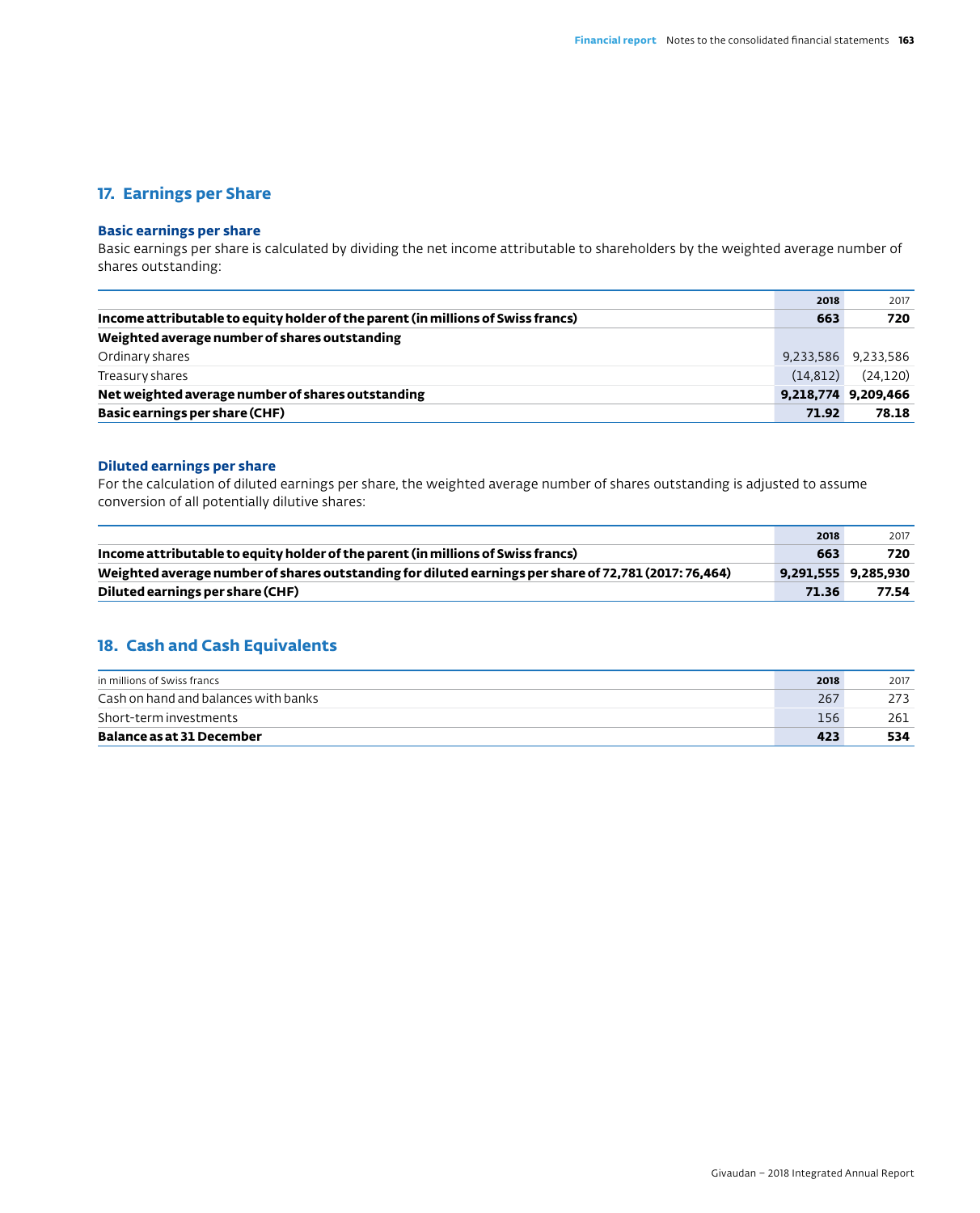## **17. Earnings per Share**

#### **Basic earnings per share**

Basic earnings per share is calculated by dividing the net income attributable to shareholders by the weighted average number of shares outstanding:

|                                                                                  | 2018     | 2017                |
|----------------------------------------------------------------------------------|----------|---------------------|
| Income attributable to equity holder of the parent (in millions of Swiss francs) | 663      | 720                 |
| Weighted average number of shares outstanding                                    |          |                     |
| Ordinary shares                                                                  |          | 9,233,586 9,233,586 |
| Treasury shares                                                                  | (14.812) | (24, 120)           |
| Net weighted average number of shares outstanding                                |          | 9,218,774 9,209,466 |
| Basic earnings per share (CHF)                                                   | 71.92    | 78.18               |

#### **Diluted earnings per share**

For the calculation of diluted earnings per share, the weighted average number of shares outstanding is adjusted to assume conversion of all potentially dilutive shares:

|                                                                                                       | 2018                | 2017  |
|-------------------------------------------------------------------------------------------------------|---------------------|-------|
| Income attributable to equity holder of the parent (in millions of Swiss francs)                      | 663                 | 720   |
| Weighted average number of shares outstanding for diluted earnings per share of 72,781 (2017: 76,464) | 9,291,555 9,285,930 |       |
| Diluted earnings per share (CHF)                                                                      | 71.36               | 77.54 |

## **18. Cash and Cash Equivalents**

| in millions of Swiss francs          | 2018 | 2017 |
|--------------------------------------|------|------|
| Cash on hand and balances with banks | 267  |      |
| Short-term investments               | 156  | 261  |
| Balance as at 31 December            | 423  | 534  |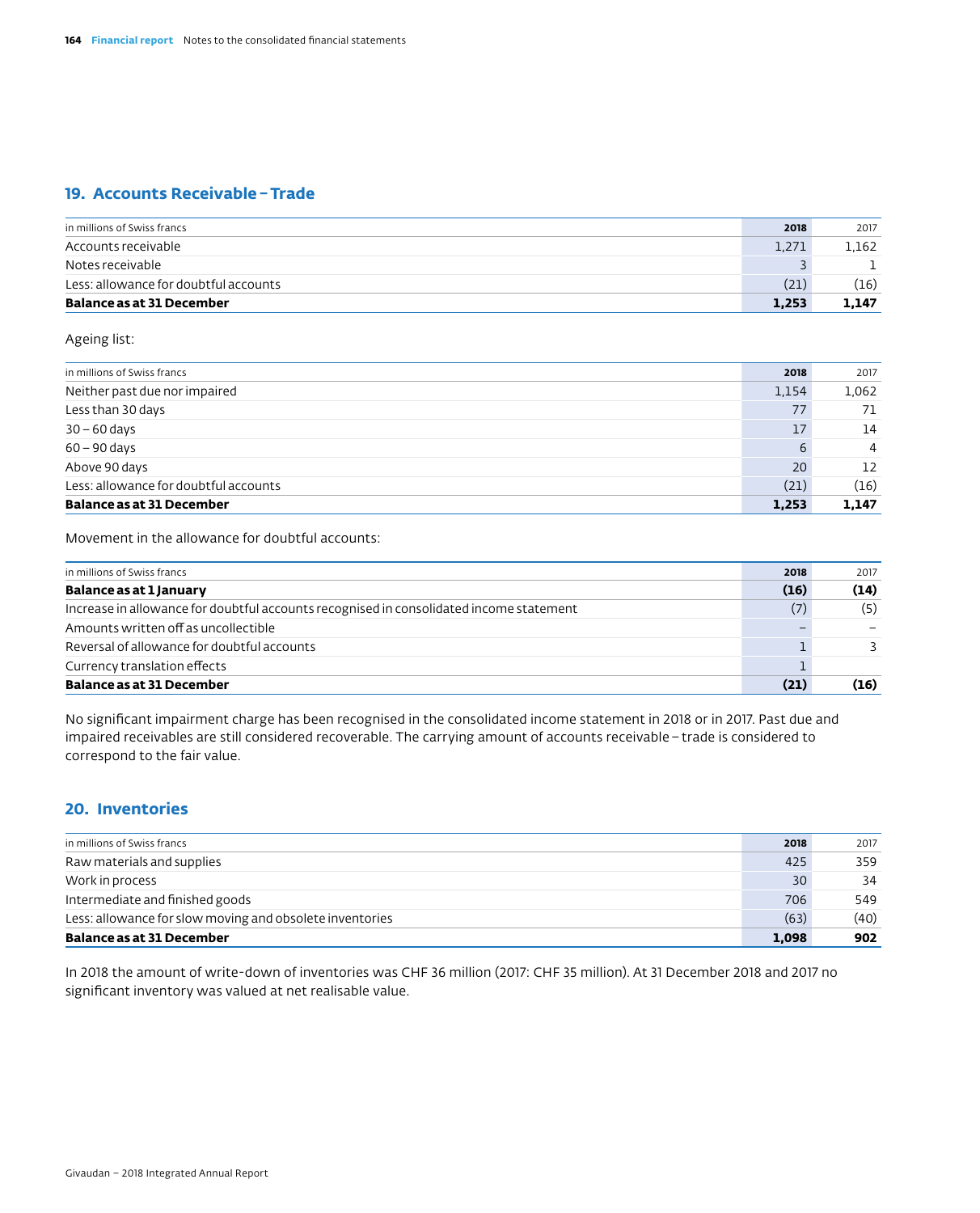## **19. Accounts Receivable–Trade**

| in millions of Swiss francs           | 2018  | 2017  |
|---------------------------------------|-------|-------|
| Accounts receivable                   | 1.271 | 1,162 |
| Notes receivable                      |       |       |
| Less: allowance for doubtful accounts | (21)  | (16)  |
| Balance as at 31 December             | 1.253 | 1,147 |

Ageing list:

| in millions of Swiss francs           | 2018  | 2017           |
|---------------------------------------|-------|----------------|
| Neither past due nor impaired         | 1,154 | 1,062          |
| Less than 30 days                     | 77    | 71             |
| $30 - 60$ days                        | 17    | 14             |
| $60 - 90$ days                        | 6     | $\overline{4}$ |
| Above 90 days                         | 20    | 12             |
| Less: allowance for doubtful accounts | (21)  | (16)           |
| <b>Balance as at 31 December</b>      | 1,253 | 1,147          |

Movement in the allowance for doubtful accounts:

| in millions of Swiss francs                                                             | 2018 | 2017 |
|-----------------------------------------------------------------------------------------|------|------|
| Balance as at 1 January                                                                 | (16) | (14) |
| Increase in allowance for doubtful accounts recognised in consolidated income statement | (7)  | (5)  |
| Amounts written off as uncollectible                                                    |      |      |
| Reversal of allowance for doubtful accounts                                             |      |      |
| Currency translation effects                                                            |      |      |
| <b>Balance as at 31 December</b>                                                        | (21) | (16) |

No significant impairment charge has been recognised in the consolidated income statement in 2018 or in 2017. Past due and impaired receivables are still considered recoverable. The carrying amount of accounts receivable–trade is considered to correspond to the fair value.

## **20. Inventories**

| in millions of Swiss francs                              | 2018  | 2017 |
|----------------------------------------------------------|-------|------|
| Raw materials and supplies                               | 425   | 359  |
| Work in process                                          | 30    | 34   |
| Intermediate and finished goods                          | 706   | 549  |
| Less: allowance for slow moving and obsolete inventories | (63)  | (40) |
| <b>Balance as at 31 December</b>                         | 1.098 | 902  |

In 2018 the amount of write-down of inventories was CHF 36 million (2017: CHF 35 million). At 31 December 2018 and 2017 no significant inventory was valued at net realisable value.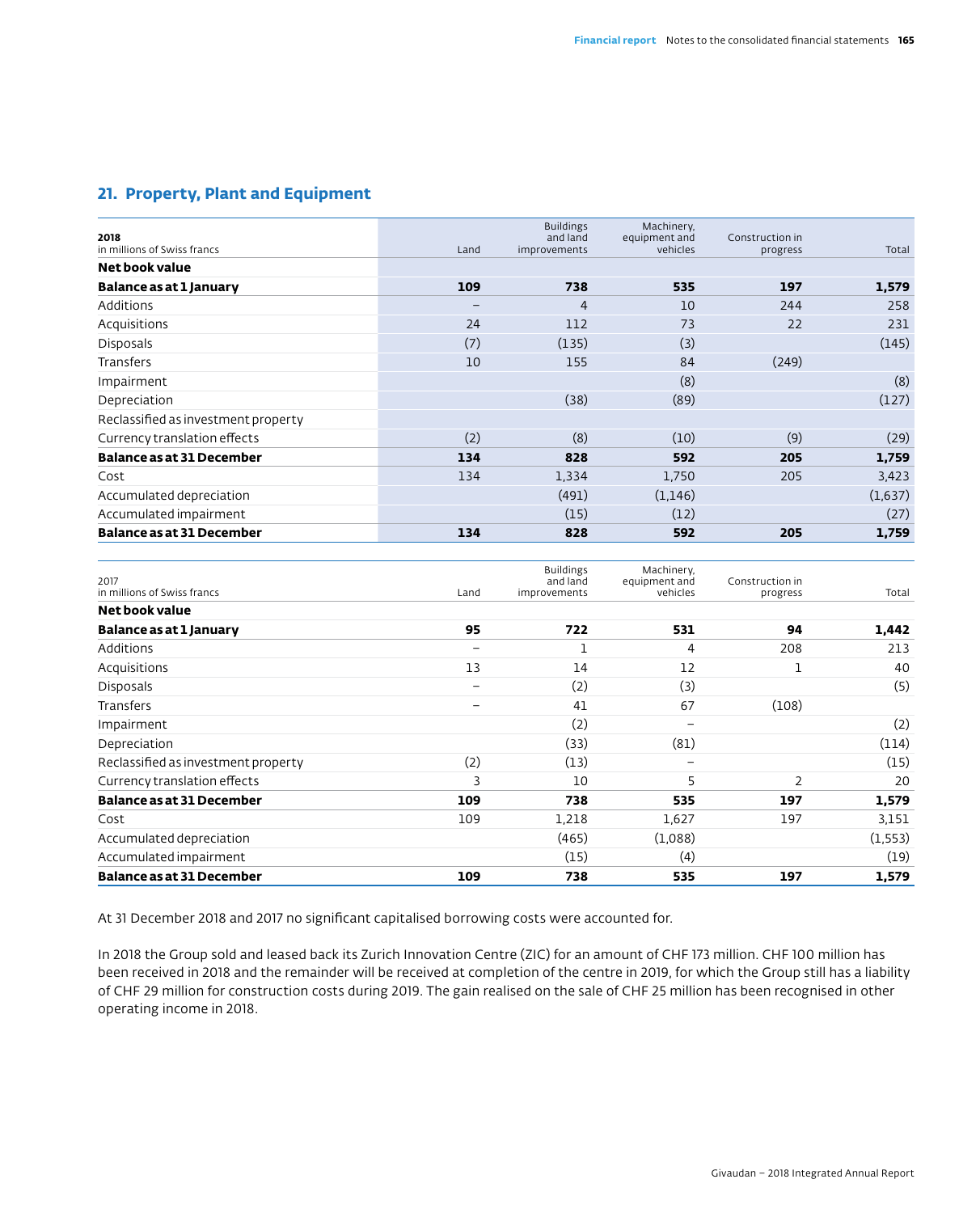## **21. Property, Plant and Equipment**

| 2018                                |                   | <b>Buildings</b><br>and land | Machinery,<br>equipment and | Construction in |         |
|-------------------------------------|-------------------|------------------------------|-----------------------------|-----------------|---------|
| in millions of Swiss francs         | Land              | improvements                 | vehicles                    | progress        | Total   |
| Net book value                      |                   |                              |                             |                 |         |
| Balance as at 1 January             | 109               | 738                          | 535                         | 197             | 1,579   |
| Additions                           | $\qquad \qquad -$ | $\overline{4}$               | 10                          | 244             | 258     |
| Acquisitions                        | 24                | 112                          | 73                          | 22              | 231     |
| <b>Disposals</b>                    | (7)               | (135)                        | (3)                         |                 | (145)   |
| <b>Transfers</b>                    | 10                | 155                          | 84                          | (249)           |         |
| Impairment                          |                   |                              | (8)                         |                 | (8)     |
| Depreciation                        |                   | (38)                         | (89)                        |                 | (127)   |
| Reclassified as investment property |                   |                              |                             |                 |         |
| Currency translation effects        | (2)               | (8)                          | (10)                        | (9)             | (29)    |
| <b>Balance as at 31 December</b>    | 134               | 828                          | 592                         | 205             | 1,759   |
| Cost                                | 134               | 1,334                        | 1,750                       | 205             | 3,423   |
| Accumulated depreciation            |                   | (491)                        | (1,146)                     |                 | (1,637) |
| Accumulated impairment              |                   | (15)                         | (12)                        |                 | (27)    |
| <b>Balance as at 31 December</b>    | 134               | 828                          | 592                         | 205             | 1,759   |

| 2017                                |                          | <b>Buildings</b><br>and land | Machinery,<br>equipment and | Construction in |          |
|-------------------------------------|--------------------------|------------------------------|-----------------------------|-----------------|----------|
| in millions of Swiss francs         | Land                     | improvements                 | vehicles                    | progress        | Total    |
| Net book value                      |                          |                              |                             |                 |          |
| Balance as at 1 January             | 95                       | 722                          | 531                         | 94              | 1,442    |
| Additions                           | $\overline{\phantom{0}}$ | $\mathbf 1$                  | 4                           | 208             | 213      |
| Acquisitions                        | 13                       | 14                           | 12                          | 1               | 40       |
| <b>Disposals</b>                    | $\qquad \qquad -$        | (2)                          | (3)                         |                 | (5)      |
| <b>Transfers</b>                    | $\overline{\phantom{a}}$ | 41                           | 67                          | (108)           |          |
| Impairment                          |                          | (2)                          | -                           |                 | (2)      |
| Depreciation                        |                          | (33)                         | (81)                        |                 | (114)    |
| Reclassified as investment property | (2)                      | (13)                         | -                           |                 | (15)     |
| Currency translation effects        | 3                        | 10                           | 5                           | 2               | 20       |
| <b>Balance as at 31 December</b>    | 109                      | 738                          | 535                         | 197             | 1,579    |
| Cost                                | 109                      | 1,218                        | 1,627                       | 197             | 3,151    |
| Accumulated depreciation            |                          | (465)                        | (1,088)                     |                 | (1, 553) |
| Accumulated impairment              |                          | (15)                         | (4)                         |                 | (19)     |
| <b>Balance as at 31 December</b>    | 109                      | 738                          | 535                         | 197             | 1,579    |

At 31 December 2018 and 2017 no significant capitalised borrowing costs were accounted for.

In 2018 the Group sold and leased back its Zurich Innovation Centre (ZIC) for an amount of CHF 173 million. CHF 100 million has been received in 2018 and the remainder will be received at completion of the centre in 2019, for which the Group still has a liability of CHF 29 million for construction costs during 2019. The gain realised on the sale of CHF 25 million has been recognised in other operating income in 2018.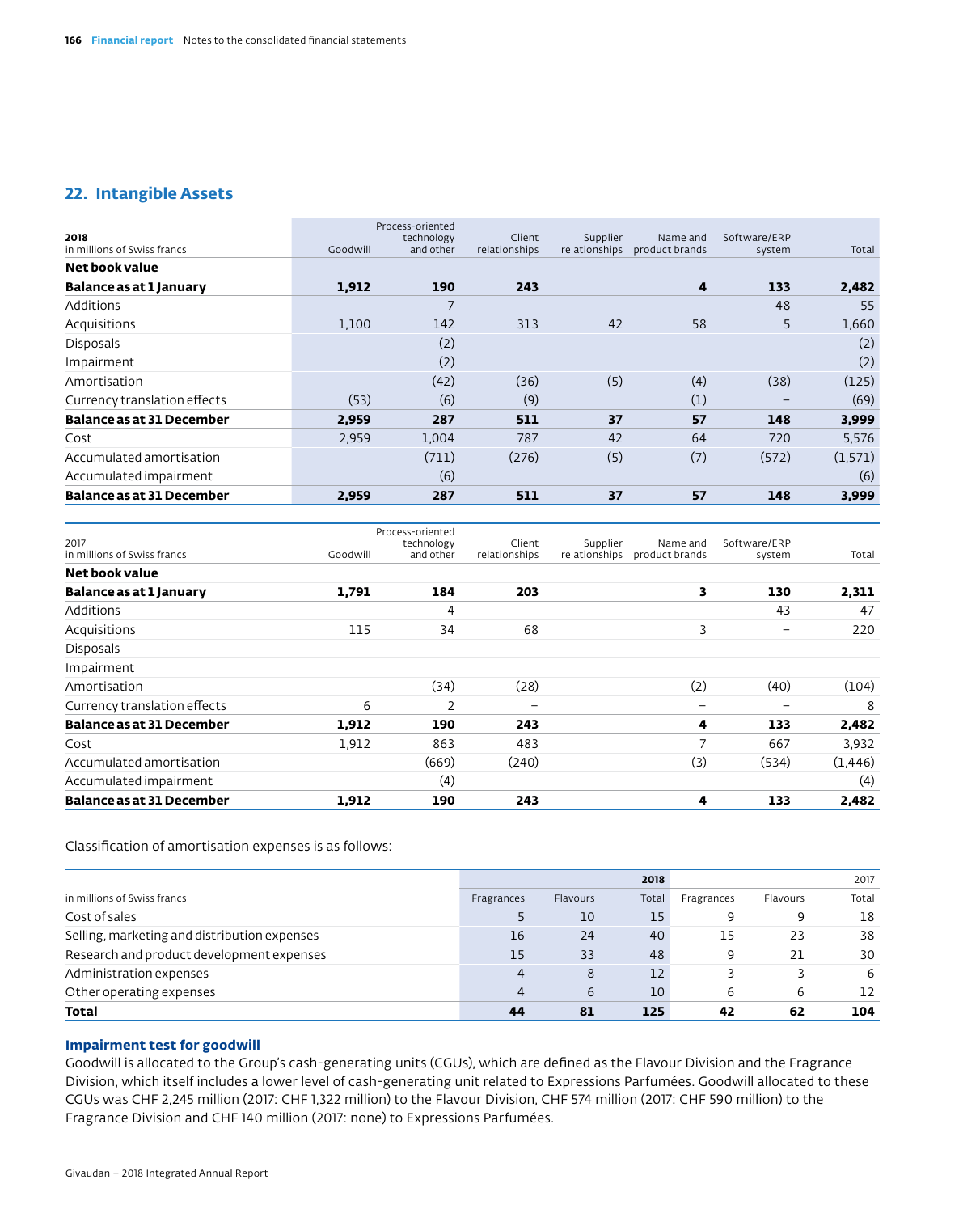## **22. Intangible Assets**

| 2018<br>in millions of Swiss francs | Goodwill | Process-oriented<br>technology<br>and other | Client<br>relationships | Supplier<br>relationships | Name and<br>product brands | Software/ERP<br>system | Total   |
|-------------------------------------|----------|---------------------------------------------|-------------------------|---------------------------|----------------------------|------------------------|---------|
| Net book value                      |          |                                             |                         |                           |                            |                        |         |
| Balance as at 1 January             | 1,912    | 190                                         | 243                     |                           | 4                          | 133                    | 2,482   |
| <b>Additions</b>                    |          | 7                                           |                         |                           |                            | 48                     | 55      |
| Acquisitions                        | 1.100    | 142                                         | 313                     | 42                        | 58                         | 5                      | 1,660   |
| <b>Disposals</b>                    |          | (2)                                         |                         |                           |                            |                        | (2)     |
| Impairment                          |          | (2)                                         |                         |                           |                            |                        | (2)     |
| Amortisation                        |          | (42)                                        | (36)                    | (5)                       | (4)                        | (38)                   | (125)   |
| Currency translation effects        | (53)     | (6)                                         | (9)                     |                           | (1)                        | -                      | (69)    |
| <b>Balance as at 31 December</b>    | 2,959    | 287                                         | 511                     | 37                        | 57                         | 148                    | 3,999   |
| Cost                                | 2,959    | 1,004                                       | 787                     | 42                        | 64                         | 720                    | 5,576   |
| Accumulated amortisation            |          | (711)                                       | (276)                   | (5)                       | (7)                        | (572)                  | (1,571) |
| Accumulated impairment              |          | (6)                                         |                         |                           |                            |                        | (6)     |
| <b>Balance as at 31 December</b>    | 2,959    | 287                                         | 511                     | 37                        | 57                         | 148                    | 3,999   |

|                                     |          | Process-oriented        |                         |                           |                            |                        |          |
|-------------------------------------|----------|-------------------------|-------------------------|---------------------------|----------------------------|------------------------|----------|
| 2017<br>in millions of Swiss francs | Goodwill | technology<br>and other | Client<br>relationships | Supplier<br>relationships | Name and<br>product brands | Software/ERP<br>system | Total    |
| Net book value                      |          |                         |                         |                           |                            |                        |          |
| Balance as at 1 January             | 1,791    | 184                     | 203                     |                           | 3                          | 130                    | 2,311    |
| <b>Additions</b>                    |          | 4                       |                         |                           |                            | 43                     | 47       |
| Acquisitions                        | 115      | 34                      | 68                      |                           | 3                          | -                      | 220      |
| <b>Disposals</b>                    |          |                         |                         |                           |                            |                        |          |
| Impairment                          |          |                         |                         |                           |                            |                        |          |
| Amortisation                        |          | (34)                    | (28)                    |                           | (2)                        | (40)                   | (104)    |
| Currency translation effects        | 6        | 2                       | -                       |                           | -                          |                        | 8        |
| <b>Balance as at 31 December</b>    | 1,912    | 190                     | 243                     |                           | 4                          | 133                    | 2,482    |
| Cost                                | 1,912    | 863                     | 483                     |                           | $\overline{7}$             | 667                    | 3,932    |
| Accumulated amortisation            |          | (669)                   | (240)                   |                           | (3)                        | (534)                  | (1, 446) |
| Accumulated impairment              |          | (4)                     |                         |                           |                            |                        | (4)      |
| <b>Balance as at 31 December</b>    | 1,912    | 190                     | 243                     |                           | 4                          | 133                    | 2,482    |

Classification of amortisation expenses is as follows:

|                                              |            |          | 2018  |            |          | 2017  |
|----------------------------------------------|------------|----------|-------|------------|----------|-------|
| in millions of Swiss francs                  | Fragrances | Flavours | Total | Fragrances | Flavours | Total |
| Cost of sales                                |            | 10       | 15    |            | 9        | 18    |
| Selling, marketing and distribution expenses | 16         | 24       | 40    | 15         | 23       | 38    |
| Research and product development expenses    | 15         | 33       | 48    | 9          | 21       | 30    |
| Administration expenses                      | 4          | 8        | 12    |            |          | 6     |
| Other operating expenses                     | 4          | 6        | 10    | 6          | 6        | 12    |
| Total                                        | 44         | 81       | 125   | 42         | 62       | 104   |

#### **Impairment test for goodwill**

Goodwill is allocated to the Group's cash-generating units (CGUs), which are defined as the Flavour Division and the Fragrance Division, which itself includes a lower level of cash-generating unit related to Expressions Parfumées. Goodwill allocated to these CGUs was CHF 2,245 million (2017: CHF 1,322 million) to the Flavour Division, CHF 574 million (2017: CHF 590 million) to the Fragrance Division and CHF 140 million (2017: none) to Expressions Parfumées.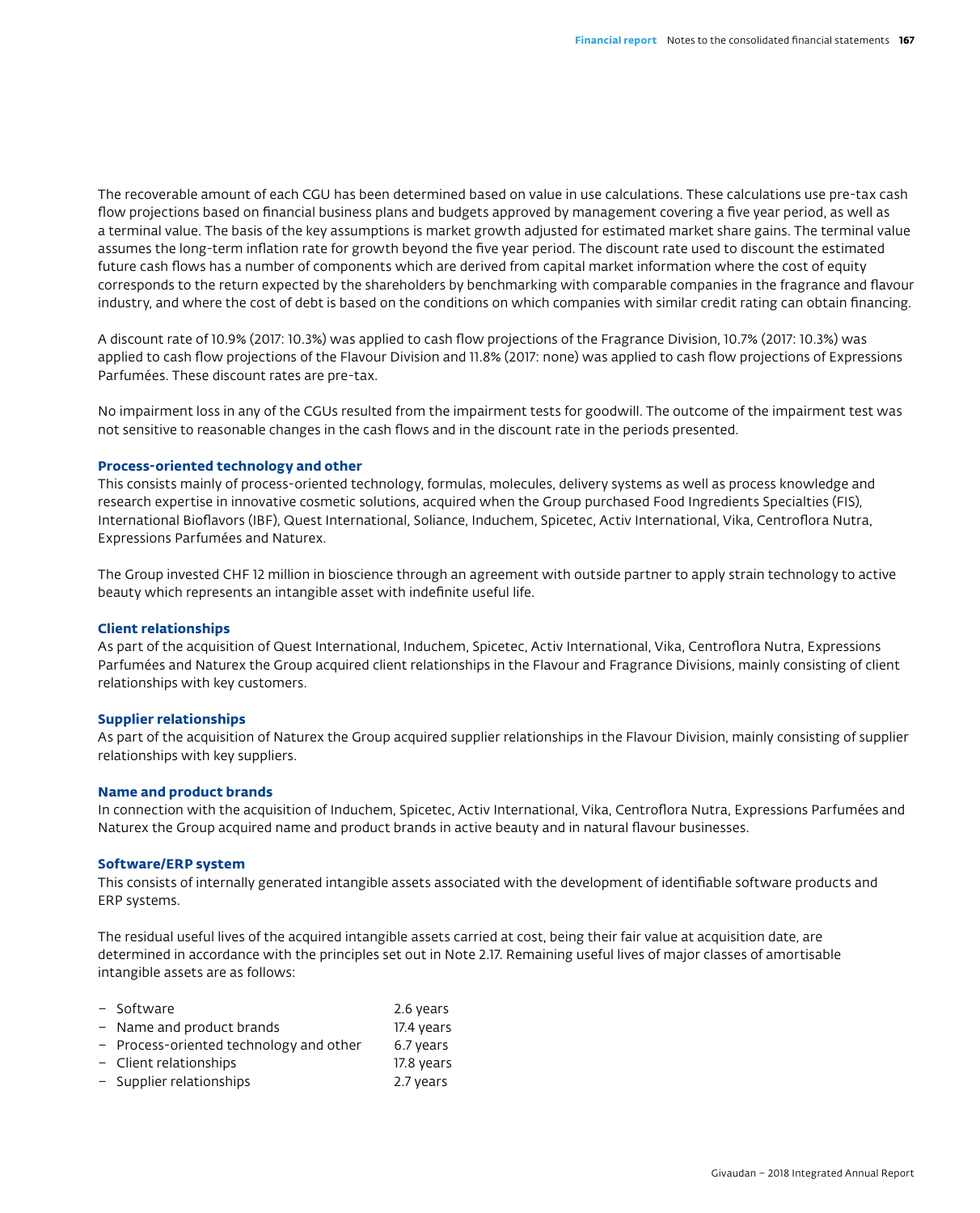The recoverable amount of each CGU has been determined based on value in use calculations. These calculations use pre-tax cash flow projections based on financial business plans and budgets approved by management covering a five year period, as well as a terminal value. The basis of the key assumptions is market growth adjusted for estimated market share gains. The terminal value assumes the long-term inflation rate for growth beyond the five year period. The discount rate used to discount the estimated future cash flows has a number of components which are derived from capital market information where the cost of equity corresponds to the return expected by the shareholders by benchmarking with comparable companies in the fragrance and flavour industry, and where the cost of debt is based on the conditions on which companies with similar credit rating can obtain financing.

A discount rate of 10.9% (2017: 10.3%) was applied to cash flow projections of the Fragrance Division, 10.7% (2017: 10.3%) was applied to cash flow projections of the Flavour Division and 11.8% (2017: none) was applied to cash flow projections of Expressions Parfumées. These discount rates are pre-tax.

No impairment loss in any of the CGUs resulted from the impairment tests for goodwill. The outcome of the impairment test was not sensitive to reasonable changes in the cash flows and in the discount rate in the periods presented.

#### **Process-oriented technology and other**

This consists mainly of process-oriented technology, formulas, molecules, delivery systems as well as process knowledge and research expertise in innovative cosmetic solutions, acquired when the Group purchased Food Ingredients Specialties (FIS), International Bioflavors (IBF), Quest International, Soliance, Induchem, Spicetec, Activ International, Vika, Centroflora Nutra, Expressions Parfumées and Naturex.

The Group invested CHF 12 million in bioscience through an agreement with outside partner to apply strain technology to active beauty which represents an intangible asset with indefinite useful life.

#### **Client relationships**

As part of the acquisition of Quest International, Induchem, Spicetec, Activ International, Vika, Centroflora Nutra, Expressions Parfumées and Naturex the Group acquired client relationships in the Flavour and Fragrance Divisions, mainly consisting of client relationships with key customers.

#### **Supplier relationships**

As part of the acquisition of Naturex the Group acquired supplier relationships in the Flavour Division, mainly consisting of supplier relationships with key suppliers.

#### **Name and product brands**

In connection with the acquisition of Induchem, Spicetec, Activ International, Vika, Centroflora Nutra, Expressions Parfumées and Naturex the Group acquired name and product brands in active beauty and in natural flavour businesses.

#### **Software/ERP system**

This consists of internally generated intangible assets associated with the development of identifiable software products and ERP systems.

The residual useful lives of the acquired intangible assets carried at cost, being their fair value at acquisition date, are determined in accordance with the principles set out in Note 2.17. Remaining useful lives of major classes of amortisable intangible assets are as follows:

| - Software                              | 2.6 years  |
|-----------------------------------------|------------|
| - Name and product brands               | 17.4 years |
| - Process-oriented technology and other | 6.7 years  |
| - Client relationships                  | 17.8 years |
| - Supplier relationships                | 2.7 years  |
|                                         |            |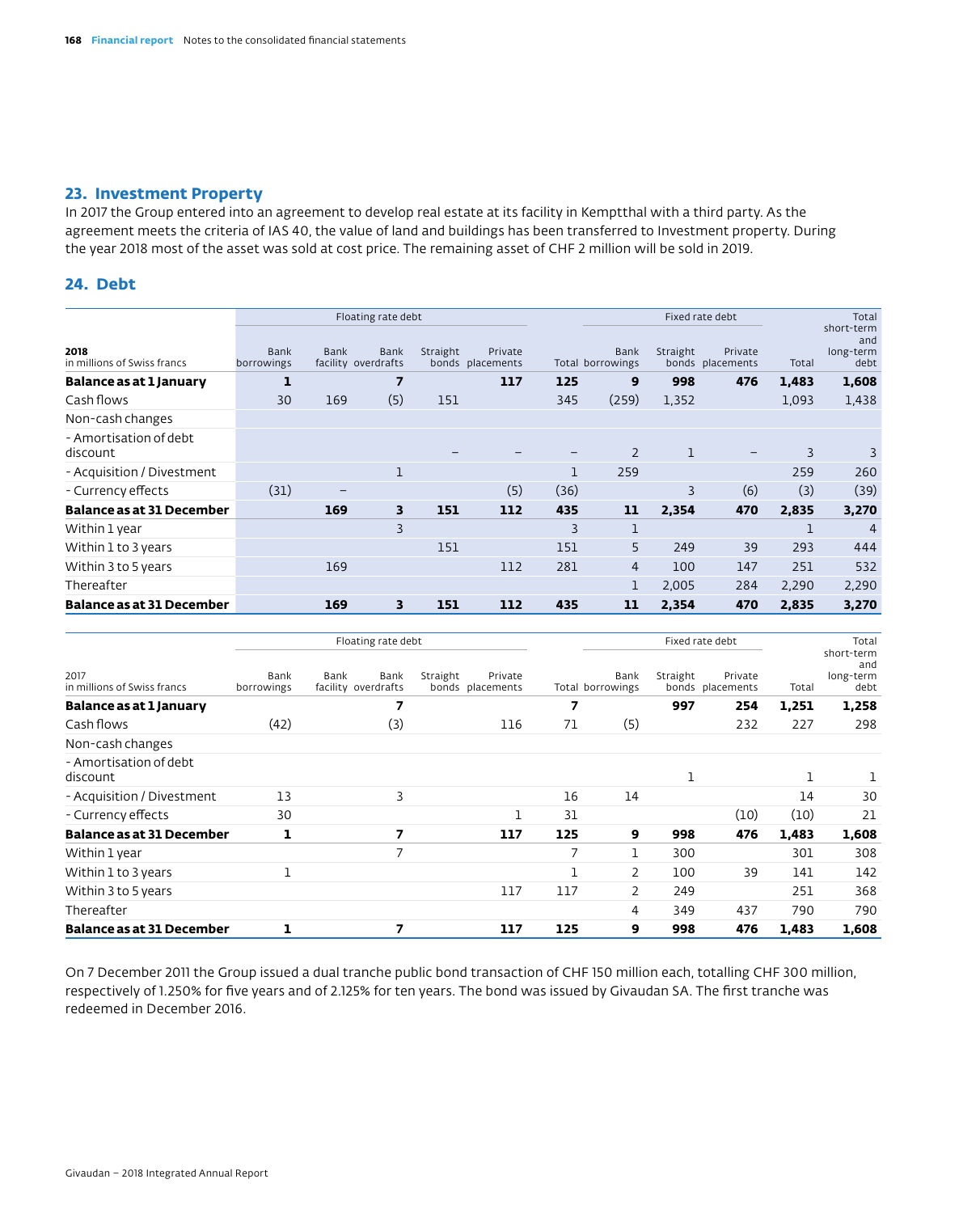### **23. Investment Property**

In 2017 the Group entered into an agreement to develop real estate at its facility in Kemptthal with a third party. As the agreement meets the criteria of IAS 40, the value of land and buildings has been transferred to Investment property. During the year 2018 most of the asset was sold at cost price. The remaining asset of CHF 2 million will be sold in 2019.

### **24. Debt**

|                                     |                    |                          | Floating rate debt          |          |                             |                   | Fixed rate debt          |              |                             |       | Total                                  |
|-------------------------------------|--------------------|--------------------------|-----------------------------|----------|-----------------------------|-------------------|--------------------------|--------------|-----------------------------|-------|----------------------------------------|
| 2018<br>in millions of Swiss francs | Bank<br>borrowings | <b>Bank</b>              | Bank<br>facility overdrafts | Straight | Private<br>bonds placements |                   | Bank<br>Total borrowings | Straight     | Private<br>bonds placements | Total | short-term<br>and<br>long-term<br>debt |
| Balance as at 1 January             | ı                  |                          | 7                           |          | 117                         | 125               | 9                        | 998          | 476                         | 1,483 | 1,608                                  |
| Cash flows                          | 30                 | 169                      | (5)                         | 151      |                             | 345               | (259)                    | 1,352        |                             | 1,093 | 1,438                                  |
| Non-cash changes                    |                    |                          |                             |          |                             |                   |                          |              |                             |       |                                        |
| - Amortisation of debt<br>discount  |                    |                          |                             |          |                             | $\qquad \qquad -$ | 2                        | $\mathbf{1}$ | -                           | 3     | 3                                      |
| - Acquisition / Divestment          |                    |                          | $\mathbf{1}$                |          |                             | 1                 | 259                      |              |                             | 259   | 260                                    |
| - Currency effects                  | (31)               | $\overline{\phantom{m}}$ |                             |          | (5)                         | (36)              |                          | 3            | (6)                         | (3)   | (39)                                   |
| <b>Balance as at 31 December</b>    |                    | 169                      | 3                           | 151      | 112                         | 435               | 11                       | 2,354        | 470                         | 2,835 | 3,270                                  |
| Within 1 year                       |                    |                          | $\overline{3}$              |          |                             | $\overline{3}$    | 1                        |              |                             |       | $\overline{4}$                         |
| Within 1 to 3 years                 |                    |                          |                             | 151      |                             | 151               | 5                        | 249          | 39                          | 293   | 444                                    |
| Within 3 to 5 years                 |                    | 169                      |                             |          | 112                         | 281               | 4                        | 100          | 147                         | 251   | 532                                    |
| Thereafter                          |                    |                          |                             |          |                             |                   |                          | 2,005        | 284                         | 2,290 | 2,290                                  |
| <b>Balance as at 31 December</b>    |                    | 169                      | 3                           | 151      | 112                         | 435               | 11                       | 2,354        | 470                         | 2,835 | 3,270                                  |

|                                     | Floating rate debt |                                     |                                         |             | Fixed rate debt          |          |                             |       | Total<br>short-term      |
|-------------------------------------|--------------------|-------------------------------------|-----------------------------------------|-------------|--------------------------|----------|-----------------------------|-------|--------------------------|
| 2017<br>in millions of Swiss francs | Bank<br>borrowings | Bank<br>Bank<br>facility overdrafts | Straight<br>Private<br>bonds placements |             | Bank<br>Total borrowings | Straight | Private<br>bonds placements | Total | and<br>long-term<br>debt |
| Balance as at 1 January             |                    | 7                                   |                                         | 7           |                          | 997      | 254                         | 1,251 | 1,258                    |
| Cash flows                          | (42)               | (3)                                 | 116                                     | 71          | (5)                      |          | 232                         | 227   | 298                      |
| Non-cash changes                    |                    |                                     |                                         |             |                          |          |                             |       |                          |
| - Amortisation of debt<br>discount  |                    |                                     |                                         |             |                          |          |                             |       |                          |
| - Acquisition / Divestment          | 13                 | 3                                   |                                         | 16          | 14                       |          |                             | 14    | 30                       |
| - Currency effects                  | 30                 |                                     |                                         | 31          |                          |          | (10)                        | (10)  | 21                       |
| <b>Balance as at 31 December</b>    | ı                  | 7                                   | 117                                     | 125         | 9                        | 998      | 476                         | 1,483 | 1,608                    |
| Within 1 year                       |                    | 7                                   |                                         |             |                          | 300      |                             | 301   | 308                      |
| Within 1 to 3 years                 | 1                  |                                     |                                         | $\mathbf 1$ | $\overline{2}$           | 100      | 39                          | 141   | 142                      |
| Within 3 to 5 years                 |                    |                                     | 117                                     | 117         | $\overline{2}$           | 249      |                             | 251   | 368                      |
| Thereafter                          |                    |                                     |                                         |             | 4                        | 349      | 437                         | 790   | 790                      |
| <b>Balance as at 31 December</b>    | ı                  | 7                                   | 117                                     | 125         | 9                        | 998      | 476                         | 1,483 | 1,608                    |

On 7 December 2011 the Group issued a dual tranche public bond transaction of CHF 150 million each, totalling CHF 300 million, respectively of 1.250% for five years and of 2.125% for ten years. The bond was issued by Givaudan SA. The first tranche was redeemed in December 2016.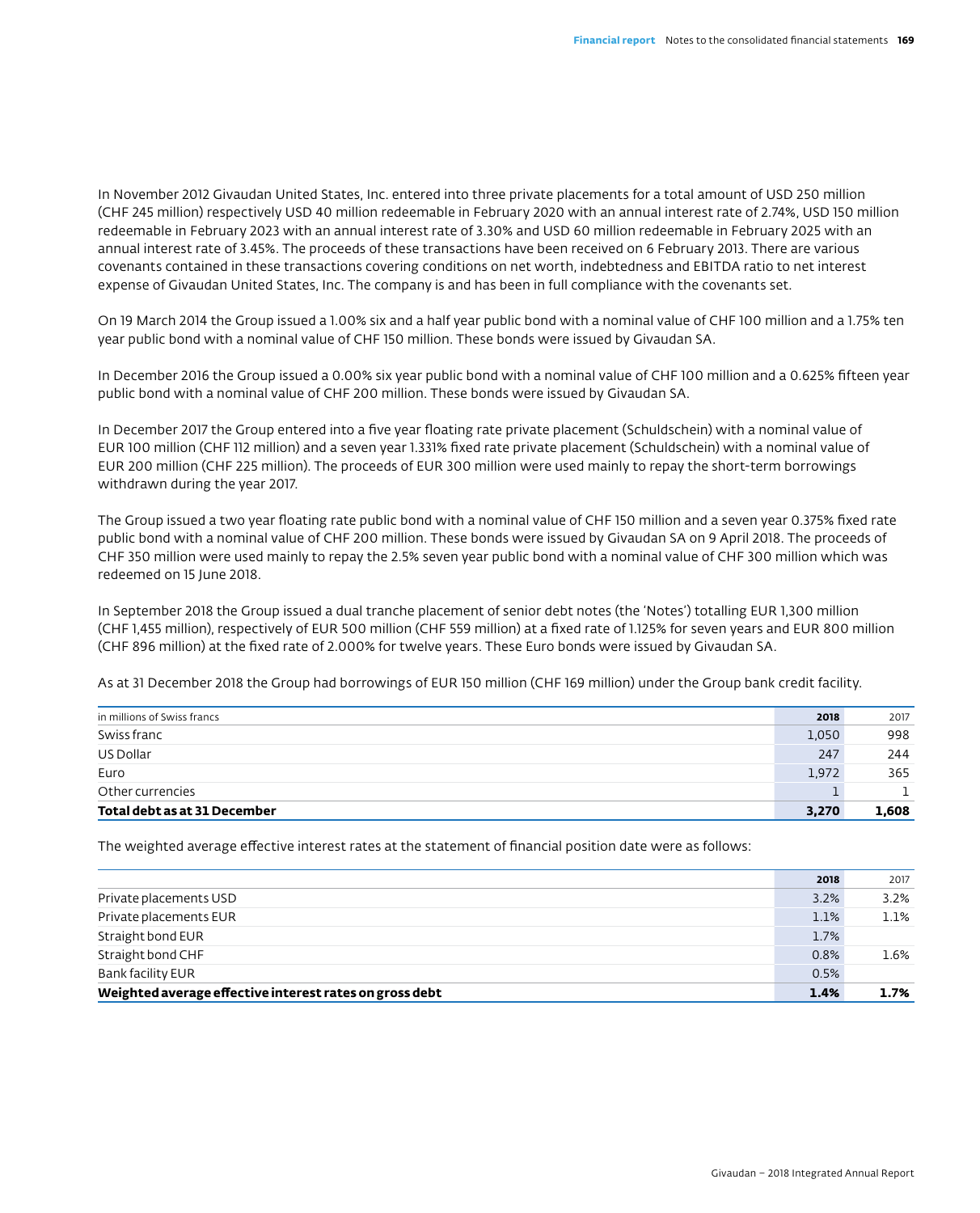In November 2012 Givaudan United States, Inc. entered into three private placements for a total amount of USD 250 million (CHF 245 million) respectively USD 40 million redeemable in February 2020 with an annual interest rate of 2.74%, USD 150 million redeemable in February 2023 with an annual interest rate of 3.30% and USD 60 million redeemable in February 2025 with an annual interest rate of 3.45%. The proceeds of these transactions have been received on 6 February 2013. There are various covenants contained in these transactions covering conditions on net worth, indebtedness and EBITDA ratio to net interest expense of Givaudan United States, Inc. The company is and has been in full compliance with the covenants set.

On 19 March 2014 the Group issued a 1.00% six and a half year public bond with a nominal value of CHF 100 million and a 1.75% ten year public bond with a nominal value of CHF 150 million. These bonds were issued by Givaudan SA.

In December 2016 the Group issued a 0.00% six year public bond with a nominal value of CHF 100 million and a 0.625% fifteen year public bond with a nominal value of CHF 200 million. These bonds were issued by Givaudan SA.

In December 2017 the Group entered into a five year floating rate private placement (Schuldschein) with a nominal value of EUR 100 million (CHF 112 million) and a seven year 1.331% fixed rate private placement (Schuldschein) with a nominal value of EUR 200 million (CHF 225 million). The proceeds of EUR 300 million were used mainly to repay the short-term borrowings withdrawn during the year 2017.

The Group issued a two year floating rate public bond with a nominal value of CHF 150 million and a seven year 0.375% fixed rate public bond with a nominal value of CHF 200 million. These bonds were issued by Givaudan SA on 9 April 2018. The proceeds of CHF 350 million were used mainly to repay the 2.5% seven year public bond with a nominal value of CHF 300 million which was redeemed on 15 June 2018.

In September 2018 the Group issued a dual tranche placement of senior debt notes (the 'Notes') totalling EUR 1,300 million (CHF 1,455 million), respectively of EUR 500 million (CHF 559 million) at a fixed rate of 1.125% for seven years and EUR 800 million (CHF 896 million) at the fixed rate of 2.000% for twelve years. These Euro bonds were issued by Givaudan SA.

As at 31 December 2018 the Group had borrowings of EUR 150 million (CHF 169 million) under the Group bank credit facility.

| in millions of Swiss francs  | 2018  | 2017  |
|------------------------------|-------|-------|
| Swiss franc                  | 1,050 | 998   |
| US Dollar                    | 247   | 244   |
| Euro                         | 1,972 | 365   |
| Other currencies             |       |       |
| Total debt as at 31 December | 3,270 | 1,608 |

The weighted average effective interest rates at the statement of financial position date were as follows:

|                                                         | 2018 | 2017 |
|---------------------------------------------------------|------|------|
| Private placements USD                                  | 3.2% | 3.2% |
| Private placements EUR                                  | 1.1% | 1.1% |
| Straight bond EUR                                       | 1.7% |      |
| Straight bond CHF                                       | 0.8% | 1.6% |
| Bank facility EUR                                       | 0.5% |      |
| Weighted average effective interest rates on gross debt | 1.4% | 1.7% |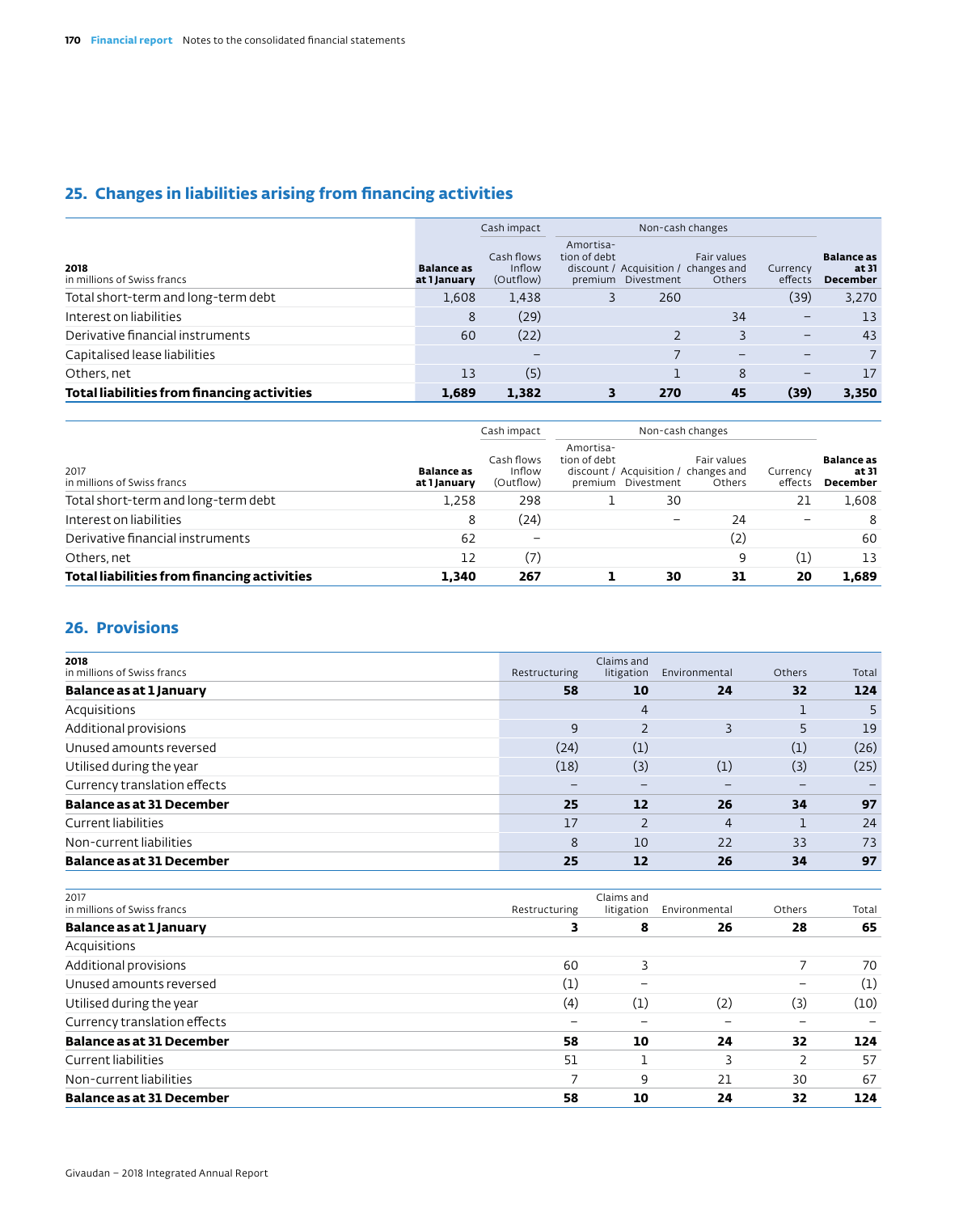## **25. Changes in liabilities arising from financing activities**

|                                             |                                   | Cash impact                       |                           | Non-cash changes   |                                                               |                     |                                               |
|---------------------------------------------|-----------------------------------|-----------------------------------|---------------------------|--------------------|---------------------------------------------------------------|---------------------|-----------------------------------------------|
| 2018<br>in millions of Swiss francs         | <b>Balance as</b><br>at 1 January | Cash flows<br>Inflow<br>(Outflow) | Amortisa-<br>tion of debt | premium Divestment | Fair values<br>discount / Acquisition / changes and<br>Others | Currency<br>effects | <b>Balance as</b><br>at 31<br><b>December</b> |
| Total short-term and long-term debt         | 1,608                             | 1,438                             |                           | 260                |                                                               | (39)                | 3,270                                         |
| Interest on liabilities                     | 8                                 | (29)                              |                           |                    | 34                                                            |                     | 13                                            |
| Derivative financial instruments            | 60                                | (22)                              |                           |                    | 3                                                             | $\qquad \qquad -$   | 43                                            |
| Capitalised lease liabilities               |                                   | -                                 |                           |                    |                                                               |                     |                                               |
| Others, net                                 | 13                                | (5)                               |                           |                    | 8                                                             |                     | 17                                            |
| Total liabilities from financing activities | 1,689                             | 1,382                             | 3                         | 270                | 45                                                            | (39)                | 3,350                                         |

|                                             |                                   | Cash impact                       |                           |                    |                                                               |                     |                                        |
|---------------------------------------------|-----------------------------------|-----------------------------------|---------------------------|--------------------|---------------------------------------------------------------|---------------------|----------------------------------------|
| 2017<br>in millions of Swiss francs         | <b>Balance as</b><br>at 1 January | Cash flows<br>Inflow<br>(Outflow) | Amortisa-<br>tion of debt | premium Divestment | Fair values<br>discount / Acquisition / changes and<br>Others | Currency<br>effects | <b>Balance as</b><br>at 31<br>December |
| Total short-term and long-term debt         | 1.258                             | 298                               |                           | 30                 |                                                               | 21                  | 1.608                                  |
| Interest on liabilities                     | 8                                 | (24)                              |                           |                    | 24                                                            | -                   | 8                                      |
| Derivative financial instruments            | 62                                | -                                 |                           |                    | (2)                                                           |                     | 60                                     |
| Others, net                                 | 12                                | (7)                               |                           |                    | 9                                                             | (1)                 | 13                                     |
| Total liabilities from financing activities | 1.340                             | 267                               |                           | 30                 | 31                                                            | 20                  | 1.689                                  |

## **26. Provisions**

| 2018<br>in millions of Swiss francs | Restructuring            | Claims and<br>litigation | Environmental  | Others            | Total |
|-------------------------------------|--------------------------|--------------------------|----------------|-------------------|-------|
| Balance as at 1 January             | 58                       | 10                       | 24             | 32                | 124   |
| Acquisitions                        |                          | 4                        |                |                   | 5     |
| Additional provisions               | 9                        |                          | $\overline{3}$ | 5                 | 19    |
| Unused amounts reversed             | (24)                     | (1)                      |                | (1)               | (26)  |
| Utilised during the year            | (18)                     | (3)                      | (1)            | (3)               | (25)  |
| Currency translation effects        | $\overline{\phantom{0}}$ | -                        |                | $\qquad \qquad -$ |       |
| <b>Balance as at 31 December</b>    | 25                       | 12                       | 26             | 34                | 97    |
| Current liabilities                 | 17                       | $\mathcal{P}$            | $\overline{4}$ |                   | 24    |
| Non-current liabilities             | 8                        | 10                       | 22             | 33                | 73    |
| <b>Balance as at 31 December</b>    | 25                       | 12                       | 26             | 34                | 97    |

| 2017                             |               | Claims and               |               |                          |       |
|----------------------------------|---------------|--------------------------|---------------|--------------------------|-------|
| in millions of Swiss francs      | Restructuring | litigation               | Environmental | Others                   | Total |
| Balance as at 1 January          | 3             | 8                        | 26            | 28                       | 65    |
| Acquisitions                     |               |                          |               |                          |       |
| Additional provisions            | 60            | 3                        |               |                          | 70    |
| Unused amounts reversed          | (1)           | $\overline{\phantom{0}}$ |               | $\overline{\phantom{0}}$ | (1)   |
| Utilised during the year         | (4)           | (1)                      | (2)           | (3)                      | (10)  |
| Currency translation effects     | -             | -                        |               | $\overline{\phantom{0}}$ |       |
| <b>Balance as at 31 December</b> | 58            | 10                       | 24            | 32                       | 124   |
| Current liabilities              | 51            |                          | 3             | 2                        | 57    |
| Non-current liabilities          | ⋾             | 9                        | 21            | 30                       | 67    |
| <b>Balance as at 31 December</b> | 58            | 10                       | 24            | 32                       | 124   |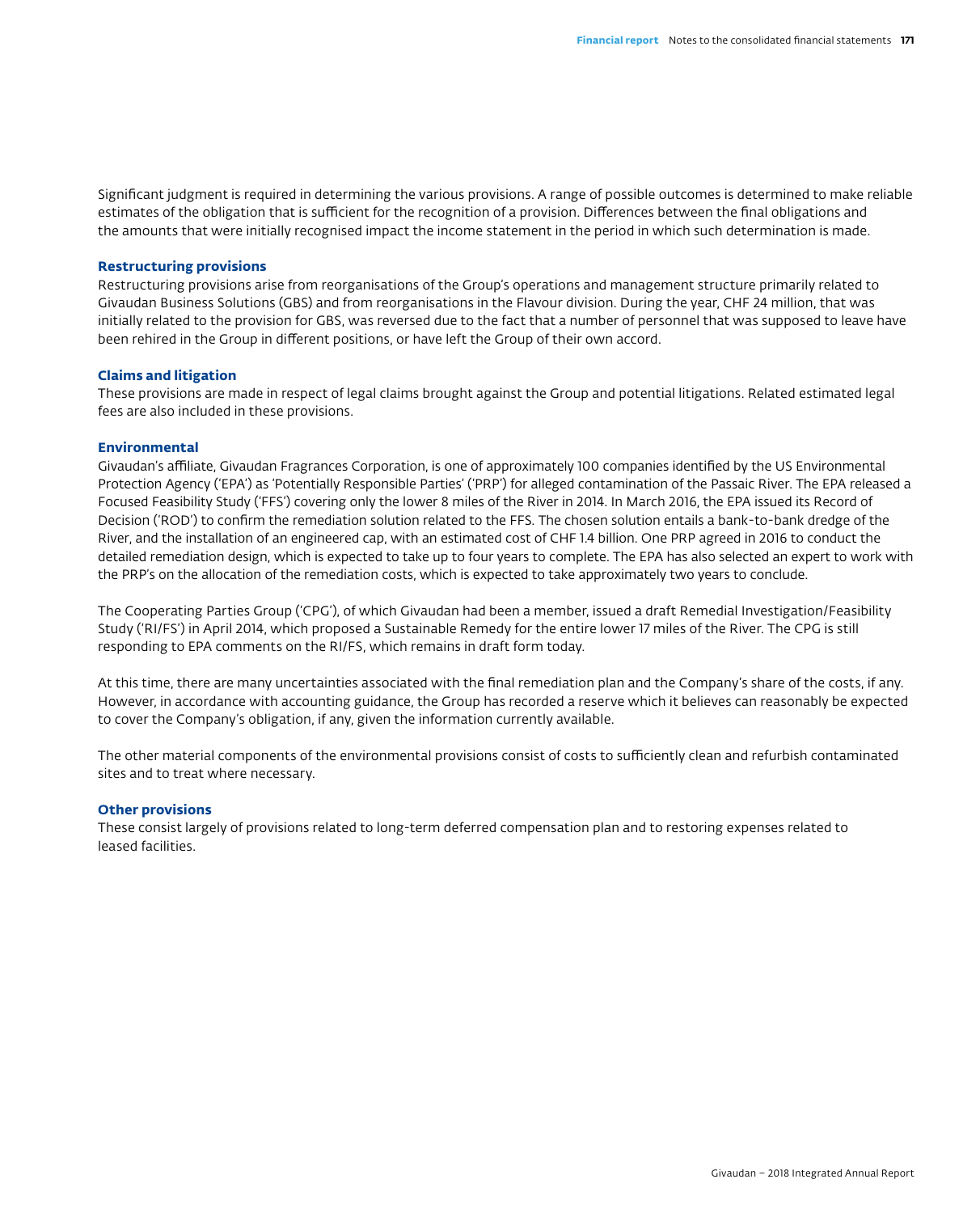Significant judgment is required in determining the various provisions. A range of possible outcomes is determined to make reliable estimates of the obligation that is sufficient for the recognition of a provision. Differences between the final obligations and the amounts that were initially recognised impact the income statement in the period in which such determination is made.

#### **Restructuring provisions**

Restructuring provisions arise from reorganisations of the Group's operations and management structure primarily related to Givaudan Business Solutions (GBS) and from reorganisations in the Flavour division. During the year, CHF 24 million, that was initially related to the provision for GBS, was reversed due to the fact that a number of personnel that was supposed to leave have been rehired in the Group in different positions, or have left the Group of their own accord.

#### **Claims and litigation**

These provisions are made in respect of legal claims brought against the Group and potential litigations. Related estimated legal fees are also included in these provisions.

#### **Environmental**

Givaudan's affiliate, Givaudan Fragrances Corporation, is one of approximately 100 companies identified by the US Environmental Protection Agency ('EPA') as 'Potentially Responsible Parties' ('PRP') for alleged contamination of the Passaic River. The EPA released a Focused Feasibility Study ('FFS') covering only the lower 8 miles of the River in 2014. In March 2016, the EPA issued its Record of Decision ('ROD') to confirm the remediation solution related to the FFS. The chosen solution entails a bank-to-bank dredge of the River, and the installation of an engineered cap, with an estimated cost of CHF 1.4 billion. One PRP agreed in 2016 to conduct the detailed remediation design, which is expected to take up to four years to complete. The EPA has also selected an expert to work with the PRP's on the allocation of the remediation costs, which is expected to take approximately two years to conclude.

The Cooperating Parties Group ('CPG'), of which Givaudan had been a member, issued a draft Remedial Investigation/Feasibility Study ('RI/FS') in April 2014, which proposed a Sustainable Remedy for the entire lower 17 miles of the River. The CPG is still responding to EPA comments on the RI/FS, which remains in draft form today.

At this time, there are many uncertainties associated with the final remediation plan and the Company's share of the costs, if any. However, in accordance with accounting guidance, the Group has recorded a reserve which it believes can reasonably be expected to cover the Company's obligation, if any, given the information currently available.

The other material components of the environmental provisions consist of costs to sufficiently clean and refurbish contaminated sites and to treat where necessary.

#### **Other provisions**

These consist largely of provisions related to long-term deferred compensation plan and to restoring expenses related to leased facilities.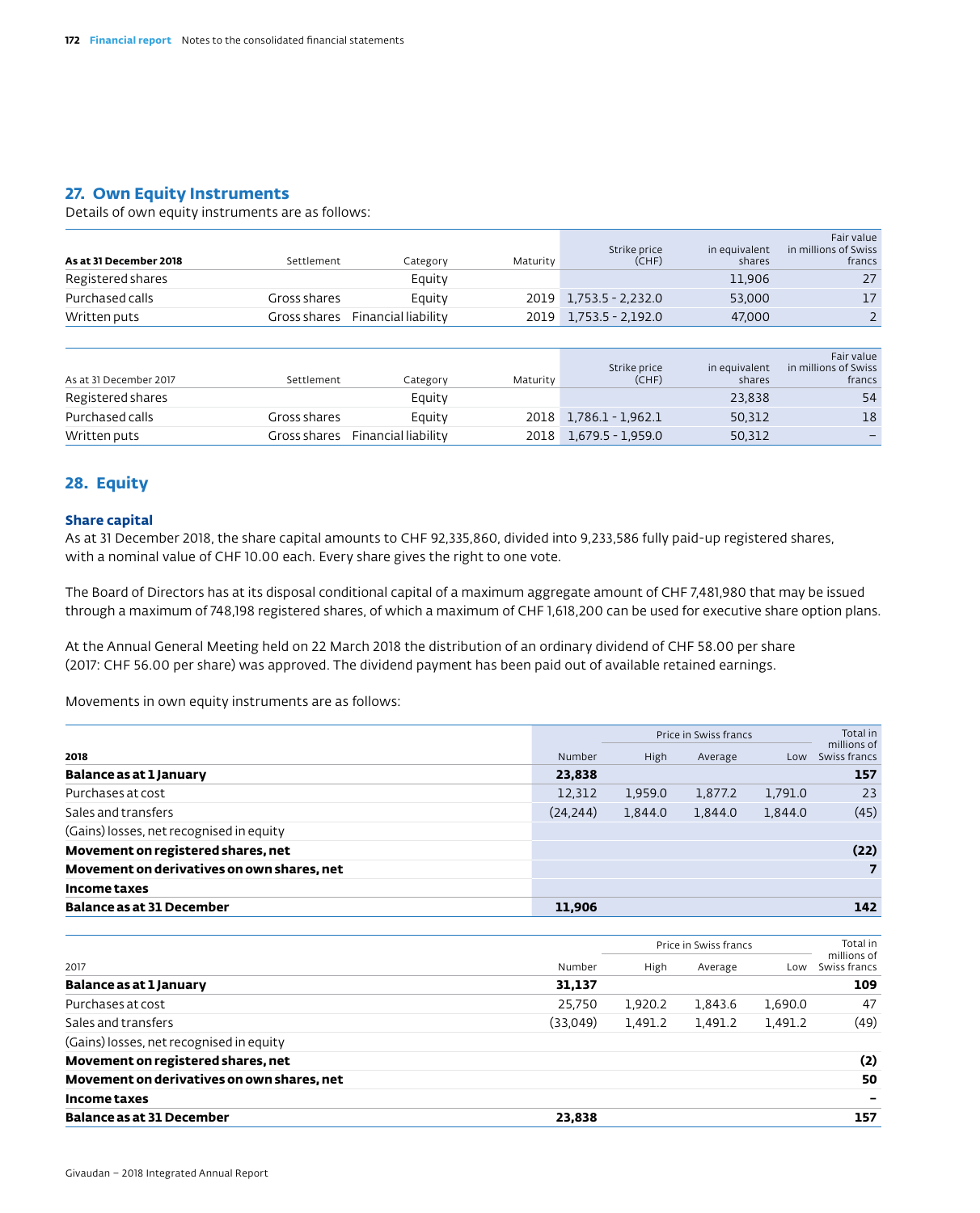## **27. Own Equity Instruments**

Details of own equity instruments are as follows:

| As at 31 December 2018 | Settlement   | Category                         | Maturity | Strike price<br>(CHF)  | in equivalent<br>shares | Fair value<br>in millions of Swiss<br>francs |
|------------------------|--------------|----------------------------------|----------|------------------------|-------------------------|----------------------------------------------|
| Registered shares      |              | Equity                           |          |                        | 11.906                  | 27                                           |
| Purchased calls        | Gross shares | Eauity                           |          | 2019 1,753.5 - 2,232.0 | 53,000                  | 17                                           |
| Written puts           |              | Gross shares Financial liability |          | 2019 1,753.5 - 2,192.0 | 47,000                  |                                              |

| As at 31 December 2017 | Settlement   | Category                         | Maturity | Strike price<br>(CHF)  | in equivalent<br>shares | Fair value<br>in millions of Swiss<br>francs |
|------------------------|--------------|----------------------------------|----------|------------------------|-------------------------|----------------------------------------------|
| Registered shares      |              | Equity                           |          |                        | 23.838                  | 54                                           |
| Purchased calls        | Gross shares | Eauity                           |          | 2018 1,786.1 - 1,962.1 | 50,312                  | 18                                           |
| Written puts           |              | Gross shares Financial liability |          | 2018 1,679.5 - 1,959.0 | 50,312                  |                                              |

## **28. Equity**

#### **Share capital**

As at 31 December 2018, the share capital amounts to CHF 92,335,860, divided into 9,233,586 fully paid-up registered shares, with a nominal value of CHF 10.00 each. Every share gives the right to one vote.

The Board of Directors has at its disposal conditional capital of a maximum aggregate amount of CHF 7,481,980 that may be issued through a maximum of 748,198 registered shares, of which a maximum of CHF 1,618,200 can be used for executive share option plans.

At the Annual General Meeting held on 22 March 2018 the distribution of an ordinary dividend of CHF 58.00 per share (2017: CHF 56.00 per share) was approved. The dividend payment has been paid out of available retained earnings.

Movements in own equity instruments are as follows:

|           | Price in Swiss francs |         |         | Total in<br>millions of |
|-----------|-----------------------|---------|---------|-------------------------|
| Number    | High                  | Average | Low     | Swiss francs            |
| 23,838    |                       |         |         | 157                     |
| 12,312    | 1,959.0               | 1,877.2 | 1,791.0 | 23                      |
| (24, 244) | 1.844.0               | 1,844.0 | 1,844.0 | (45)                    |
|           |                       |         |         |                         |
|           |                       |         |         | (22)                    |
|           |                       |         |         |                         |
|           |                       |         |         |                         |
| 11.906    |                       |         |         | 142                     |
|           |                       |         |         |                         |

|                                            |          | Price in Swiss francs |         |         | Total in<br>millions of |
|--------------------------------------------|----------|-----------------------|---------|---------|-------------------------|
| 2017                                       | Number   | High                  | Average | Low     | Swiss francs            |
| Balance as at 1 January                    | 31,137   |                       |         |         | 109                     |
| Purchases at cost                          | 25.750   | 1,920.2               | 1.843.6 | 1,690.0 | 47                      |
| Sales and transfers                        | (33,049) | 1,491.2               | 1.491.2 | 1.491.2 | (49)                    |
| (Gains) losses, net recognised in equity   |          |                       |         |         |                         |
| Movement on registered shares, net         |          |                       |         |         | (2)                     |
| Movement on derivatives on own shares, net |          |                       |         |         | 50                      |
| Income taxes                               |          |                       |         |         |                         |
| <b>Balance as at 31 December</b>           | 23,838   |                       |         |         | 157                     |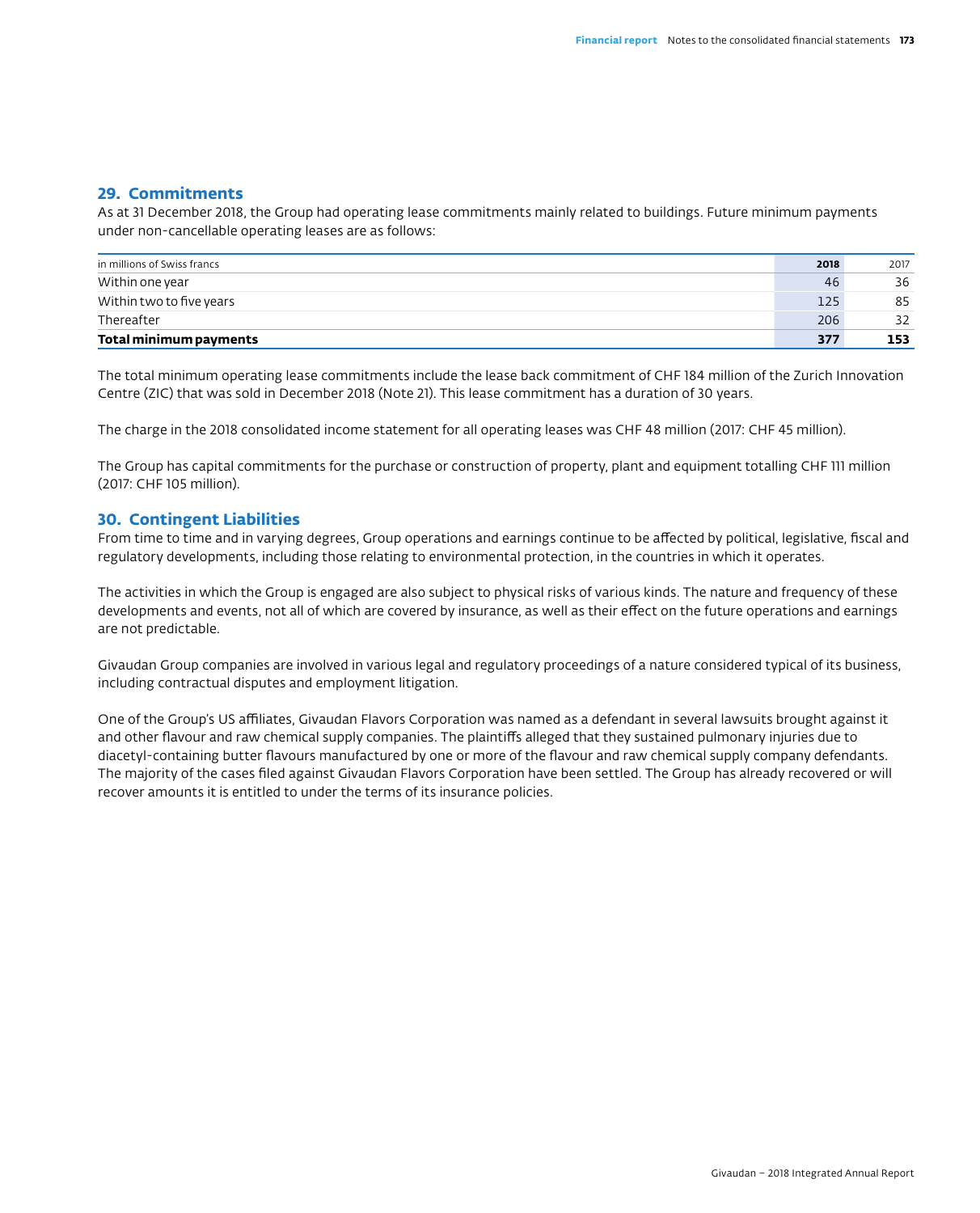### **29. Commitments**

As at 31 December 2018, the Group had operating lease commitments mainly related to buildings. Future minimum payments under non-cancellable operating leases are as follows:

| in millions of Swiss francs | 2018 | 2017 |
|-----------------------------|------|------|
| Within one year             | 46   | 36   |
| Within two to five years    | 125  | 85   |
| Thereafter                  | 206  | 32   |
| Total minimum payments      | 377  | 153  |

The total minimum operating lease commitments include the lease back commitment of CHF 184 million of the Zurich Innovation Centre (ZIC) that was sold in December 2018 (Note 21). This lease commitment has a duration of 30 years.

The charge in the 2018 consolidated income statement for all operating leases was CHF 48 million (2017: CHF 45 million).

The Group has capital commitments for the purchase or construction of property, plant and equipment totalling CHF 111 million (2017: CHF 105 million).

## **30. Contingent Liabilities**

From time to time and in varying degrees, Group operations and earnings continue to be affected by political, legislative, fiscal and regulatory developments, including those relating to environmental protection, in the countries in which it operates.

The activities in which the Group is engaged are also subject to physical risks of various kinds. The nature and frequency of these developments and events, not all of which are covered by insurance, as well as their effect on the future operations and earnings are not predictable.

Givaudan Group companies are involved in various legal and regulatory proceedings of a nature considered typical of its business, including contractual disputes and employment litigation.

One of the Group's US affiliates, Givaudan Flavors Corporation was named as a defendant in several lawsuits brought against it and other flavour and raw chemical supply companies. The plaintiffs alleged that they sustained pulmonary injuries due to diacetyl-containing butter flavours manufactured by one or more of the flavour and raw chemical supply company defendants. The majority of the cases filed against Givaudan Flavors Corporation have been settled. The Group has already recovered or will recover amounts it is entitled to under the terms of its insurance policies.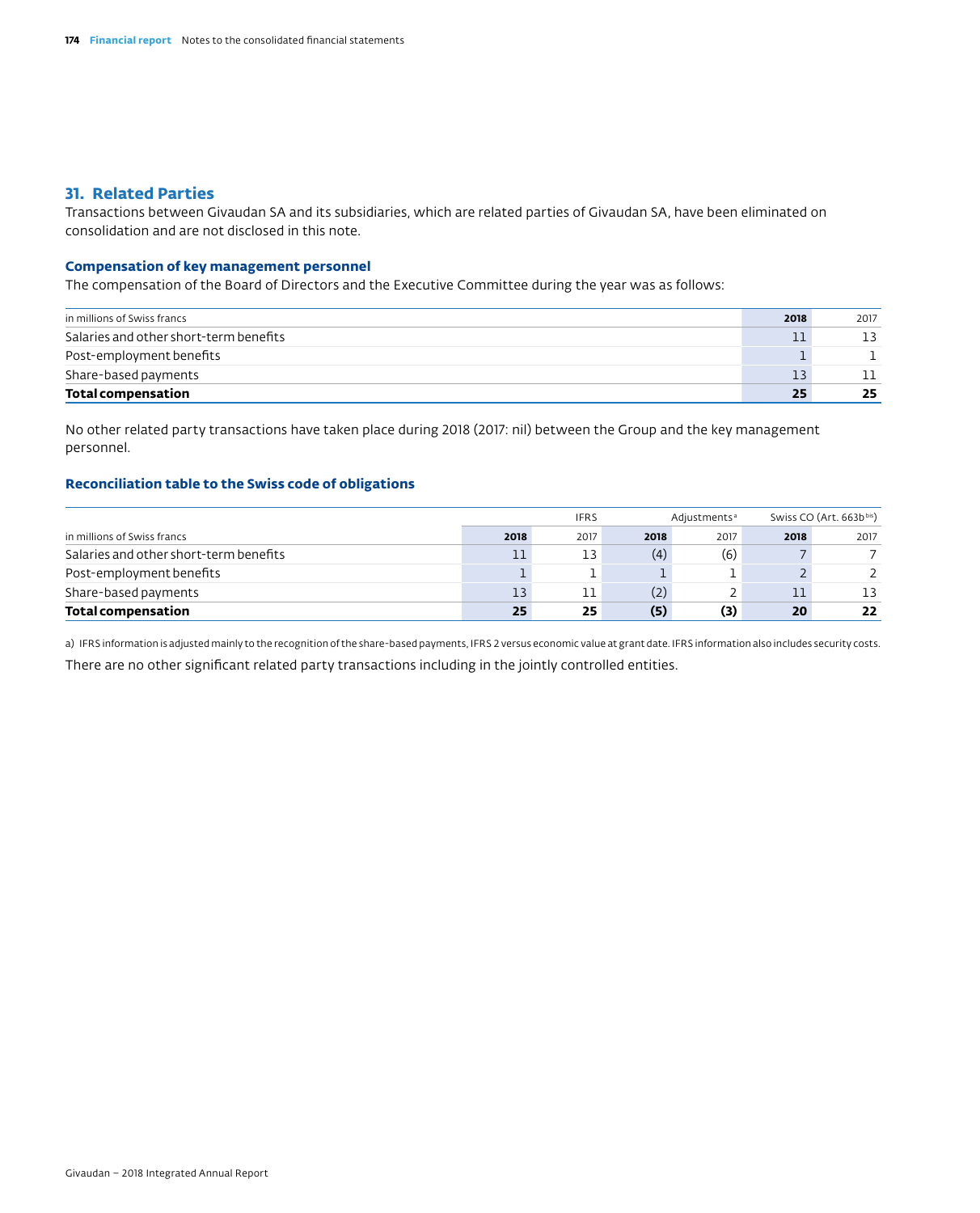## **31. Related Parties**

Transactions between Givaudan SA and its subsidiaries, which are related parties of Givaudan SA, have been eliminated on consolidation and are not disclosed in this note.

#### **Compensation of key management personnel**

The compensation of the Board of Directors and the Executive Committee during the year was as follows:

| in millions of Swiss francs            | 2018 | 2017 |
|----------------------------------------|------|------|
| Salaries and other short-term benefits |      | 13   |
| Post-employment benefits               |      |      |
| Share-based payments                   |      |      |
| <b>Total compensation</b>              | 25   | 25   |

No other related party transactions have taken place during 2018 (2017: nil) between the Group and the key management personnel.

### **Reconciliation table to the Swiss code of obligations**

|                                        |      | <b>IFRS</b><br>Adjustments <sup>a</sup> |      | Swiss CO (Art. 663b bis) |                 |      |
|----------------------------------------|------|-----------------------------------------|------|--------------------------|-----------------|------|
| in millions of Swiss francs            | 2018 | 2017                                    | 2018 | 2017                     | 2018            | 2017 |
| Salaries and other short-term benefits |      | 13                                      | (4)  | (6)                      |                 |      |
| Post-employment benefits               |      |                                         |      |                          |                 |      |
| Share-based payments                   |      | 11                                      | (2)  |                          |                 |      |
| <b>Total compensation</b>              | 25   | 25                                      | (5)  | (3)                      | 20 <sub>1</sub> | 22   |

a) IFRS information is adjusted mainly to the recognition of the share-based payments, IFRS 2 versus economic value at grant date. IFRS information also includes security costs. There are no other significant related party transactions including in the jointly controlled entities.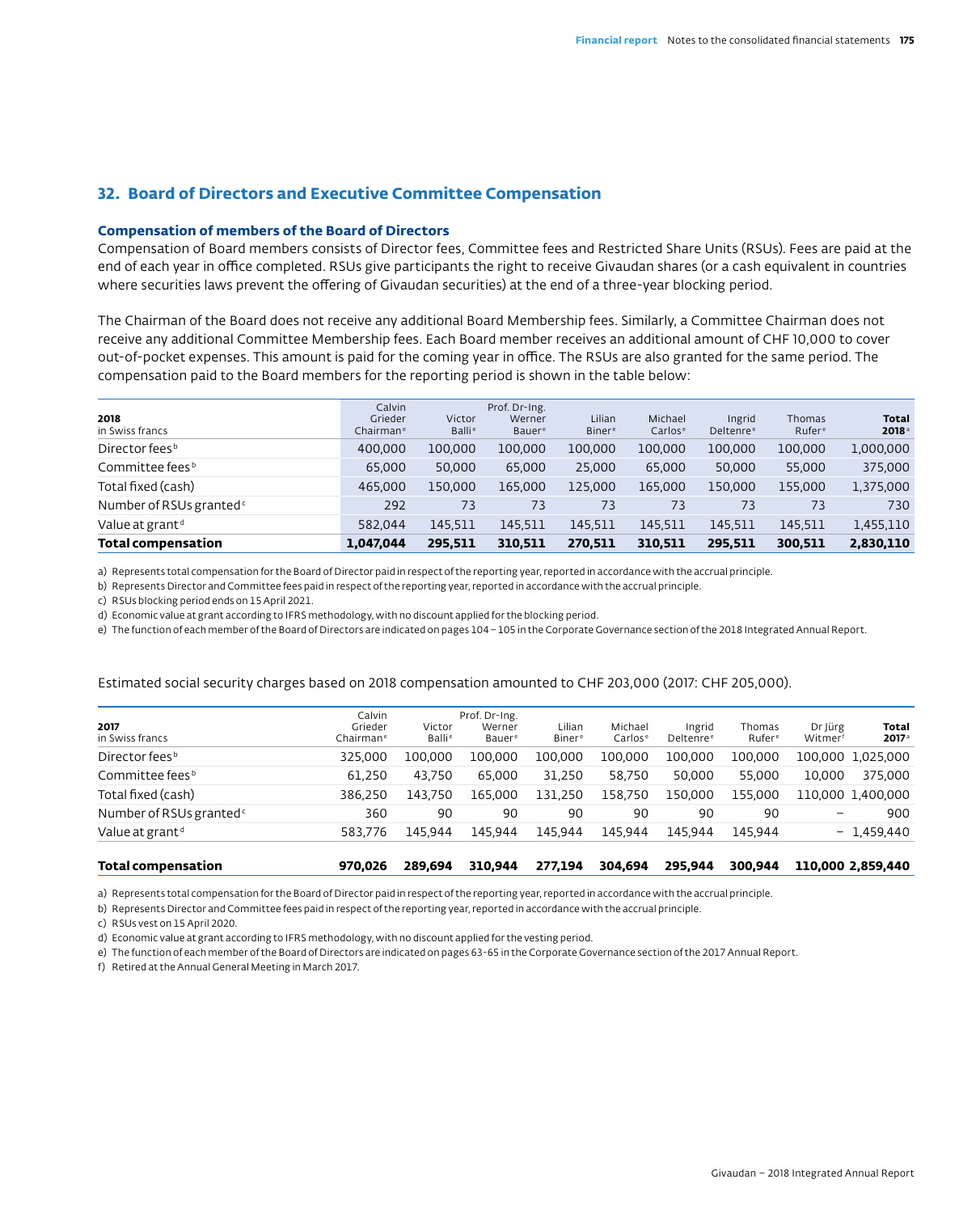#### **32. Board of Directors and Executive Committee Compensation**

#### **Compensation of members of the Board of Directors**

Compensation of Board members consists of Director fees, Committee fees and Restricted Share Units (RSUs). Fees are paid at the end of each year in office completed. RSUs give participants the right to receive Givaudan shares (or a cash equivalent in countries where securities laws prevent the offering of Givaudan securities) at the end of a three-year blocking period.

The Chairman of the Board does not receive any additional Board Membership fees. Similarly, a Committee Chairman does not receive any additional Committee Membership fees. Each Board member receives an additional amount of CHF 10,000 to cover out-of-pocket expenses. This amount is paid for the coming year in office. The RSUs are also granted for the same period. The compensation paid to the Board members for the reporting period is shown in the table below:

| 2018<br>in Swiss francs             | Calvin<br>Grieder<br>Chairman <sup>e</sup> | Victor<br><b>Ballie</b> | Prof. Dr-Ing.<br>Werner<br>Bauer <sup>e</sup> | Lilian<br><b>Biner</b> <sup>e</sup> | Michael<br>Carlos <sup>e</sup> | Ingrid<br>Deltenre <sup>e</sup> | Thomas<br>Rufer <sup>e</sup> | <b>Total</b><br>2018 <sup>a</sup> |
|-------------------------------------|--------------------------------------------|-------------------------|-----------------------------------------------|-------------------------------------|--------------------------------|---------------------------------|------------------------------|-----------------------------------|
| Director fees <sup>b</sup>          | 400.000                                    | 100,000                 | 100.000                                       | 100,000                             | 100.000                        | 100,000                         | 100,000                      | 1,000,000                         |
| Committee fees <sup>b</sup>         | 65,000                                     | 50,000                  | 65,000                                        | 25,000                              | 65,000                         | 50,000                          | 55,000                       | 375,000                           |
| Total fixed (cash)                  | 465,000                                    | 150,000                 | 165,000                                       | 125,000                             | 165,000                        | 150,000                         | 155,000                      | 1,375,000                         |
| Number of RSUs granted <sup>c</sup> | 292                                        | 73                      | 73                                            | 73                                  | 73                             | 73                              | 73                           | 730                               |
| Value at grant <sup>d</sup>         | 582.044                                    | 145,511                 | 145.511                                       | 145,511                             | 145,511                        | 145,511                         | 145.511                      | 1,455,110                         |
| Total compensation                  | 1,047,044                                  | 295.511                 | 310.511                                       | 270,511                             | 310,511                        | 295,511                         | 300.511                      | 2,830,110                         |

a) Represents total compensation for the Board of Director paid in respect of the reporting year, reported in accordance with the accrual principle.

b) Represents Director and Committee fees paid in respect of the reporting year, reported in accordance with the accrual principle.

c) RSUs blocking period ends on 15 April 2021.

d) Economic value at grant according to IFRS methodology, with no discount applied for the blocking period.

e) The function of each member of the Board of Directors are indicated on pages 104–105 in the Corporate Governance section of the 2018 Integrated Annual Report.

#### Estimated social security charges based on 2018 compensation amounted to CHF 203,000 (2017: CHF 205,000).

| 2017<br>in Swiss francs             | Calvin<br>Grieder<br>Chairman <sup>e</sup> | Victor<br>Balli <sup>e</sup> | Prof. Dr-Ing.<br>Werner<br><b>Bauer</b> <sup>e</sup> | Lilian<br><b>Biner</b> <sup>e</sup> | Michael<br>Carlos <sup>e</sup> | Ingrid<br>Deltenre <sup>e</sup> | Thomas<br>Rufer <sup>e</sup> | Dr Jürg<br>Witmer | Total<br>2017 <sup>a</sup> |
|-------------------------------------|--------------------------------------------|------------------------------|------------------------------------------------------|-------------------------------------|--------------------------------|---------------------------------|------------------------------|-------------------|----------------------------|
| Director fees <sup>b</sup>          | 325.000                                    | 100.000                      | 100.000                                              | 100.000                             | 100.000                        | 100.000                         | 100.000                      |                   | 100.000 1.025.000          |
| Committee fees <sup>b</sup>         | 61.250                                     | 43.750                       | 65.000                                               | 31.250                              | 58.750                         | 50.000                          | 55.000                       | 10.000            | 375,000                    |
| Total fixed (cash)                  | 386.250                                    | 143.750                      | 165.000                                              | 131.250                             | 158.750                        | 150.000                         | 155.000                      |                   | 110,000 1.400,000          |
| Number of RSUs granted <sup>c</sup> | 360                                        | 90                           | 90                                                   | 90                                  | 90                             | 90                              | 90                           | -                 | 900                        |
| Value at grant <sup>d</sup>         | 583.776                                    | 145.944                      | 145.944                                              | 145.944                             | 145.944                        | 145.944                         | 145.944                      |                   | $-1,459,440$               |

**Total compensation 970,026 289,694 310,944 277,194 304,694 295,944 300,944 110,000 2,859,440** 

a) Represents total compensation for the Board of Director paid in respect of the reporting year, reported in accordance with the accrual principle.

b) Represents Director and Committee fees paid in respect of the reporting year, reported in accordance with the accrual principle.

c) RSUs vest on 15 April 2020.

d) Economic value at grant according to IFRS methodology, with no discount applied for the vesting period.

e) The function of each member of the Board of Directors are indicated on pages 63-65 in the Corporate Governance section of the 2017 Annual Report.

f) Retired at the Annual General Meeting in March 2017.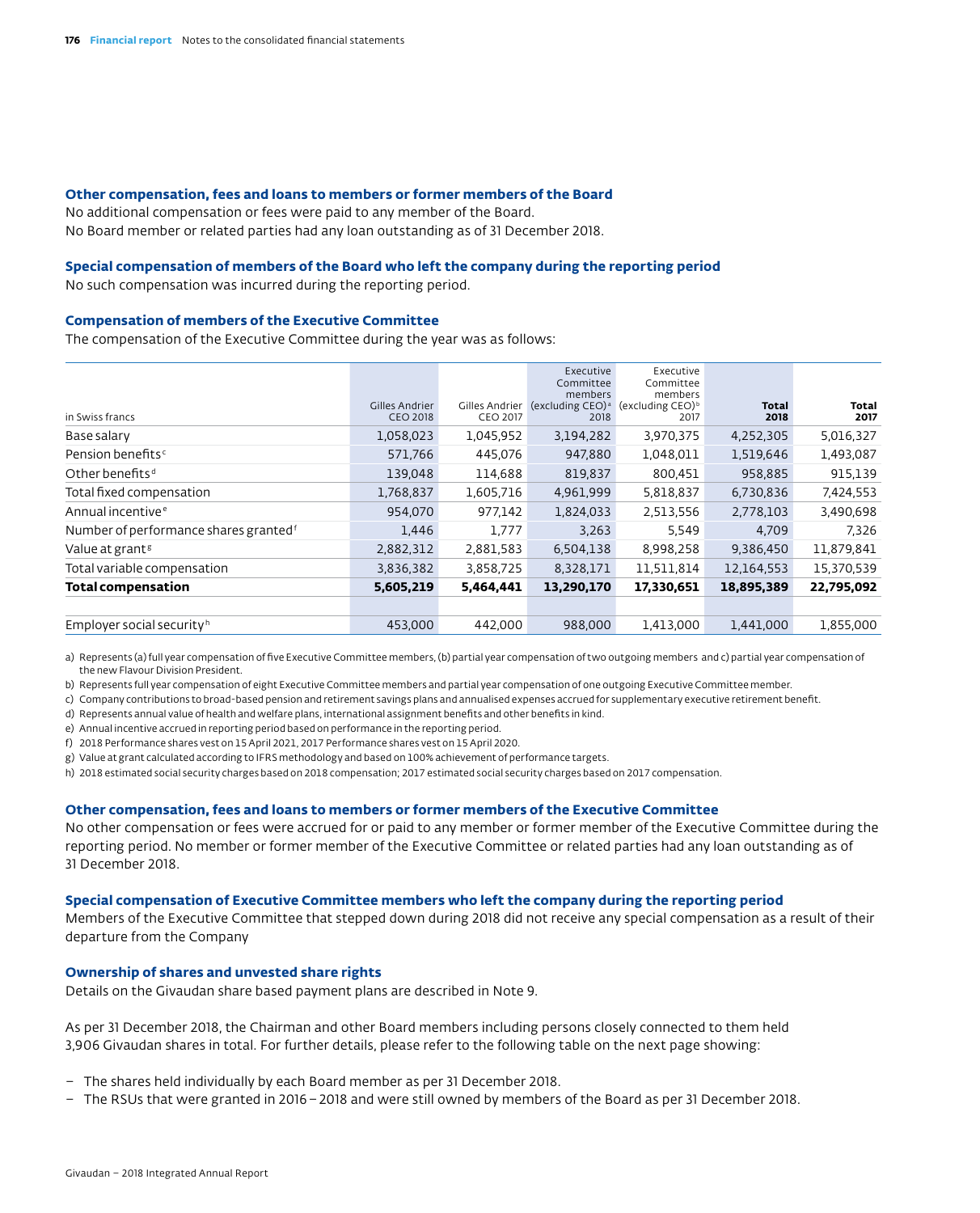#### **Other compensation, fees and loans to members or former members of the Board**

No additional compensation or fees were paid to any member of the Board. No Board member or related parties had any loan outstanding as of 31 December 2018.

#### **Special compensation of members of the Board who left the company during the reporting period**

No such compensation was incurred during the reporting period.

#### **Compensation of members of the Executive Committee**

The compensation of the Executive Committee during the year was as follows:

| in Swiss francs                                   | Gilles Andrier<br>CEO 2018 | Gilles Andrier<br><b>CEO 2017</b> | Executive<br>Committee<br>members<br>(excluding CEO) <sup>a</sup><br>2018 | Executive<br>Committee<br>members<br>(excluding CEO) <sup>b</sup><br>2017 | <b>Total</b><br>2018 | Total<br>2017 |
|---------------------------------------------------|----------------------------|-----------------------------------|---------------------------------------------------------------------------|---------------------------------------------------------------------------|----------------------|---------------|
| Base salary                                       | 1,058,023                  | 1,045,952                         | 3,194,282                                                                 | 3,970,375                                                                 | 4,252,305            | 5,016,327     |
| Pension benefits <sup>c</sup>                     | 571,766                    | 445,076                           | 947,880                                                                   | 1,048,011                                                                 | 1,519,646            | 1,493,087     |
| Other benefits <sup>d</sup>                       | 139,048                    | 114,688                           | 819,837                                                                   | 800,451                                                                   | 958,885              | 915,139       |
| Total fixed compensation                          | 1,768,837                  | 1,605,716                         | 4,961,999                                                                 | 5,818,837                                                                 | 6,730,836            | 7,424,553     |
| Annual incentive <sup>e</sup>                     | 954,070                    | 977,142                           | 1,824,033                                                                 | 2,513,556                                                                 | 2,778,103            | 3,490,698     |
| Number of performance shares granted <sup>f</sup> | 1,446                      | 1,777                             | 3,263                                                                     | 5,549                                                                     | 4,709                | 7,326         |
| Value at grant <sup>g</sup>                       | 2,882,312                  | 2,881,583                         | 6,504,138                                                                 | 8,998,258                                                                 | 9,386,450            | 11,879,841    |
| Total variable compensation                       | 3,836,382                  | 3,858,725                         | 8,328,171                                                                 | 11,511,814                                                                | 12,164,553           | 15,370,539    |
| <b>Total compensation</b>                         | 5,605,219                  | 5,464,441                         | 13,290,170                                                                | 17,330,651                                                                | 18,895,389           | 22,795,092    |
|                                                   |                            |                                   |                                                                           |                                                                           |                      |               |
| Employer social security <sup>h</sup>             | 453,000                    | 442,000                           | 988,000                                                                   | 1,413,000                                                                 | 1,441,000            | 1,855,000     |

a) Represents (a) full year compensation of five Executive Committee members, (b) partial year compensation of two outgoing members and c) partial year compensation of the new Flavour Division President.

b) Represents full year compensation of eight Executive Committee members and partial year compensation of one outgoing Executive Committee member.

c) Company contributions to broad-based pension and retirement savings plans and annualised expenses accrued for supplementary executive retirement benefit.

d) Represents annual value of health and welfare plans, international assignment benefits and other benefits in kind.

e) Annual incentive accrued in reporting period based on performance in the reporting period.

f) 2018 Performance shares vest on 15 April 2021, 2017 Performance shares vest on 15 April 2020.

g) Value at grant calculated according to IFRS methodology and based on 100% achievement of performance targets.

h) 2018 estimated social security charges based on 2018 compensation; 2017 estimated social security charges based on 2017 compensation.

#### **Other compensation, fees and loans to members or former members of the Executive Committee**

No other compensation or fees were accrued for or paid to any member or former member of the Executive Committee during the reporting period. No member or former member of the Executive Committee or related parties had any loan outstanding as of 31 December 2018.

#### **Special compensation of Executive Committee members who left the company during the reporting period**

Members of the Executive Committee that stepped down during 2018 did not receive any special compensation as a result of their departure from the Company

#### **Ownership of shares and unvested share rights**

Details on the Givaudan share based payment plans are described in Note 9.

As per 31 December 2018, the Chairman and other Board members including persons closely connected to them held 3,906 Givaudan shares in total. For further details, please refer to the following table on the next page showing:

- The shares held individually by each Board member as per 31 December 2018.
- The RSUs that were granted in 2016–2018 and were still owned by members of the Board as per 31 December 2018.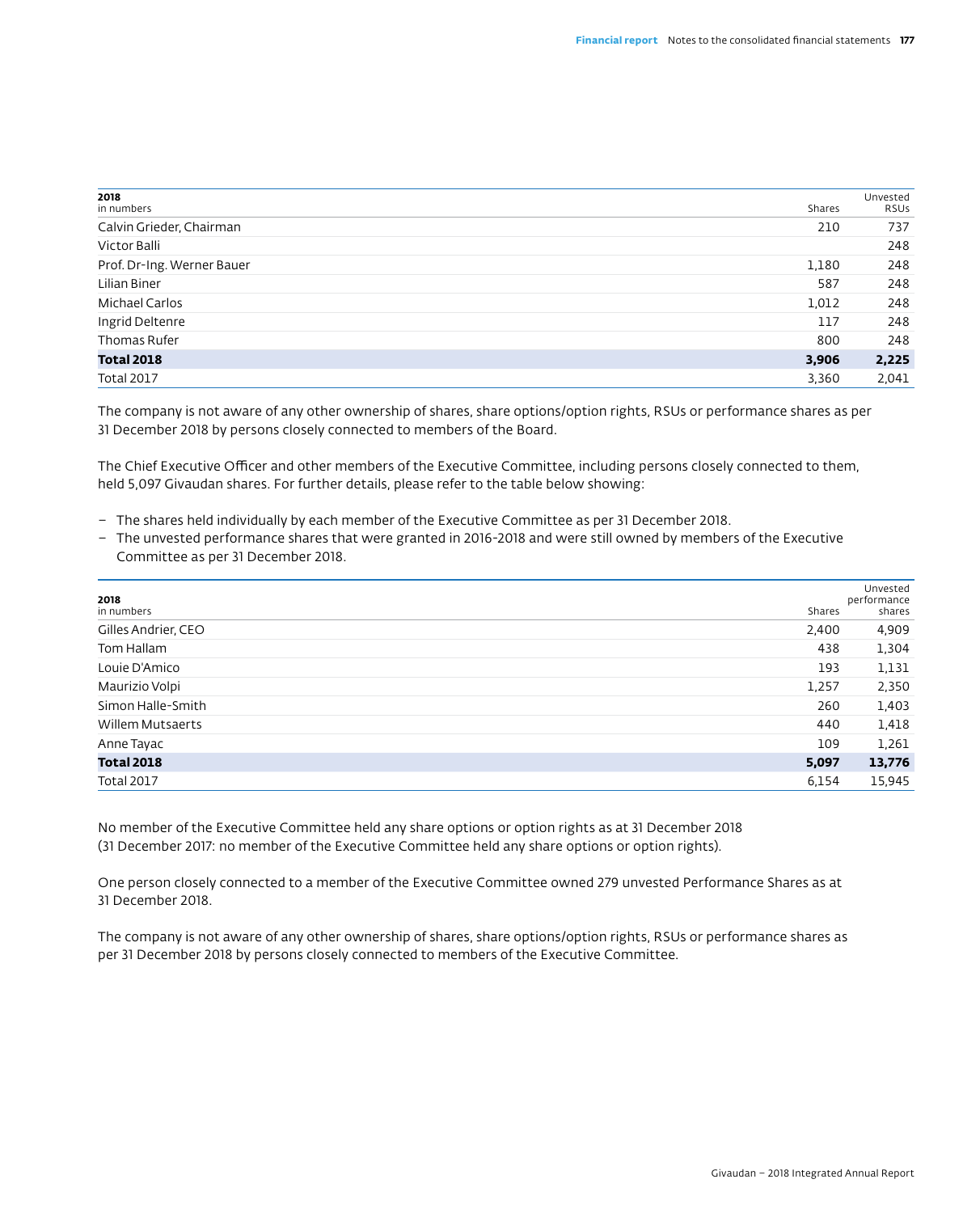| 2018<br>in numbers         | Shares | Unvested<br><b>RSUS</b> |
|----------------------------|--------|-------------------------|
| Calvin Grieder, Chairman   | 210    | 737                     |
| Victor Balli               |        | 248                     |
| Prof. Dr-Ing. Werner Bauer | 1,180  | 248                     |
| Lilian Biner               | 587    | 248                     |
| Michael Carlos             | 1,012  | 248                     |
| Ingrid Deltenre            | 117    | 248                     |
| Thomas Rufer               | 800    | 248                     |
| <b>Total 2018</b>          | 3,906  | 2,225                   |
| <b>Total 2017</b>          | 3,360  | 2,041                   |

The company is not aware of any other ownership of shares, share options/option rights, RSUs or performance shares as per 31 December 2018 by persons closely connected to members of the Board.

The Chief Executive Officer and other members of the Executive Committee, including persons closely connected to them, held 5,097 Givaudan shares. For further details, please refer to the table below showing:

- The shares held individually by each member of the Executive Committee as per 31 December 2018.
- The unvested performance shares that were granted in 2016-2018 and were still owned by members of the Executive Committee as per 31 December 2018.

| 2018<br>in numbers  | Shares | Unvested<br>performance<br>shares |
|---------------------|--------|-----------------------------------|
| Gilles Andrier, CEO | 2,400  | 4,909                             |
| Tom Hallam          | 438    | 1,304                             |
| Louie D'Amico       | 193    | 1,131                             |
| Maurizio Volpi      | 1,257  | 2,350                             |
| Simon Halle-Smith   | 260    | 1,403                             |
| Willem Mutsaerts    | 440    | 1,418                             |
| Anne Tayac          | 109    | 1,261                             |
| <b>Total 2018</b>   | 5,097  | 13,776                            |
| <b>Total 2017</b>   | 6,154  | 15,945                            |

No member of the Executive Committee held any share options or option rights as at 31 December 2018 (31 December 2017: no member of the Executive Committee held any share options or option rights).

One person closely connected to a member of the Executive Committee owned 279 unvested Performance Shares as at 31 December 2018.

The company is not aware of any other ownership of shares, share options/option rights, RSUs or performance shares as per 31 December 2018 by persons closely connected to members of the Executive Committee.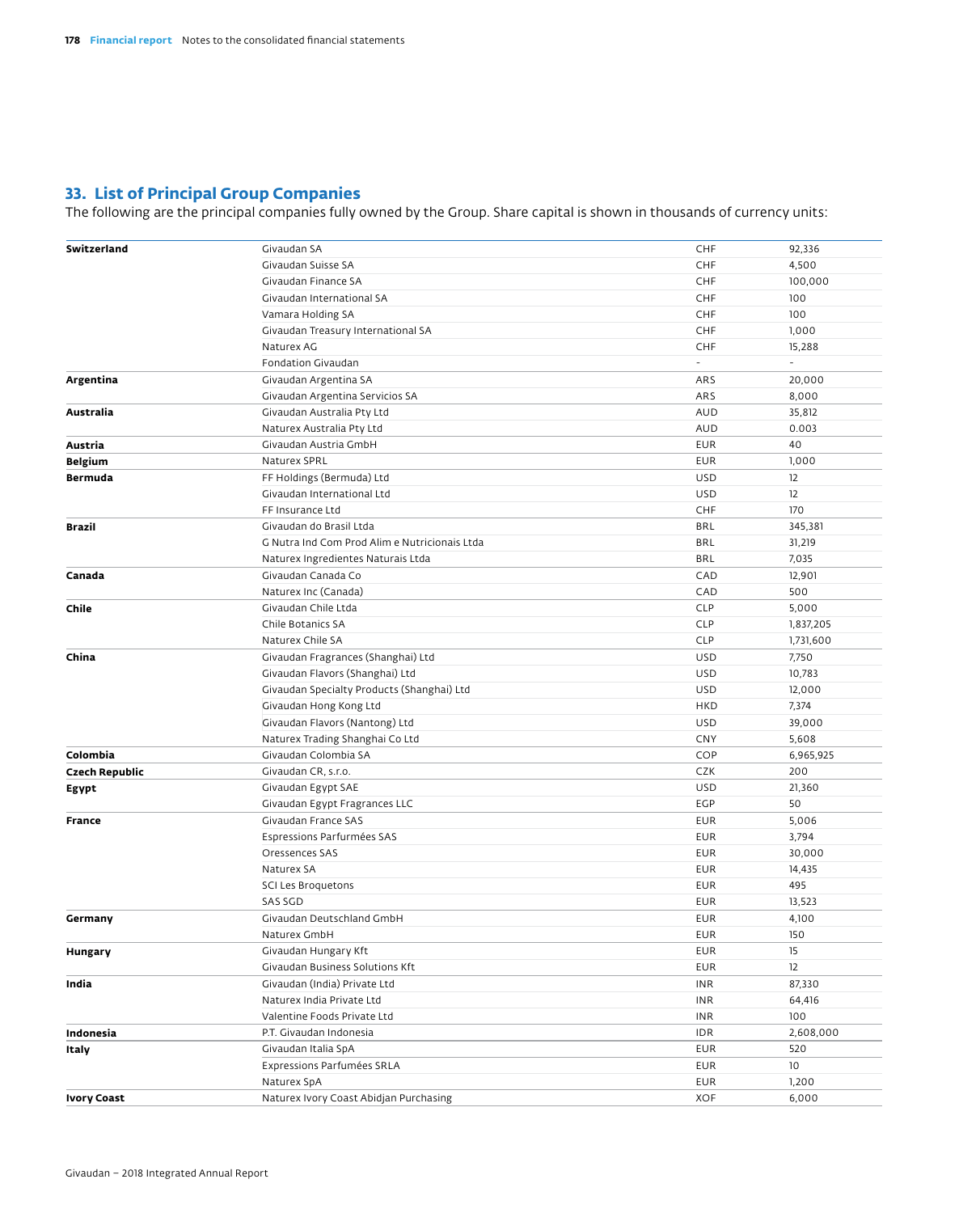## **33. List of Principal Group Companies**

The following are the principal companies fully owned by the Group. Share capital is shown in thousands of currency units:

| Switzerland           | Givaudan SA                                       | CHF                      | 92,336                   |
|-----------------------|---------------------------------------------------|--------------------------|--------------------------|
|                       | Givaudan Suisse SA                                | CHF                      | 4,500                    |
|                       | Givaudan Finance SA                               | CHF                      | 100,000                  |
|                       | Givaudan International SA                         | CHF                      | 100                      |
|                       | Vamara Holding SA                                 | CHF                      | 100                      |
|                       | Givaudan Treasury International SA                | CHF                      | 1,000                    |
|                       | Naturex AG                                        | CHF                      | 15,288                   |
|                       | Fondation Givaudan                                | $\overline{\phantom{a}}$ | $\overline{\phantom{a}}$ |
| Argentina             | Givaudan Argentina SA                             | ARS                      | 20,000                   |
|                       | Givaudan Argentina Servicios SA                   | ARS                      | 8,000                    |
| Australia             | Givaudan Australia Pty Ltd                        | AUD                      | 35,812                   |
|                       | Naturex Australia Pty Ltd                         | <b>AUD</b>               | 0.003                    |
| Austria               | Givaudan Austria GmbH                             | <b>EUR</b>               | 40                       |
| <b>Belgium</b>        | Naturex SPRL                                      | EUR                      | 1,000                    |
| <b>Bermuda</b>        | FF Holdings (Bermuda) Ltd                         | <b>USD</b>               | 12                       |
|                       | Givaudan International Ltd                        | <b>USD</b>               | 12                       |
|                       | FF Insurance Ltd                                  | CHF                      | 170                      |
| Brazil                | Givaudan do Brasil Ltda                           | <b>BRL</b>               | 345,381                  |
|                       | G Nutra Ind Com Prod Alim e Nutricionais Ltda     | <b>BRL</b>               | 31,219                   |
|                       | Naturex Ingredientes Naturais Ltda                | <b>BRL</b>               | 7,035                    |
| Canada                | Givaudan Canada Co                                | CAD                      | 12,901                   |
|                       | Naturex Inc (Canada)                              | CAD                      | 500                      |
| Chile                 | Givaudan Chile Ltda                               | <b>CLP</b>               | 5,000                    |
|                       | Chile Botanics SA                                 | <b>CLP</b>               | 1,837,205                |
|                       | Naturex Chile SA                                  | <b>CLP</b>               | 1,731,600                |
| China                 | Givaudan Fragrances (Shanghai) Ltd                | <b>USD</b>               | 7,750                    |
|                       | Givaudan Flavors (Shanghai) Ltd                   | <b>USD</b>               | 10,783                   |
|                       | Givaudan Specialty Products (Shanghai) Ltd        | <b>USD</b>               | 12,000                   |
|                       | Givaudan Hong Kong Ltd                            | <b>HKD</b>               | 7,374                    |
|                       | Givaudan Flavors (Nantong) Ltd                    | <b>USD</b>               | 39,000                   |
|                       | Naturex Trading Shanghai Co Ltd                   | <b>CNY</b>               | 5,608                    |
| Colombia              | Givaudan Colombia SA                              | COP                      | 6,965,925                |
| <b>Czech Republic</b> | Givaudan CR, s.r.o.                               | CZK                      | 200                      |
| Egypt                 | Givaudan Egypt SAE                                | <b>USD</b>               | 21,360                   |
|                       | Givaudan Egypt Fragrances LLC                     | EGP                      | 50                       |
| <b>France</b>         | Givaudan France SAS                               | <b>EUR</b>               | 5,006                    |
|                       | Espressions Parfurmées SAS                        | <b>EUR</b>               | 3,794                    |
|                       | Oressences SAS                                    | <b>EUR</b>               | 30,000                   |
|                       | Naturex SA                                        | <b>EUR</b>               | 14,435                   |
|                       | SCI Les Broquetons                                | EUR                      | 495                      |
|                       | SAS SGD                                           | <b>EUR</b>               | 13,523                   |
| Germany               | Givaudan Deutschland GmbH                         | <b>EUR</b>               | 4,100                    |
|                       | Naturex GmbH                                      | EUR                      | 150                      |
| Hungary               | Givaudan Hungary Kft                              | <b>EUR</b>               | 15                       |
|                       | Givaudan Business Solutions Kft                   | EUR                      | 12                       |
| India                 | Givaudan (India) Private Ltd                      | <b>INR</b>               | 87,330                   |
|                       | Naturex India Private Ltd                         | <b>INR</b>               | 64,416                   |
|                       | Valentine Foods Private Ltd                       | <b>INR</b>               | 100                      |
| Indonesia             | P.T. Givaudan Indonesia                           | <b>IDR</b>               |                          |
|                       |                                                   | <b>EUR</b>               | 2,608,000<br>520         |
| Italy                 | Givaudan Italia SpA<br>Expressions Parfumées SRLA | <b>EUR</b>               | 10                       |
|                       | Naturex SpA                                       | EUR                      | 1,200                    |
|                       | Naturex Ivory Coast Abidjan Purchasing            |                          |                          |
| <b>Ivory Coast</b>    |                                                   | XOF                      | 6,000                    |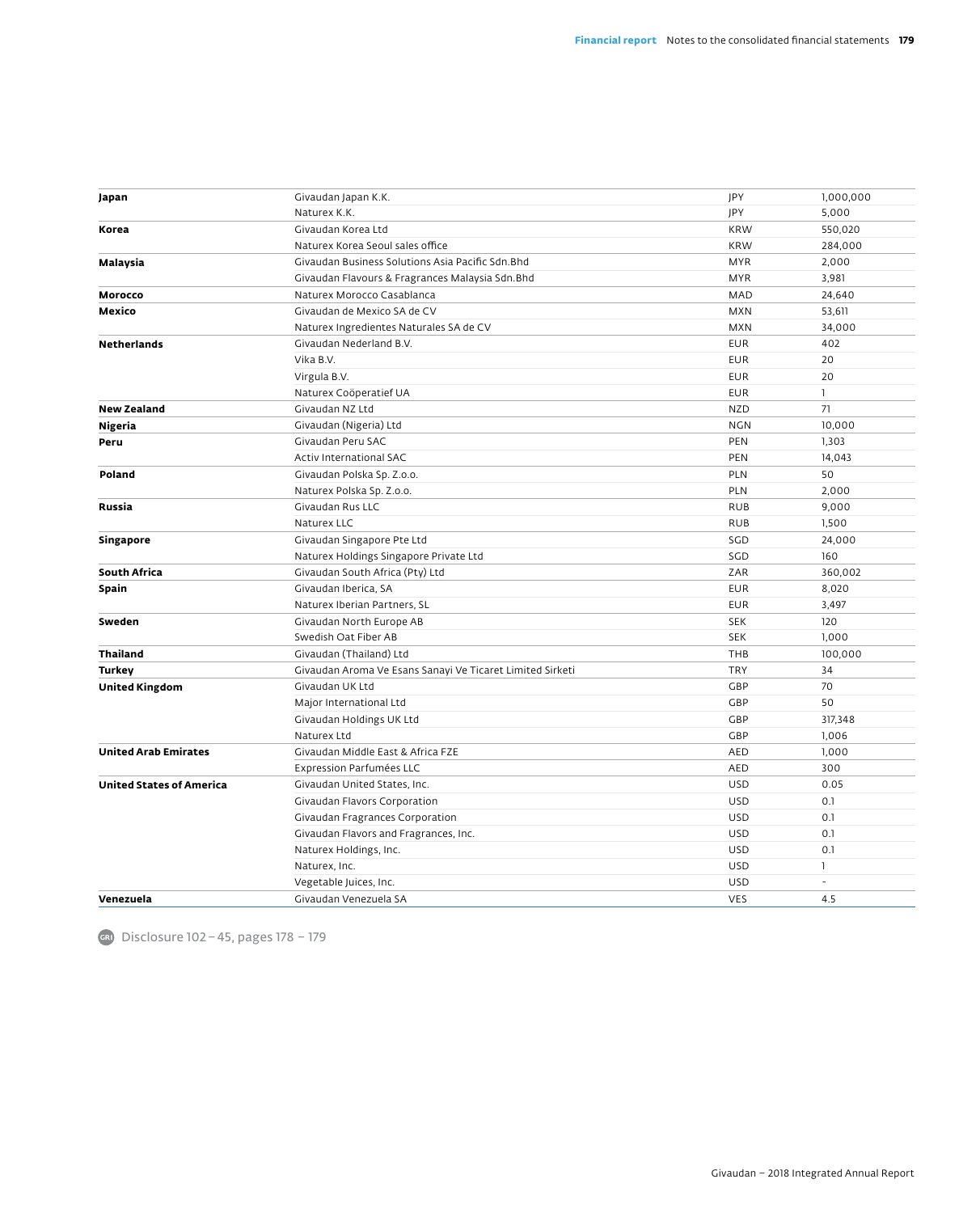| Japan                           | Givaudan Japan K.K.                                       | JPY        | 1,000,000    |
|---------------------------------|-----------------------------------------------------------|------------|--------------|
|                                 | Naturex K.K.                                              | JPY        | 5,000        |
| Korea                           | Givaudan Korea Ltd                                        | <b>KRW</b> | 550,020      |
|                                 | Naturex Korea Seoul sales office                          | <b>KRW</b> | 284,000      |
| Malaysia                        | Givaudan Business Solutions Asia Pacific Sdn.Bhd          | <b>MYR</b> | 2,000        |
|                                 | Givaudan Flavours & Fragrances Malaysia Sdn.Bhd           | <b>MYR</b> | 3,981        |
| Morocco                         | Naturex Morocco Casablanca                                | <b>MAD</b> | 24,640       |
| Mexico                          | Givaudan de Mexico SA de CV                               | <b>MXN</b> | 53,611       |
|                                 | Naturex Ingredientes Naturales SA de CV                   | <b>MXN</b> | 34,000       |
| <b>Netherlands</b>              | Givaudan Nederland B.V.                                   | <b>EUR</b> | 402          |
|                                 | Vika B.V.                                                 | <b>EUR</b> | 20           |
|                                 | Virgula B.V.                                              | <b>EUR</b> | 20           |
|                                 | Naturex Coöperatief UA                                    | <b>EUR</b> | $\mathbf{1}$ |
| <b>New Zealand</b>              | Givaudan NZ Ltd                                           | <b>NZD</b> | 71           |
| Nigeria                         | Givaudan (Nigeria) Ltd                                    | <b>NGN</b> | 10,000       |
| Peru                            | Givaudan Peru SAC                                         | PEN        | 1,303        |
|                                 | Activ International SAC                                   | PEN        | 14,043       |
| Poland                          | Givaudan Polska Sp. Z.o.o.                                | PLN        | 50           |
|                                 | Naturex Polska Sp. Z.o.o.                                 | PLN        | 2,000        |
| Russia                          | Givaudan Rus LLC                                          | <b>RUB</b> | 9,000        |
|                                 | Naturex LLC                                               | <b>RUB</b> | 1,500        |
| Singapore                       | Givaudan Singapore Pte Ltd                                | SGD        | 24,000       |
|                                 | Naturex Holdings Singapore Private Ltd                    | SGD        | 160          |
| South Africa                    | Givaudan South Africa (Pty) Ltd                           | ZAR        | 360,002      |
| Spain                           | Givaudan Iberica, SA                                      | <b>EUR</b> | 8,020        |
|                                 | Naturex Iberian Partners, SL                              | <b>EUR</b> | 3,497        |
| Sweden                          | Givaudan North Europe AB                                  | <b>SEK</b> | 120          |
|                                 | Swedish Oat Fiber AB                                      | SEK        | 1,000        |
| <b>Thailand</b>                 | Givaudan (Thailand) Ltd                                   | THB        | 100,000      |
| Turkey                          | Givaudan Aroma Ve Esans Sanayi Ve Ticaret Limited Sirketi | <b>TRY</b> | 34           |
| <b>United Kingdom</b>           | Givaudan UK Ltd                                           | GBP        | 70           |
|                                 | Major International Ltd                                   | GBP        | 50           |
|                                 | Givaudan Holdings UK Ltd                                  | GBP        | 317,348      |
|                                 | Naturex Ltd                                               | GBP        | 1,006        |
| <b>United Arab Emirates</b>     | Givaudan Middle East & Africa FZE                         | AED        | 1,000        |
|                                 | Expression Parfumées LLC                                  | AED        | 300          |
| <b>United States of America</b> | Givaudan United States, Inc.                              | <b>USD</b> | 0.05         |
|                                 | Givaudan Flavors Corporation                              | <b>USD</b> | 0.1          |
|                                 | Givaudan Fragrances Corporation                           | <b>USD</b> | 0.1          |
|                                 | Givaudan Flavors and Fragrances, Inc.                     | <b>USD</b> | 0.1          |
|                                 | Naturex Holdings, Inc.                                    | <b>USD</b> | 0.1          |
|                                 | Naturex, Inc.                                             | <b>USD</b> | $\mathbf{1}$ |
|                                 | Vegetable Juices, Inc.                                    | <b>USD</b> | ÷,           |
| Venezuela                       | Givaudan Venezuela SA                                     | VES        | 4.5          |

Disclosure 102–45, pages 178 – 179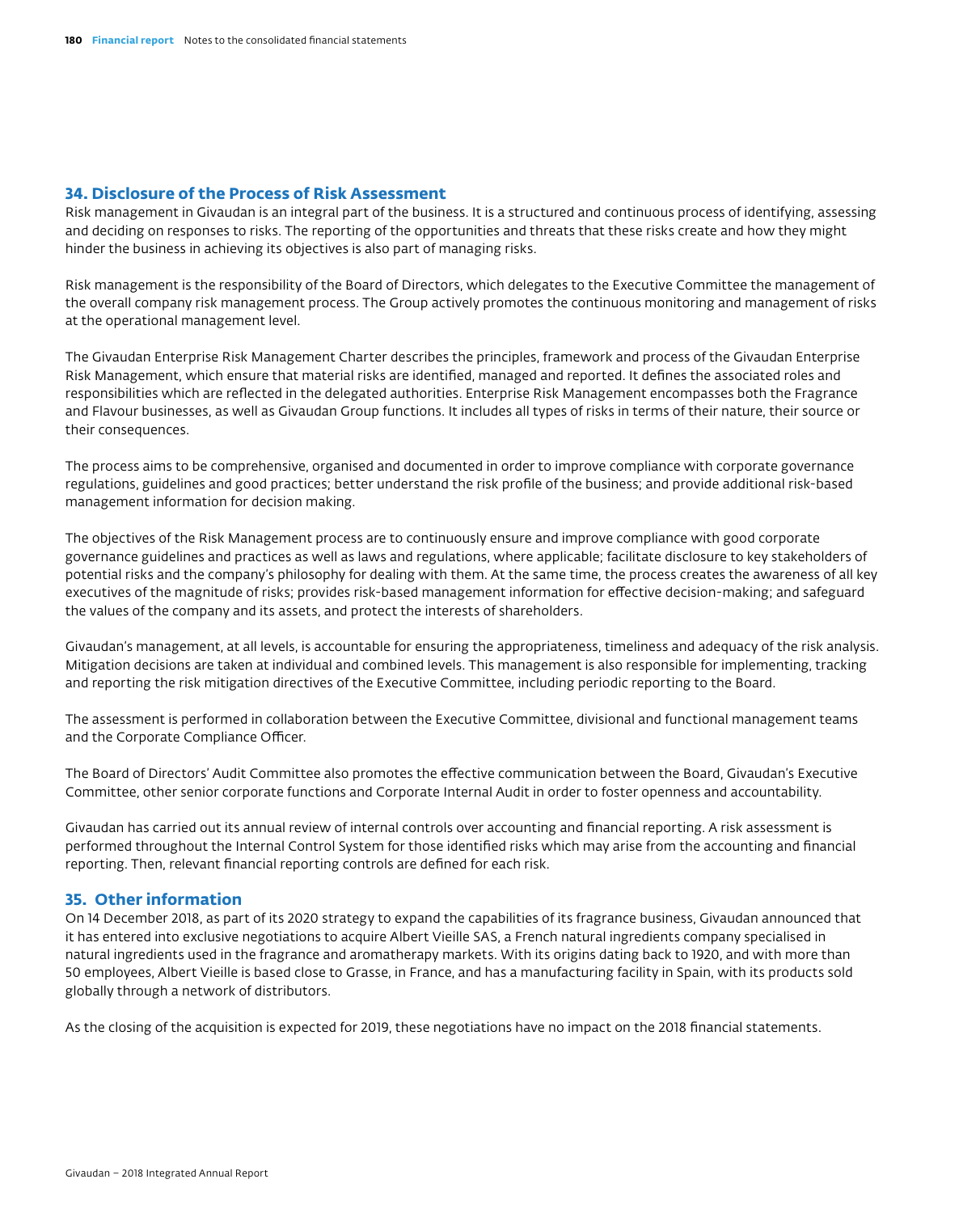#### **34. Disclosure of the Process of Risk Assessment**

Risk management in Givaudan is an integral part of the business. It is a structured and continuous process of identifying, assessing and deciding on responses to risks. The reporting of the opportunities and threats that these risks create and how they might hinder the business in achieving its objectives is also part of managing risks.

Risk management is the responsibility of the Board of Directors, which delegates to the Executive Committee the management of the overall company risk management process. The Group actively promotes the continuous monitoring and management of risks at the operational management level.

The Givaudan Enterprise Risk Management Charter describes the principles, framework and process of the Givaudan Enterprise Risk Management, which ensure that material risks are identified, managed and reported. It defines the associated roles and responsibilities which are reflected in the delegated authorities. Enterprise Risk Management encompasses both the Fragrance and Flavour businesses, as well as Givaudan Group functions. It includes all types of risks in terms of their nature, their source or their consequences.

The process aims to be comprehensive, organised and documented in order to improve compliance with corporate governance regulations, guidelines and good practices; better understand the risk profile of the business; and provide additional risk-based management information for decision making.

The objectives of the Risk Management process are to continuously ensure and improve compliance with good corporate governance guidelines and practices as well as laws and regulations, where applicable; facilitate disclosure to key stakeholders of potential risks and the company's philosophy for dealing with them. At the same time, the process creates the awareness of all key executives of the magnitude of risks; provides risk-based management information for effective decision-making; and safeguard the values of the company and its assets, and protect the interests of shareholders.

Givaudan's management, at all levels, is accountable for ensuring the appropriateness, timeliness and adequacy of the risk analysis. Mitigation decisions are taken at individual and combined levels. This management is also responsible for implementing, tracking and reporting the risk mitigation directives of the Executive Committee, including periodic reporting to the Board.

The assessment is performed in collaboration between the Executive Committee, divisional and functional management teams and the Corporate Compliance Officer.

The Board of Directors' Audit Committee also promotes the effective communication between the Board, Givaudan's Executive Committee, other senior corporate functions and Corporate Internal Audit in order to foster openness and accountability.

Givaudan has carried out its annual review of internal controls over accounting and financial reporting. A risk assessment is performed throughout the Internal Control System for those identified risks which may arise from the accounting and financial reporting. Then, relevant financial reporting controls are defined for each risk.

#### **35. Other information**

On 14 December 2018, as part of its 2020 strategy to expand the capabilities of its fragrance business, Givaudan announced that it has entered into exclusive negotiations to acquire Albert Vieille SAS, a French natural ingredients company specialised in natural ingredients used in the fragrance and aromatherapy markets. With its origins dating back to 1920, and with more than 50 employees, Albert Vieille is based close to Grasse, in France, and has a manufacturing facility in Spain, with its products sold globally through a network of distributors.

As the closing of the acquisition is expected for 2019, these negotiations have no impact on the 2018 financial statements.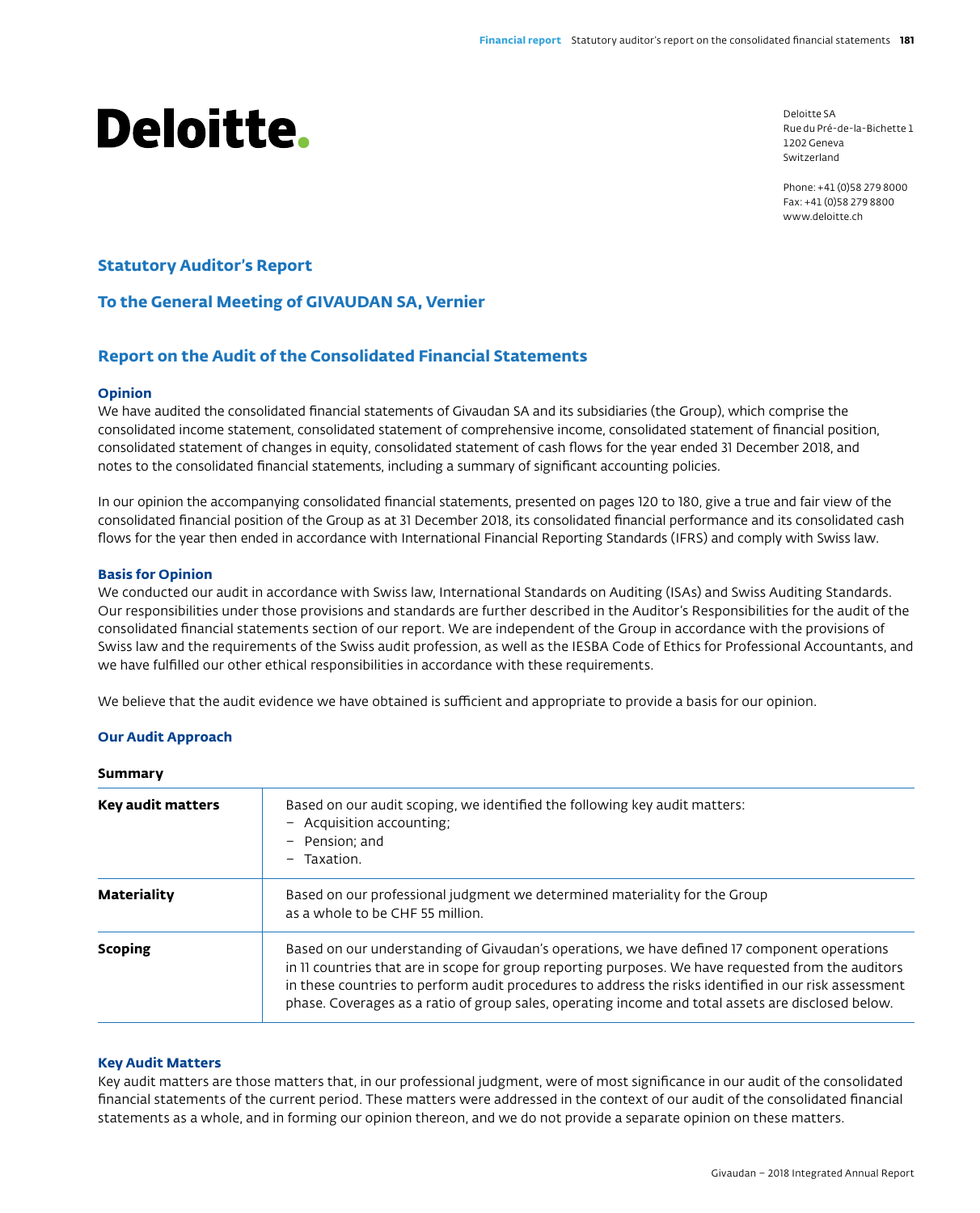Deloitte SA Rue du Pré-de-la-Bichette 1 1202 Geneva Switzerland

Phone: +41 (0)58 279 8000 Fax: +41 (0)58 279 8800 www.deloitte.ch

## **Statutory Auditor's Report**

## **To the General Meeting of GIVAUDAN SA, Vernier**

## **Report on the Audit of the Consolidated Financial Statements**

#### **Opinion**

We have audited the consolidated financial statements of Givaudan SA and its subsidiaries (the Group), which comprise the consolidated income statement, consolidated statement of comprehensive income, consolidated statement of financial position, consolidated statement of changes in equity, consolidated statement of cash flows for the year ended 31 December 2018, and notes to the consolidated financial statements, including a summary of significant accounting policies.

In our opinion the accompanying consolidated financial statements, presented on pages 120 to 180, give a true and fair view of the consolidated financial position of the Group as at 31 December 2018, its consolidated financial performance and its consolidated cash flows for the year then ended in accordance with International Financial Reporting Standards (IFRS) and comply with Swiss law.

#### **Basis for Opinion**

We conducted our audit in accordance with Swiss law, International Standards on Auditing (ISAs) and Swiss Auditing Standards. Our responsibilities under those provisions and standards are further described in the Auditor's Responsibilities for the audit of the consolidated financial statements section of our report. We are independent of the Group in accordance with the provisions of Swiss law and the requirements of the Swiss audit profession, as well as the IESBA Code of Ethics for Professional Accountants, and we have fulfilled our other ethical responsibilities in accordance with these requirements.

We believe that the audit evidence we have obtained is sufficient and appropriate to provide a basis for our opinion.

#### **Our Audit Approach**

| Summary            |                                                                                                                                                                                                                                                                                                                                                                                                                    |
|--------------------|--------------------------------------------------------------------------------------------------------------------------------------------------------------------------------------------------------------------------------------------------------------------------------------------------------------------------------------------------------------------------------------------------------------------|
| Key audit matters  | Based on our audit scoping, we identified the following key audit matters:<br>- Acquisition accounting:<br>Pension: and<br>$\qquad \qquad -$<br>- Taxation.                                                                                                                                                                                                                                                        |
| <b>Materiality</b> | Based on our professional judgment we determined materiality for the Group<br>as a whole to be CHF 55 million.                                                                                                                                                                                                                                                                                                     |
| <b>Scoping</b>     | Based on our understanding of Givaudan's operations, we have defined 17 component operations<br>in 11 countries that are in scope for group reporting purposes. We have requested from the auditors<br>in these countries to perform audit procedures to address the risks identified in our risk assessment<br>phase. Coverages as a ratio of group sales, operating income and total assets are disclosed below. |

#### **Key Audit Matters**

Key audit matters are those matters that, in our professional judgment, were of most significance in our audit of the consolidated financial statements of the current period. These matters were addressed in the context of our audit of the consolidated financial statements as a whole, and in forming our opinion thereon, and we do not provide a separate opinion on these matters.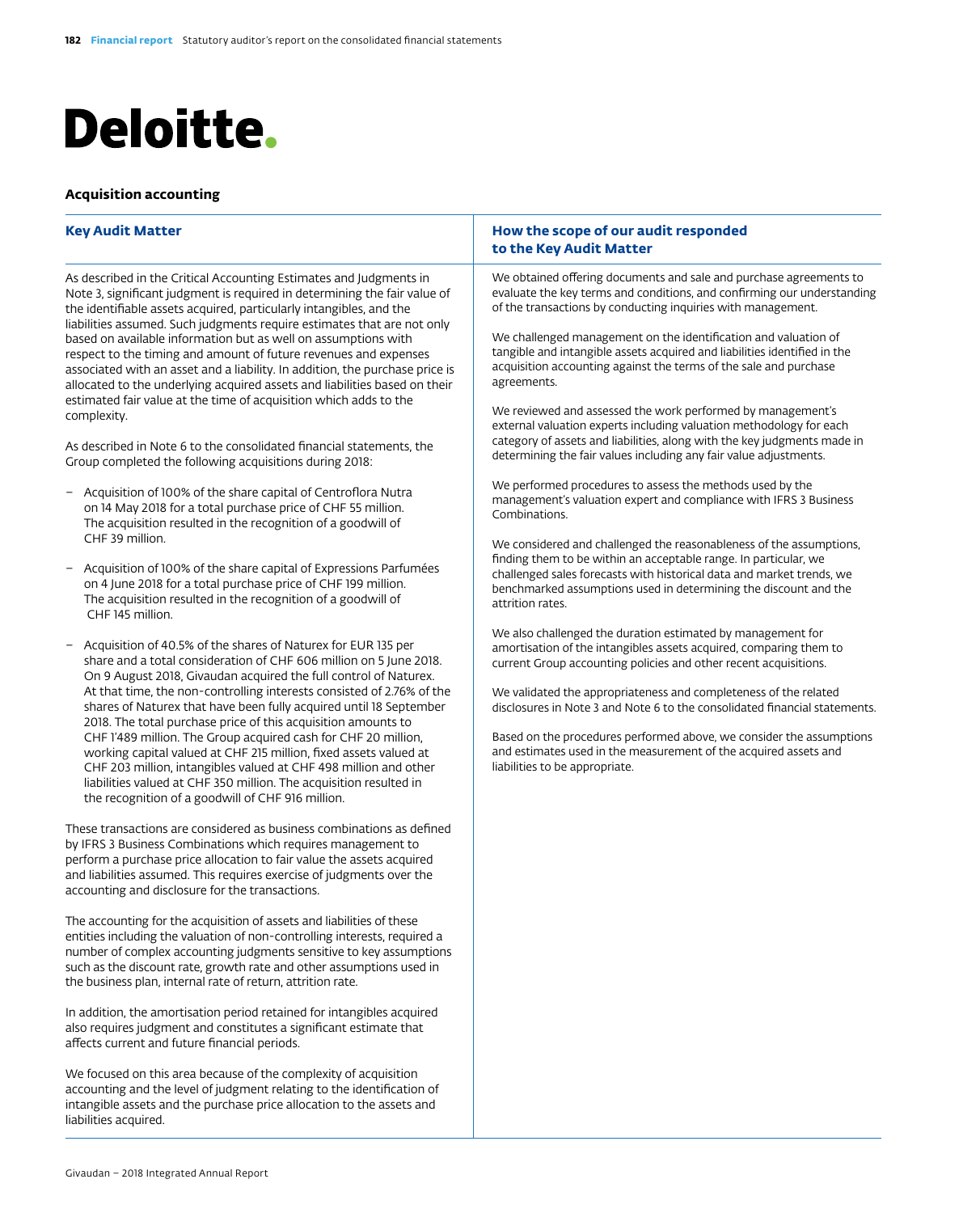#### **Acquisition accounting**

| <b>Key Audit Matter</b>                                                                                                                                                                                                                                                                                                                                                                                                                                                                                                                                                                                                                                                                                                                                           | How the scope of our audit responded<br>to the Key Audit Matter                                                                                                                                                                                                                                                                                                                                                                                                                                                                                                                                                                                                     |
|-------------------------------------------------------------------------------------------------------------------------------------------------------------------------------------------------------------------------------------------------------------------------------------------------------------------------------------------------------------------------------------------------------------------------------------------------------------------------------------------------------------------------------------------------------------------------------------------------------------------------------------------------------------------------------------------------------------------------------------------------------------------|---------------------------------------------------------------------------------------------------------------------------------------------------------------------------------------------------------------------------------------------------------------------------------------------------------------------------------------------------------------------------------------------------------------------------------------------------------------------------------------------------------------------------------------------------------------------------------------------------------------------------------------------------------------------|
| As described in the Critical Accounting Estimates and Judgments in<br>Note 3, significant judgment is required in determining the fair value of<br>the identifiable assets acquired, particularly intangibles, and the<br>liabilities assumed. Such judgments require estimates that are not only<br>based on available information but as well on assumptions with<br>respect to the timing and amount of future revenues and expenses<br>associated with an asset and a liability. In addition, the purchase price is<br>allocated to the underlying acquired assets and liabilities based on their<br>estimated fair value at the time of acquisition which adds to the<br>complexity.<br>As described in Note 6 to the consolidated financial statements, the | We obtained offering documents and sale and purchase agreements to<br>evaluate the key terms and conditions, and confirming our understanding<br>of the transactions by conducting inquiries with management.<br>We challenged management on the identification and valuation of<br>tangible and intangible assets acquired and liabilities identified in the<br>acquisition accounting against the terms of the sale and purchase<br>agreements.<br>We reviewed and assessed the work performed by management's<br>external valuation experts including valuation methodology for each<br>category of assets and liabilities, along with the key judgments made in |
| Group completed the following acquisitions during 2018:                                                                                                                                                                                                                                                                                                                                                                                                                                                                                                                                                                                                                                                                                                           | determining the fair values including any fair value adjustments.                                                                                                                                                                                                                                                                                                                                                                                                                                                                                                                                                                                                   |
| Acquisition of 100% of the share capital of Centroflora Nutra<br>on 14 May 2018 for a total purchase price of CHF 55 million.<br>The acquisition resulted in the recognition of a goodwill of                                                                                                                                                                                                                                                                                                                                                                                                                                                                                                                                                                     | We performed procedures to assess the methods used by the<br>management's valuation expert and compliance with IFRS 3 Business<br>Combinations.                                                                                                                                                                                                                                                                                                                                                                                                                                                                                                                     |
| CHF 39 million.<br>Acquisition of 100% of the share capital of Expressions Parfumées<br>$\qquad \qquad -$<br>on 4 June 2018 for a total purchase price of CHF 199 million.<br>The acquisition resulted in the recognition of a goodwill of<br>CHF 145 million.                                                                                                                                                                                                                                                                                                                                                                                                                                                                                                    | We considered and challenged the reasonableness of the assumptions,<br>finding them to be within an acceptable range. In particular, we<br>challenged sales forecasts with historical data and market trends, we<br>benchmarked assumptions used in determining the discount and the<br>attrition rates.                                                                                                                                                                                                                                                                                                                                                            |
| Acquisition of 40.5% of the shares of Naturex for EUR 135 per<br>share and a total consideration of CHF 606 million on 5 June 2018.<br>On 9 August 2018, Givaudan acquired the full control of Naturex.<br>At that time, the non-controlling interests consisted of 2.76% of the<br>shares of Naturex that have been fully acquired until 18 September<br>2018. The total purchase price of this acquisition amounts to<br>CHF 1'489 million. The Group acquired cash for CHF 20 million,<br>working capital valued at CHF 215 million, fixed assets valued at<br>CHF 203 million, intangibles valued at CHF 498 million and other<br>liabilities valued at CHF 350 million. The acquisition resulted in<br>the recognition of a goodwill of CHF 916 million.     | We also challenged the duration estimated by management for<br>amortisation of the intangibles assets acquired, comparing them to<br>current Group accounting policies and other recent acquisitions.<br>We validated the appropriateness and completeness of the related<br>disclosures in Note 3 and Note 6 to the consolidated financial statements.<br>Based on the procedures performed above, we consider the assumptions<br>and estimates used in the measurement of the acquired assets and<br>liabilities to be appropriate.                                                                                                                               |
| These transactions are considered as business combinations as defined<br>by IFRS 3 Business Combinations which requires management to<br>perform a purchase price allocation to fair value the assets acquired<br>and liabilities assumed. This requires exercise of judgments over the<br>accounting and disclosure for the transactions.                                                                                                                                                                                                                                                                                                                                                                                                                        |                                                                                                                                                                                                                                                                                                                                                                                                                                                                                                                                                                                                                                                                     |
| The accounting for the acquisition of assets and liabilities of these<br>entities including the valuation of non-controlling interests, required a<br>number of complex accounting judgments sensitive to key assumptions<br>such as the discount rate, growth rate and other assumptions used in                                                                                                                                                                                                                                                                                                                                                                                                                                                                 |                                                                                                                                                                                                                                                                                                                                                                                                                                                                                                                                                                                                                                                                     |

In addition, the amortisation period retained for intangibles acquired also requires judgment and constitutes a significant estimate that affects current and future financial periods.

the business plan, internal rate of return, attrition rate.

We focused on this area because of the complexity of acquisition accounting and the level of judgment relating to the identification of intangible assets and the purchase price allocation to the assets and liabilities acquired.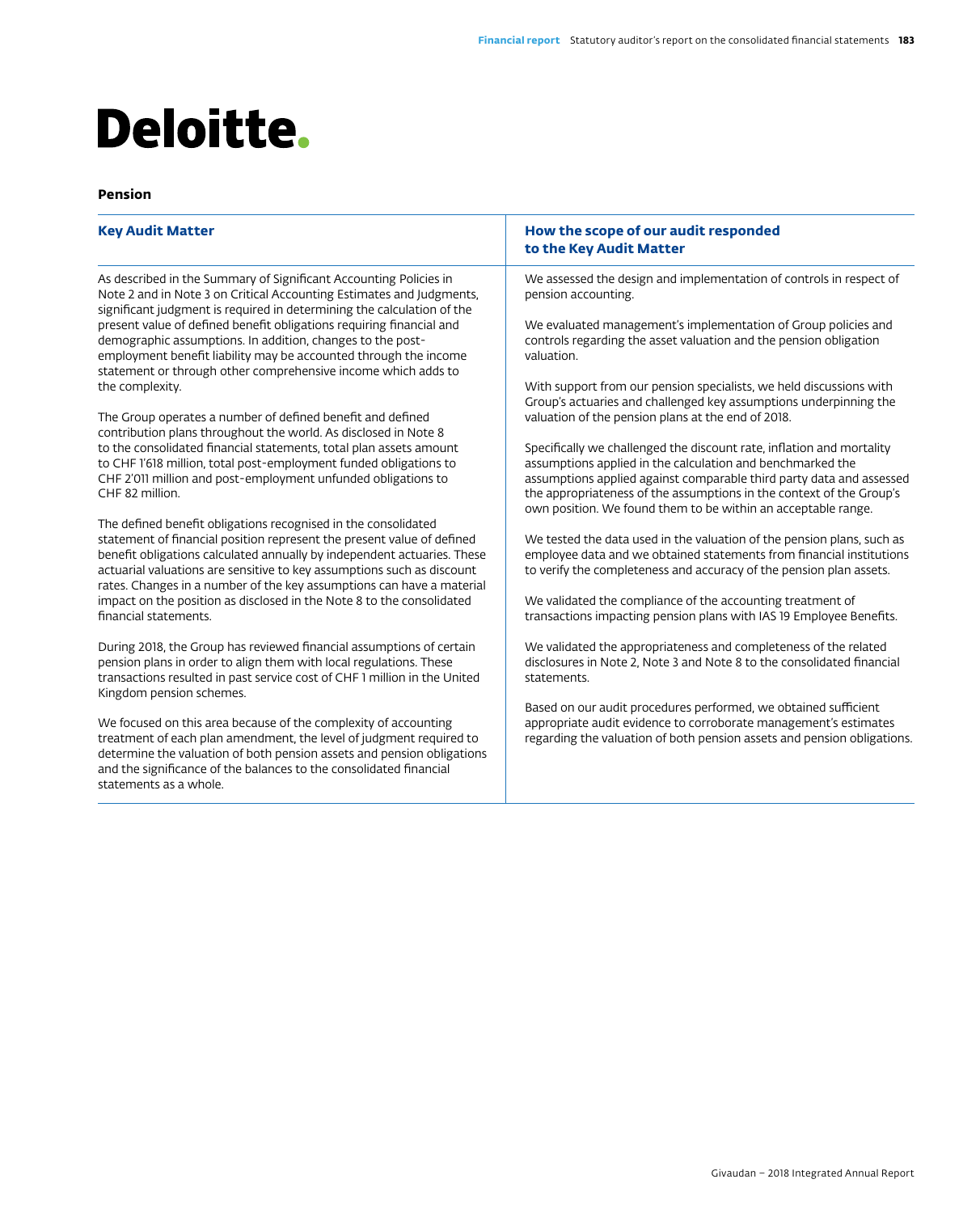#### **Pension**

| <b>Key Audit Matter</b>                                                                                                                                                                                                                                                                                                                                                                                                                                                                                                                                                                                                                                                                                                                                                                                                                                                                                                                                                                                                                                                                                                                                                                                                                                                                                                                                                                                                                                                                                                                                                                  | How the scope of our audit responded<br>to the Key Audit Matter                                                                                                                                                                                                                                                                                                                                                                                                                                                                                                                                                                                                                                                                                                                                                                                                                                                                                                                                                                                                                                                                                                                                                                                                                                                                      |  |  |
|------------------------------------------------------------------------------------------------------------------------------------------------------------------------------------------------------------------------------------------------------------------------------------------------------------------------------------------------------------------------------------------------------------------------------------------------------------------------------------------------------------------------------------------------------------------------------------------------------------------------------------------------------------------------------------------------------------------------------------------------------------------------------------------------------------------------------------------------------------------------------------------------------------------------------------------------------------------------------------------------------------------------------------------------------------------------------------------------------------------------------------------------------------------------------------------------------------------------------------------------------------------------------------------------------------------------------------------------------------------------------------------------------------------------------------------------------------------------------------------------------------------------------------------------------------------------------------------|--------------------------------------------------------------------------------------------------------------------------------------------------------------------------------------------------------------------------------------------------------------------------------------------------------------------------------------------------------------------------------------------------------------------------------------------------------------------------------------------------------------------------------------------------------------------------------------------------------------------------------------------------------------------------------------------------------------------------------------------------------------------------------------------------------------------------------------------------------------------------------------------------------------------------------------------------------------------------------------------------------------------------------------------------------------------------------------------------------------------------------------------------------------------------------------------------------------------------------------------------------------------------------------------------------------------------------------|--|--|
| As described in the Summary of Significant Accounting Policies in<br>Note 2 and in Note 3 on Critical Accounting Estimates and Judgments,<br>significant judgment is required in determining the calculation of the<br>present value of defined benefit obligations requiring financial and<br>demographic assumptions. In addition, changes to the post-<br>employment benefit liability may be accounted through the income<br>statement or through other comprehensive income which adds to<br>the complexity.<br>The Group operates a number of defined benefit and defined<br>contribution plans throughout the world. As disclosed in Note 8<br>to the consolidated financial statements, total plan assets amount<br>to CHF 1'618 million, total post-employment funded obligations to<br>CHF 2'011 million and post-employment unfunded obligations to<br>CHF 82 million.<br>The defined benefit obligations recognised in the consolidated<br>statement of financial position represent the present value of defined<br>benefit obligations calculated annually by independent actuaries. These<br>actuarial valuations are sensitive to key assumptions such as discount<br>rates. Changes in a number of the key assumptions can have a material<br>impact on the position as disclosed in the Note 8 to the consolidated<br>financial statements.<br>During 2018, the Group has reviewed financial assumptions of certain<br>pension plans in order to align them with local regulations. These<br>transactions resulted in past service cost of CHF 1 million in the United | We assessed the design and implementation of controls in respect of<br>pension accounting.<br>We evaluated management's implementation of Group policies and<br>controls regarding the asset valuation and the pension obligation<br>valuation.<br>With support from our pension specialists, we held discussions with<br>Group's actuaries and challenged key assumptions underpinning the<br>valuation of the pension plans at the end of 2018.<br>Specifically we challenged the discount rate, inflation and mortality<br>assumptions applied in the calculation and benchmarked the<br>assumptions applied against comparable third party data and assessed<br>the appropriateness of the assumptions in the context of the Group's<br>own position. We found them to be within an acceptable range.<br>We tested the data used in the valuation of the pension plans, such as<br>employee data and we obtained statements from financial institutions<br>to verify the completeness and accuracy of the pension plan assets.<br>We validated the compliance of the accounting treatment of<br>transactions impacting pension plans with IAS 19 Employee Benefits.<br>We validated the appropriateness and completeness of the related<br>disclosures in Note 2, Note 3 and Note 8 to the consolidated financial<br>statements. |  |  |
| Kingdom pension schemes.<br>We focused on this area because of the complexity of accounting<br>treatment of each plan amendment, the level of judgment required to<br>determine the valuation of both pension assets and pension obligations<br>and the significance of the balances to the consolidated financial<br>statements as a whole.                                                                                                                                                                                                                                                                                                                                                                                                                                                                                                                                                                                                                                                                                                                                                                                                                                                                                                                                                                                                                                                                                                                                                                                                                                             | Based on our audit procedures performed, we obtained sufficient<br>appropriate audit evidence to corroborate management's estimates<br>regarding the valuation of both pension assets and pension obligations.                                                                                                                                                                                                                                                                                                                                                                                                                                                                                                                                                                                                                                                                                                                                                                                                                                                                                                                                                                                                                                                                                                                       |  |  |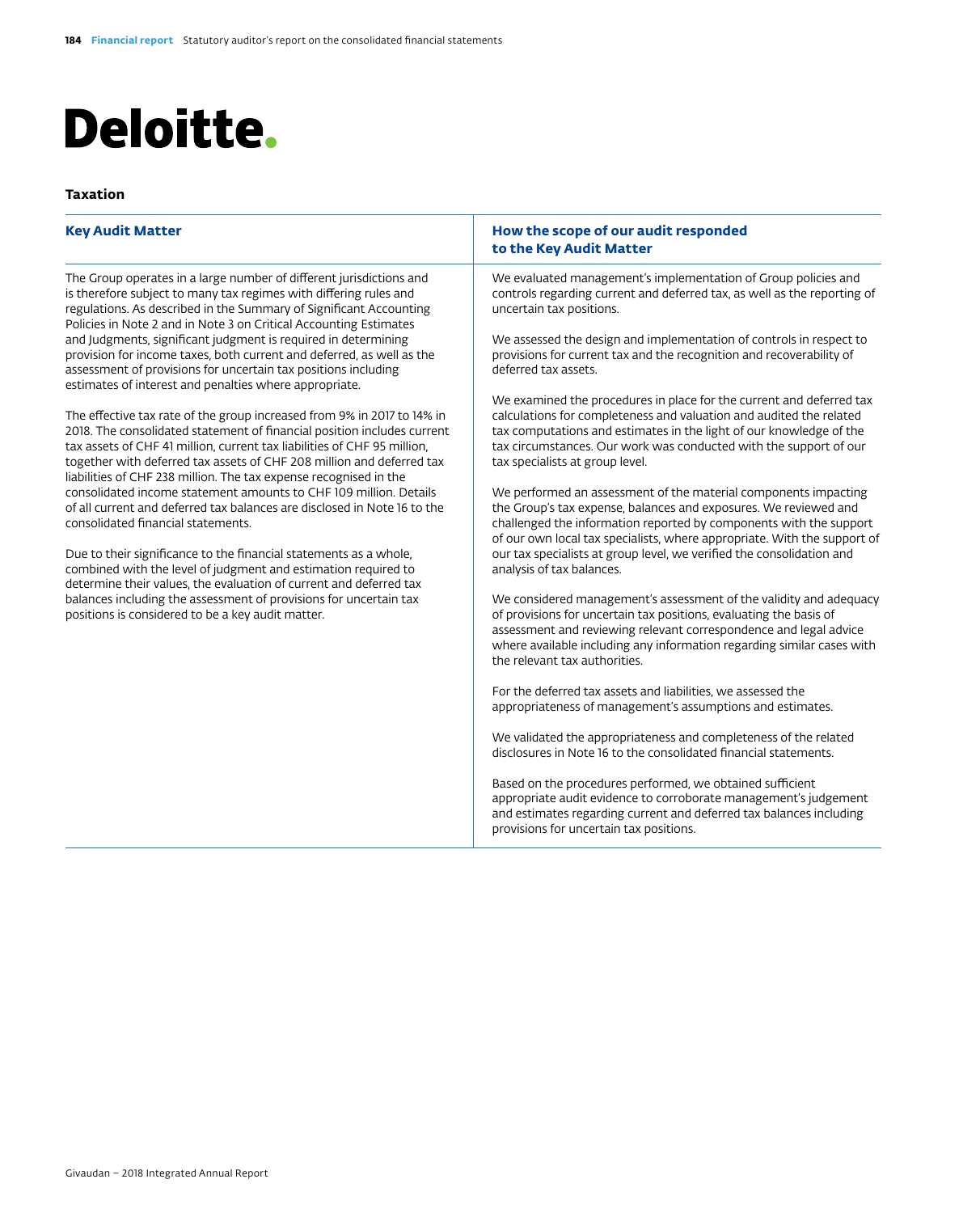### **Taxation**

| <b>Key Audit Matter</b>                                                                                                                                                                                                                                                                                                                                                                                                                                                                                                                                                                                                                                                                                                                                                                                                                                                                                                                                                                                                                                                                                                                                                                                                                                                                                                                                                                                                                                                  | How the scope of our audit responded<br>to the Key Audit Matter                                                                                                                                                                                                                                                                                                                                                                                                                                                                                                                                                                                                                                                                                                                                                                                                                                                                                                                                                                                                                                                                                                                                                                                                                                                                                                                                                                                                                                                                                                                                                                                                                                                                                                                                                                                                                                                                 |
|--------------------------------------------------------------------------------------------------------------------------------------------------------------------------------------------------------------------------------------------------------------------------------------------------------------------------------------------------------------------------------------------------------------------------------------------------------------------------------------------------------------------------------------------------------------------------------------------------------------------------------------------------------------------------------------------------------------------------------------------------------------------------------------------------------------------------------------------------------------------------------------------------------------------------------------------------------------------------------------------------------------------------------------------------------------------------------------------------------------------------------------------------------------------------------------------------------------------------------------------------------------------------------------------------------------------------------------------------------------------------------------------------------------------------------------------------------------------------|---------------------------------------------------------------------------------------------------------------------------------------------------------------------------------------------------------------------------------------------------------------------------------------------------------------------------------------------------------------------------------------------------------------------------------------------------------------------------------------------------------------------------------------------------------------------------------------------------------------------------------------------------------------------------------------------------------------------------------------------------------------------------------------------------------------------------------------------------------------------------------------------------------------------------------------------------------------------------------------------------------------------------------------------------------------------------------------------------------------------------------------------------------------------------------------------------------------------------------------------------------------------------------------------------------------------------------------------------------------------------------------------------------------------------------------------------------------------------------------------------------------------------------------------------------------------------------------------------------------------------------------------------------------------------------------------------------------------------------------------------------------------------------------------------------------------------------------------------------------------------------------------------------------------------------|
| The Group operates in a large number of different jurisdictions and<br>is therefore subject to many tax regimes with differing rules and<br>regulations. As described in the Summary of Significant Accounting<br>Policies in Note 2 and in Note 3 on Critical Accounting Estimates<br>and Judgments, significant judgment is required in determining<br>provision for income taxes, both current and deferred, as well as the<br>assessment of provisions for uncertain tax positions including<br>estimates of interest and penalties where appropriate.<br>The effective tax rate of the group increased from 9% in 2017 to 14% in<br>2018. The consolidated statement of financial position includes current<br>tax assets of CHF 41 million, current tax liabilities of CHF 95 million,<br>together with deferred tax assets of CHF 208 million and deferred tax<br>liabilities of CHF 238 million. The tax expense recognised in the<br>consolidated income statement amounts to CHF 109 million. Details<br>of all current and deferred tax balances are disclosed in Note 16 to the<br>consolidated financial statements.<br>Due to their significance to the financial statements as a whole,<br>combined with the level of judgment and estimation required to<br>determine their values, the evaluation of current and deferred tax<br>balances including the assessment of provisions for uncertain tax<br>positions is considered to be a key audit matter. | We evaluated management's implementation of Group policies and<br>controls regarding current and deferred tax, as well as the reporting of<br>uncertain tax positions.<br>We assessed the design and implementation of controls in respect to<br>provisions for current tax and the recognition and recoverability of<br>deferred tax assets.<br>We examined the procedures in place for the current and deferred tax<br>calculations for completeness and valuation and audited the related<br>tax computations and estimates in the light of our knowledge of the<br>tax circumstances. Our work was conducted with the support of our<br>tax specialists at group level.<br>We performed an assessment of the material components impacting<br>the Group's tax expense, balances and exposures. We reviewed and<br>challenged the information reported by components with the support<br>of our own local tax specialists, where appropriate. With the support of<br>our tax specialists at group level, we verified the consolidation and<br>analysis of tax balances.<br>We considered management's assessment of the validity and adequacy<br>of provisions for uncertain tax positions, evaluating the basis of<br>assessment and reviewing relevant correspondence and legal advice<br>where available including any information regarding similar cases with<br>the relevant tax authorities.<br>For the deferred tax assets and liabilities, we assessed the<br>appropriateness of management's assumptions and estimates.<br>We validated the appropriateness and completeness of the related<br>disclosures in Note 16 to the consolidated financial statements.<br>Based on the procedures performed, we obtained sufficient<br>appropriate audit evidence to corroborate management's judgement<br>and estimates regarding current and deferred tax balances including<br>provisions for uncertain tax positions. |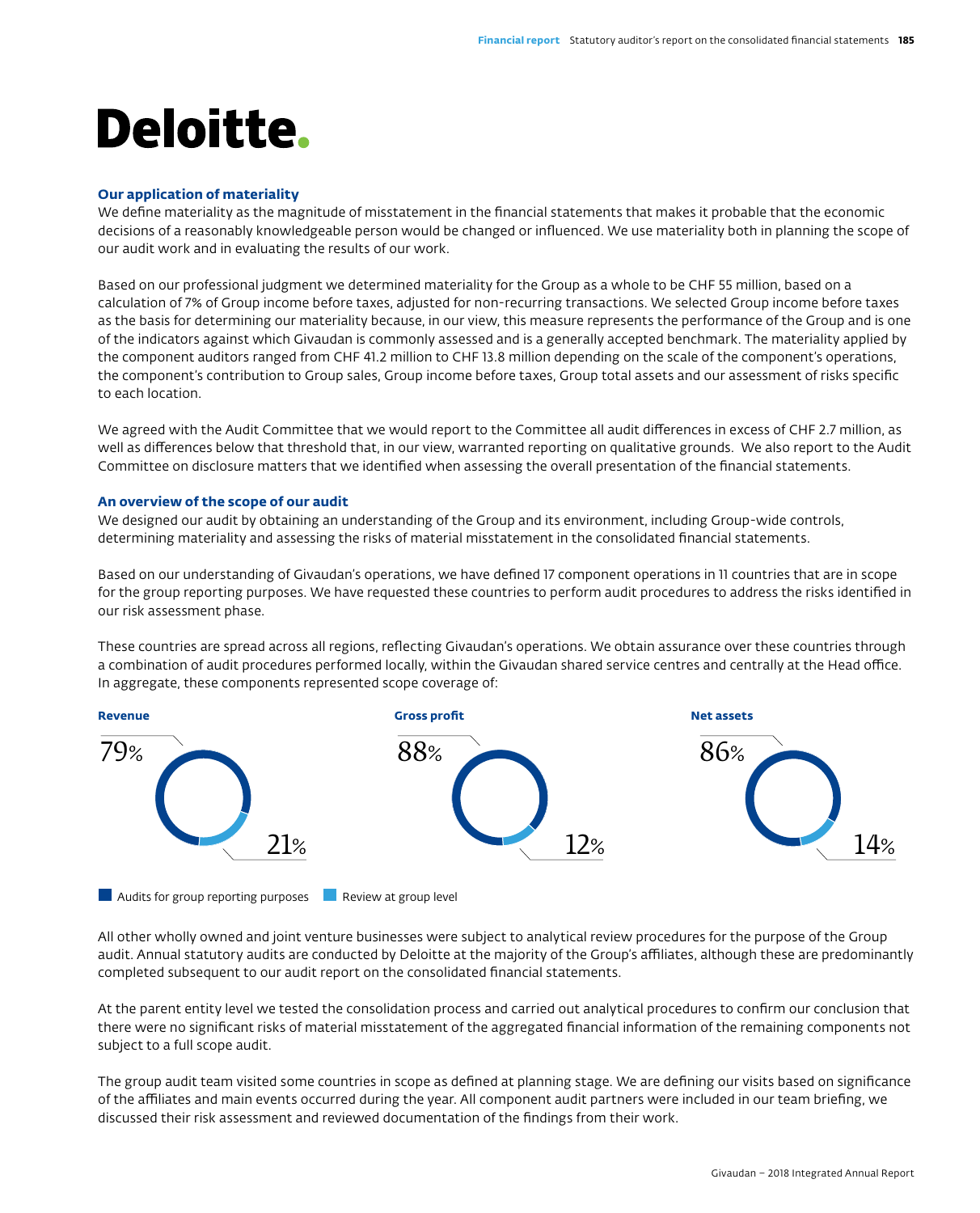#### **Our application of materiality**

We define materiality as the magnitude of misstatement in the financial statements that makes it probable that the economic decisions of a reasonably knowledgeable person would be changed or influenced. We use materiality both in planning the scope of our audit work and in evaluating the results of our work.

Based on our professional judgment we determined materiality for the Group as a whole to be CHF 55 million, based on a calculation of 7% of Group income before taxes, adjusted for non-recurring transactions. We selected Group income before taxes as the basis for determining our materiality because, in our view, this measure represents the performance of the Group and is one of the indicators against which Givaudan is commonly assessed and is a generally accepted benchmark. The materiality applied by the component auditors ranged from CHF 41.2 million to CHF 13.8 million depending on the scale of the component's operations, the component's contribution to Group sales, Group income before taxes, Group total assets and our assessment of risks specific to each location.

We agreed with the Audit Committee that we would report to the Committee all audit differences in excess of CHF 2.7 million, as well as differences below that threshold that, in our view, warranted reporting on qualitative grounds. We also report to the Audit Committee on disclosure matters that we identified when assessing the overall presentation of the financial statements.

#### **An overview of the scope of our audit**

We designed our audit by obtaining an understanding of the Group and its environment, including Group-wide controls, determining materiality and assessing the risks of material misstatement in the consolidated financial statements.

Based on our understanding of Givaudan's operations, we have defined 17 component operations in 11 countries that are in scope for the group reporting purposes. We have requested these countries to perform audit procedures to address the risks identified in our risk assessment phase.

These countries are spread across all regions, reflecting Givaudan's operations. We obtain assurance over these countries through a combination of audit procedures performed locally, within the Givaudan shared service centres and centrally at the Head office. In aggregate, these components represented scope coverage of:



**Audits for group reporting purposes Review at group level** 

All other wholly owned and joint venture businesses were subject to analytical review procedures for the purpose of the Group audit. Annual statutory audits are conducted by Deloitte at the majority of the Group's affiliates, although these are predominantly completed subsequent to our audit report on the consolidated financial statements.

At the parent entity level we tested the consolidation process and carried out analytical procedures to confirm our conclusion that there were no significant risks of material misstatement of the aggregated financial information of the remaining components not subject to a full scope audit.

The group audit team visited some countries in scope as defined at planning stage. We are defining our visits based on significance of the affiliates and main events occurred during the year. All component audit partners were included in our team briefing, we discussed their risk assessment and reviewed documentation of the findings from their work.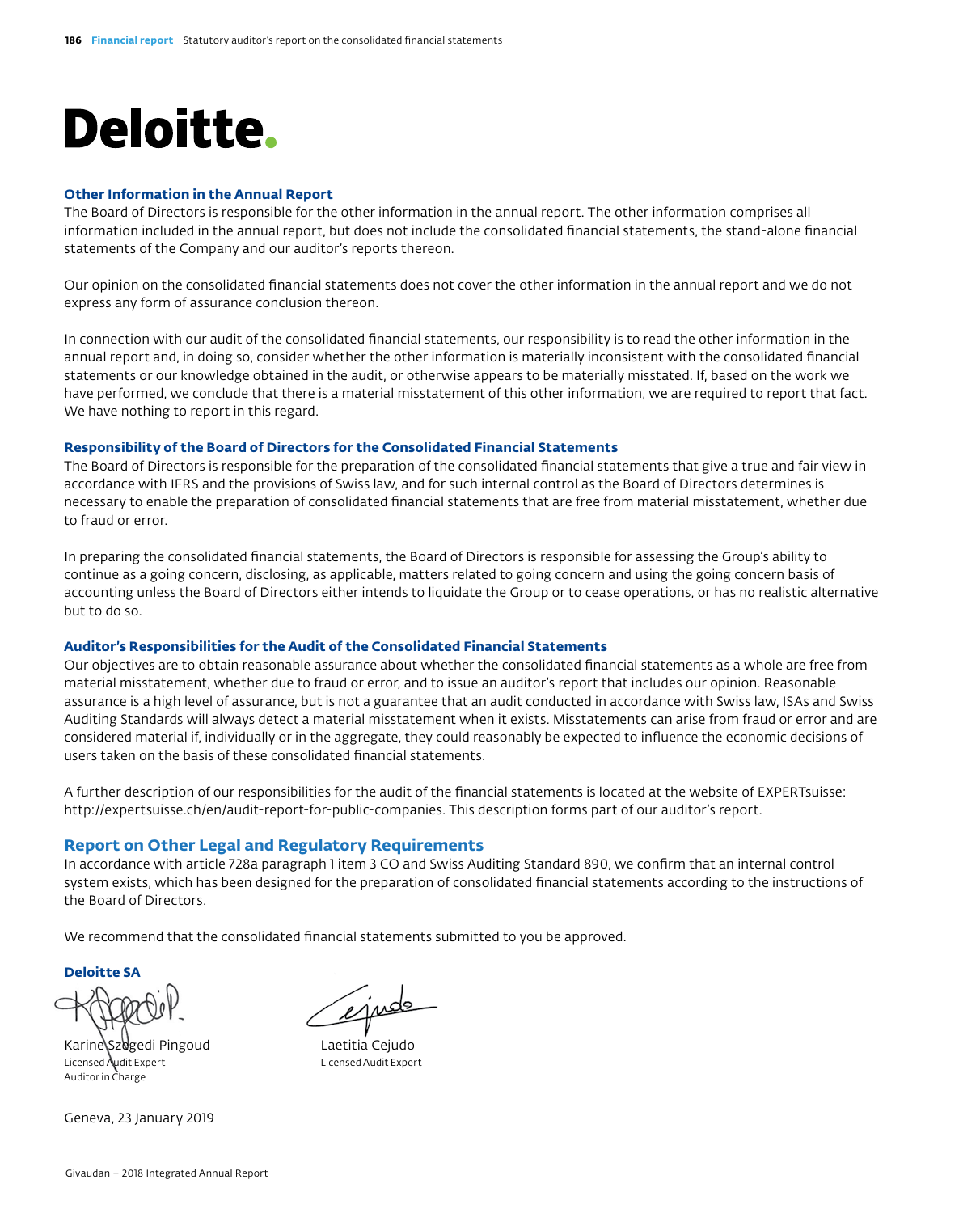#### **Other Information in the Annual Report**

The Board of Directors is responsible for the other information in the annual report. The other information comprises all information included in the annual report, but does not include the consolidated financial statements, the stand-alone financial statements of the Company and our auditor's reports thereon.

Our opinion on the consolidated financial statements does not cover the other information in the annual report and we do not express any form of assurance conclusion thereon.

In connection with our audit of the consolidated financial statements, our responsibility is to read the other information in the annual report and, in doing so, consider whether the other information is materially inconsistent with the consolidated financial statements or our knowledge obtained in the audit, or otherwise appears to be materially misstated. If, based on the work we have performed, we conclude that there is a material misstatement of this other information, we are required to report that fact. We have nothing to report in this regard.

#### **Responsibility of the Board of Directors for the Consolidated Financial Statements**

The Board of Directors is responsible for the preparation of the consolidated financial statements that give a true and fair view in accordance with IFRS and the provisions of Swiss law, and for such internal control as the Board of Directors determines is necessary to enable the preparation of consolidated financial statements that are free from material misstatement, whether due to fraud or error.

In preparing the consolidated financial statements, the Board of Directors is responsible for assessing the Group's ability to continue as a going concern, disclosing, as applicable, matters related to going concern and using the going concern basis of accounting unless the Board of Directors either intends to liquidate the Group or to cease operations, or has no realistic alternative but to do so.

#### **Auditor's Responsibilities for the Audit of the Consolidated Financial Statements**

Our objectives are to obtain reasonable assurance about whether the consolidated financial statements as a whole are free from material misstatement, whether due to fraud or error, and to issue an auditor's report that includes our opinion. Reasonable assurance is a high level of assurance, but is not a guarantee that an audit conducted in accordance with Swiss law, ISAs and Swiss Auditing Standards will always detect a material misstatement when it exists. Misstatements can arise from fraud or error and are considered material if, individually or in the aggregate, they could reasonably be expected to influence the economic decisions of users taken on the basis of these consolidated financial statements.

A further description of our responsibilities for the audit of the financial statements is located at the website of EXPERTsuisse: http://expertsuisse.ch/en/audit-report-for-public-companies. This description forms part of our auditor's report.

#### **Report on Other Legal and Regulatory Requirements**

In accordance with article 728a paragraph 1 item 3 CO and Swiss Auditing Standard 890, we confirm that an internal control system exists, which has been designed for the preparation of consolidated financial statements according to the instructions of the Board of Directors.

We recommend that the consolidated financial statements submitted to you be approved.

**Deloitte SA**

Karine Szegedi Pingoud Laetitia Cejudo Licensed Audit Expert Licensed Audit Expert Auditor in Charge

Geneva, 23 January 2019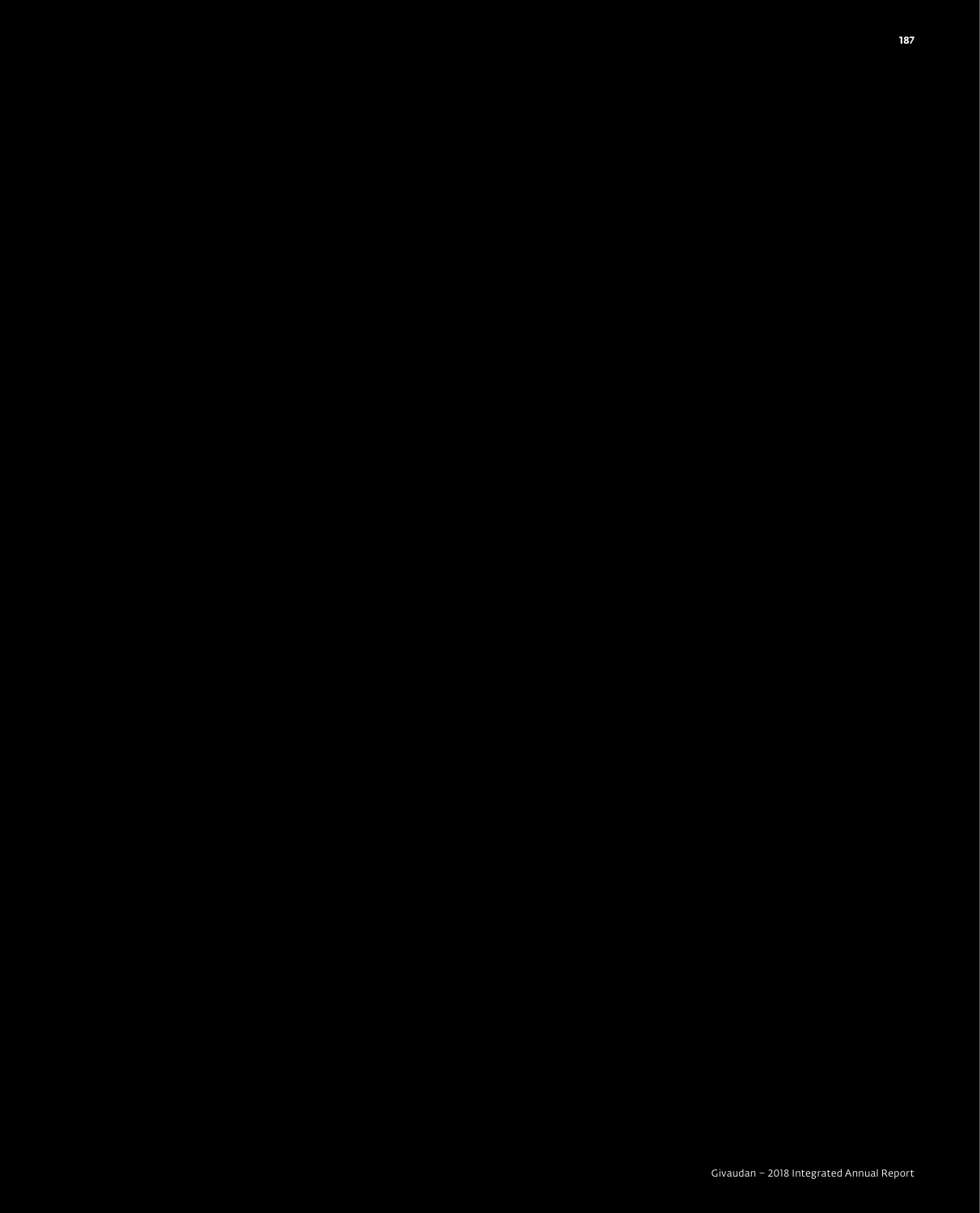**Financial report** Notes to the consolidated financial statements **187**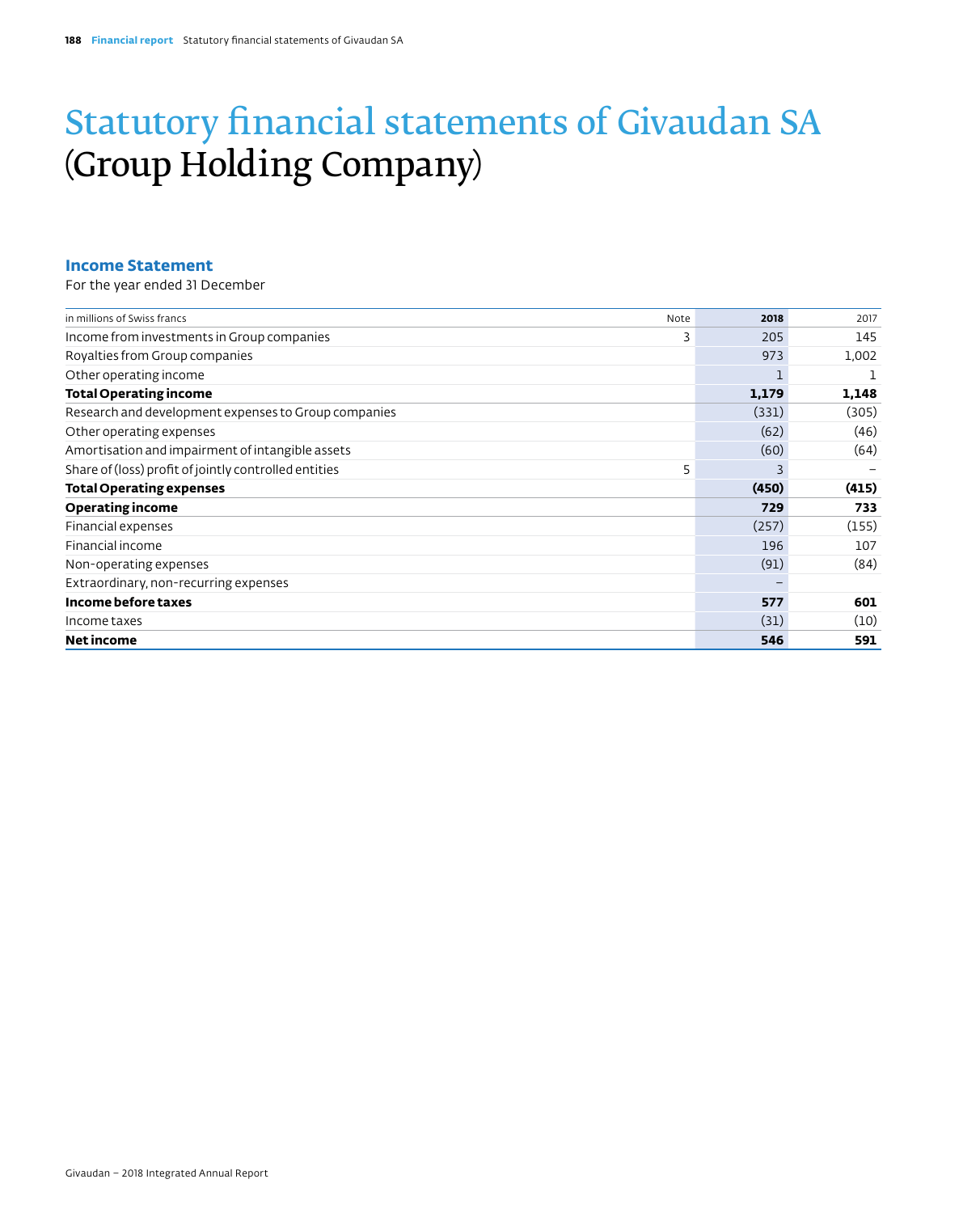## Statutory financial statements of Givaudan SA (Group Holding Company)

### **Income Statement**

For the year ended 31 December

| 2018<br>Note<br>Income from investments in Group companies<br>3<br>205<br>Royalties from Group companies<br>973<br>1,179<br>(331)<br>Research and development expenses to Group companies<br>(62)<br>(60)<br>5<br>(450)<br>729<br>Financial expenses<br>(257)<br>196<br>(91)<br>Extraordinary, non-recurring expenses<br>577<br>(31)<br>546 |                                                       |  |       |
|---------------------------------------------------------------------------------------------------------------------------------------------------------------------------------------------------------------------------------------------------------------------------------------------------------------------------------------------|-------------------------------------------------------|--|-------|
|                                                                                                                                                                                                                                                                                                                                             | in millions of Swiss francs                           |  | 2017  |
|                                                                                                                                                                                                                                                                                                                                             |                                                       |  | 145   |
|                                                                                                                                                                                                                                                                                                                                             |                                                       |  | 1,002 |
|                                                                                                                                                                                                                                                                                                                                             | Other operating income                                |  |       |
|                                                                                                                                                                                                                                                                                                                                             | <b>Total Operating income</b>                         |  | 1,148 |
|                                                                                                                                                                                                                                                                                                                                             |                                                       |  | (305) |
|                                                                                                                                                                                                                                                                                                                                             | Other operating expenses                              |  | (46)  |
|                                                                                                                                                                                                                                                                                                                                             | Amortisation and impairment of intangible assets      |  | (64)  |
|                                                                                                                                                                                                                                                                                                                                             | Share of (loss) profit of jointly controlled entities |  |       |
|                                                                                                                                                                                                                                                                                                                                             | <b>Total Operating expenses</b>                       |  | (415) |
|                                                                                                                                                                                                                                                                                                                                             | <b>Operating income</b>                               |  | 733   |
|                                                                                                                                                                                                                                                                                                                                             |                                                       |  | (155) |
|                                                                                                                                                                                                                                                                                                                                             | Financial income                                      |  | 107   |
|                                                                                                                                                                                                                                                                                                                                             | Non-operating expenses                                |  | (84)  |
|                                                                                                                                                                                                                                                                                                                                             |                                                       |  |       |
|                                                                                                                                                                                                                                                                                                                                             | Income before taxes                                   |  | 601   |
|                                                                                                                                                                                                                                                                                                                                             | Income taxes                                          |  | (10)  |
|                                                                                                                                                                                                                                                                                                                                             | Net income                                            |  | 591   |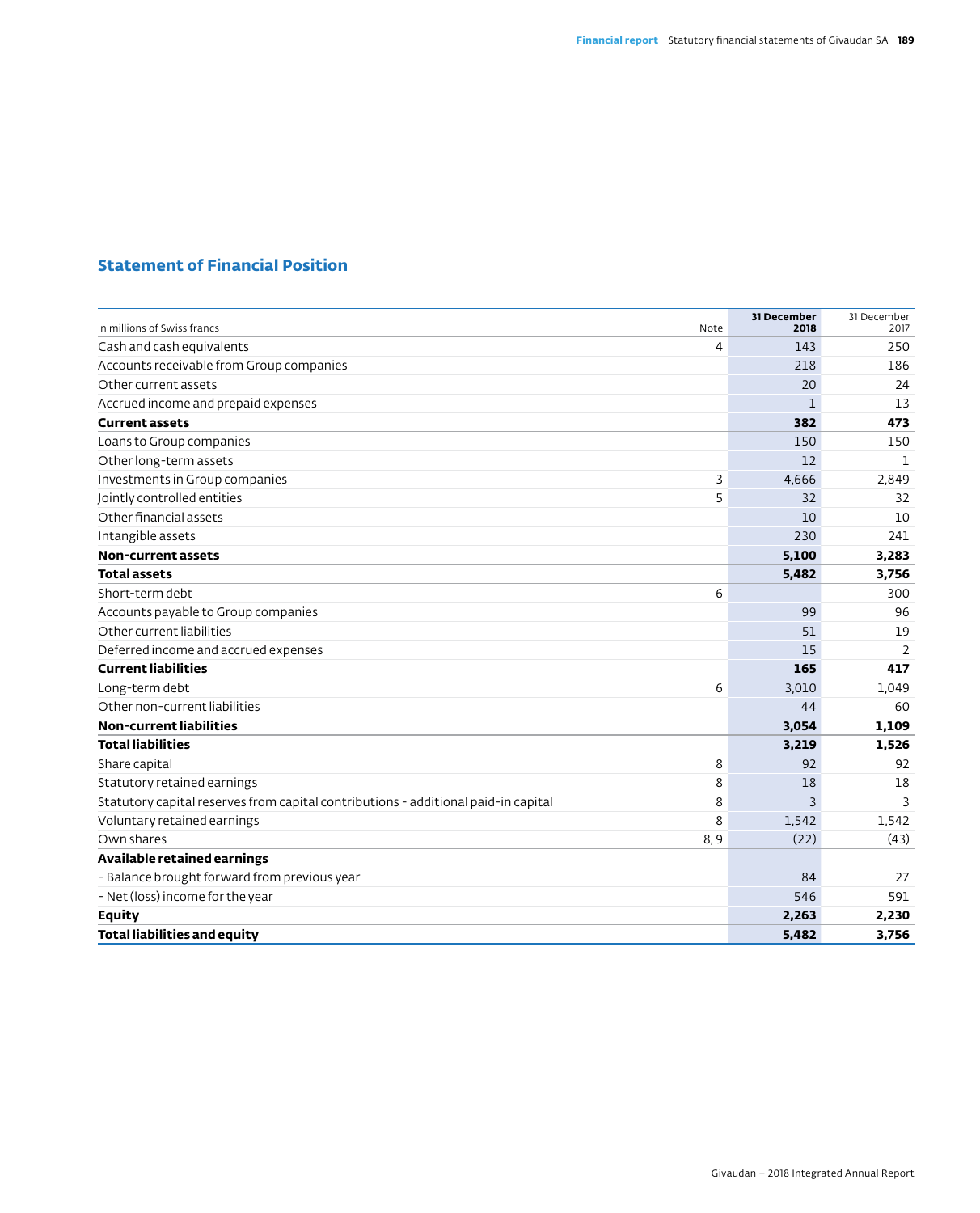## **Statement of Financial Position**

| in millions of Swiss francs                                                        | Note | 31 December<br>2018 | 31 December<br>2017 |
|------------------------------------------------------------------------------------|------|---------------------|---------------------|
| Cash and cash equivalents                                                          | 4    | 143                 | 250                 |
| Accounts receivable from Group companies                                           |      | 218                 | 186                 |
| Other current assets                                                               |      | 20                  | 24                  |
| Accrued income and prepaid expenses                                                |      | 1                   | 13                  |
| <b>Current assets</b>                                                              |      | 382                 | 473                 |
| Loans to Group companies                                                           |      | 150                 | 150                 |
| Other long-term assets                                                             |      | 12                  | 1                   |
| Investments in Group companies                                                     | 3    | 4,666               | 2,849               |
| Jointly controlled entities                                                        | 5    | 32                  | 32                  |
| Other financial assets                                                             |      | 10                  | 10                  |
| Intangible assets                                                                  |      | 230                 | 241                 |
| <b>Non-current assets</b>                                                          |      | 5,100               | 3,283               |
| <b>Total assets</b>                                                                |      | 5,482               | 3,756               |
| Short-term debt                                                                    | 6    |                     | 300                 |
| Accounts payable to Group companies                                                |      | 99                  | 96                  |
| Other current liabilities                                                          |      | 51                  | 19                  |
| Deferred income and accrued expenses                                               |      | 15                  | $\overline{2}$      |
| <b>Current liabilities</b>                                                         |      | 165                 | 417                 |
| Long-term debt                                                                     | 6    | 3,010               | 1,049               |
| Other non-current liabilities                                                      |      | 44                  | 60                  |
| <b>Non-current liabilities</b>                                                     |      | 3.054               | 1,109               |
| <b>Total liabilities</b>                                                           |      | 3,219               | 1,526               |
| Share capital                                                                      | 8    | 92                  | 92                  |
| Statutory retained earnings                                                        | 8    | 18                  | 18                  |
| Statutory capital reserves from capital contributions - additional paid-in capital | 8    | $\overline{3}$      | 3                   |
| Voluntary retained earnings                                                        | 8    | 1,542               | 1,542               |
| Own shares                                                                         | 8,9  | (22)                | (43)                |
| Available retained earnings                                                        |      |                     |                     |
| - Balance brought forward from previous year                                       |      | 84                  | 27                  |
| - Net (loss) income for the year                                                   |      | 546                 | 591                 |
| Equity                                                                             |      | 2,263               | 2,230               |
| <b>Total liabilities and equity</b>                                                |      | 5,482               | 3,756               |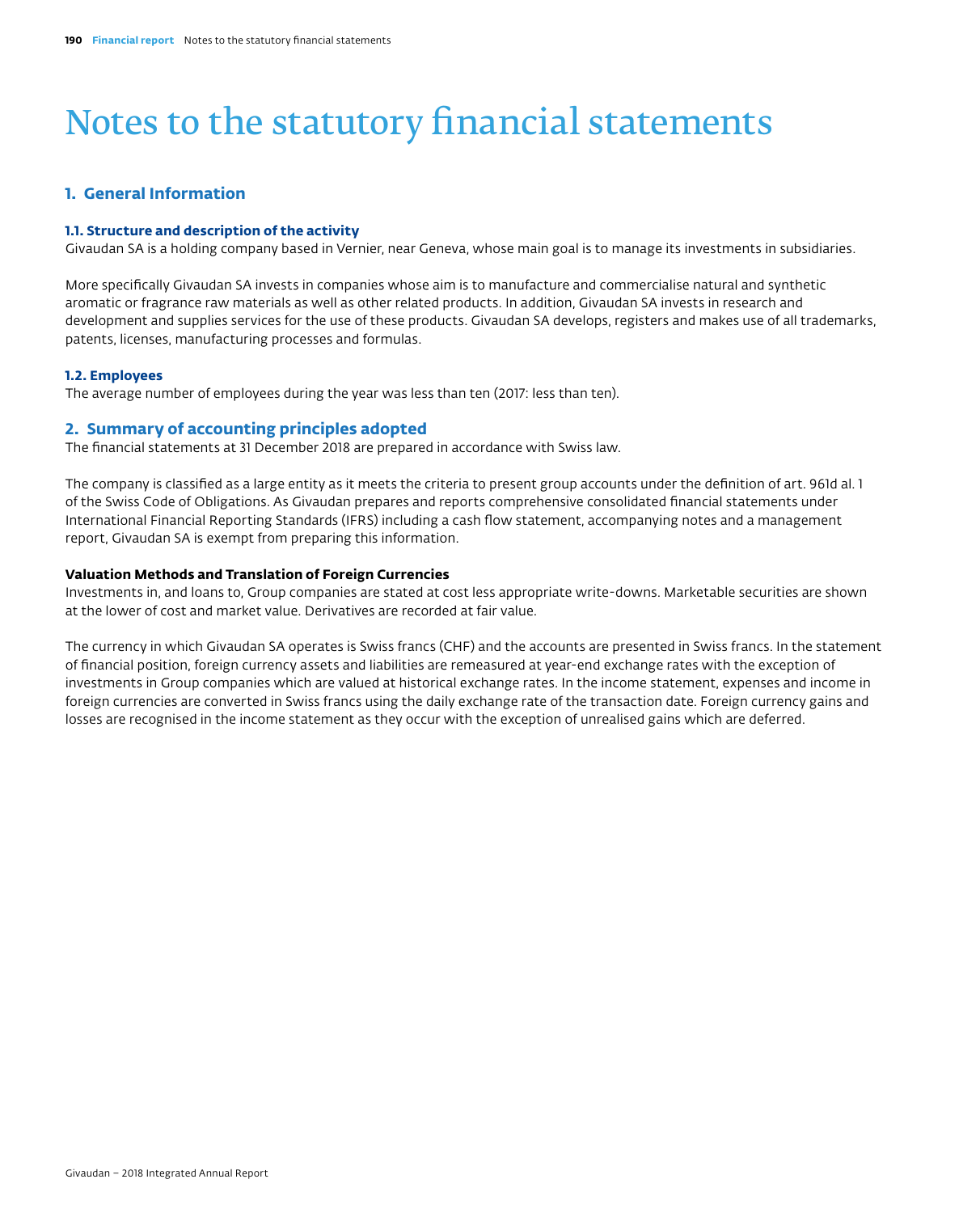# Notes to the statutory financial statements

# **1. General Information**

#### **1.1. Structure and description of the activity**

Givaudan SA is a holding company based in Vernier, near Geneva, whose main goal is to manage its investments in subsidiaries.

More specifically Givaudan SA invests in companies whose aim is to manufacture and commercialise natural and synthetic aromatic or fragrance raw materials as well as other related products. In addition, Givaudan SA invests in research and development and supplies services for the use of these products. Givaudan SA develops, registers and makes use of all trademarks, patents, licenses, manufacturing processes and formulas.

#### **1.2. Employees**

The average number of employees during the year was less than ten (2017: less than ten).

#### **2. Summary of accounting principles adopted**

The financial statements at 31 December 2018 are prepared in accordance with Swiss law.

The company is classified as a large entity as it meets the criteria to present group accounts under the definition of art. 961d al. 1 of the Swiss Code of Obligations. As Givaudan prepares and reports comprehensive consolidated financial statements under International Financial Reporting Standards (IFRS) including a cash flow statement, accompanying notes and a management report, Givaudan SA is exempt from preparing this information.

#### **Valuation Methods and Translation of Foreign Currencies**

Investments in, and loans to, Group companies are stated at cost less appropriate write-downs. Marketable securities are shown at the lower of cost and market value. Derivatives are recorded at fair value.

The currency in which Givaudan SA operates is Swiss francs (CHF) and the accounts are presented in Swiss francs. In the statement of financial position, foreign currency assets and liabilities are remeasured at year-end exchange rates with the exception of investments in Group companies which are valued at historical exchange rates. In the income statement, expenses and income in foreign currencies are converted in Swiss francs using the daily exchange rate of the transaction date. Foreign currency gains and losses are recognised in the income statement as they occur with the exception of unrealised gains which are deferred.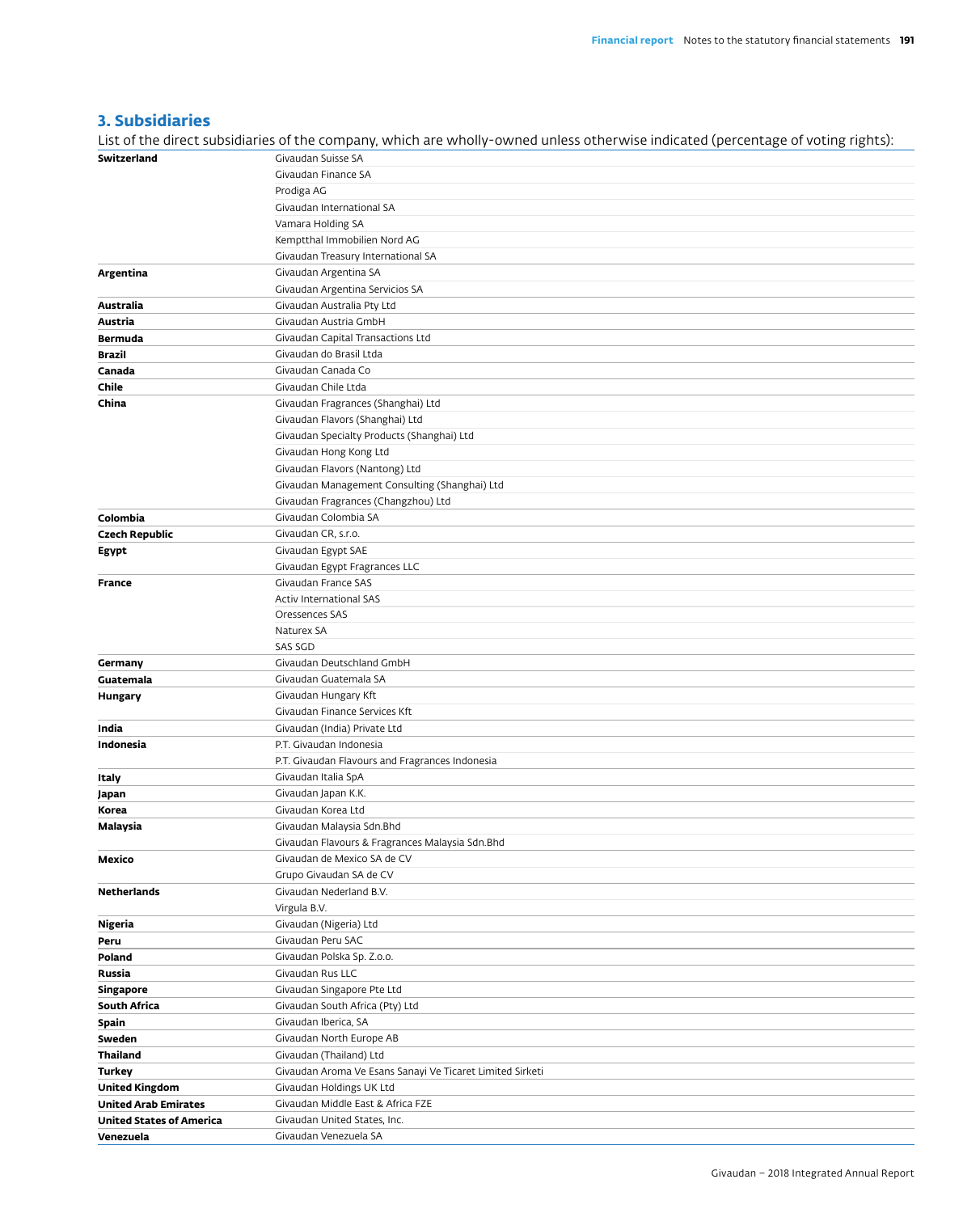# **3. Subsidiaries**

List of the direct subsidiaries of the company, which are wholly-owned unless otherwise indicated (percentage of voting rights):

| Switzerland                 | Givaudan Suisse SA                                        |
|-----------------------------|-----------------------------------------------------------|
|                             | Givaudan Finance SA                                       |
|                             | Prodiga AG                                                |
|                             | Givaudan International SA                                 |
|                             | Vamara Holding SA                                         |
|                             | Kemptthal Immobilien Nord AG                              |
|                             | Givaudan Treasury International SA                        |
| Argentina                   | Givaudan Argentina SA                                     |
|                             | Givaudan Argentina Servicios SA                           |
| Australia                   | Givaudan Australia Pty Ltd                                |
| Austria                     | Givaudan Austria GmbH                                     |
| <b>Bermuda</b>              | Givaudan Capital Transactions Ltd                         |
| <b>Brazil</b>               | Givaudan do Brasil Ltda                                   |
| Canada                      | Givaudan Canada Co                                        |
|                             | Givaudan Chile Ltda                                       |
| Chile                       |                                                           |
| China                       | Givaudan Fragrances (Shanghai) Ltd                        |
|                             | Givaudan Flavors (Shanghai) Ltd                           |
|                             | Givaudan Specialty Products (Shanghai) Ltd                |
|                             | Givaudan Hong Kong Ltd                                    |
|                             | Givaudan Flavors (Nantong) Ltd                            |
|                             | Givaudan Management Consulting (Shanghai) Ltd             |
|                             | Givaudan Fragrances (Changzhou) Ltd                       |
| Colombia                    | Givaudan Colombia SA                                      |
| <b>Czech Republic</b>       | Givaudan CR, s.r.o.                                       |
| Egypt                       | Givaudan Egypt SAE                                        |
|                             | Givaudan Egypt Fragrances LLC                             |
| France                      | Givaudan France SAS                                       |
|                             | <b>Activ International SAS</b>                            |
|                             | Oressences SAS                                            |
|                             | Naturex SA                                                |
|                             | SAS SGD                                                   |
| Germany                     | Givaudan Deutschland GmbH                                 |
| Guatemala                   | Givaudan Guatemala SA                                     |
| Hungary                     | Givaudan Hungary Kft                                      |
|                             | Givaudan Finance Services Kft                             |
| India                       | Givaudan (India) Private Ltd                              |
| Indonesia                   | P.T. Givaudan Indonesia                                   |
|                             | P.T. Givaudan Flavours and Fragrances Indonesia           |
| Italy                       | Givaudan Italia SpA                                       |
| Japan                       | Givaudan Japan K.K.                                       |
| Korea                       | Givaudan Korea Ltd                                        |
| Malaysia                    | Givaudan Malaysia Sdn.Bhd                                 |
|                             | Givaudan Flavours & Fragrances Malaysia Sdn.Bhd           |
| Mexico                      | Givaudan de Mexico SA de CV                               |
|                             | Grupo Givaudan SA de CV                                   |
| Netherlands                 | Givaudan Nederland B.V.                                   |
|                             | Virgula B.V.                                              |
| Nigeria                     | Givaudan (Nigeria) Ltd                                    |
| Peru                        | Givaudan Peru SAC                                         |
| Poland                      | Givaudan Polska Sp. Z.o.o.                                |
| Russia                      | Givaudan Rus LLC                                          |
| Singapore                   | Givaudan Singapore Pte Ltd                                |
| South Africa                | Givaudan South Africa (Pty) Ltd                           |
| Spain                       | Givaudan Iberica, SA                                      |
| Sweden                      | Givaudan North Europe AB                                  |
| Thailand                    | Givaudan (Thailand) Ltd                                   |
| <b>Turkey</b>               | Givaudan Aroma Ve Esans Sanayi Ve Ticaret Limited Sirketi |
| <b>United Kingdom</b>       | Givaudan Holdings UK Ltd                                  |
| <b>United Arab Emirates</b> | Givaudan Middle East & Africa FZE                         |
| United States of America    | Givaudan United States, Inc.                              |
| Venezuela                   | Givaudan Venezuela SA                                     |
|                             |                                                           |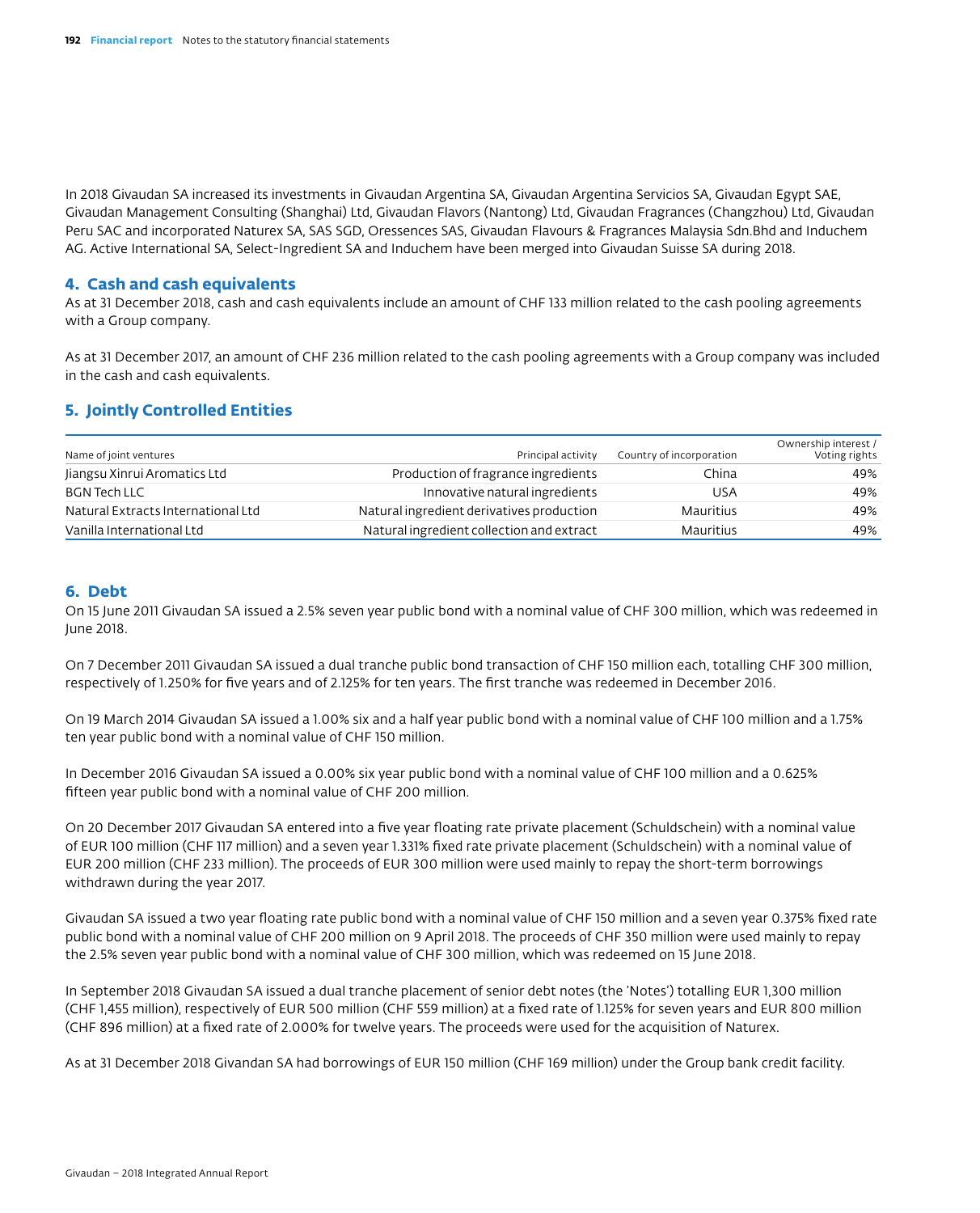In 2018 Givaudan SA increased its investments in Givaudan Argentina SA, Givaudan Argentina Servicios SA, Givaudan Egypt SAE, Givaudan Management Consulting (Shanghai) Ltd, Givaudan Flavors (Nantong) Ltd, Givaudan Fragrances (Changzhou) Ltd, Givaudan Peru SAC and incorporated Naturex SA, SAS SGD, Oressences SAS, Givaudan Flavours & Fragrances Malaysia Sdn.Bhd and Induchem AG. Active International SA, Select-Ingredient SA and Induchem have been merged into Givaudan Suisse SA during 2018.

#### **4. Cash and cash equivalents**

As at 31 December 2018, cash and cash equivalents include an amount of CHF 133 million related to the cash pooling agreements with a Group company.

As at 31 December 2017, an amount of CHF 236 million related to the cash pooling agreements with a Group company was included in the cash and cash equivalents.

# **5. Jointly Controlled Entities**

| Name of joint ventures             | Principal activity                        | Country of incorporation | Ownership interest /<br>Voting rights |
|------------------------------------|-------------------------------------------|--------------------------|---------------------------------------|
| Jiangsu Xinrui Aromatics Ltd       | Production of fragrance ingredients       | China                    | 49%                                   |
| <b>BGN Tech LLC</b>                | Innovative natural ingredients            | USA                      | 49%                                   |
| Natural Extracts International Ltd | Natural ingredient derivatives production | Mauritius                | 49%                                   |
| Vanilla International Ltd          | Natural ingredient collection and extract | <b>Mauritius</b>         | 49%                                   |

#### **6. Debt**

On 15 June 2011 Givaudan SA issued a 2.5% seven year public bond with a nominal value of CHF 300 million, which was redeemed in June 2018.

On 7 December 2011 Givaudan SA issued a dual tranche public bond transaction of CHF 150 million each, totalling CHF 300 million, respectively of 1.250% for five years and of 2.125% for ten years. The first tranche was redeemed in December 2016.

On 19 March 2014 Givaudan SA issued a 1.00% six and a half year public bond with a nominal value of CHF 100 million and a 1.75% ten year public bond with a nominal value of CHF 150 million.

In December 2016 Givaudan SA issued a 0.00% six year public bond with a nominal value of CHF 100 million and a 0.625% fifteen year public bond with a nominal value of CHF 200 million.

On 20 December 2017 Givaudan SA entered into a five year floating rate private placement (Schuldschein) with a nominal value of EUR 100 million (CHF 117 million) and a seven year 1.331% fixed rate private placement (Schuldschein) with a nominal value of EUR 200 million (CHF 233 million). The proceeds of EUR 300 million were used mainly to repay the short-term borrowings withdrawn during the year 2017.

Givaudan SA issued a two year floating rate public bond with a nominal value of CHF 150 million and a seven year 0.375% fixed rate public bond with a nominal value of CHF 200 million on 9 April 2018. The proceeds of CHF 350 million were used mainly to repay the 2.5% seven year public bond with a nominal value of CHF 300 million, which was redeemed on 15 June 2018.

In September 2018 Givaudan SA issued a dual tranche placement of senior debt notes (the 'Notes') totalling EUR 1,300 million (CHF 1,455 million), respectively of EUR 500 million (CHF 559 million) at a fixed rate of 1.125% for seven years and EUR 800 million (CHF 896 million) at a fixed rate of 2.000% for twelve years. The proceeds were used for the acquisition of Naturex.

As at 31 December 2018 Givandan SA had borrowings of EUR 150 million (CHF 169 million) under the Group bank credit facility.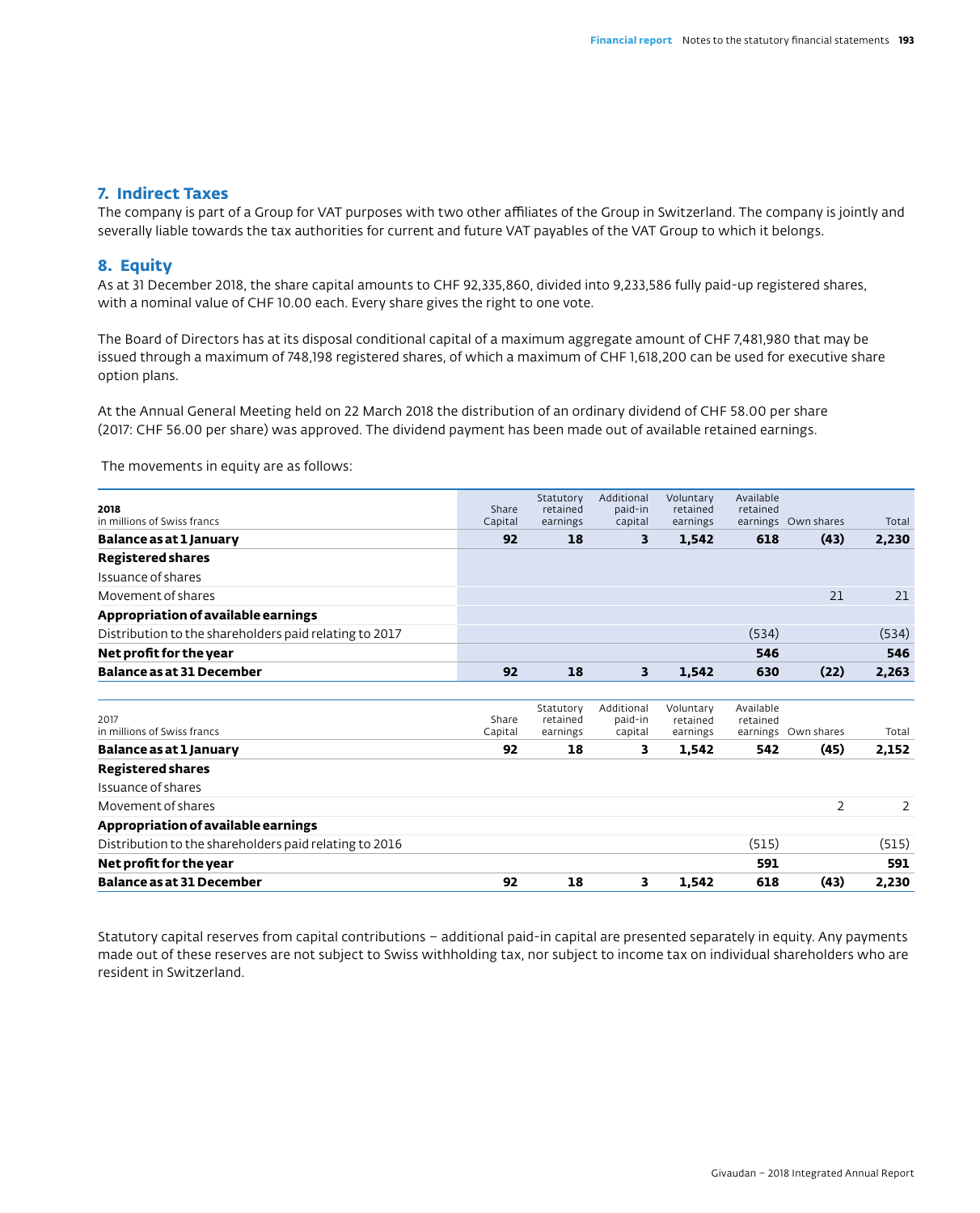### **7. Indirect Taxes**

The company is part of a Group for VAT purposes with two other affiliates of the Group in Switzerland. The company is jointly and severally liable towards the tax authorities for current and future VAT payables of the VAT Group to which it belongs.

# **8. Equity**

As at 31 December 2018, the share capital amounts to CHF 92,335,860, divided into 9,233,586 fully paid-up registered shares, with a nominal value of CHF 10.00 each. Every share gives the right to one vote.

The Board of Directors has at its disposal conditional capital of a maximum aggregate amount of CHF 7,481,980 that may be issued through a maximum of 748,198 registered shares, of which a maximum of CHF 1,618,200 can be used for executive share option plans.

At the Annual General Meeting held on 22 March 2018 the distribution of an ordinary dividend of CHF 58.00 per share (2017: CHF 56.00 per share) was approved. The dividend payment has been made out of available retained earnings.

The movements in equity are as follows:

| Capital<br>92    | earnings<br>18        | capital<br>3          | earnings<br>1,542     | 618                   | earnings Own shares | Total               |
|------------------|-----------------------|-----------------------|-----------------------|-----------------------|---------------------|---------------------|
|                  |                       |                       |                       |                       | (43)                | 2,230               |
|                  |                       |                       |                       |                       |                     |                     |
|                  |                       |                       |                       |                       |                     |                     |
|                  |                       |                       |                       |                       | 21                  | 21                  |
|                  |                       |                       |                       |                       |                     |                     |
|                  |                       |                       |                       | (534)                 |                     | (534)               |
|                  |                       |                       |                       | 546                   |                     | 546                 |
| 92               | 18                    | 3                     | 1,542                 | 630                   | (22)                | 2,263               |
|                  |                       |                       |                       |                       |                     |                     |
| Share<br>Capital | Statutory<br>retained | Additional<br>paid-in | Voluntary<br>retained | Available<br>retained |                     | Total               |
| 92               | 18                    | 3                     | 1,542                 | 542                   | (45)                | 2,152               |
|                  |                       |                       |                       |                       |                     |                     |
|                  |                       |                       |                       |                       |                     |                     |
|                  |                       |                       |                       |                       | $\overline{2}$      | $\overline{2}$      |
|                  |                       |                       |                       |                       |                     |                     |
|                  |                       |                       |                       | (515)                 |                     | (515)               |
|                  |                       |                       |                       | 591                   |                     | 591                 |
| 92               | 18                    | 3                     | 1,542                 | 618                   | (43)                | 2,230               |
|                  |                       | earnings              | capital               | earnings              |                     | earnings Own shares |

Statutory capital reserves from capital contributions – additional paid-in capital are presented separately in equity. Any payments made out of these reserves are not subject to Swiss withholding tax, nor subject to income tax on individual shareholders who are resident in Switzerland.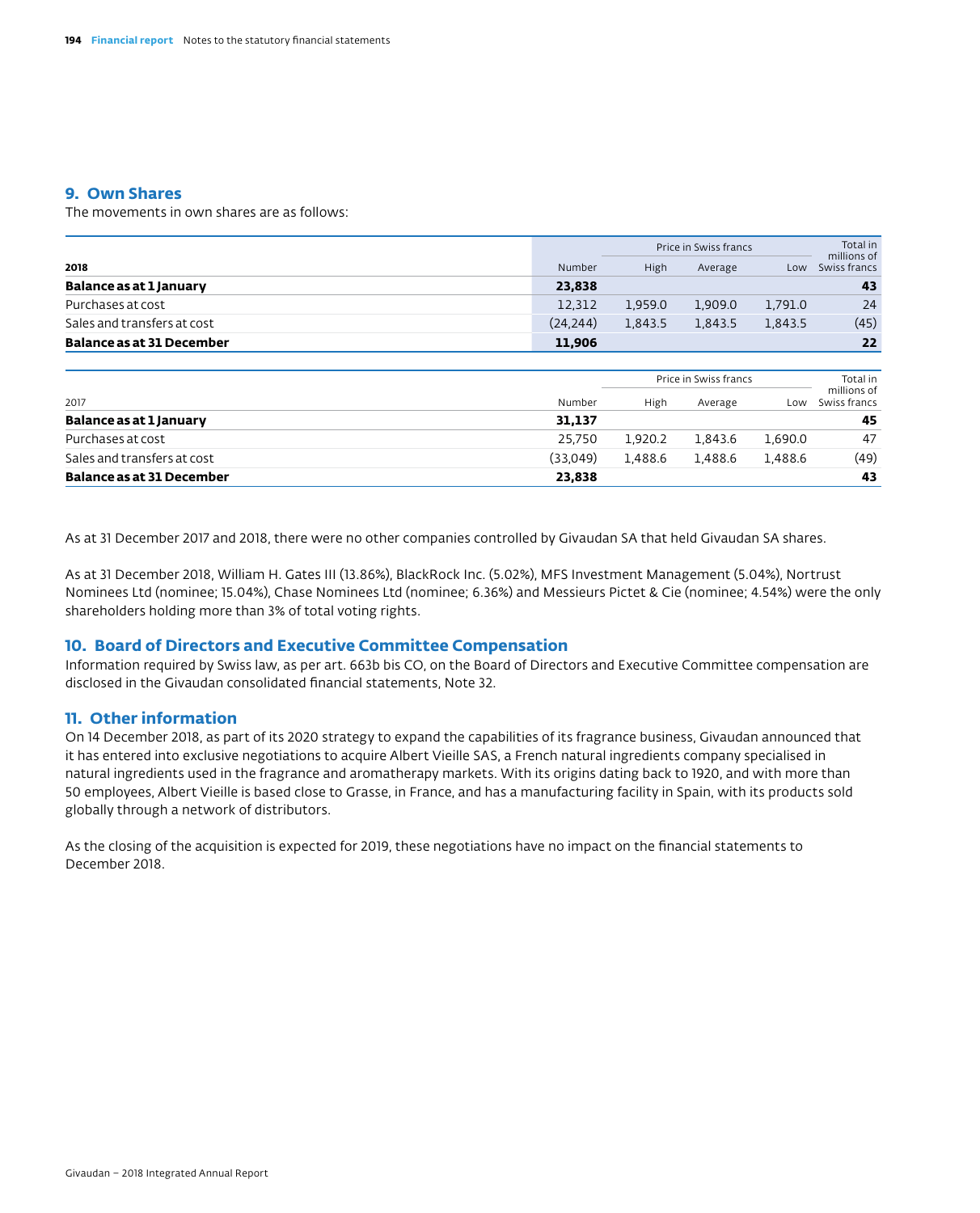# **9. Own Shares**

The movements in own shares are as follows:

|                             |           |         | Price in Swiss francs |         | Total in<br>millions of |
|-----------------------------|-----------|---------|-----------------------|---------|-------------------------|
| 2018                        | Number    | High    | Average               | Low     | Swiss francs            |
| Balance as at 1 January     | 23.838    |         |                       |         | 43                      |
| Purchases at cost           | 12.312    | 1.959.0 | 1.909.0               | 1.791.0 | 24                      |
| Sales and transfers at cost | (24, 244) | 1.843.5 | 1.843.5               | 1.843.5 | (45)                    |
| Balance as at 31 December   | 11.906    |         |                       |         | 22                      |

|                             |          | Price in Swiss francs | Total in |         |                             |
|-----------------------------|----------|-----------------------|----------|---------|-----------------------------|
| 2017                        | Number   | High                  | Average  | Low     | millions of<br>Swiss francs |
| Balance as at 1 January     | 31.137   |                       |          |         | 45                          |
| Purchases at cost           | 25.750   | 1.920.2               | 1.843.6  | 1.690.0 | 47                          |
| Sales and transfers at cost | (33.049) | 1.488.6               | 1.488.6  | 1.488.6 | (49)                        |
| Balance as at 31 December   | 23.838   |                       |          |         | 43                          |

As at 31 December 2017 and 2018, there were no other companies controlled by Givaudan SA that held Givaudan SA shares.

As at 31 December 2018, William H. Gates III (13.86%), BlackRock Inc. (5.02%), MFS Investment Management (5.04%), Nortrust Nominees Ltd (nominee; 15.04%), Chase Nominees Ltd (nominee; 6.36%) and Messieurs Pictet & Cie (nominee; 4.54%) were the only shareholders holding more than 3% of total voting rights.

#### **10. Board of Directors and Executive Committee Compensation**

Information required by Swiss law, as per art. 663b bis CO, on the Board of Directors and Executive Committee compensation are disclosed in the Givaudan consolidated financial statements, Note 32.

### **11. Other information**

On 14 December 2018, as part of its 2020 strategy to expand the capabilities of its fragrance business, Givaudan announced that it has entered into exclusive negotiations to acquire Albert Vieille SAS, a French natural ingredients company specialised in natural ingredients used in the fragrance and aromatherapy markets. With its origins dating back to 1920, and with more than 50 employees, Albert Vieille is based close to Grasse, in France, and has a manufacturing facility in Spain, with its products sold globally through a network of distributors.

As the closing of the acquisition is expected for 2019, these negotiations have no impact on the financial statements to December 2018.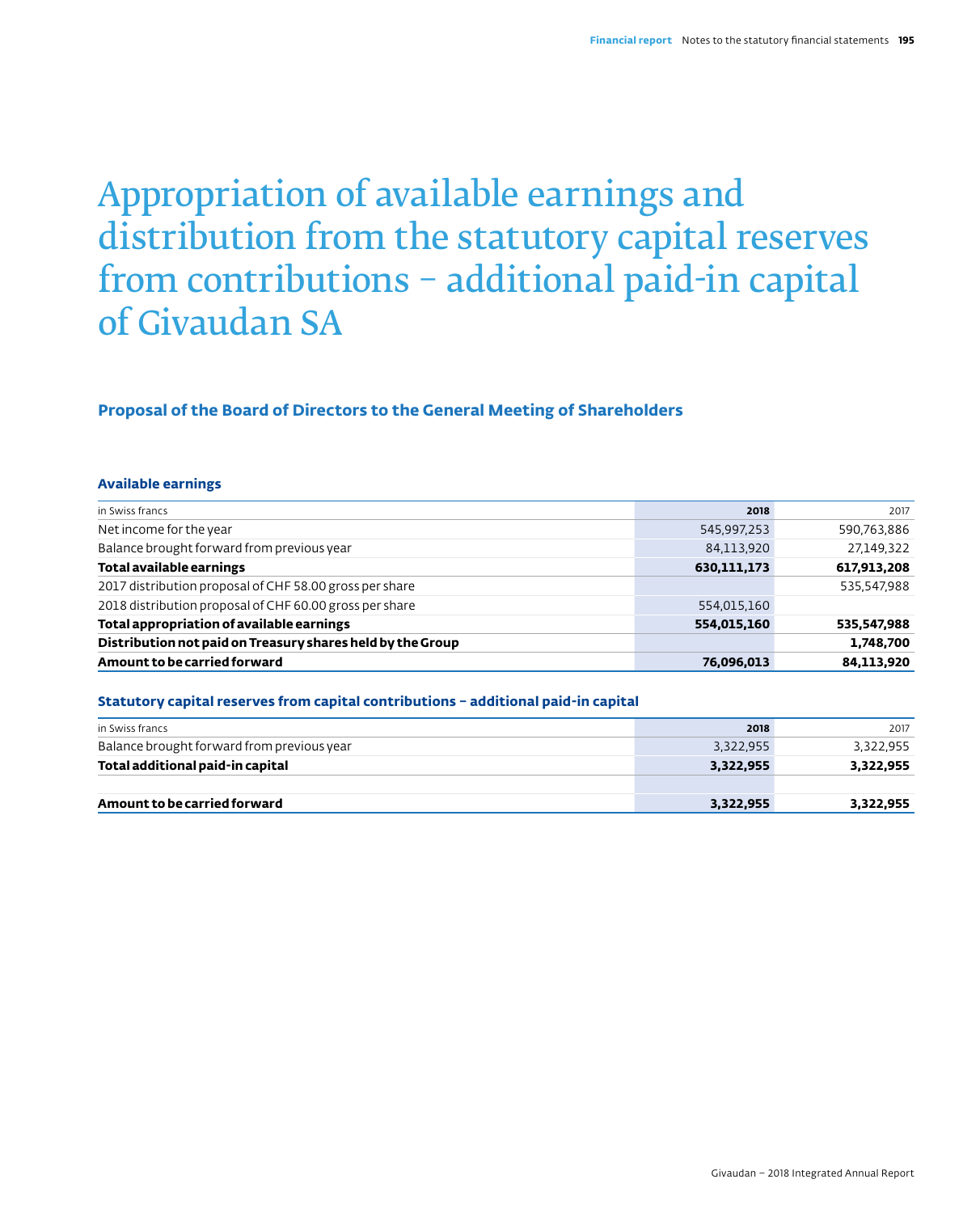# Appropriation of available earnings and distribution from the statutory capital reserves from contributions – additional paid-in capital of Givaudan SA

# **Proposal of the Board of Directors to the General Meeting of Shareholders**

#### **Available earnings**

| in Swiss francs                                            | 2018        | 2017        |
|------------------------------------------------------------|-------------|-------------|
| Net income for the year                                    | 545,997,253 | 590,763,886 |
| Balance brought forward from previous year                 | 84,113,920  | 27,149,322  |
| Total available earnings                                   | 630,111,173 | 617,913,208 |
| 2017 distribution proposal of CHF 58.00 gross per share    |             | 535,547,988 |
| 2018 distribution proposal of CHF 60.00 gross per share    | 554,015,160 |             |
| Total appropriation of available earnings                  | 554,015,160 | 535.547.988 |
| Distribution not paid on Treasury shares held by the Group |             | 1,748,700   |
| Amount to be carried forward                               | 76,096,013  | 84.113.920  |

#### **Statutory capital reserves from capital contributions – additional paid-in capital**

| in Swiss francs                            | 2018      | 2017      |
|--------------------------------------------|-----------|-----------|
| Balance brought forward from previous year | 3,322,955 | 3,322,955 |
| Total additional paid-in capital           | 3,322,955 | 3,322,955 |
|                                            |           |           |
| Amount to be carried forward               | 3,322,955 | 3,322,955 |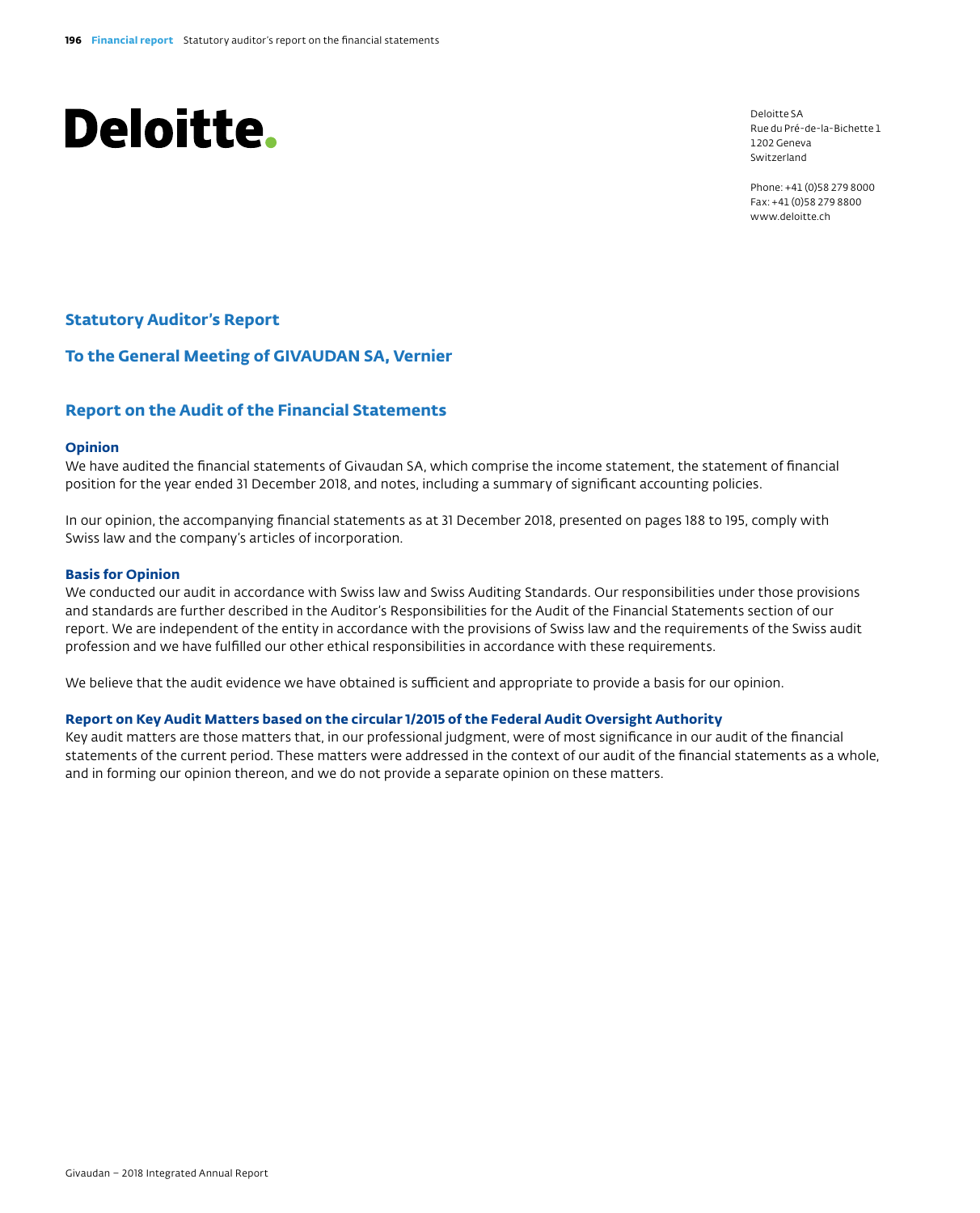# Deloitte.

Deloitte SA Rue du Pré-de-la-Bichette 1 1202 Geneva Switzerland

Phone: +41 (0)58 279 8000 Fax: +41 (0)58 279 8800 www.deloitte.ch

# **Statutory Auditor's Report**

#### **To the General Meeting of GIVAUDAN SA, Vernier**

### **Report on the Audit of the Financial Statements**

#### **Opinion**

We have audited the financial statements of Givaudan SA, which comprise the income statement, the statement of financial position for the year ended 31 December 2018, and notes, including a summary of significant accounting policies.

In our opinion, the accompanying financial statements as at 31 December 2018, presented on pages 188 to 195, comply with Swiss law and the company's articles of incorporation.

#### **Basis for Opinion**

We conducted our audit in accordance with Swiss law and Swiss Auditing Standards. Our responsibilities under those provisions and standards are further described in the Auditor's Responsibilities for the Audit of the Financial Statements section of our report. We are independent of the entity in accordance with the provisions of Swiss law and the requirements of the Swiss audit profession and we have fulfilled our other ethical responsibilities in accordance with these requirements.

We believe that the audit evidence we have obtained is sufficient and appropriate to provide a basis for our opinion.

#### **Report on Key Audit Matters based on the circular 1/2015 of the Federal Audit Oversight Authority**

Key audit matters are those matters that, in our professional judgment, were of most significance in our audit of the financial statements of the current period. These matters were addressed in the context of our audit of the financial statements as a whole, and in forming our opinion thereon, and we do not provide a separate opinion on these matters.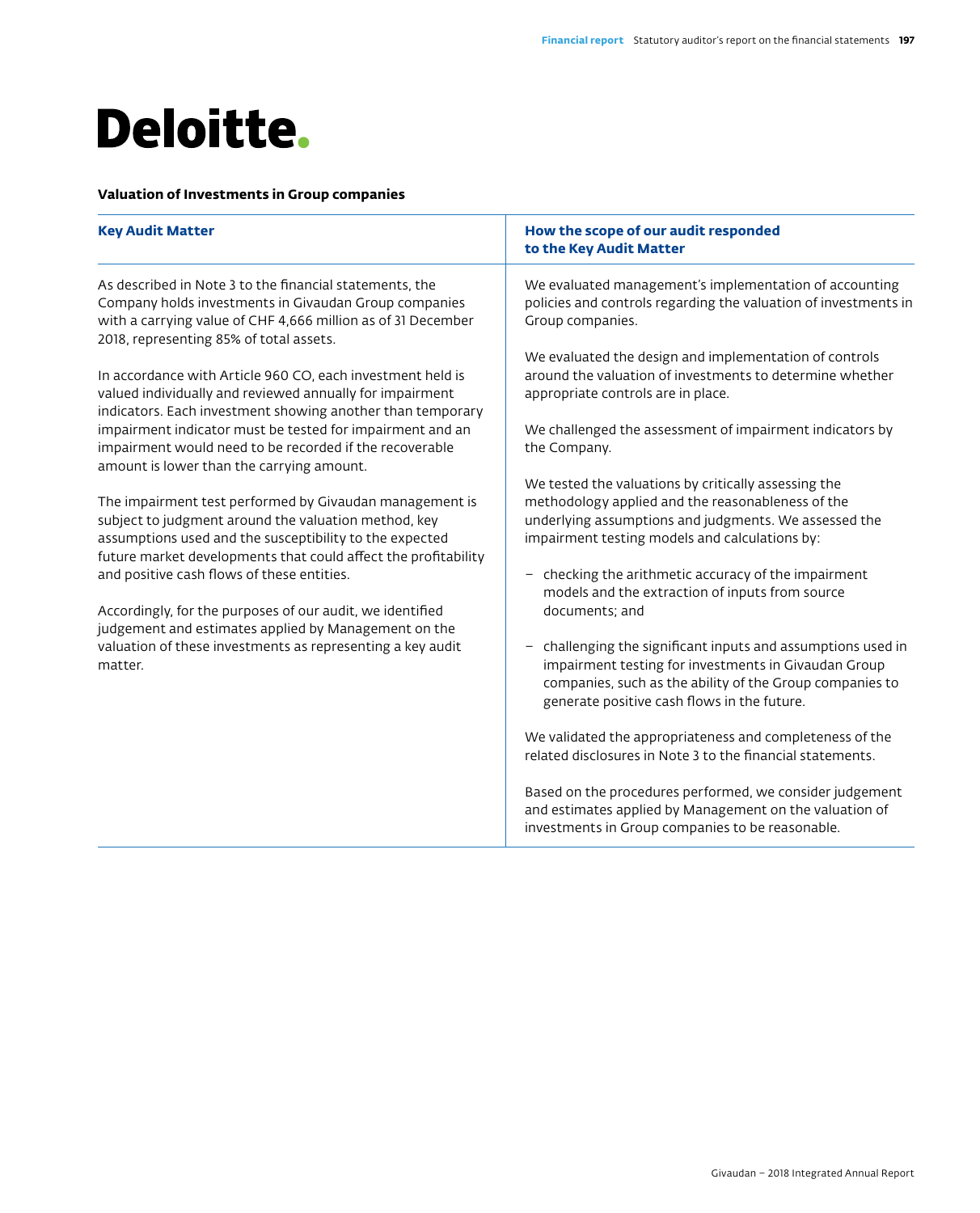# **Deloitte.**

#### **Valuation of Investments in Group companies**

| <b>Key Audit Matter</b>                                                                                                                                                                                                                                                                                                                                                                                                                                                                                                                                                                                                                                                                                                                                                                                                                                                                                                                                                                                                                                                              | How the scope of our audit responded<br>to the Key Audit Matter                                                                                                                                                                                                                                                                                                                                                                                                                                                                                                                                                                                                                                                                                                                                                                                                                                                                                                                                                                                                                                               |
|--------------------------------------------------------------------------------------------------------------------------------------------------------------------------------------------------------------------------------------------------------------------------------------------------------------------------------------------------------------------------------------------------------------------------------------------------------------------------------------------------------------------------------------------------------------------------------------------------------------------------------------------------------------------------------------------------------------------------------------------------------------------------------------------------------------------------------------------------------------------------------------------------------------------------------------------------------------------------------------------------------------------------------------------------------------------------------------|---------------------------------------------------------------------------------------------------------------------------------------------------------------------------------------------------------------------------------------------------------------------------------------------------------------------------------------------------------------------------------------------------------------------------------------------------------------------------------------------------------------------------------------------------------------------------------------------------------------------------------------------------------------------------------------------------------------------------------------------------------------------------------------------------------------------------------------------------------------------------------------------------------------------------------------------------------------------------------------------------------------------------------------------------------------------------------------------------------------|
| As described in Note 3 to the financial statements, the<br>Company holds investments in Givaudan Group companies<br>with a carrying value of CHF 4,666 million as of 31 December<br>2018, representing 85% of total assets.<br>In accordance with Article 960 CO, each investment held is<br>valued individually and reviewed annually for impairment<br>indicators. Each investment showing another than temporary<br>impairment indicator must be tested for impairment and an<br>impairment would need to be recorded if the recoverable<br>amount is lower than the carrying amount.<br>The impairment test performed by Givaudan management is<br>subject to judgment around the valuation method, key<br>assumptions used and the susceptibility to the expected<br>future market developments that could affect the profitability<br>and positive cash flows of these entities.<br>Accordingly, for the purposes of our audit, we identified<br>judgement and estimates applied by Management on the<br>valuation of these investments as representing a key audit<br>matter. | We evaluated management's implementation of accounting<br>policies and controls regarding the valuation of investments in<br>Group companies.<br>We evaluated the design and implementation of controls<br>around the valuation of investments to determine whether<br>appropriate controls are in place.<br>We challenged the assessment of impairment indicators by<br>the Company.<br>We tested the valuations by critically assessing the<br>methodology applied and the reasonableness of the<br>underlying assumptions and judgments. We assessed the<br>impairment testing models and calculations by:<br>checking the arithmetic accuracy of the impairment<br>-<br>models and the extraction of inputs from source<br>documents; and<br>challenging the significant inputs and assumptions used in<br>-<br>impairment testing for investments in Givaudan Group<br>companies, such as the ability of the Group companies to<br>generate positive cash flows in the future.<br>We validated the appropriateness and completeness of the<br>related disclosures in Note 3 to the financial statements. |
|                                                                                                                                                                                                                                                                                                                                                                                                                                                                                                                                                                                                                                                                                                                                                                                                                                                                                                                                                                                                                                                                                      | Based on the procedures performed, we consider judgement<br>and estimates applied by Management on the valuation of<br>investments in Group companies to be reasonable.                                                                                                                                                                                                                                                                                                                                                                                                                                                                                                                                                                                                                                                                                                                                                                                                                                                                                                                                       |